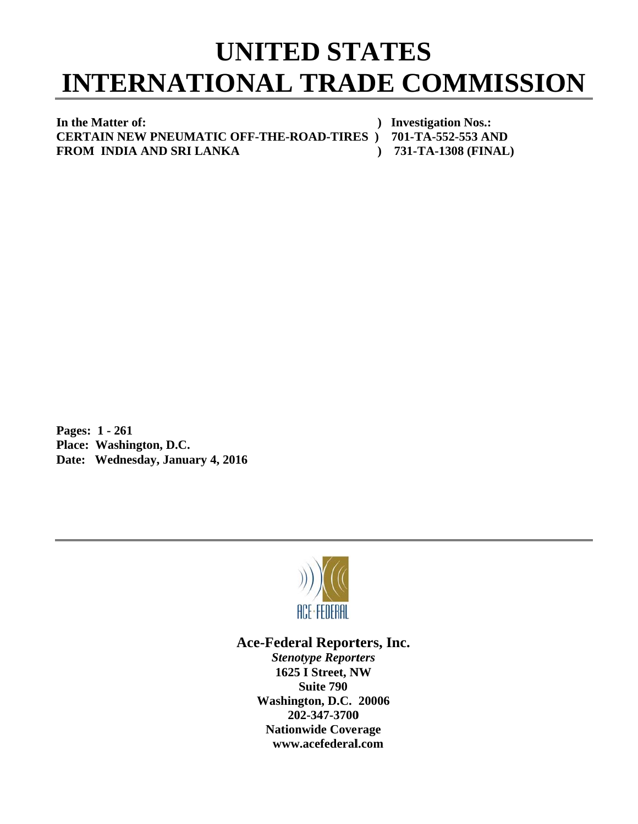## **INTERNATIONAL TRADE COMMISSION UNITED STATES**

In the Matter of: **C CERTAIN N NEW PNEU UMATIC O OFF-THE-R ROAD-TIRE ES ) 701-T TA-552-553 3 AND FROM INDIA AND SRI LANKA** *()* Investigation Nos.:  **) 731- -TA-1308 (F FINAL)** 

**P Pages: 1 - 2 261 P Place: Was hington, D.C C.**  Date: Wednesday, January 4, 2016



## Ace-Federal Reporters, Inc.

**Stenotype Reporters 1625 I Street, NW Washin gton, D.C. 20006 20 02-347-3700** 202-347-3700<br>Nationwide Coverage **www w.acefederal l.com Suite 790**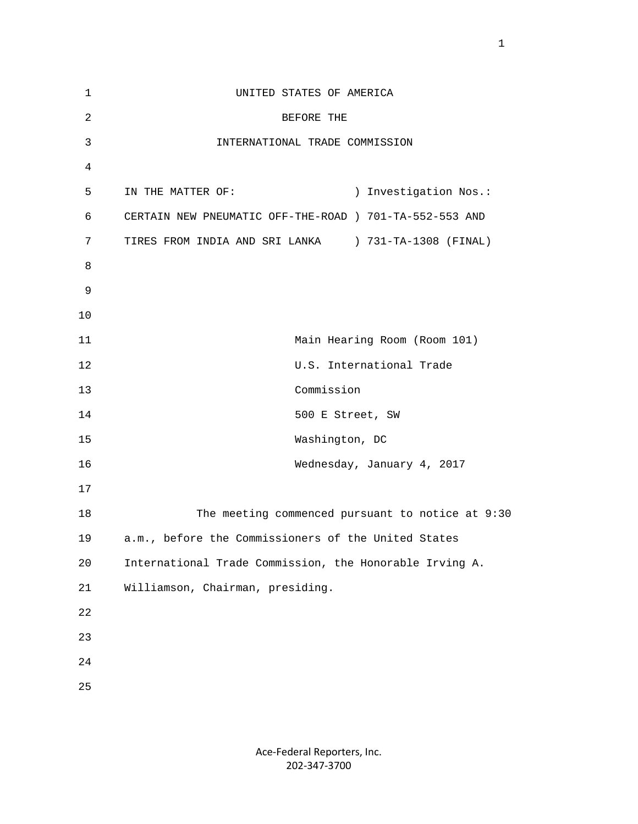| $\mathbf 1$    | UNITED STATES OF AMERICA                                |
|----------------|---------------------------------------------------------|
| $\overline{c}$ | BEFORE THE                                              |
| 3              | INTERNATIONAL TRADE COMMISSION                          |
| 4              |                                                         |
| 5              | IN THE MATTER OF:<br>) Investigation Nos.:              |
| 6              | CERTAIN NEW PNEUMATIC OFF-THE-ROAD ) 701-TA-552-553 AND |
| 7              | TIRES FROM INDIA AND SRI LANKA ) 731-TA-1308 (FINAL)    |
| 8              |                                                         |
| 9              |                                                         |
| 10             |                                                         |
| 11             | Main Hearing Room (Room 101)                            |
| 12             | U.S. International Trade                                |
| 13             | Commission                                              |
| 14             | 500 E Street, SW                                        |
| 15             | Washington, DC                                          |
| 16             | Wednesday, January 4, 2017                              |
| 17             |                                                         |
| 18             | The meeting commenced pursuant to notice at 9:30        |
| 19             | a.m., before the Commissioners of the United States     |
| 20             | International Trade Commission, the Honorable Irving A. |
| 21             | Williamson, Chairman, presiding.                        |
| 22             |                                                         |
| 23             |                                                         |
| $2\sqrt{4}$    |                                                         |
| 25             |                                                         |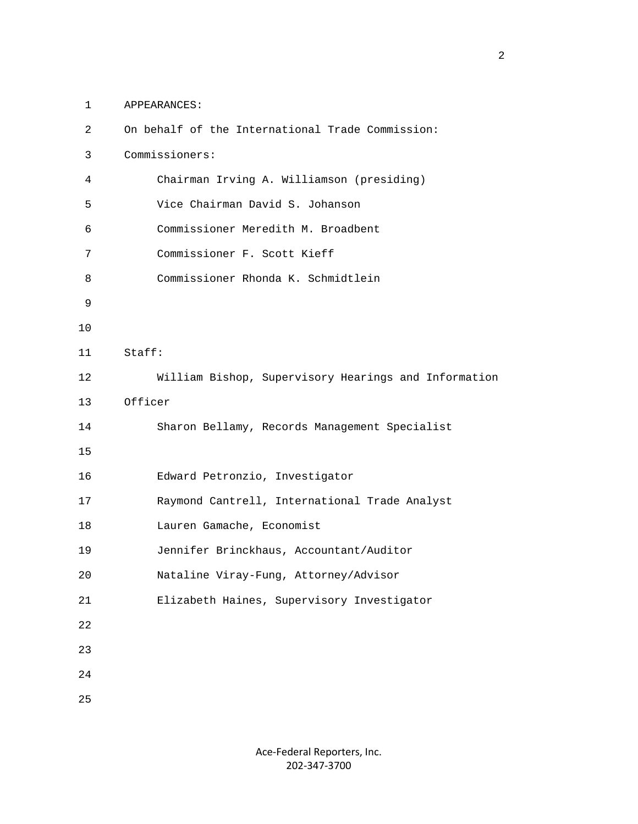1 APPEARANCES:

| $\overline{2}$ | On behalf of the International Trade Commission:     |
|----------------|------------------------------------------------------|
| 3              | Commissioners:                                       |
| $\overline{4}$ | Chairman Irving A. Williamson (presiding)            |
| 5              | Vice Chairman David S. Johanson                      |
| 6              | Commissioner Meredith M. Broadbent                   |
| 7              | Commissioner F. Scott Kieff                          |
| 8              | Commissioner Rhonda K. Schmidtlein                   |
| 9              |                                                      |
| $10$           |                                                      |
| 11             | Staff:                                               |
| 12             | William Bishop, Supervisory Hearings and Information |
| 13             | Officer                                              |
| 14             | Sharon Bellamy, Records Management Specialist        |
| 15             |                                                      |
| 16             | Edward Petronzio, Investigator                       |
| 17             | Raymond Cantrell, International Trade Analyst        |
| 18             | Lauren Gamache, Economist                            |
| 19             | Jennifer Brinckhaus, Accountant/Auditor              |
| 20             | Nataline Viray-Fung, Attorney/Advisor                |
| $2\sqrt{1}$    | Elizabeth Haines, Supervisory Investigator           |
| 22             |                                                      |
| 23             |                                                      |
| 24             |                                                      |
| 25             |                                                      |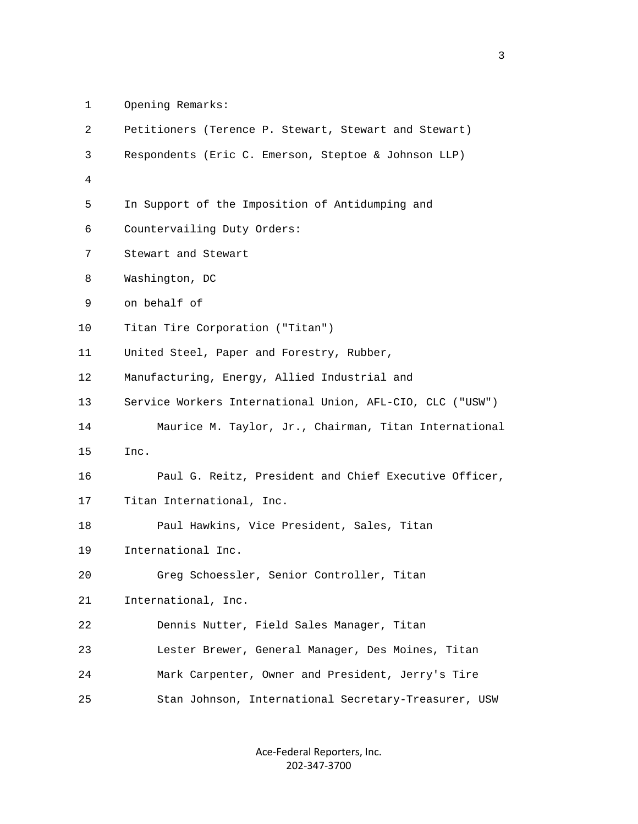1 Opening Remarks:

| 2              | Petitioners (Terence P. Stewart, Stewart and Stewart)     |
|----------------|-----------------------------------------------------------|
| 3              | Respondents (Eric C. Emerson, Steptoe & Johnson LLP)      |
| $\overline{4}$ |                                                           |
| 5              | In Support of the Imposition of Antidumping and           |
| 6              | Countervailing Duty Orders:                               |
| 7              | Stewart and Stewart                                       |
| 8              | Washington, DC                                            |
| 9              | on behalf of                                              |
| 10             | Titan Tire Corporation ("Titan")                          |
| 11             | United Steel, Paper and Forestry, Rubber,                 |
| 12             | Manufacturing, Energy, Allied Industrial and              |
| 13             | Service Workers International Union, AFL-CIO, CLC ("USW") |
| 14             | Maurice M. Taylor, Jr., Chairman, Titan International     |
| 15             | Inc.                                                      |
| 16             | Paul G. Reitz, President and Chief Executive Officer,     |
| 17             | Titan International, Inc.                                 |
| 18             | Paul Hawkins, Vice President, Sales, Titan                |
| 19             | International Inc.                                        |
| 20             | Greg Schoessler, Senior Controller, Titan                 |
| 21             | International, Inc.                                       |
| 22             | Dennis Nutter, Field Sales Manager, Titan                 |
| 23             | Lester Brewer, General Manager, Des Moines, Titan         |
| 24             | Mark Carpenter, Owner and President, Jerry's Tire         |
| 25             | Stan Johnson, International Secretary-Treasurer, USW      |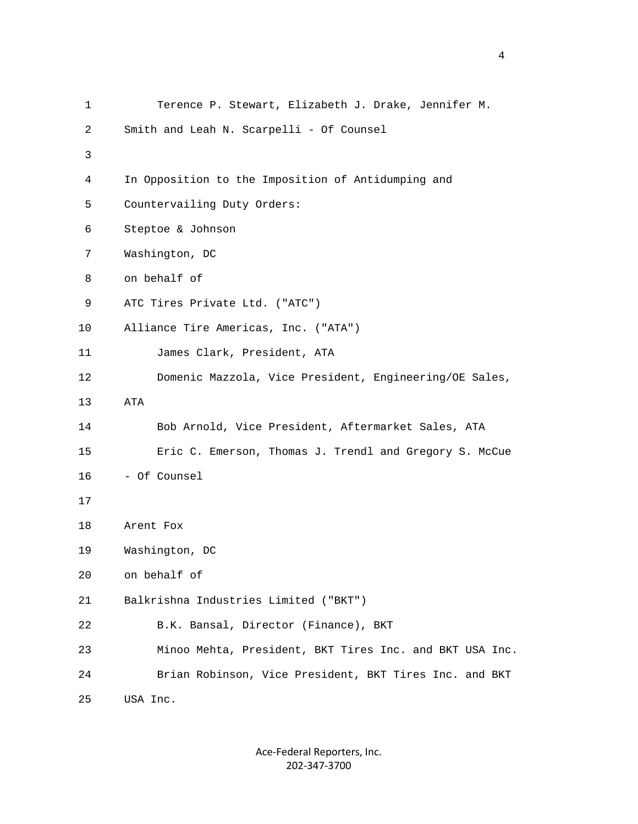| 1  | Terence P. Stewart, Elizabeth J. Drake, Jennifer M.     |
|----|---------------------------------------------------------|
| 2  | Smith and Leah N. Scarpelli - Of Counsel                |
| 3  |                                                         |
| 4  | In Opposition to the Imposition of Antidumping and      |
| 5  | Countervailing Duty Orders:                             |
| 6  | Steptoe & Johnson                                       |
| 7  | Washington, DC                                          |
| 8  | on behalf of                                            |
| 9  | ATC Tires Private Ltd. ("ATC")                          |
| 10 | Alliance Tire Americas, Inc. ("ATA")                    |
| 11 | James Clark, President, ATA                             |
| 12 | Domenic Mazzola, Vice President, Engineering/OE Sales,  |
| 13 | ATA                                                     |
| 14 | Bob Arnold, Vice President, Aftermarket Sales, ATA      |
| 15 | Eric C. Emerson, Thomas J. Trendl and Gregory S. McCue  |
| 16 | - Of Counsel                                            |
| 17 |                                                         |
| 18 | Arent Fox                                               |
| 19 | Washington, DC                                          |
| 20 | on behalf of                                            |
| 21 | Balkrishna Industries Limited ("BKT")                   |
| 22 | B.K. Bansal, Director (Finance), BKT                    |
| 23 | Minoo Mehta, President, BKT Tires Inc. and BKT USA Inc. |
| 24 | Brian Robinson, Vice President, BKT Tires Inc. and BKT  |
| 25 | USA Inc.                                                |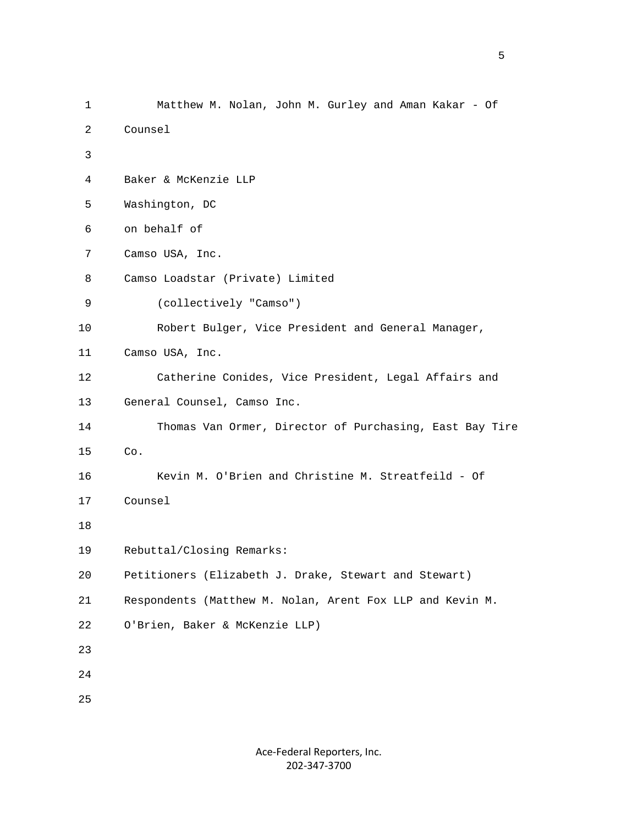```
 1 Matthew M. Nolan, John M. Gurley and Aman Kakar - Of 
          2 Counsel 
3 
          4 Baker & McKenzie LLP 
          5 Washington, DC 
          6 on behalf of 
          7 Camso USA, Inc. 
          8 Camso Loadstar (Private) Limited 
          9 (collectively "Camso") 
         10 Robert Bulger, Vice President and General Manager, 
        11 Camso USA, Inc. 
         12 Catherine Conides, Vice President, Legal Affairs and 
         13 General Counsel, Camso Inc. 
         14 Thomas Van Ormer, Director of Purchasing, East Bay Tire 
         15 Co. 
         16 Kevin M. O'Brien and Christine M. Streatfeild - Of 
        17 Counsel 
         18 
        19 Rebuttal/Closing Remarks: 
         20 Petitioners (Elizabeth J. Drake, Stewart and Stewart) 
         21 Respondents (Matthew M. Nolan, Arent Fox LLP and Kevin M. 
         22 O'Brien, Baker & McKenzie LLP) 
         23 
         24 
         25
```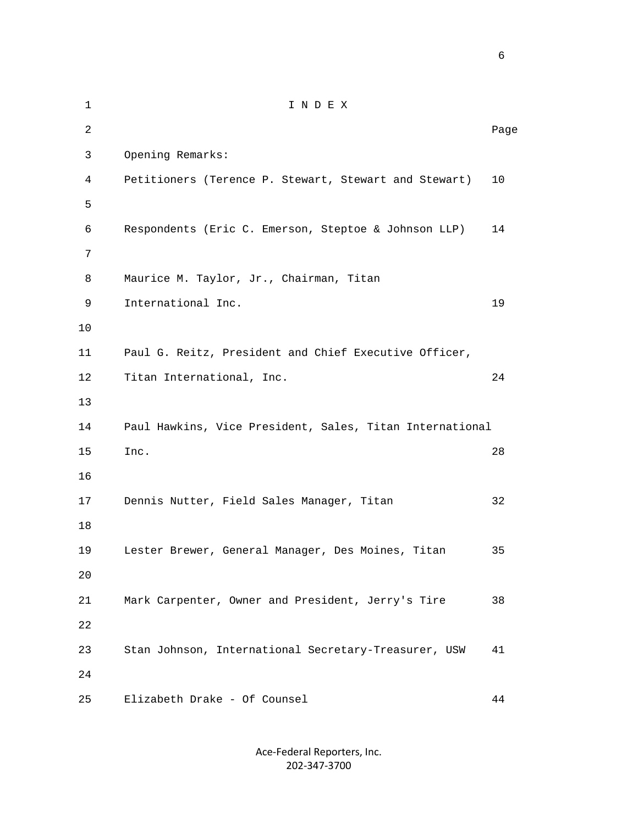1 I N D E X 2 **Page 12** Page 2 **Page 2** Page 2 Page 2 Page 2 Page 2 Page 2 Page 2 Page 2 Page 2 Page 2 Page 2 Page 2 Page 2 Page 2 Page 2 Page 2 Page 2 Page 2 Page 2 Page 2 Page 2 Page 2 Page 2 Page 2 Page 2 Page 2 Page 2 Page 2 Page 3 Opening Remarks: 4 Petitioners (Terence P. Stewart, Stewart and Stewart) 10  $5<sub>5</sub>$  6 Respondents (Eric C. Emerson, Steptoe & Johnson LLP) 14 7 8 Maurice M. Taylor, Jr., Chairman, Titan 9 International Inc. 19 10 11 Paul G. Reitz, President and Chief Executive Officer, 12 Titan International, Inc. 24 13 14 Paul Hawkins, Vice President, Sales, Titan International 15 Inc. 28 16 17 Dennis Nutter, Field Sales Manager, Titan 32 18 19 Lester Brewer, General Manager, Des Moines, Titan 35 20 21 Mark Carpenter, Owner and President, Jerry's Tire 38 22 23 Stan Johnson, International Secretary-Treasurer, USW 41 24 25 Elizabeth Drake - Of Counsel 44

> Ace‐Federal Reporters, Inc. 202‐347‐3700

 $\sim$  6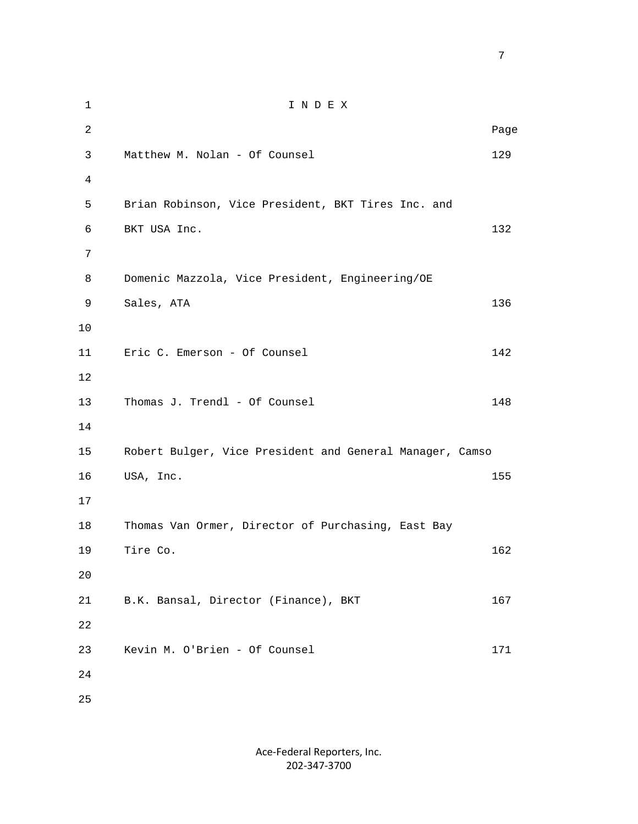1 I N D E X 2 **Page 12** Page 2 **Page 2** Page 2 Page 2 Page 2 Page 2 Page 2 Page 2 Page 2 Page 2 Page 2 Page 2 Page 2 Page 2 Page 2 Page 2 Page 2 Page 2 Page 2 Page 2 Page 2 Page 2 Page 2 Page 2 Page 2 Page 2 Page 2 Page 2 Page 2 Page 3 Matthew M. Nolan - Of Counsel 129 4 5 Brian Robinson, Vice President, BKT Tires Inc. and 6 BKT USA Inc. 132 7 8 Domenic Mazzola, Vice President, Engineering/OE 9 Sales, ATA 136 10 11 Eric C. Emerson - Of Counsel 142 12 13 Thomas J. Trendl - Of Counsel 148 14 15 Robert Bulger, Vice President and General Manager, Camso 16 USA, Inc. 155 17 18 Thomas Van Ormer, Director of Purchasing, East Bay 19 Tire Co. 162 20 21 B.K. Bansal, Director (Finance), BKT 167 22 23 Kevin M. O'Brien - Of Counsel 171 24 25

<u>2003: The contract of the contract of the contract of the contract of the contract of the contract of the con</u>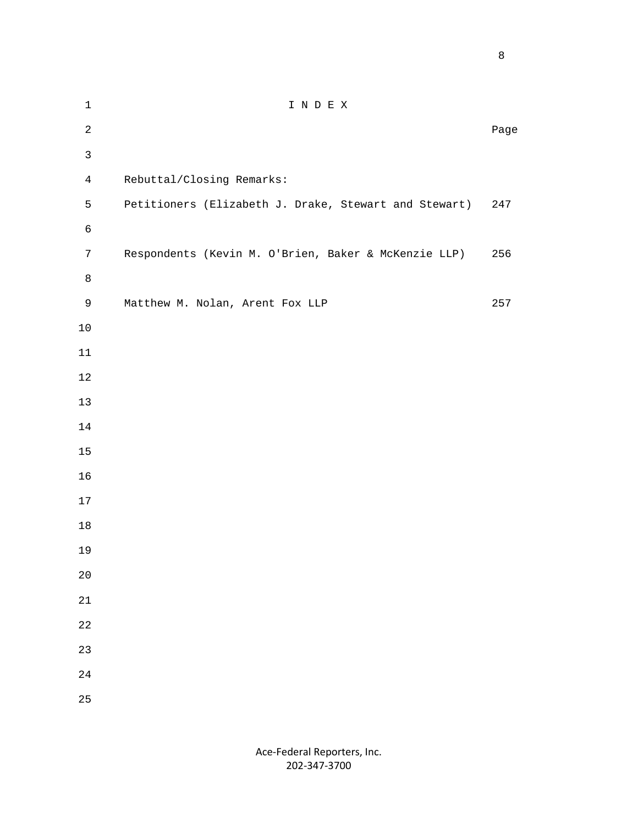experience of the state of the state of the state of the state of the state of the state of the state of the s

| $\mathbf 1$     | INDEX                                                 |      |
|-----------------|-------------------------------------------------------|------|
| $\overline{a}$  |                                                       | Page |
| $\mathsf{3}$    |                                                       |      |
| $\overline{4}$  | Rebuttal/Closing Remarks:                             |      |
| 5               | Petitioners (Elizabeth J. Drake, Stewart and Stewart) | 247  |
| $\epsilon$      |                                                       |      |
| $7\phantom{.0}$ | Respondents (Kevin M. O'Brien, Baker & McKenzie LLP)  | 256  |
| $\,8\,$         |                                                       |      |
| $\mathsf 9$     | Matthew M. Nolan, Arent Fox LLP                       | 257  |
| $10$            |                                                       |      |
| $11\,$          |                                                       |      |
| $1\,2$          |                                                       |      |
| $13$            |                                                       |      |
| 14              |                                                       |      |
| $15$            |                                                       |      |
| 16              |                                                       |      |
| $17$            |                                                       |      |
| $18\,$          |                                                       |      |
| 19              |                                                       |      |
| $20$            |                                                       |      |
| $2\sqrt{1}$     |                                                       |      |
| $2\sqrt{2}$     |                                                       |      |
| 23              |                                                       |      |
| $2\sqrt{4}$     |                                                       |      |
| 25              |                                                       |      |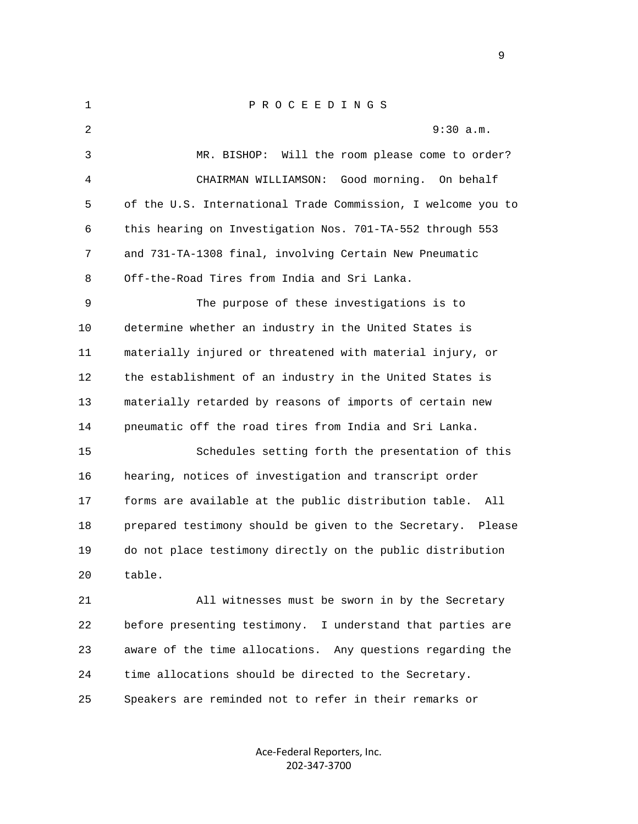| $\mathbf{1}$ | PROCEEDINGS                                                    |
|--------------|----------------------------------------------------------------|
| 2            | 9:30 a.m.                                                      |
| 3            | MR. BISHOP: Will the room please come to order?                |
| 4            | Good morning.<br>CHAIRMAN WILLIAMSON:<br>On behalf             |
| 5            | of the U.S. International Trade Commission, I welcome you to   |
| 6            | this hearing on Investigation Nos. 701-TA-552 through 553      |
| 7            | and 731-TA-1308 final, involving Certain New Pneumatic         |
| 8            | Off-the-Road Tires from India and Sri Lanka.                   |
| 9            | The purpose of these investigations is to                      |
| 10           | determine whether an industry in the United States is          |
| 11           | materially injured or threatened with material injury, or      |
| 12           | the establishment of an industry in the United States is       |
| 13           | materially retarded by reasons of imports of certain new       |
| 14           | pneumatic off the road tires from India and Sri Lanka.         |
| 15           | Schedules setting forth the presentation of this               |
| 16           | hearing, notices of investigation and transcript order         |
| 17           | forms are available at the public distribution table.<br>All   |
| 18           | prepared testimony should be given to the Secretary.<br>Please |
| 19           | do not place testimony directly on the public distribution     |
| 20           | table.                                                         |
| 21           | All witnesses must be sworn in by the Secretary                |
| 22           | before presenting testimony. I understand that parties are     |
| 23           | aware of the time allocations. Any questions regarding the     |
| 24           | time allocations should be directed to the Secretary.          |
| 25           | Speakers are reminded not to refer in their remarks or         |

Ace‐Federal Reporters, Inc. 202‐347‐3700

en de la provincia de la provincia de la provincia de la provincia de la provincia de la provincia de la provi<br>1900 : la provincia de la provincia de la provincia de la provincia de la provincia de la provincia de la prov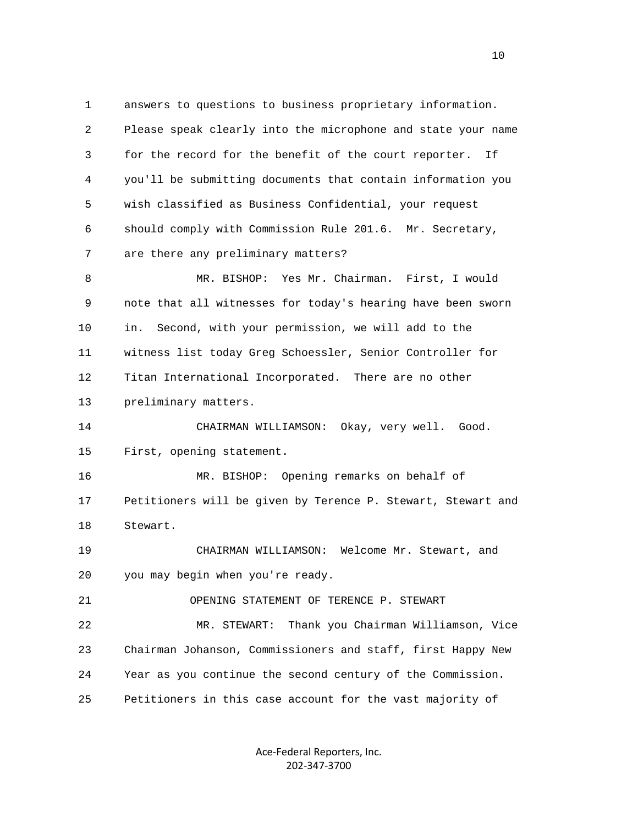1 answers to questions to business proprietary information. 2 Please speak clearly into the microphone and state your name 3 for the record for the benefit of the court reporter. If 4 you'll be submitting documents that contain information you 5 wish classified as Business Confidential, your request 6 should comply with Commission Rule 201.6. Mr. Secretary, 7 are there any preliminary matters? 8 MR. BISHOP: Yes Mr. Chairman. First, I would 9 note that all witnesses for today's hearing have been sworn 10 in. Second, with your permission, we will add to the 11 witness list today Greg Schoessler, Senior Controller for 12 Titan International Incorporated. There are no other 13 preliminary matters. 14 CHAIRMAN WILLIAMSON: Okay, very well. Good. 15 First, opening statement. 16 MR. BISHOP: Opening remarks on behalf of 17 Petitioners will be given by Terence P. Stewart, Stewart and 18 Stewart.

 19 CHAIRMAN WILLIAMSON: Welcome Mr. Stewart, and 20 you may begin when you're ready.

21 OPENING STATEMENT OF TERENCE P. STEWART

 22 MR. STEWART: Thank you Chairman Williamson, Vice 23 Chairman Johanson, Commissioners and staff, first Happy New 24 Year as you continue the second century of the Commission. 25 Petitioners in this case account for the vast majority of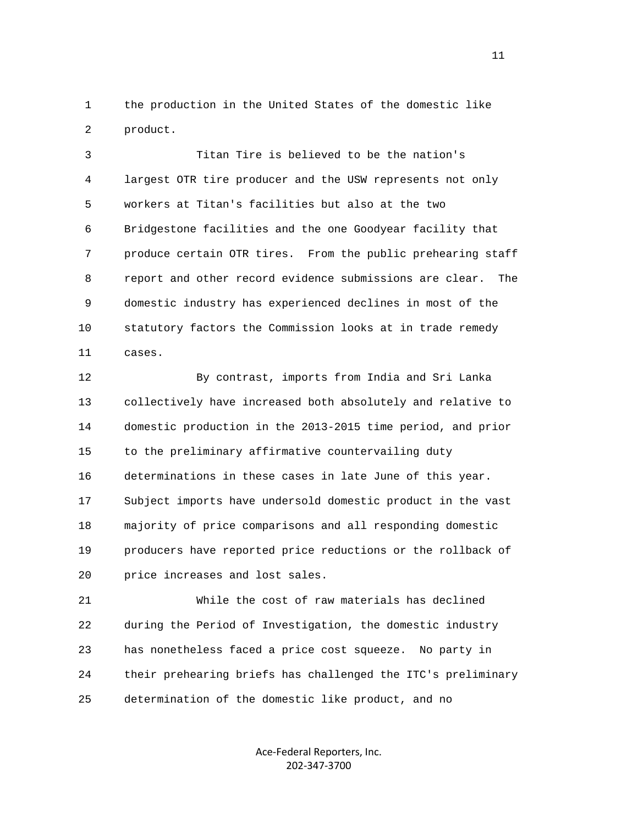1 the production in the United States of the domestic like 2 product.

 3 Titan Tire is believed to be the nation's 4 largest OTR tire producer and the USW represents not only 5 workers at Titan's facilities but also at the two 6 Bridgestone facilities and the one Goodyear facility that 7 produce certain OTR tires. From the public prehearing staff 8 report and other record evidence submissions are clear. The 9 domestic industry has experienced declines in most of the 10 statutory factors the Commission looks at in trade remedy 11 cases.

 12 By contrast, imports from India and Sri Lanka 13 collectively have increased both absolutely and relative to 14 domestic production in the 2013-2015 time period, and prior 15 to the preliminary affirmative countervailing duty 16 determinations in these cases in late June of this year. 17 Subject imports have undersold domestic product in the vast 18 majority of price comparisons and all responding domestic 19 producers have reported price reductions or the rollback of 20 price increases and lost sales.

 21 While the cost of raw materials has declined 22 during the Period of Investigation, the domestic industry 23 has nonetheless faced a price cost squeeze. No party in 24 their prehearing briefs has challenged the ITC's preliminary 25 determination of the domestic like product, and no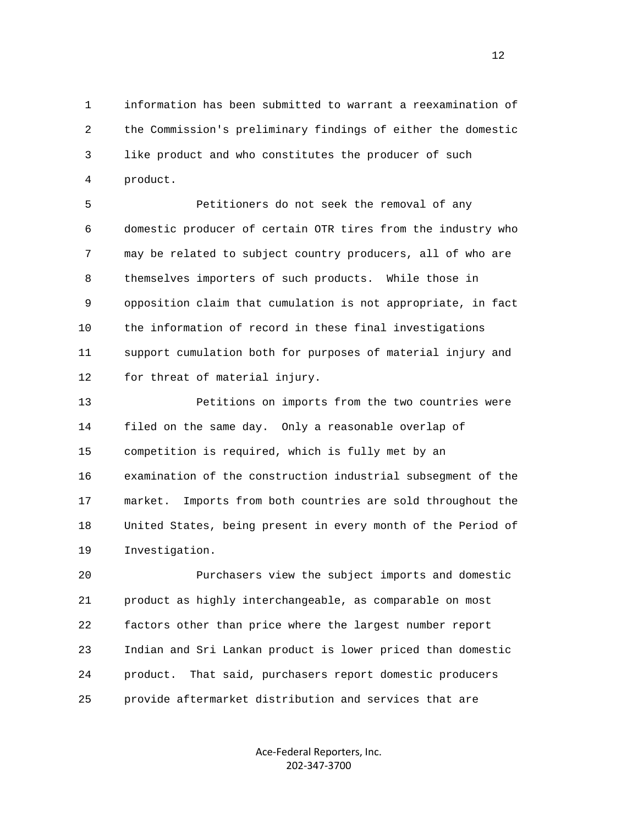1 information has been submitted to warrant a reexamination of 2 the Commission's preliminary findings of either the domestic 3 like product and who constitutes the producer of such 4 product.

 5 Petitioners do not seek the removal of any 6 domestic producer of certain OTR tires from the industry who 7 may be related to subject country producers, all of who are 8 themselves importers of such products. While those in 9 opposition claim that cumulation is not appropriate, in fact 10 the information of record in these final investigations 11 support cumulation both for purposes of material injury and 12 for threat of material injury.

 13 Petitions on imports from the two countries were 14 filed on the same day. Only a reasonable overlap of 15 competition is required, which is fully met by an 16 examination of the construction industrial subsegment of the 17 market. Imports from both countries are sold throughout the 18 United States, being present in every month of the Period of 19 Investigation.

 20 Purchasers view the subject imports and domestic 21 product as highly interchangeable, as comparable on most 22 factors other than price where the largest number report 23 Indian and Sri Lankan product is lower priced than domestic 24 product. That said, purchasers report domestic producers 25 provide aftermarket distribution and services that are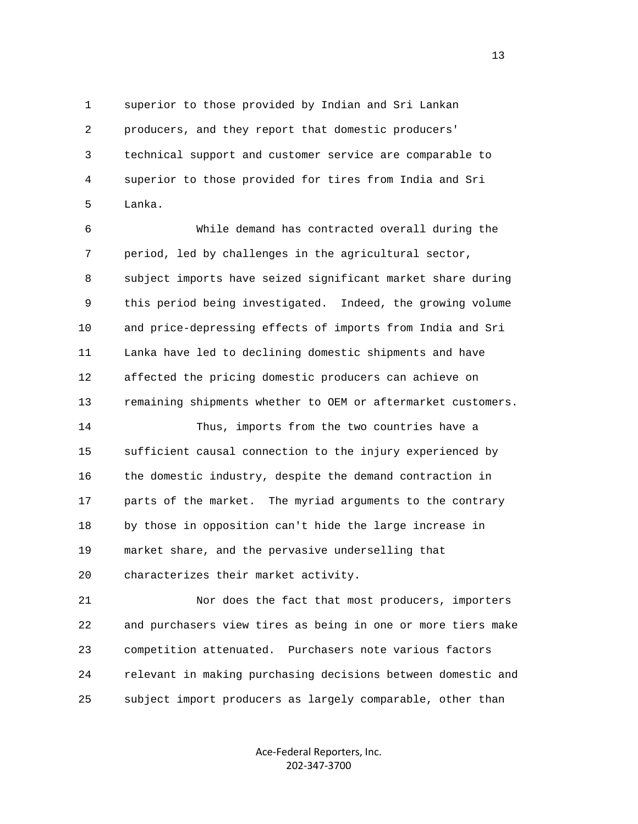1 superior to those provided by Indian and Sri Lankan 2 producers, and they report that domestic producers' 3 technical support and customer service are comparable to 4 superior to those provided for tires from India and Sri 5 Lanka.

 6 While demand has contracted overall during the 7 period, led by challenges in the agricultural sector, 8 subject imports have seized significant market share during 9 this period being investigated. Indeed, the growing volume 10 and price-depressing effects of imports from India and Sri 11 Lanka have led to declining domestic shipments and have 12 affected the pricing domestic producers can achieve on 13 remaining shipments whether to OEM or aftermarket customers.

 14 Thus, imports from the two countries have a 15 sufficient causal connection to the injury experienced by 16 the domestic industry, despite the demand contraction in 17 parts of the market. The myriad arguments to the contrary 18 by those in opposition can't hide the large increase in 19 market share, and the pervasive underselling that 20 characterizes their market activity.

 21 Nor does the fact that most producers, importers 22 and purchasers view tires as being in one or more tiers make 23 competition attenuated. Purchasers note various factors 24 relevant in making purchasing decisions between domestic and 25 subject import producers as largely comparable, other than

> Ace‐Federal Reporters, Inc. 202‐347‐3700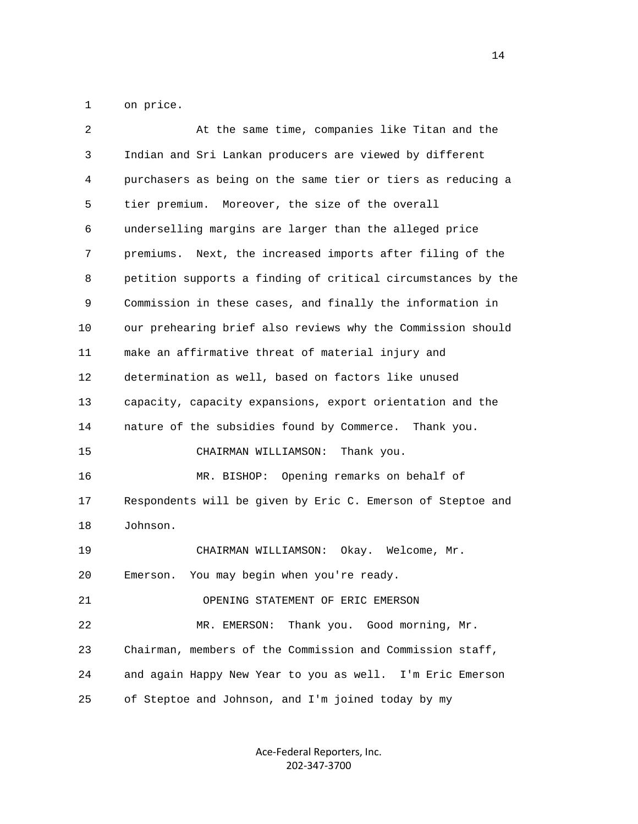1 on price.

| 2  | At the same time, companies like Titan and the               |
|----|--------------------------------------------------------------|
| 3  | Indian and Sri Lankan producers are viewed by different      |
| 4  | purchasers as being on the same tier or tiers as reducing a  |
| 5  | tier premium. Moreover, the size of the overall              |
| 6  | underselling margins are larger than the alleged price       |
| 7  | premiums. Next, the increased imports after filing of the    |
| 8  | petition supports a finding of critical circumstances by the |
| 9  | Commission in these cases, and finally the information in    |
| 10 | our prehearing brief also reviews why the Commission should  |
| 11 | make an affirmative threat of material injury and            |
| 12 | determination as well, based on factors like unused          |
| 13 | capacity, capacity expansions, export orientation and the    |
| 14 | nature of the subsidies found by Commerce. Thank you.        |
| 15 | CHAIRMAN WILLIAMSON:<br>Thank you.                           |
| 16 | MR. BISHOP: Opening remarks on behalf of                     |
| 17 | Respondents will be given by Eric C. Emerson of Steptoe and  |
| 18 | Johnson.                                                     |
| 19 | CHAIRMAN WILLIAMSON:<br>Okay. Welcome, Mr.                   |
| 20 | You may begin when you're ready.<br>Emerson.                 |
| 21 | OPENING STATEMENT OF ERIC EMERSON                            |
| 22 | Thank you. Good morning, Mr.<br>MR. EMERSON:                 |
| 23 | Chairman, members of the Commission and Commission staff,    |
| 24 | and again Happy New Year to you as well. I'm Eric Emerson    |
| 25 | of Steptoe and Johnson, and I'm joined today by my           |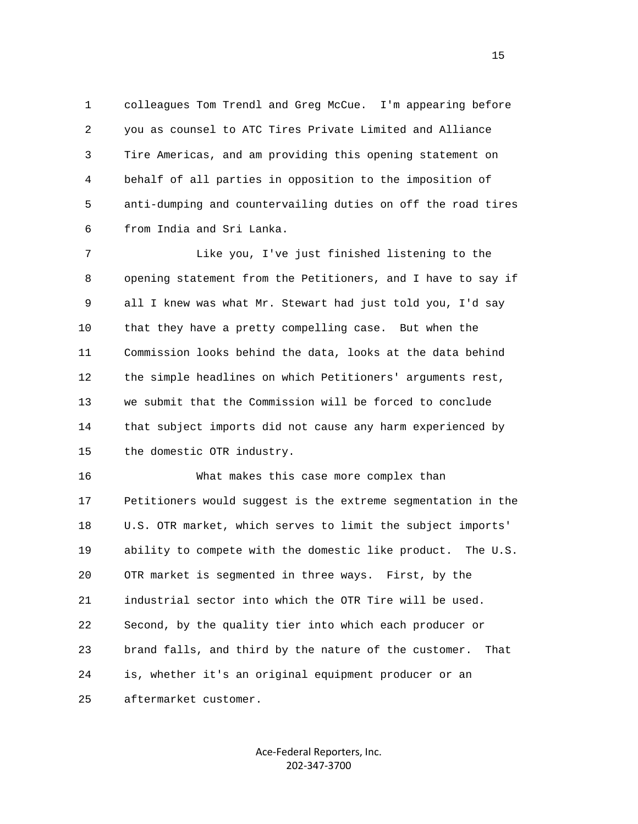1 colleagues Tom Trendl and Greg McCue. I'm appearing before 2 you as counsel to ATC Tires Private Limited and Alliance 3 Tire Americas, and am providing this opening statement on 4 behalf of all parties in opposition to the imposition of 5 anti-dumping and countervailing duties on off the road tires 6 from India and Sri Lanka.

 7 Like you, I've just finished listening to the 8 opening statement from the Petitioners, and I have to say if 9 all I knew was what Mr. Stewart had just told you, I'd say 10 that they have a pretty compelling case. But when the 11 Commission looks behind the data, looks at the data behind 12 the simple headlines on which Petitioners' arguments rest, 13 we submit that the Commission will be forced to conclude 14 that subject imports did not cause any harm experienced by 15 the domestic OTR industry.

 16 What makes this case more complex than 17 Petitioners would suggest is the extreme segmentation in the 18 U.S. OTR market, which serves to limit the subject imports' 19 ability to compete with the domestic like product. The U.S. 20 OTR market is segmented in three ways. First, by the 21 industrial sector into which the OTR Tire will be used. 22 Second, by the quality tier into which each producer or 23 brand falls, and third by the nature of the customer. That 24 is, whether it's an original equipment producer or an 25 aftermarket customer.

> Ace‐Federal Reporters, Inc. 202‐347‐3700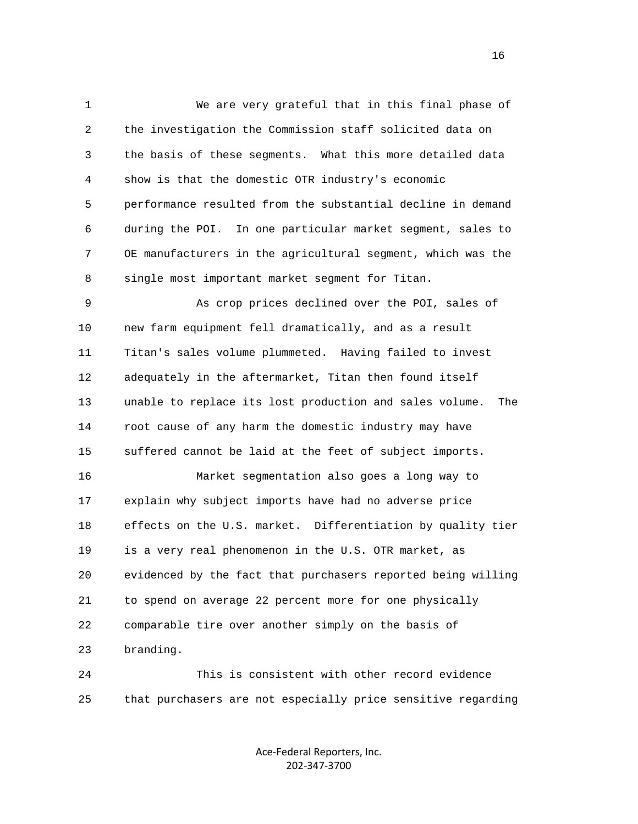1 We are very grateful that in this final phase of 2 the investigation the Commission staff solicited data on 3 the basis of these segments. What this more detailed data 4 show is that the domestic OTR industry's economic 5 performance resulted from the substantial decline in demand 6 during the POI. In one particular market segment, sales to 7 OE manufacturers in the agricultural segment, which was the 8 single most important market segment for Titan.

 9 As crop prices declined over the POI, sales of 10 new farm equipment fell dramatically, and as a result 11 Titan's sales volume plummeted. Having failed to invest 12 adequately in the aftermarket, Titan then found itself 13 unable to replace its lost production and sales volume. The 14 root cause of any harm the domestic industry may have 15 suffered cannot be laid at the feet of subject imports.

 16 Market segmentation also goes a long way to 17 explain why subject imports have had no adverse price 18 effects on the U.S. market. Differentiation by quality tier 19 is a very real phenomenon in the U.S. OTR market, as 20 evidenced by the fact that purchasers reported being willing 21 to spend on average 22 percent more for one physically 22 comparable tire over another simply on the basis of 23 branding.

 24 This is consistent with other record evidence 25 that purchasers are not especially price sensitive regarding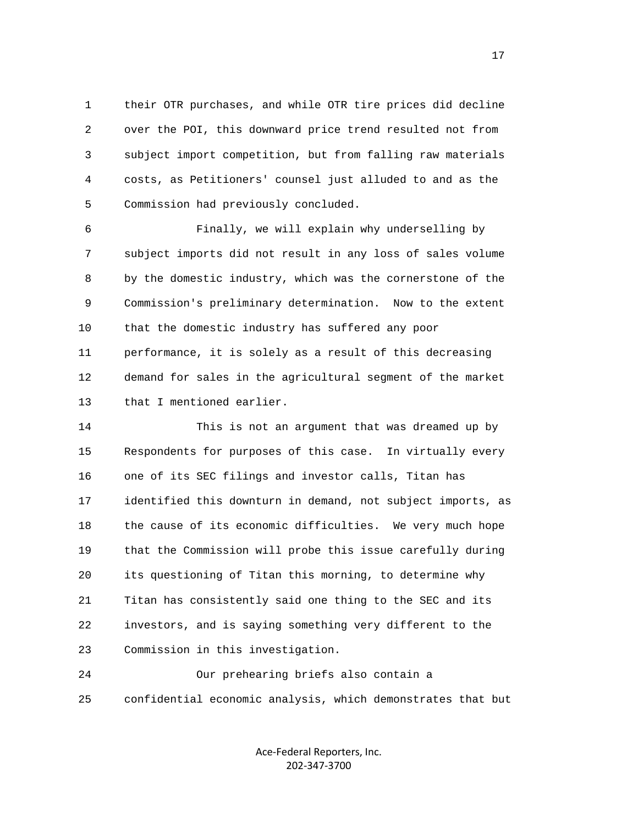1 their OTR purchases, and while OTR tire prices did decline 2 over the POI, this downward price trend resulted not from 3 subject import competition, but from falling raw materials 4 costs, as Petitioners' counsel just alluded to and as the 5 Commission had previously concluded.

 6 Finally, we will explain why underselling by 7 subject imports did not result in any loss of sales volume 8 by the domestic industry, which was the cornerstone of the 9 Commission's preliminary determination. Now to the extent 10 that the domestic industry has suffered any poor 11 performance, it is solely as a result of this decreasing 12 demand for sales in the agricultural segment of the market 13 that I mentioned earlier.

 14 This is not an argument that was dreamed up by 15 Respondents for purposes of this case. In virtually every 16 one of its SEC filings and investor calls, Titan has 17 identified this downturn in demand, not subject imports, as 18 the cause of its economic difficulties. We very much hope 19 that the Commission will probe this issue carefully during 20 its questioning of Titan this morning, to determine why 21 Titan has consistently said one thing to the SEC and its 22 investors, and is saying something very different to the 23 Commission in this investigation.

 24 Our prehearing briefs also contain a 25 confidential economic analysis, which demonstrates that but

> Ace‐Federal Reporters, Inc. 202‐347‐3700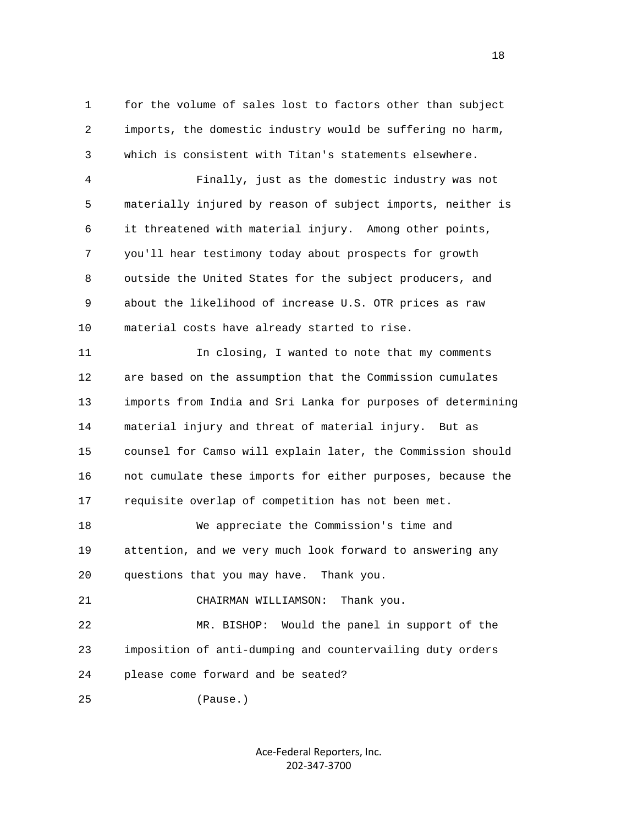1 for the volume of sales lost to factors other than subject 2 imports, the domestic industry would be suffering no harm, 3 which is consistent with Titan's statements elsewhere.

 4 Finally, just as the domestic industry was not 5 materially injured by reason of subject imports, neither is 6 it threatened with material injury. Among other points, 7 you'll hear testimony today about prospects for growth 8 outside the United States for the subject producers, and 9 about the likelihood of increase U.S. OTR prices as raw 10 material costs have already started to rise.

 11 In closing, I wanted to note that my comments 12 are based on the assumption that the Commission cumulates 13 imports from India and Sri Lanka for purposes of determining 14 material injury and threat of material injury. But as 15 counsel for Camso will explain later, the Commission should 16 not cumulate these imports for either purposes, because the 17 requisite overlap of competition has not been met.

 18 We appreciate the Commission's time and 19 attention, and we very much look forward to answering any 20 questions that you may have. Thank you.

21 CHAIRMAN WILLIAMSON: Thank you.

 22 MR. BISHOP: Would the panel in support of the 23 imposition of anti-dumping and countervailing duty orders 24 please come forward and be seated?

25 (Pause.)

Ace‐Federal Reporters, Inc. 202‐347‐3700

n 18 ann an 18 an t-Iomraid ann an 18 an t-Iomraid ann an 18 an t-Iomraid ann an 18 an t-Iomraid ann an 18 an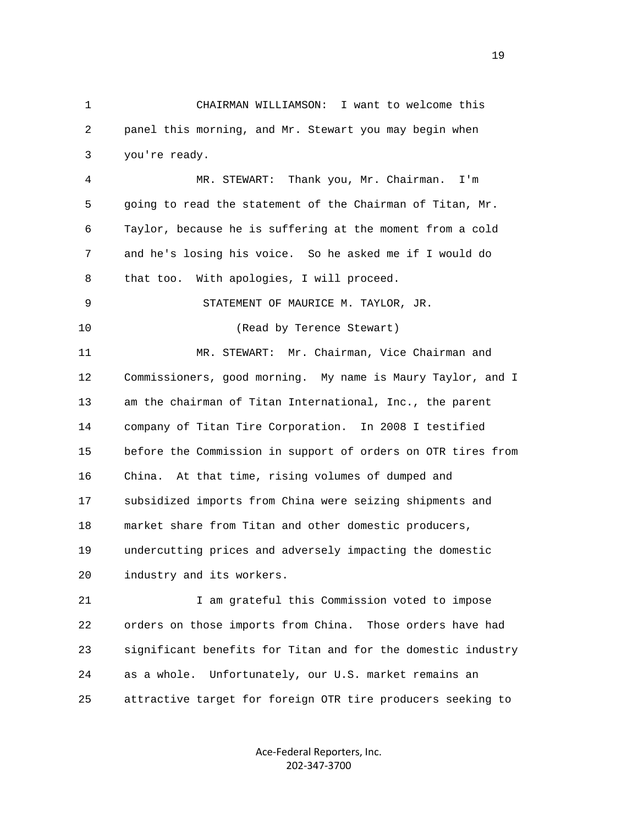1 CHAIRMAN WILLIAMSON: I want to welcome this 2 panel this morning, and Mr. Stewart you may begin when 3 you're ready.

 4 MR. STEWART: Thank you, Mr. Chairman. I'm 5 going to read the statement of the Chairman of Titan, Mr. 6 Taylor, because he is suffering at the moment from a cold 7 and he's losing his voice. So he asked me if I would do 8 that too. With apologies, I will proceed.

 9 STATEMENT OF MAURICE M. TAYLOR, JR. 10 (Read by Terence Stewart) 11 MR. STEWART: Mr. Chairman, Vice Chairman and 12 Commissioners, good morning. My name is Maury Taylor, and I 13 am the chairman of Titan International, Inc., the parent 14 company of Titan Tire Corporation. In 2008 I testified 15 before the Commission in support of orders on OTR tires from 16 China. At that time, rising volumes of dumped and 17 subsidized imports from China were seizing shipments and 18 market share from Titan and other domestic producers, 19 undercutting prices and adversely impacting the domestic 20 industry and its workers.

 21 I am grateful this Commission voted to impose 22 orders on those imports from China. Those orders have had 23 significant benefits for Titan and for the domestic industry 24 as a whole. Unfortunately, our U.S. market remains an 25 attractive target for foreign OTR tire producers seeking to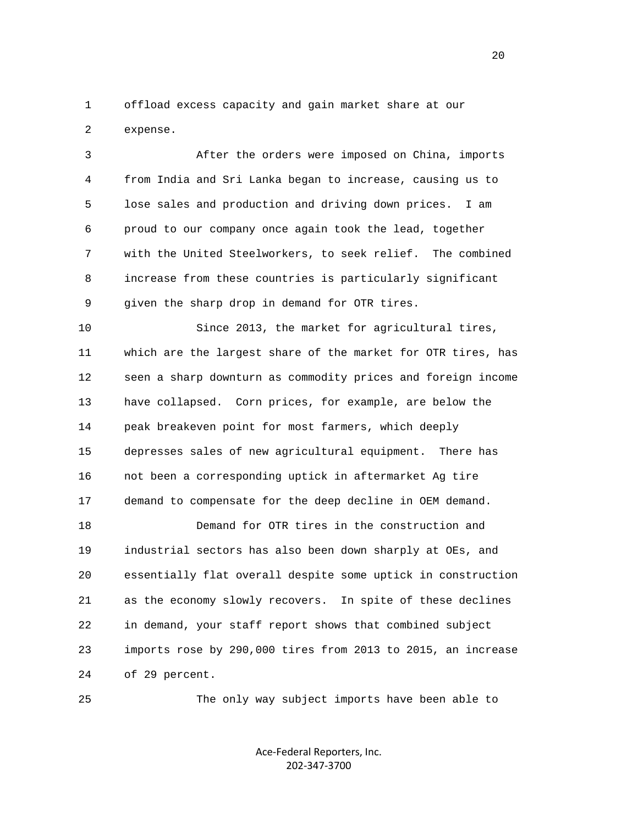1 offload excess capacity and gain market share at our 2 expense.

 3 After the orders were imposed on China, imports 4 from India and Sri Lanka began to increase, causing us to 5 lose sales and production and driving down prices. I am 6 proud to our company once again took the lead, together 7 with the United Steelworkers, to seek relief. The combined 8 increase from these countries is particularly significant 9 given the sharp drop in demand for OTR tires.

 10 Since 2013, the market for agricultural tires, 11 which are the largest share of the market for OTR tires, has 12 seen a sharp downturn as commodity prices and foreign income 13 have collapsed. Corn prices, for example, are below the 14 peak breakeven point for most farmers, which deeply 15 depresses sales of new agricultural equipment. There has 16 not been a corresponding uptick in aftermarket Ag tire 17 demand to compensate for the deep decline in OEM demand.

 18 Demand for OTR tires in the construction and 19 industrial sectors has also been down sharply at OEs, and 20 essentially flat overall despite some uptick in construction 21 as the economy slowly recovers. In spite of these declines 22 in demand, your staff report shows that combined subject 23 imports rose by 290,000 tires from 2013 to 2015, an increase 24 of 29 percent.

25 The only way subject imports have been able to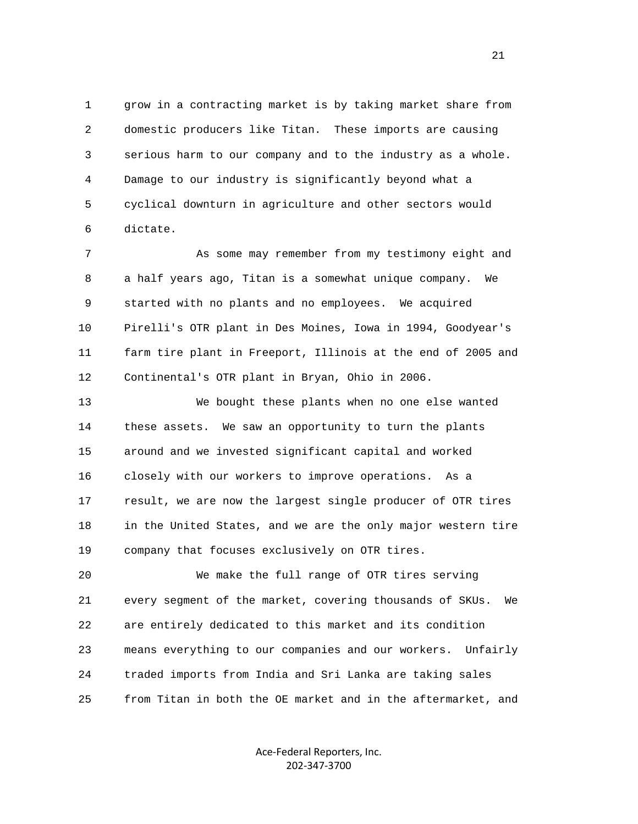1 grow in a contracting market is by taking market share from 2 domestic producers like Titan. These imports are causing 3 serious harm to our company and to the industry as a whole. 4 Damage to our industry is significantly beyond what a 5 cyclical downturn in agriculture and other sectors would 6 dictate.

 7 As some may remember from my testimony eight and 8 a half years ago, Titan is a somewhat unique company. We 9 started with no plants and no employees. We acquired 10 Pirelli's OTR plant in Des Moines, Iowa in 1994, Goodyear's 11 farm tire plant in Freeport, Illinois at the end of 2005 and 12 Continental's OTR plant in Bryan, Ohio in 2006.

 13 We bought these plants when no one else wanted 14 these assets. We saw an opportunity to turn the plants 15 around and we invested significant capital and worked 16 closely with our workers to improve operations. As a 17 result, we are now the largest single producer of OTR tires 18 in the United States, and we are the only major western tire 19 company that focuses exclusively on OTR tires.

 20 We make the full range of OTR tires serving 21 every segment of the market, covering thousands of SKUs. We 22 are entirely dedicated to this market and its condition 23 means everything to our companies and our workers. Unfairly 24 traded imports from India and Sri Lanka are taking sales 25 from Titan in both the OE market and in the aftermarket, and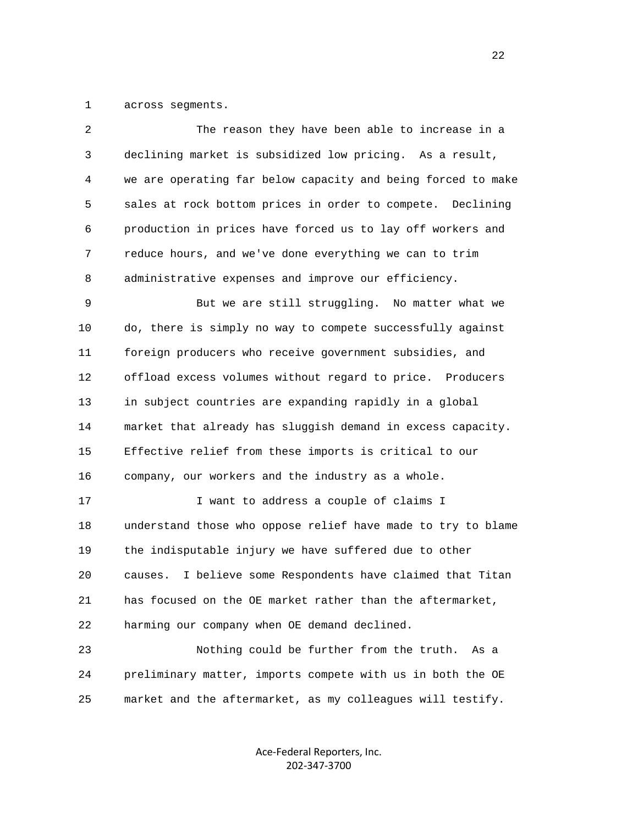1 across segments.

| $\overline{2}$ | The reason they have been able to increase in a               |
|----------------|---------------------------------------------------------------|
| 3              | declining market is subsidized low pricing. As a result,      |
| 4              | we are operating far below capacity and being forced to make  |
| 5              | sales at rock bottom prices in order to compete. Declining    |
| 6              | production in prices have forced us to lay off workers and    |
| 7              | reduce hours, and we've done everything we can to trim        |
| 8              | administrative expenses and improve our efficiency.           |
| 9              | But we are still struggling. No matter what we                |
| 10             | do, there is simply no way to compete successfully against    |
| 11             | foreign producers who receive government subsidies, and       |
| 12             | offload excess volumes without regard to price. Producers     |
| 13             | in subject countries are expanding rapidly in a global        |
| 14             | market that already has sluggish demand in excess capacity.   |
| 15             | Effective relief from these imports is critical to our        |
| 16             | company, our workers and the industry as a whole.             |
| 17             | I want to address a couple of claims I                        |
| 18             | understand those who oppose relief have made to try to blame  |
| 19             | the indisputable injury we have suffered due to other         |
| 20             | I believe some Respondents have claimed that Titan<br>causes. |
| 21             | has focused on the OE market rather than the aftermarket,     |
| 22             | harming our company when OE demand declined.                  |
| 23             | Nothing could be further from the truth.<br>As a              |
| 24             | preliminary matter, imports compete with us in both the OE    |
| 25             | market and the aftermarket, as my colleagues will testify.    |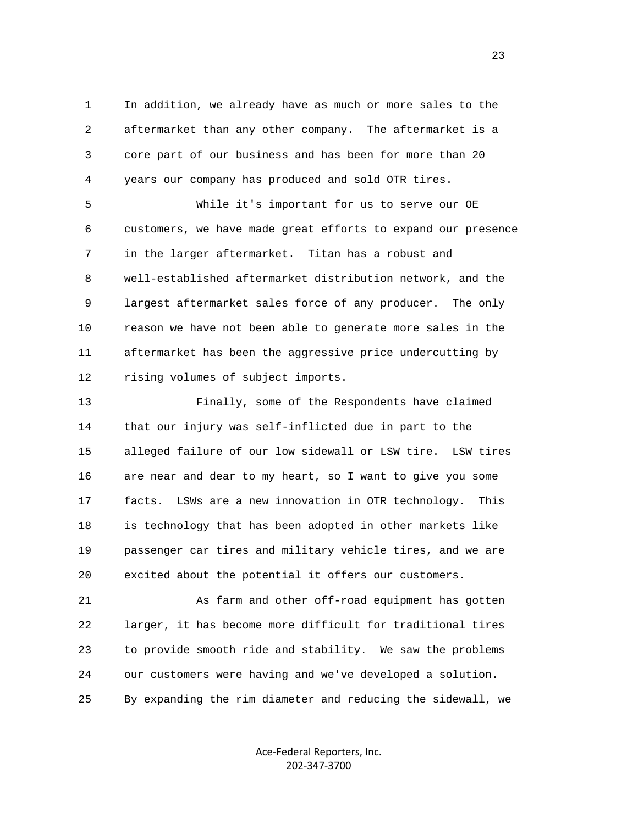1 In addition, we already have as much or more sales to the 2 aftermarket than any other company. The aftermarket is a 3 core part of our business and has been for more than 20 4 years our company has produced and sold OTR tires.

 5 While it's important for us to serve our OE 6 customers, we have made great efforts to expand our presence 7 in the larger aftermarket. Titan has a robust and 8 well-established aftermarket distribution network, and the 9 largest aftermarket sales force of any producer. The only 10 reason we have not been able to generate more sales in the 11 aftermarket has been the aggressive price undercutting by 12 rising volumes of subject imports.

 13 Finally, some of the Respondents have claimed 14 that our injury was self-inflicted due in part to the 15 alleged failure of our low sidewall or LSW tire. LSW tires 16 are near and dear to my heart, so I want to give you some 17 facts. LSWs are a new innovation in OTR technology. This 18 is technology that has been adopted in other markets like 19 passenger car tires and military vehicle tires, and we are 20 excited about the potential it offers our customers.

 21 As farm and other off-road equipment has gotten 22 larger, it has become more difficult for traditional tires 23 to provide smooth ride and stability. We saw the problems 24 our customers were having and we've developed a solution. 25 By expanding the rim diameter and reducing the sidewall, we

> Ace‐Federal Reporters, Inc. 202‐347‐3700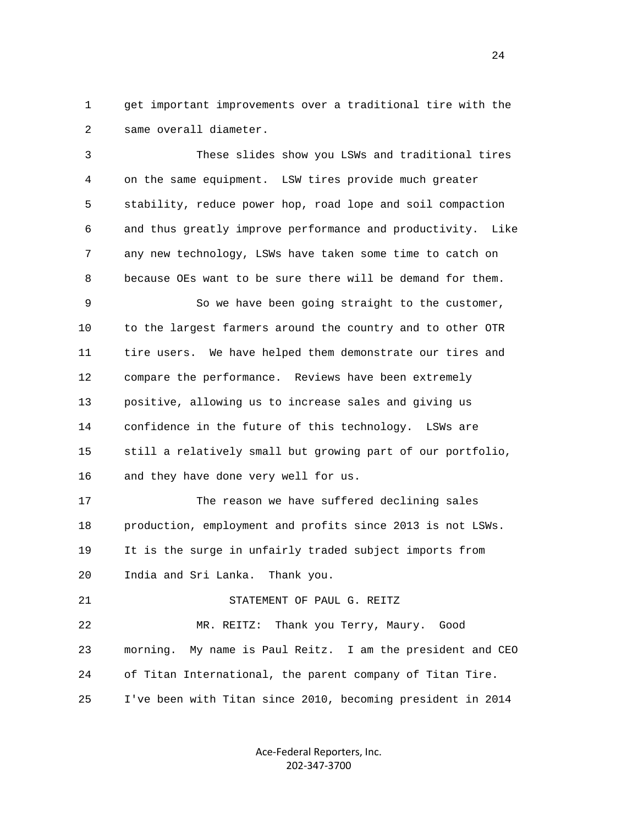1 get important improvements over a traditional tire with the 2 same overall diameter.

 3 These slides show you LSWs and traditional tires 4 on the same equipment. LSW tires provide much greater 5 stability, reduce power hop, road lope and soil compaction 6 and thus greatly improve performance and productivity. Like 7 any new technology, LSWs have taken some time to catch on 8 because OEs want to be sure there will be demand for them. 9 So we have been going straight to the customer, 10 to the largest farmers around the country and to other OTR 11 tire users. We have helped them demonstrate our tires and 12 compare the performance. Reviews have been extremely 13 positive, allowing us to increase sales and giving us 14 confidence in the future of this technology. LSWs are 15 still a relatively small but growing part of our portfolio,

16 and they have done very well for us.

21 STATEMENT OF PAUL G. REITZ

 17 The reason we have suffered declining sales 18 production, employment and profits since 2013 is not LSWs. 19 It is the surge in unfairly traded subject imports from 20 India and Sri Lanka. Thank you.

 22 MR. REITZ: Thank you Terry, Maury. Good 23 morning. My name is Paul Reitz. I am the president and CEO 24 of Titan International, the parent company of Titan Tire. 25 I've been with Titan since 2010, becoming president in 2014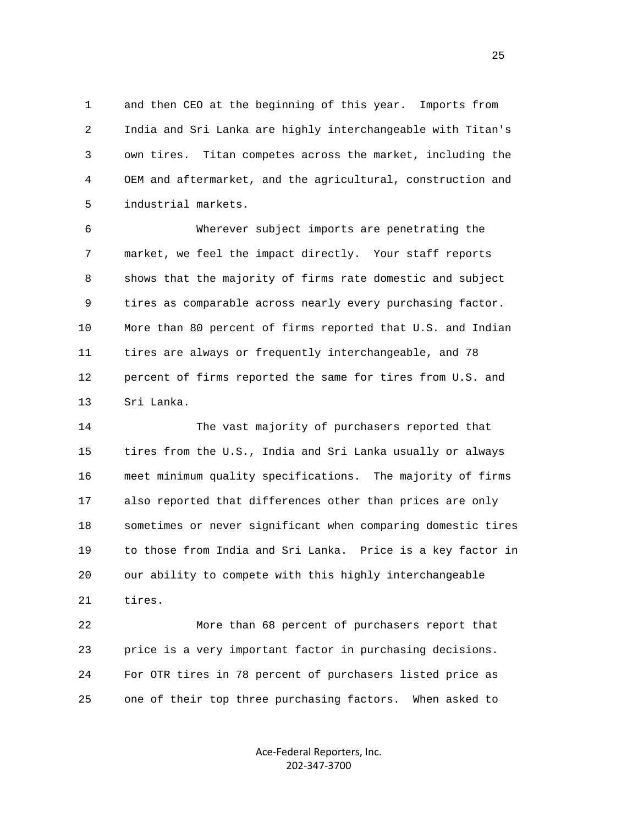1 and then CEO at the beginning of this year. Imports from 2 India and Sri Lanka are highly interchangeable with Titan's 3 own tires. Titan competes across the market, including the 4 OEM and aftermarket, and the agricultural, construction and 5 industrial markets.

 6 Wherever subject imports are penetrating the 7 market, we feel the impact directly. Your staff reports 8 shows that the majority of firms rate domestic and subject 9 tires as comparable across nearly every purchasing factor. 10 More than 80 percent of firms reported that U.S. and Indian 11 tires are always or frequently interchangeable, and 78 12 percent of firms reported the same for tires from U.S. and 13 Sri Lanka.

 14 The vast majority of purchasers reported that 15 tires from the U.S., India and Sri Lanka usually or always 16 meet minimum quality specifications. The majority of firms 17 also reported that differences other than prices are only 18 sometimes or never significant when comparing domestic tires 19 to those from India and Sri Lanka. Price is a key factor in 20 our ability to compete with this highly interchangeable 21 tires.

 22 More than 68 percent of purchasers report that 23 price is a very important factor in purchasing decisions. 24 For OTR tires in 78 percent of purchasers listed price as 25 one of their top three purchasing factors. When asked to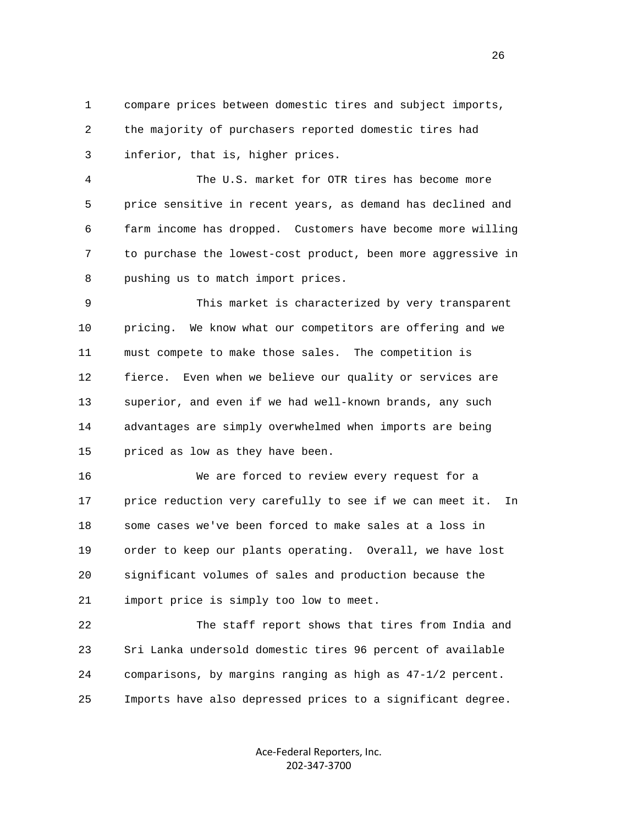1 compare prices between domestic tires and subject imports, 2 the majority of purchasers reported domestic tires had 3 inferior, that is, higher prices.

 4 The U.S. market for OTR tires has become more 5 price sensitive in recent years, as demand has declined and 6 farm income has dropped. Customers have become more willing 7 to purchase the lowest-cost product, been more aggressive in 8 pushing us to match import prices.

 9 This market is characterized by very transparent 10 pricing. We know what our competitors are offering and we 11 must compete to make those sales. The competition is 12 fierce. Even when we believe our quality or services are 13 superior, and even if we had well-known brands, any such 14 advantages are simply overwhelmed when imports are being 15 priced as low as they have been.

 16 We are forced to review every request for a 17 price reduction very carefully to see if we can meet it. In 18 some cases we've been forced to make sales at a loss in 19 order to keep our plants operating. Overall, we have lost 20 significant volumes of sales and production because the 21 import price is simply too low to meet.

 22 The staff report shows that tires from India and 23 Sri Lanka undersold domestic tires 96 percent of available 24 comparisons, by margins ranging as high as 47-1/2 percent. 25 Imports have also depressed prices to a significant degree.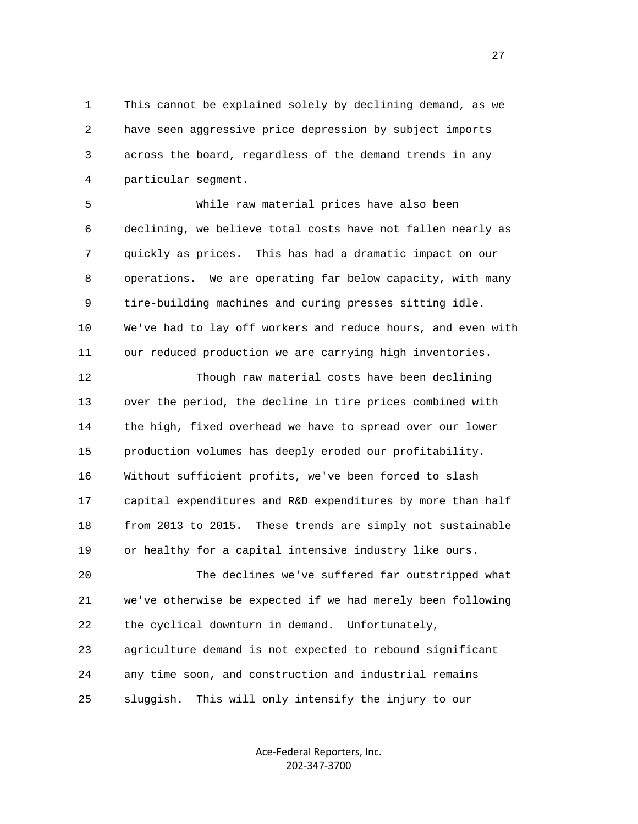1 This cannot be explained solely by declining demand, as we 2 have seen aggressive price depression by subject imports 3 across the board, regardless of the demand trends in any 4 particular segment.

 5 While raw material prices have also been 6 declining, we believe total costs have not fallen nearly as 7 quickly as prices. This has had a dramatic impact on our 8 operations. We are operating far below capacity, with many 9 tire-building machines and curing presses sitting idle. 10 We've had to lay off workers and reduce hours, and even with 11 our reduced production we are carrying high inventories.

 12 Though raw material costs have been declining 13 over the period, the decline in tire prices combined with 14 the high, fixed overhead we have to spread over our lower 15 production volumes has deeply eroded our profitability. 16 Without sufficient profits, we've been forced to slash 17 capital expenditures and R&D expenditures by more than half 18 from 2013 to 2015. These trends are simply not sustainable 19 or healthy for a capital intensive industry like ours.

 20 The declines we've suffered far outstripped what 21 we've otherwise be expected if we had merely been following 22 the cyclical downturn in demand. Unfortunately, 23 agriculture demand is not expected to rebound significant 24 any time soon, and construction and industrial remains 25 sluggish. This will only intensify the injury to our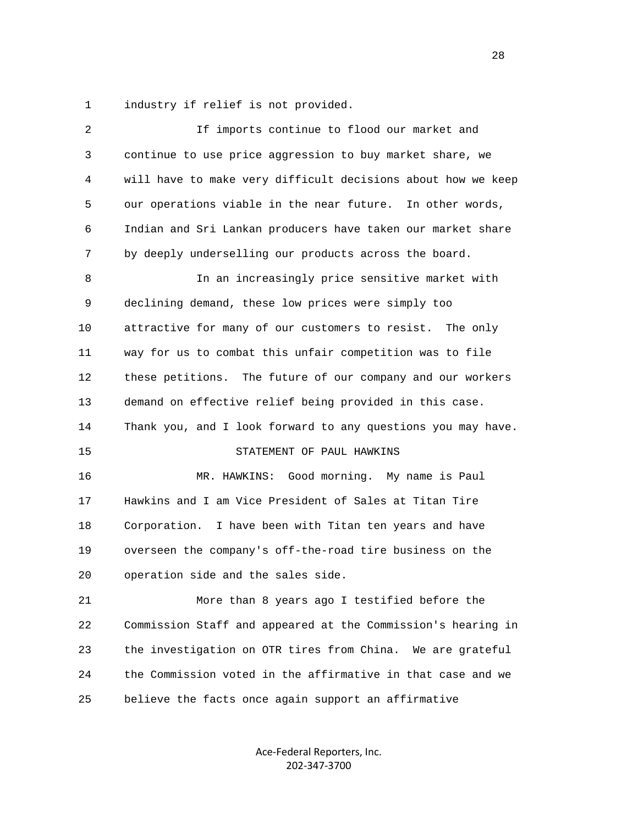1 industry if relief is not provided.

| 2  | If imports continue to flood our market and                  |
|----|--------------------------------------------------------------|
| 3  | continue to use price aggression to buy market share, we     |
| 4  | will have to make very difficult decisions about how we keep |
| 5  | our operations viable in the near future.<br>In other words, |
| 6  | Indian and Sri Lankan producers have taken our market share  |
| 7  | by deeply underselling our products across the board.        |
| 8  | In an increasingly price sensitive market with               |
| 9  | declining demand, these low prices were simply too           |
| 10 | attractive for many of our customers to resist. The only     |
| 11 | way for us to combat this unfair competition was to file     |
| 12 | these petitions. The future of our company and our workers   |
| 13 | demand on effective relief being provided in this case.      |
| 14 | Thank you, and I look forward to any questions you may have. |
| 15 | STATEMENT OF PAUL HAWKINS                                    |
| 16 | MR. HAWKINS: Good morning. My name is Paul                   |
| 17 | Hawkins and I am Vice President of Sales at Titan Tire       |
| 18 | Corporation. I have been with Titan ten years and have       |
| 19 | overseen the company's off-the-road tire business on the     |
| 20 | operation side and the sales side.                           |
| 21 | More than 8 years ago I testified before the                 |
| 22 | Commission Staff and appeared at the Commission's hearing in |
| 23 | the investigation on OTR tires from China. We are grateful   |
| 24 | the Commission voted in the affirmative in that case and we  |
| 25 | believe the facts once again support an affirmative          |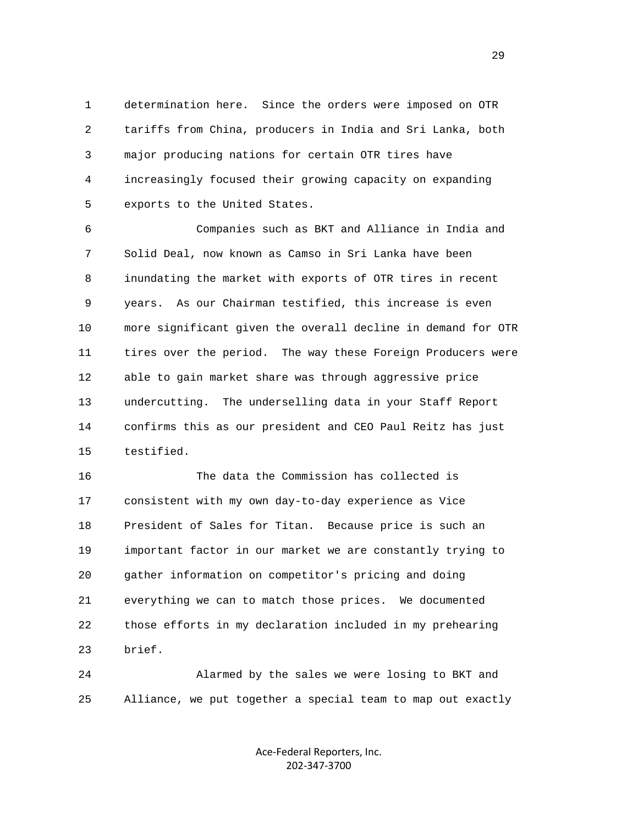1 determination here. Since the orders were imposed on OTR 2 tariffs from China, producers in India and Sri Lanka, both 3 major producing nations for certain OTR tires have 4 increasingly focused their growing capacity on expanding 5 exports to the United States.

 6 Companies such as BKT and Alliance in India and 7 Solid Deal, now known as Camso in Sri Lanka have been 8 inundating the market with exports of OTR tires in recent 9 years. As our Chairman testified, this increase is even 10 more significant given the overall decline in demand for OTR 11 tires over the period. The way these Foreign Producers were 12 able to gain market share was through aggressive price 13 undercutting. The underselling data in your Staff Report 14 confirms this as our president and CEO Paul Reitz has just 15 testified.

 16 The data the Commission has collected is 17 consistent with my own day-to-day experience as Vice 18 President of Sales for Titan. Because price is such an 19 important factor in our market we are constantly trying to 20 gather information on competitor's pricing and doing 21 everything we can to match those prices. We documented 22 those efforts in my declaration included in my prehearing 23 brief.

 24 Alarmed by the sales we were losing to BKT and 25 Alliance, we put together a special team to map out exactly

> Ace‐Federal Reporters, Inc. 202‐347‐3700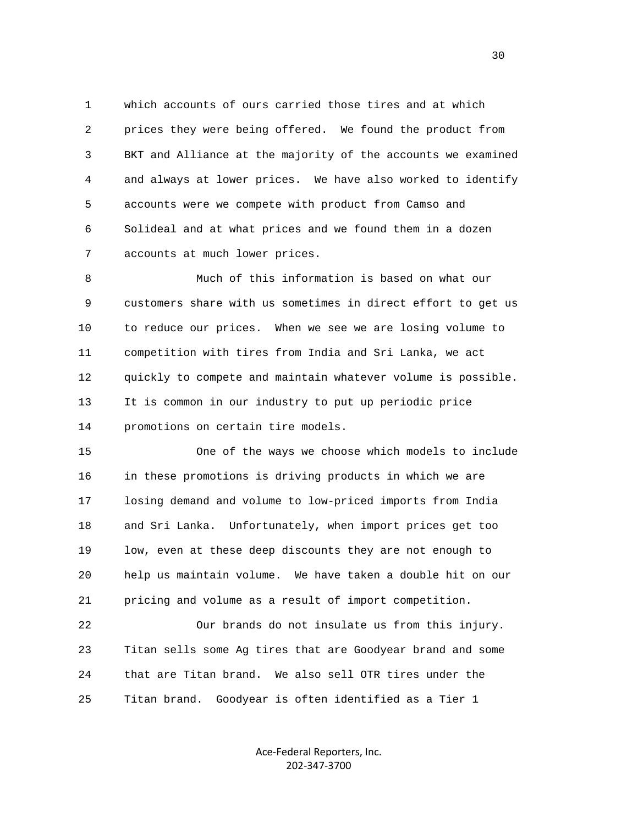1 which accounts of ours carried those tires and at which 2 prices they were being offered. We found the product from 3 BKT and Alliance at the majority of the accounts we examined 4 and always at lower prices. We have also worked to identify 5 accounts were we compete with product from Camso and 6 Solideal and at what prices and we found them in a dozen 7 accounts at much lower prices.

 8 Much of this information is based on what our 9 customers share with us sometimes in direct effort to get us 10 to reduce our prices. When we see we are losing volume to 11 competition with tires from India and Sri Lanka, we act 12 quickly to compete and maintain whatever volume is possible. 13 It is common in our industry to put up periodic price 14 promotions on certain tire models.

 15 One of the ways we choose which models to include 16 in these promotions is driving products in which we are 17 losing demand and volume to low-priced imports from India 18 and Sri Lanka. Unfortunately, when import prices get too 19 low, even at these deep discounts they are not enough to 20 help us maintain volume. We have taken a double hit on our 21 pricing and volume as a result of import competition.

 22 Our brands do not insulate us from this injury. 23 Titan sells some Ag tires that are Goodyear brand and some 24 that are Titan brand. We also sell OTR tires under the 25 Titan brand. Goodyear is often identified as a Tier 1

> Ace‐Federal Reporters, Inc. 202‐347‐3700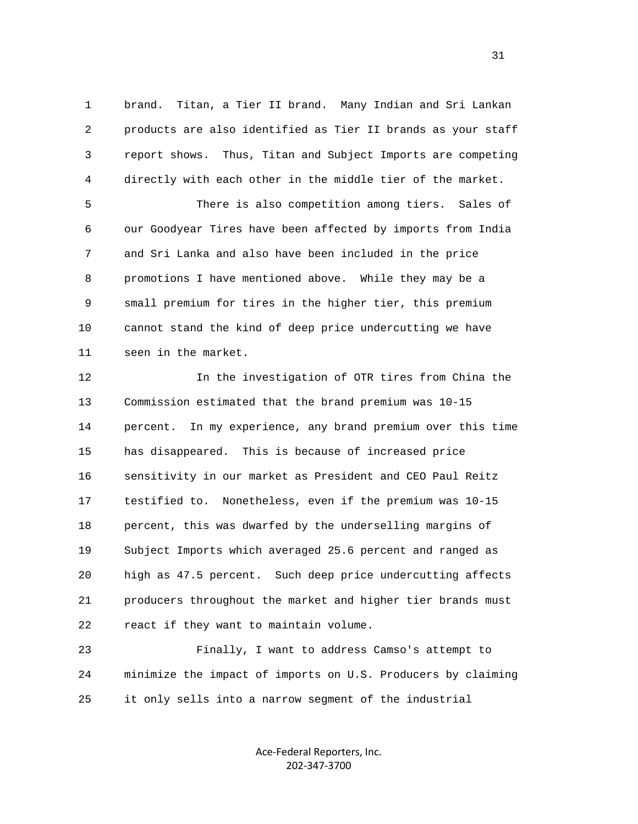1 brand. Titan, a Tier II brand. Many Indian and Sri Lankan 2 products are also identified as Tier II brands as your staff 3 report shows. Thus, Titan and Subject Imports are competing 4 directly with each other in the middle tier of the market.

 5 There is also competition among tiers. Sales of 6 our Goodyear Tires have been affected by imports from India 7 and Sri Lanka and also have been included in the price 8 promotions I have mentioned above. While they may be a 9 small premium for tires in the higher tier, this premium 10 cannot stand the kind of deep price undercutting we have 11 seen in the market.

 12 In the investigation of OTR tires from China the 13 Commission estimated that the brand premium was 10-15 14 percent. In my experience, any brand premium over this time 15 has disappeared. This is because of increased price 16 sensitivity in our market as President and CEO Paul Reitz 17 testified to. Nonetheless, even if the premium was 10-15 18 percent, this was dwarfed by the underselling margins of 19 Subject Imports which averaged 25.6 percent and ranged as 20 high as 47.5 percent. Such deep price undercutting affects 21 producers throughout the market and higher tier brands must 22 react if they want to maintain volume.

 23 Finally, I want to address Camso's attempt to 24 minimize the impact of imports on U.S. Producers by claiming 25 it only sells into a narrow segment of the industrial

> Ace‐Federal Reporters, Inc. 202‐347‐3700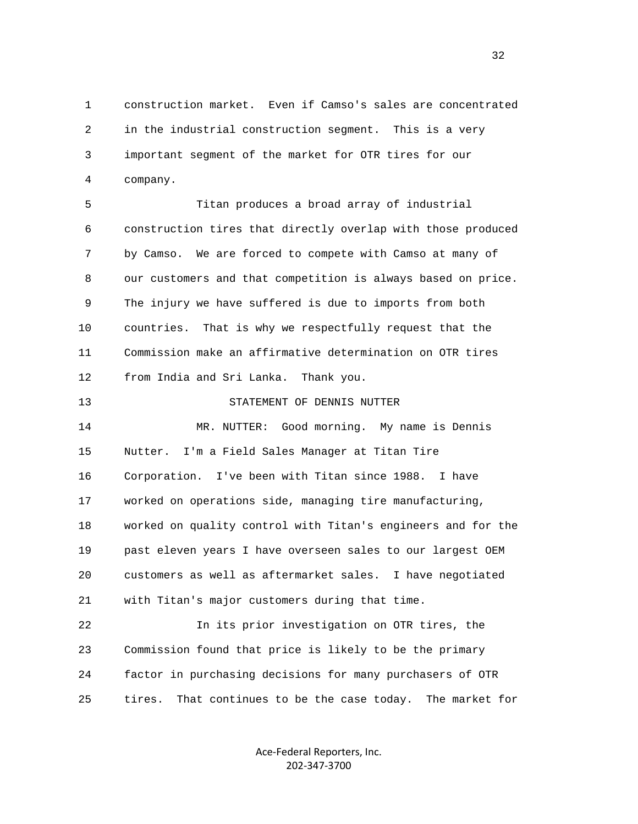1 construction market. Even if Camso's sales are concentrated 2 in the industrial construction segment. This is a very 3 important segment of the market for OTR tires for our 4 company.

 5 Titan produces a broad array of industrial 6 construction tires that directly overlap with those produced 7 by Camso. We are forced to compete with Camso at many of 8 our customers and that competition is always based on price. 9 The injury we have suffered is due to imports from both 10 countries. That is why we respectfully request that the 11 Commission make an affirmative determination on OTR tires 12 from India and Sri Lanka. Thank you.

13 STATEMENT OF DENNIS NUTTER

 14 MR. NUTTER: Good morning. My name is Dennis 15 Nutter. I'm a Field Sales Manager at Titan Tire 16 Corporation. I've been with Titan since 1988. I have 17 worked on operations side, managing tire manufacturing, 18 worked on quality control with Titan's engineers and for the 19 past eleven years I have overseen sales to our largest OEM 20 customers as well as aftermarket sales. I have negotiated 21 with Titan's major customers during that time.

 22 In its prior investigation on OTR tires, the 23 Commission found that price is likely to be the primary 24 factor in purchasing decisions for many purchasers of OTR 25 tires. That continues to be the case today. The market for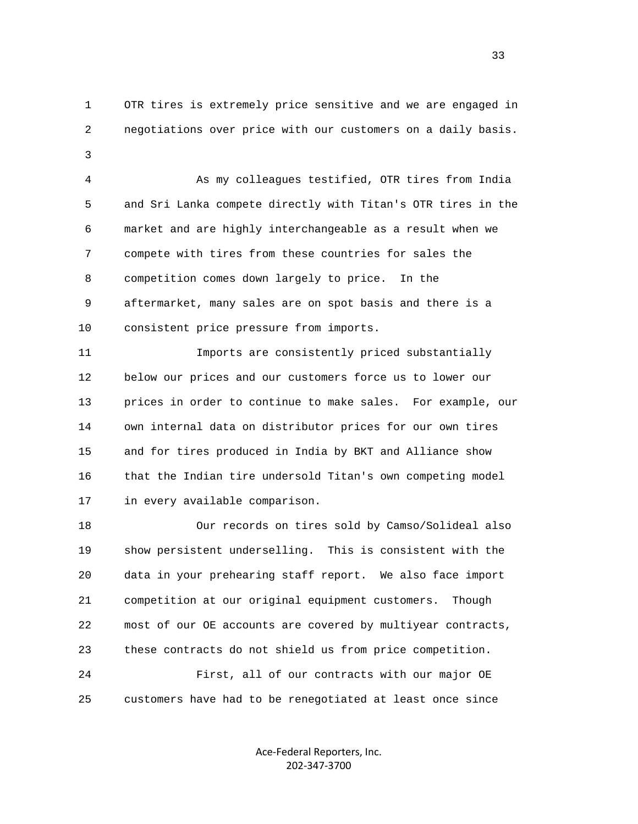1 OTR tires is extremely price sensitive and we are engaged in 2 negotiations over price with our customers on a daily basis. 3

> 4 As my colleagues testified, OTR tires from India 5 and Sri Lanka compete directly with Titan's OTR tires in the 6 market and are highly interchangeable as a result when we 7 compete with tires from these countries for sales the 8 competition comes down largely to price. In the 9 aftermarket, many sales are on spot basis and there is a 10 consistent price pressure from imports.

> 11 Imports are consistently priced substantially 12 below our prices and our customers force us to lower our 13 prices in order to continue to make sales. For example, our 14 own internal data on distributor prices for our own tires 15 and for tires produced in India by BKT and Alliance show 16 that the Indian tire undersold Titan's own competing model 17 in every available comparison.

 18 Our records on tires sold by Camso/Solideal also 19 show persistent underselling. This is consistent with the 20 data in your prehearing staff report. We also face import 21 competition at our original equipment customers. Though 22 most of our OE accounts are covered by multiyear contracts, 23 these contracts do not shield us from price competition. 24 First, all of our contracts with our major OE 25 customers have had to be renegotiated at least once since

> Ace‐Federal Reporters, Inc. 202‐347‐3700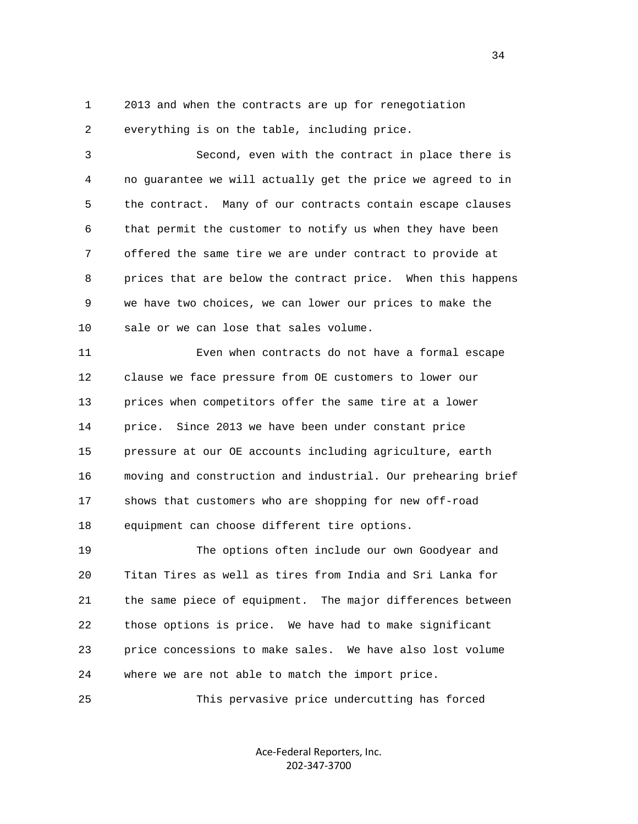1 2013 and when the contracts are up for renegotiation

2 everything is on the table, including price.

 3 Second, even with the contract in place there is 4 no guarantee we will actually get the price we agreed to in 5 the contract. Many of our contracts contain escape clauses 6 that permit the customer to notify us when they have been 7 offered the same tire we are under contract to provide at 8 prices that are below the contract price. When this happens 9 we have two choices, we can lower our prices to make the 10 sale or we can lose that sales volume.

 11 Even when contracts do not have a formal escape 12 clause we face pressure from OE customers to lower our 13 prices when competitors offer the same tire at a lower 14 price. Since 2013 we have been under constant price 15 pressure at our OE accounts including agriculture, earth 16 moving and construction and industrial. Our prehearing brief 17 shows that customers who are shopping for new off-road 18 equipment can choose different tire options.

 19 The options often include our own Goodyear and 20 Titan Tires as well as tires from India and Sri Lanka for 21 the same piece of equipment. The major differences between 22 those options is price. We have had to make significant 23 price concessions to make sales. We have also lost volume 24 where we are not able to match the import price.

25 This pervasive price undercutting has forced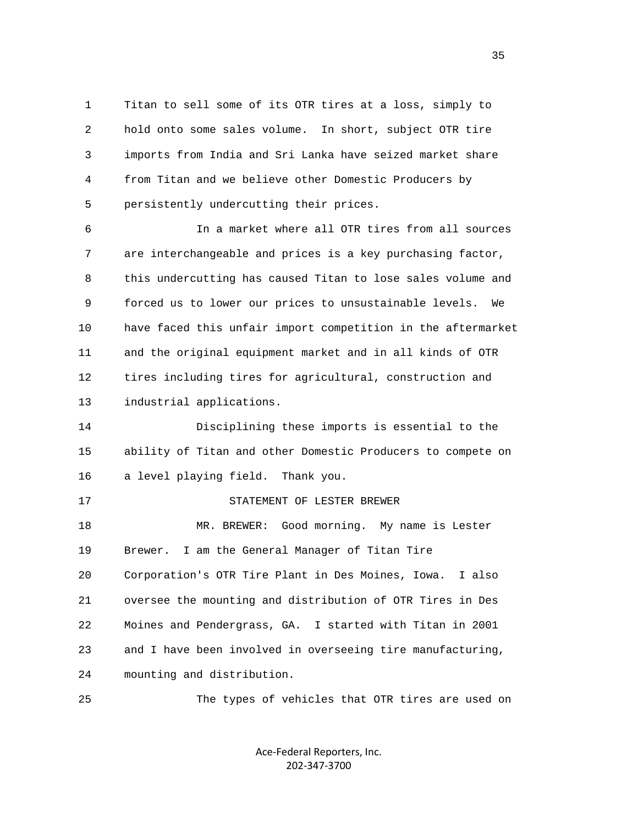1 Titan to sell some of its OTR tires at a loss, simply to 2 hold onto some sales volume. In short, subject OTR tire 3 imports from India and Sri Lanka have seized market share 4 from Titan and we believe other Domestic Producers by 5 persistently undercutting their prices.

 6 In a market where all OTR tires from all sources 7 are interchangeable and prices is a key purchasing factor, 8 this undercutting has caused Titan to lose sales volume and 9 forced us to lower our prices to unsustainable levels. We 10 have faced this unfair import competition in the aftermarket 11 and the original equipment market and in all kinds of OTR 12 tires including tires for agricultural, construction and 13 industrial applications.

 14 Disciplining these imports is essential to the 15 ability of Titan and other Domestic Producers to compete on 16 a level playing field. Thank you.

 17 STATEMENT OF LESTER BREWER 18 MR. BREWER: Good morning. My name is Lester 19 Brewer. I am the General Manager of Titan Tire 20 Corporation's OTR Tire Plant in Des Moines, Iowa. I also 21 oversee the mounting and distribution of OTR Tires in Des 22 Moines and Pendergrass, GA. I started with Titan in 2001 23 and I have been involved in overseeing tire manufacturing, 24 mounting and distribution.

25 The types of vehicles that OTR tires are used on

Ace‐Federal Reporters, Inc. 202‐347‐3700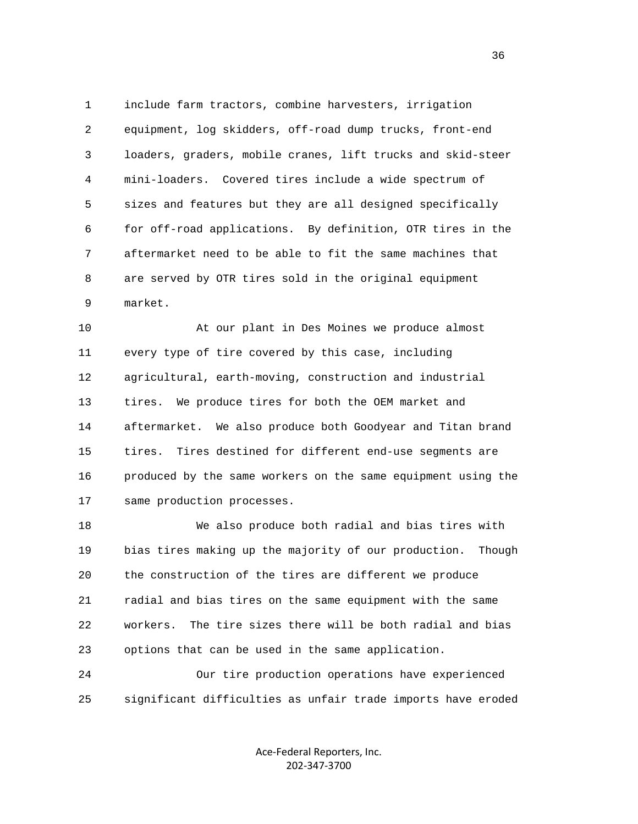1 include farm tractors, combine harvesters, irrigation 2 equipment, log skidders, off-road dump trucks, front-end 3 loaders, graders, mobile cranes, lift trucks and skid-steer 4 mini-loaders. Covered tires include a wide spectrum of 5 sizes and features but they are all designed specifically 6 for off-road applications. By definition, OTR tires in the 7 aftermarket need to be able to fit the same machines that 8 are served by OTR tires sold in the original equipment 9 market.

 10 At our plant in Des Moines we produce almost 11 every type of tire covered by this case, including 12 agricultural, earth-moving, construction and industrial 13 tires. We produce tires for both the OEM market and 14 aftermarket. We also produce both Goodyear and Titan brand 15 tires. Tires destined for different end-use segments are 16 produced by the same workers on the same equipment using the 17 same production processes.

 18 We also produce both radial and bias tires with 19 bias tires making up the majority of our production. Though 20 the construction of the tires are different we produce 21 radial and bias tires on the same equipment with the same 22 workers. The tire sizes there will be both radial and bias 23 options that can be used in the same application.

 24 Our tire production operations have experienced 25 significant difficulties as unfair trade imports have eroded

> Ace‐Federal Reporters, Inc. 202‐347‐3700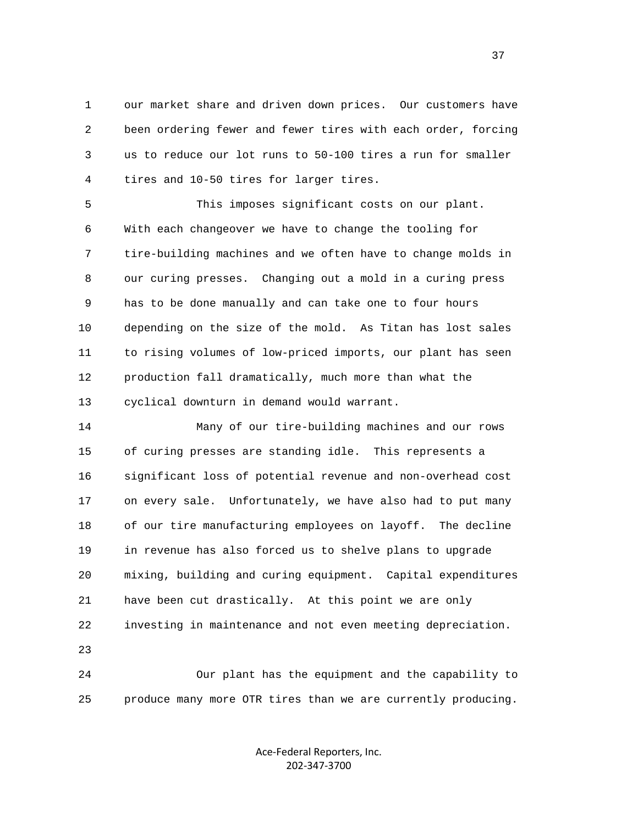1 our market share and driven down prices. Our customers have 2 been ordering fewer and fewer tires with each order, forcing 3 us to reduce our lot runs to 50-100 tires a run for smaller 4 tires and 10-50 tires for larger tires.

 5 This imposes significant costs on our plant. 6 With each changeover we have to change the tooling for 7 tire-building machines and we often have to change molds in 8 our curing presses. Changing out a mold in a curing press 9 has to be done manually and can take one to four hours 10 depending on the size of the mold. As Titan has lost sales 11 to rising volumes of low-priced imports, our plant has seen 12 production fall dramatically, much more than what the 13 cyclical downturn in demand would warrant.

 14 Many of our tire-building machines and our rows 15 of curing presses are standing idle. This represents a 16 significant loss of potential revenue and non-overhead cost 17 on every sale. Unfortunately, we have also had to put many 18 of our tire manufacturing employees on layoff. The decline 19 in revenue has also forced us to shelve plans to upgrade 20 mixing, building and curing equipment. Capital expenditures 21 have been cut drastically. At this point we are only 22 investing in maintenance and not even meeting depreciation. 23

 24 Our plant has the equipment and the capability to 25 produce many more OTR tires than we are currently producing.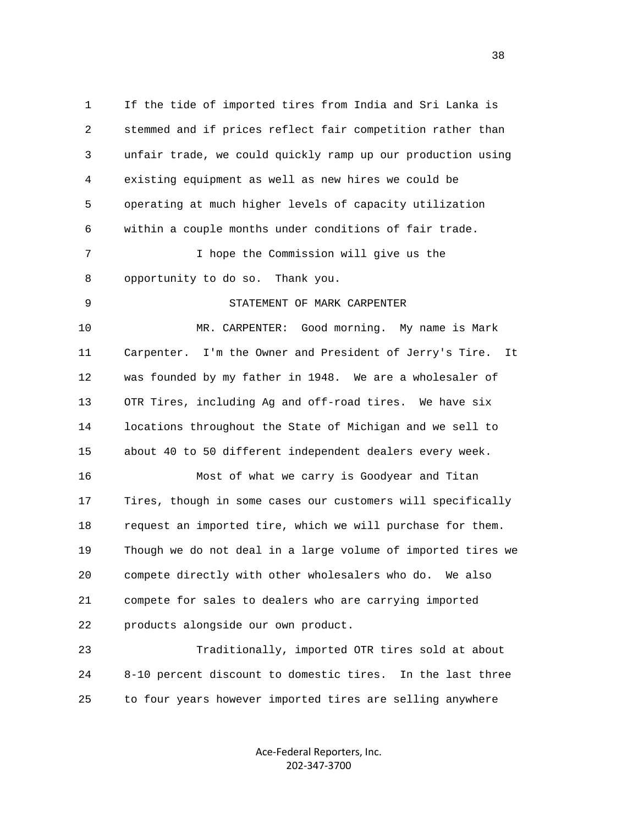1 If the tide of imported tires from India and Sri Lanka is 2 stemmed and if prices reflect fair competition rather than 3 unfair trade, we could quickly ramp up our production using 4 existing equipment as well as new hires we could be 5 operating at much higher levels of capacity utilization 6 within a couple months under conditions of fair trade. 7 I hope the Commission will give us the 8 opportunity to do so. Thank you. 9 STATEMENT OF MARK CARPENTER 10 MR. CARPENTER: Good morning. My name is Mark 11 Carpenter. I'm the Owner and President of Jerry's Tire. It 12 was founded by my father in 1948. We are a wholesaler of 13 OTR Tires, including Ag and off-road tires. We have six 14 locations throughout the State of Michigan and we sell to 15 about 40 to 50 different independent dealers every week. 16 Most of what we carry is Goodyear and Titan 17 Tires, though in some cases our customers will specifically 18 request an imported tire, which we will purchase for them. 19 Though we do not deal in a large volume of imported tires we 20 compete directly with other wholesalers who do. We also 21 compete for sales to dealers who are carrying imported 22 products alongside our own product. 23 Traditionally, imported OTR tires sold at about 24 8-10 percent discount to domestic tires. In the last three

25 to four years however imported tires are selling anywhere

Ace‐Federal Reporters, Inc. 202‐347‐3700

and the state of the state of the state of the state of the state of the state of the state of the state of the state of the state of the state of the state of the state of the state of the state of the state of the state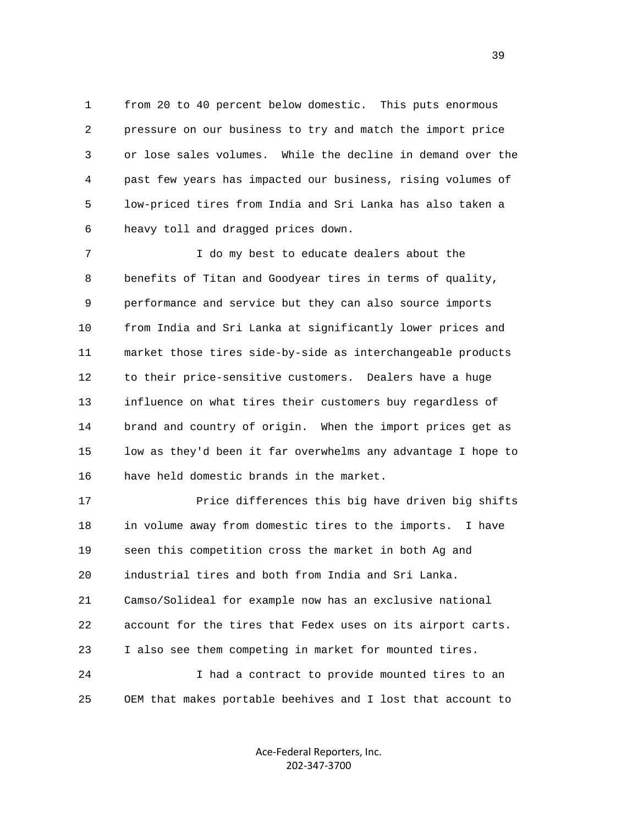1 from 20 to 40 percent below domestic. This puts enormous 2 pressure on our business to try and match the import price 3 or lose sales volumes. While the decline in demand over the 4 past few years has impacted our business, rising volumes of 5 low-priced tires from India and Sri Lanka has also taken a 6 heavy toll and dragged prices down.

 7 I do my best to educate dealers about the 8 benefits of Titan and Goodyear tires in terms of quality, 9 performance and service but they can also source imports 10 from India and Sri Lanka at significantly lower prices and 11 market those tires side-by-side as interchangeable products 12 to their price-sensitive customers. Dealers have a huge 13 influence on what tires their customers buy regardless of 14 brand and country of origin. When the import prices get as 15 low as they'd been it far overwhelms any advantage I hope to 16 have held domestic brands in the market.

 17 Price differences this big have driven big shifts 18 in volume away from domestic tires to the imports. I have 19 seen this competition cross the market in both Ag and 20 industrial tires and both from India and Sri Lanka. 21 Camso/Solideal for example now has an exclusive national 22 account for the tires that Fedex uses on its airport carts. 23 I also see them competing in market for mounted tires. 24 I had a contract to provide mounted tires to an 25 OEM that makes portable beehives and I lost that account to

> Ace‐Federal Reporters, Inc. 202‐347‐3700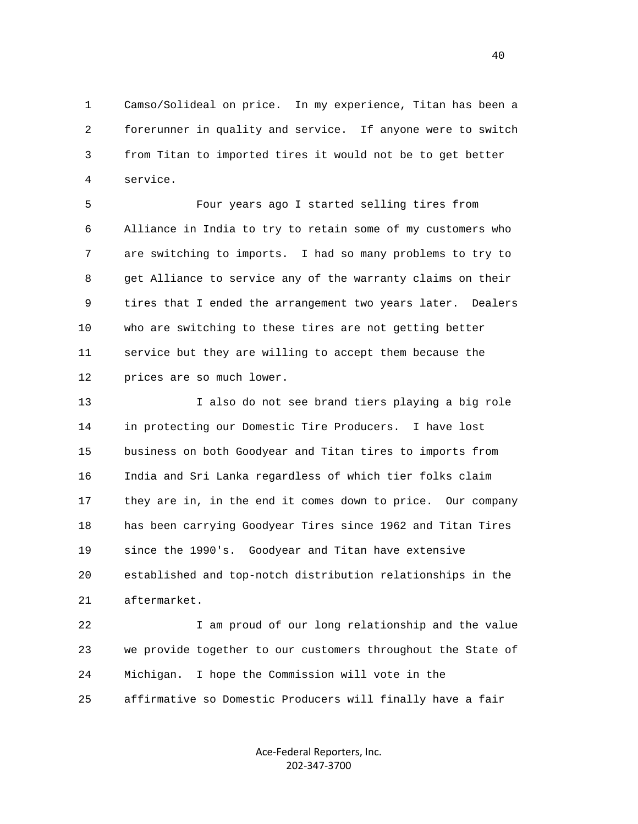1 Camso/Solideal on price. In my experience, Titan has been a 2 forerunner in quality and service. If anyone were to switch 3 from Titan to imported tires it would not be to get better 4 service.

 5 Four years ago I started selling tires from 6 Alliance in India to try to retain some of my customers who 7 are switching to imports. I had so many problems to try to 8 get Alliance to service any of the warranty claims on their 9 tires that I ended the arrangement two years later. Dealers 10 who are switching to these tires are not getting better 11 service but they are willing to accept them because the 12 prices are so much lower.

 13 I also do not see brand tiers playing a big role 14 in protecting our Domestic Tire Producers. I have lost 15 business on both Goodyear and Titan tires to imports from 16 India and Sri Lanka regardless of which tier folks claim 17 they are in, in the end it comes down to price. Our company 18 has been carrying Goodyear Tires since 1962 and Titan Tires 19 since the 1990's. Goodyear and Titan have extensive 20 established and top-notch distribution relationships in the 21 aftermarket.

 22 I am proud of our long relationship and the value 23 we provide together to our customers throughout the State of 24 Michigan. I hope the Commission will vote in the 25 affirmative so Domestic Producers will finally have a fair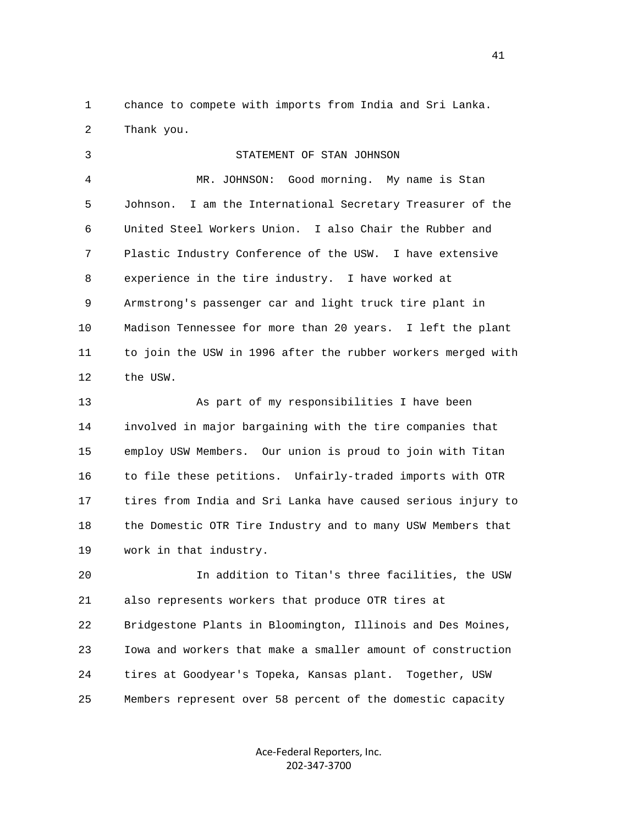1 chance to compete with imports from India and Sri Lanka. 2 Thank you.

 3 STATEMENT OF STAN JOHNSON 4 MR. JOHNSON: Good morning. My name is Stan 5 Johnson. I am the International Secretary Treasurer of the 6 United Steel Workers Union. I also Chair the Rubber and 7 Plastic Industry Conference of the USW. I have extensive 8 experience in the tire industry. I have worked at 9 Armstrong's passenger car and light truck tire plant in 10 Madison Tennessee for more than 20 years. I left the plant 11 to join the USW in 1996 after the rubber workers merged with 12 the USW.

 13 As part of my responsibilities I have been 14 involved in major bargaining with the tire companies that 15 employ USW Members. Our union is proud to join with Titan 16 to file these petitions. Unfairly-traded imports with OTR 17 tires from India and Sri Lanka have caused serious injury to 18 the Domestic OTR Tire Industry and to many USW Members that 19 work in that industry.

 20 In addition to Titan's three facilities, the USW 21 also represents workers that produce OTR tires at 22 Bridgestone Plants in Bloomington, Illinois and Des Moines, 23 Iowa and workers that make a smaller amount of construction 24 tires at Goodyear's Topeka, Kansas plant. Together, USW 25 Members represent over 58 percent of the domestic capacity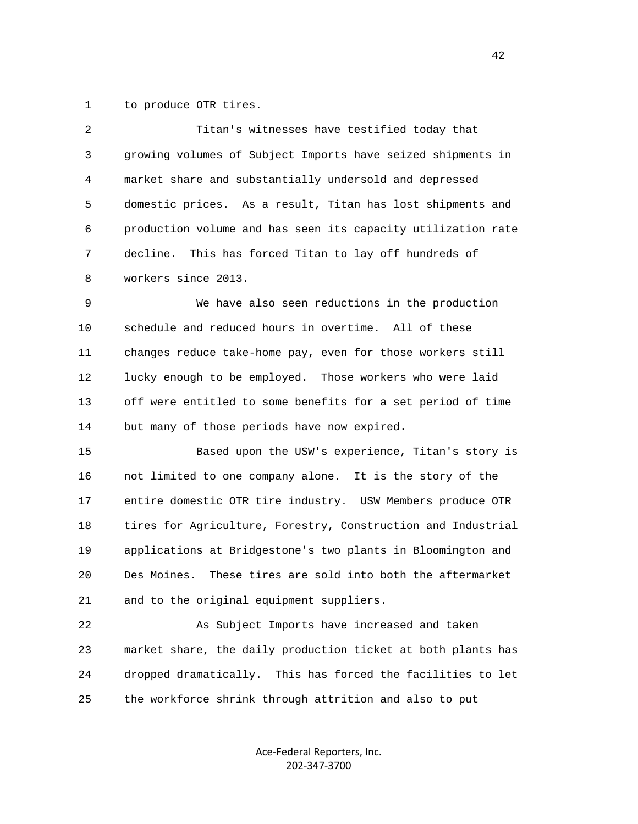1 to produce OTR tires.

| 2  | Titan's witnesses have testified today that                   |
|----|---------------------------------------------------------------|
| 3  | growing volumes of Subject Imports have seized shipments in   |
| 4  | market share and substantially undersold and depressed        |
| 5  | domestic prices. As a result, Titan has lost shipments and    |
| 6  | production volume and has seen its capacity utilization rate  |
| 7  | This has forced Titan to lay off hundreds of<br>decline.      |
| 8  | workers since 2013.                                           |
| 9  | We have also seen reductions in the production                |
| 10 | schedule and reduced hours in overtime. All of these          |
| 11 | changes reduce take-home pay, even for those workers still    |
| 12 | lucky enough to be employed. Those workers who were laid      |
| 13 | off were entitled to some benefits for a set period of time   |
| 14 | but many of those periods have now expired.                   |
| 15 | Based upon the USW's experience, Titan's story is             |
| 16 | not limited to one company alone. It is the story of the      |
| 17 | entire domestic OTR tire industry. USW Members produce OTR    |
| 18 | tires for Agriculture, Forestry, Construction and Industrial  |
| 19 | applications at Bridgestone's two plants in Bloomington and   |
| 20 | These tires are sold into both the aftermarket<br>Des Moines. |
| 21 | and to the original equipment suppliers.                      |
| 22 | As Subject Imports have increased and taken                   |
| 23 | market share, the daily production ticket at both plants has  |

25 the workforce shrink through attrition and also to put

24 dropped dramatically. This has forced the facilities to let

Ace‐Federal Reporters, Inc. 202‐347‐3700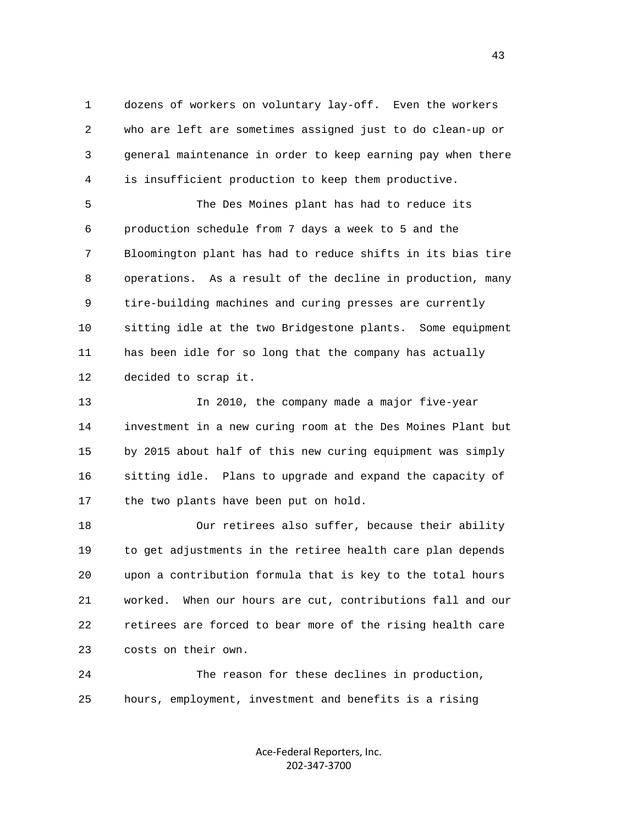1 dozens of workers on voluntary lay-off. Even the workers 2 who are left are sometimes assigned just to do clean-up or 3 general maintenance in order to keep earning pay when there 4 is insufficient production to keep them productive.

 5 The Des Moines plant has had to reduce its 6 production schedule from 7 days a week to 5 and the 7 Bloomington plant has had to reduce shifts in its bias tire 8 operations. As a result of the decline in production, many 9 tire-building machines and curing presses are currently 10 sitting idle at the two Bridgestone plants. Some equipment 11 has been idle for so long that the company has actually 12 decided to scrap it.

 13 In 2010, the company made a major five-year 14 investment in a new curing room at the Des Moines Plant but 15 by 2015 about half of this new curing equipment was simply 16 sitting idle. Plans to upgrade and expand the capacity of 17 the two plants have been put on hold.

 18 Our retirees also suffer, because their ability 19 to get adjustments in the retiree health care plan depends 20 upon a contribution formula that is key to the total hours 21 worked. When our hours are cut, contributions fall and our 22 retirees are forced to bear more of the rising health care 23 costs on their own.

 24 The reason for these declines in production, 25 hours, employment, investment and benefits is a rising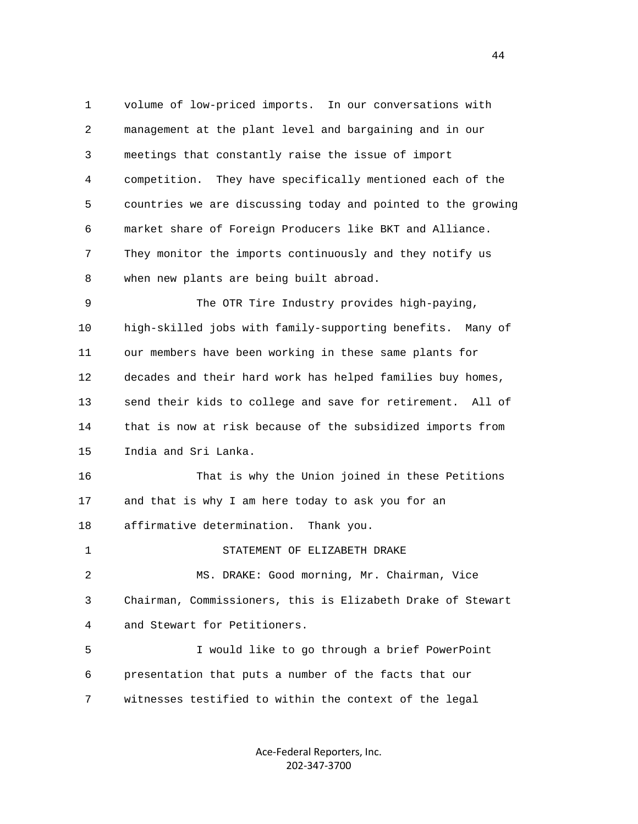1 volume of low-priced imports. In our conversations with 2 management at the plant level and bargaining and in our 3 meetings that constantly raise the issue of import 4 competition. They have specifically mentioned each of the 5 countries we are discussing today and pointed to the growing 6 market share of Foreign Producers like BKT and Alliance. 7 They monitor the imports continuously and they notify us 8 when new plants are being built abroad. 9 The OTR Tire Industry provides high-paying, 10 high-skilled jobs with family-supporting benefits. Many of 11 our members have been working in these same plants for 12 decades and their hard work has helped families buy homes, 13 send their kids to college and save for retirement. All of 14 that is now at risk because of the subsidized imports from 15 India and Sri Lanka. 16 That is why the Union joined in these Petitions 17 and that is why I am here today to ask you for an 18 affirmative determination. Thank you. 1 STATEMENT OF ELIZABETH DRAKE 2 MS. DRAKE: Good morning, Mr. Chairman, Vice 3 Chairman, Commissioners, this is Elizabeth Drake of Stewart 4 and Stewart for Petitioners. 5 I would like to go through a brief PowerPoint 6 presentation that puts a number of the facts that our 7 witnesses testified to within the context of the legal

> Ace‐Federal Reporters, Inc. 202‐347‐3700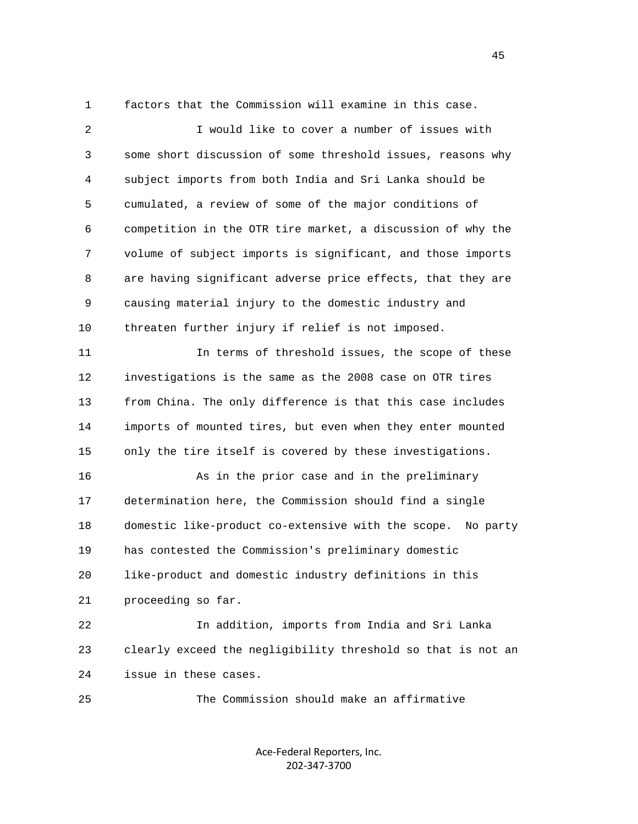1 factors that the Commission will examine in this case.

 2 I would like to cover a number of issues with 3 some short discussion of some threshold issues, reasons why 4 subject imports from both India and Sri Lanka should be 5 cumulated, a review of some of the major conditions of 6 competition in the OTR tire market, a discussion of why the 7 volume of subject imports is significant, and those imports 8 are having significant adverse price effects, that they are 9 causing material injury to the domestic industry and 10 threaten further injury if relief is not imposed. 11 In terms of threshold issues, the scope of these 12 investigations is the same as the 2008 case on OTR tires 13 from China. The only difference is that this case includes 14 imports of mounted tires, but even when they enter mounted 15 only the tire itself is covered by these investigations. 16 As in the prior case and in the preliminary 17 determination here, the Commission should find a single 18 domestic like-product co-extensive with the scope. No party 19 has contested the Commission's preliminary domestic 20 like-product and domestic industry definitions in this 21 proceeding so far. 22 In addition, imports from India and Sri Lanka 23 clearly exceed the negligibility threshold so that is not an 24 issue in these cases.

> Ace‐Federal Reporters, Inc. 202‐347‐3700

25 The Commission should make an affirmative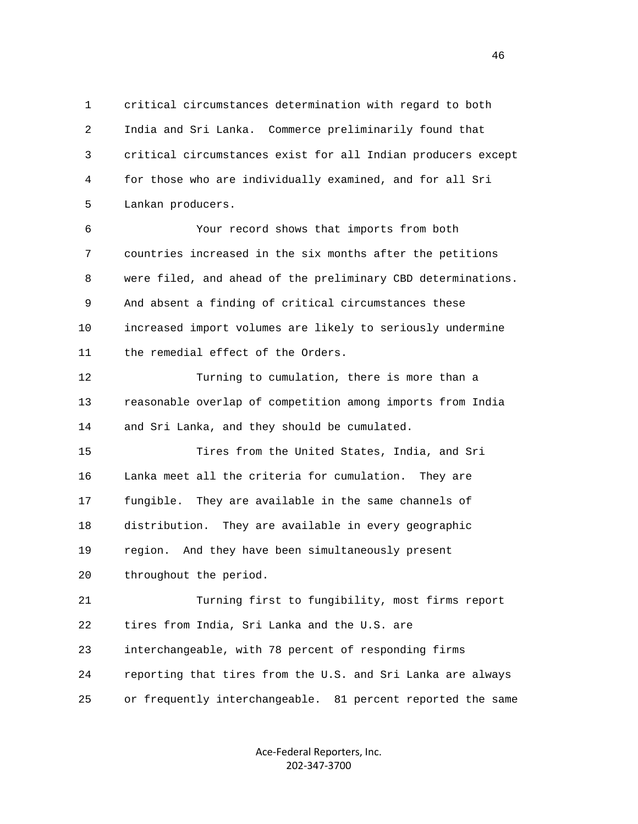1 critical circumstances determination with regard to both 2 India and Sri Lanka. Commerce preliminarily found that 3 critical circumstances exist for all Indian producers except 4 for those who are individually examined, and for all Sri 5 Lankan producers.

 6 Your record shows that imports from both 7 countries increased in the six months after the petitions 8 were filed, and ahead of the preliminary CBD determinations. 9 And absent a finding of critical circumstances these 10 increased import volumes are likely to seriously undermine 11 the remedial effect of the Orders.

 12 Turning to cumulation, there is more than a 13 reasonable overlap of competition among imports from India 14 and Sri Lanka, and they should be cumulated.

 15 Tires from the United States, India, and Sri 16 Lanka meet all the criteria for cumulation. They are 17 fungible. They are available in the same channels of 18 distribution. They are available in every geographic 19 region. And they have been simultaneously present 20 throughout the period.

 21 Turning first to fungibility, most firms report 22 tires from India, Sri Lanka and the U.S. are 23 interchangeable, with 78 percent of responding firms 24 reporting that tires from the U.S. and Sri Lanka are always 25 or frequently interchangeable. 81 percent reported the same

> Ace‐Federal Reporters, Inc. 202‐347‐3700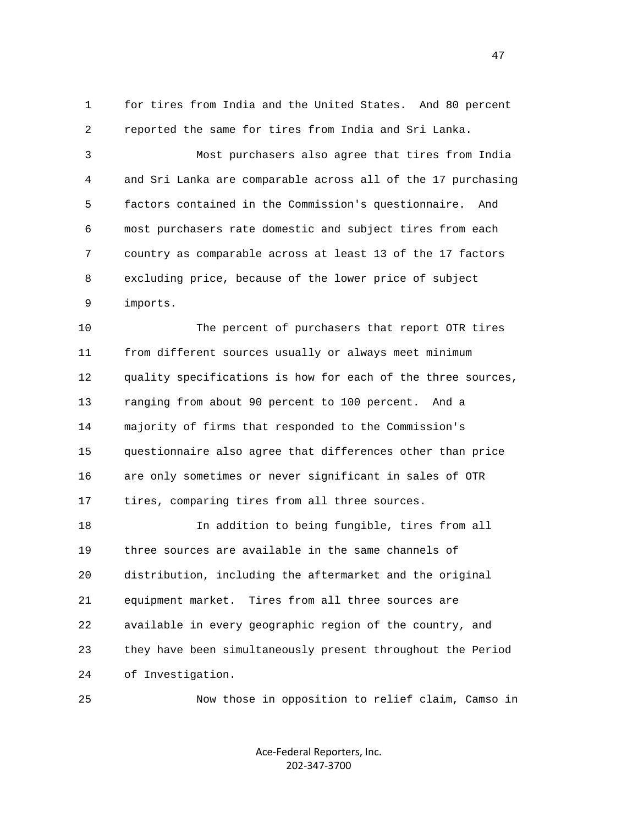1 for tires from India and the United States. And 80 percent 2 reported the same for tires from India and Sri Lanka.

 3 Most purchasers also agree that tires from India 4 and Sri Lanka are comparable across all of the 17 purchasing 5 factors contained in the Commission's questionnaire. And 6 most purchasers rate domestic and subject tires from each 7 country as comparable across at least 13 of the 17 factors 8 excluding price, because of the lower price of subject 9 imports.

 10 The percent of purchasers that report OTR tires 11 from different sources usually or always meet minimum 12 quality specifications is how for each of the three sources, 13 ranging from about 90 percent to 100 percent. And a 14 majority of firms that responded to the Commission's 15 questionnaire also agree that differences other than price 16 are only sometimes or never significant in sales of OTR 17 tires, comparing tires from all three sources.

 18 In addition to being fungible, tires from all 19 three sources are available in the same channels of 20 distribution, including the aftermarket and the original 21 equipment market. Tires from all three sources are 22 available in every geographic region of the country, and 23 they have been simultaneously present throughout the Period 24 of Investigation.

25 Now those in opposition to relief claim, Camso in

Ace‐Federal Reporters, Inc. 202‐347‐3700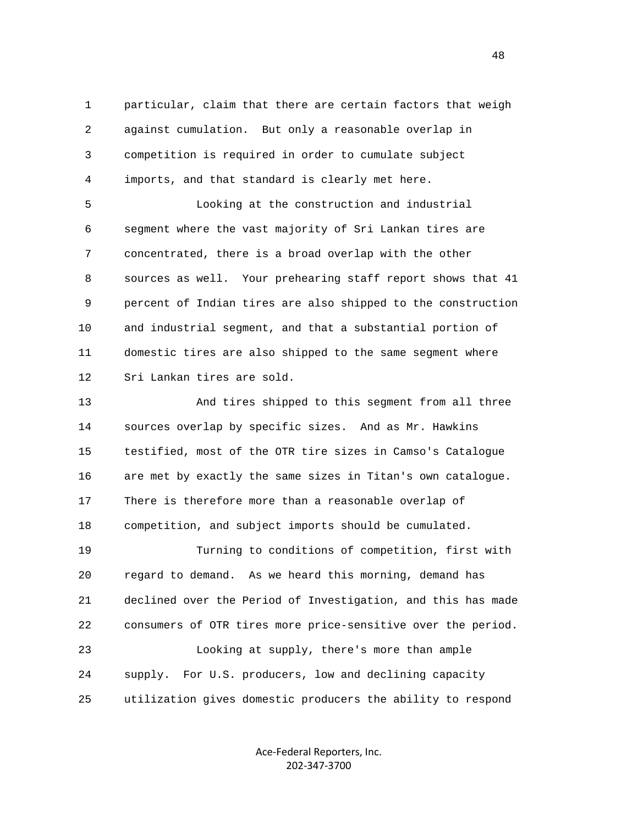1 particular, claim that there are certain factors that weigh 2 against cumulation. But only a reasonable overlap in 3 competition is required in order to cumulate subject 4 imports, and that standard is clearly met here.

 5 Looking at the construction and industrial 6 segment where the vast majority of Sri Lankan tires are 7 concentrated, there is a broad overlap with the other 8 sources as well. Your prehearing staff report shows that 41 9 percent of Indian tires are also shipped to the construction 10 and industrial segment, and that a substantial portion of 11 domestic tires are also shipped to the same segment where 12 Sri Lankan tires are sold.

 13 And tires shipped to this segment from all three 14 sources overlap by specific sizes. And as Mr. Hawkins 15 testified, most of the OTR tire sizes in Camso's Catalogue 16 are met by exactly the same sizes in Titan's own catalogue. 17 There is therefore more than a reasonable overlap of 18 competition, and subject imports should be cumulated. 19 Turning to conditions of competition, first with 20 regard to demand. As we heard this morning, demand has 21 declined over the Period of Investigation, and this has made 22 consumers of OTR tires more price-sensitive over the period. 23 Looking at supply, there's more than ample 24 supply. For U.S. producers, low and declining capacity 25 utilization gives domestic producers the ability to respond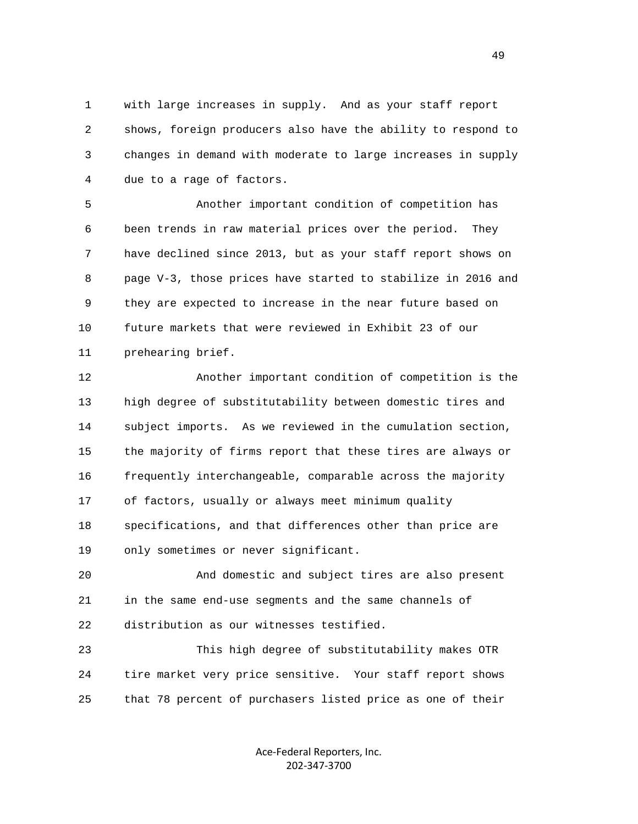1 with large increases in supply. And as your staff report 2 shows, foreign producers also have the ability to respond to 3 changes in demand with moderate to large increases in supply 4 due to a rage of factors.

 5 Another important condition of competition has 6 been trends in raw material prices over the period. They 7 have declined since 2013, but as your staff report shows on 8 page V-3, those prices have started to stabilize in 2016 and 9 they are expected to increase in the near future based on 10 future markets that were reviewed in Exhibit 23 of our 11 prehearing brief.

 12 Another important condition of competition is the 13 high degree of substitutability between domestic tires and 14 subject imports. As we reviewed in the cumulation section, 15 the majority of firms report that these tires are always or 16 frequently interchangeable, comparable across the majority 17 of factors, usually or always meet minimum quality 18 specifications, and that differences other than price are 19 only sometimes or never significant.

 20 And domestic and subject tires are also present 21 in the same end-use segments and the same channels of 22 distribution as our witnesses testified.

 23 This high degree of substitutability makes OTR 24 tire market very price sensitive. Your staff report shows 25 that 78 percent of purchasers listed price as one of their

> Ace‐Federal Reporters, Inc. 202‐347‐3700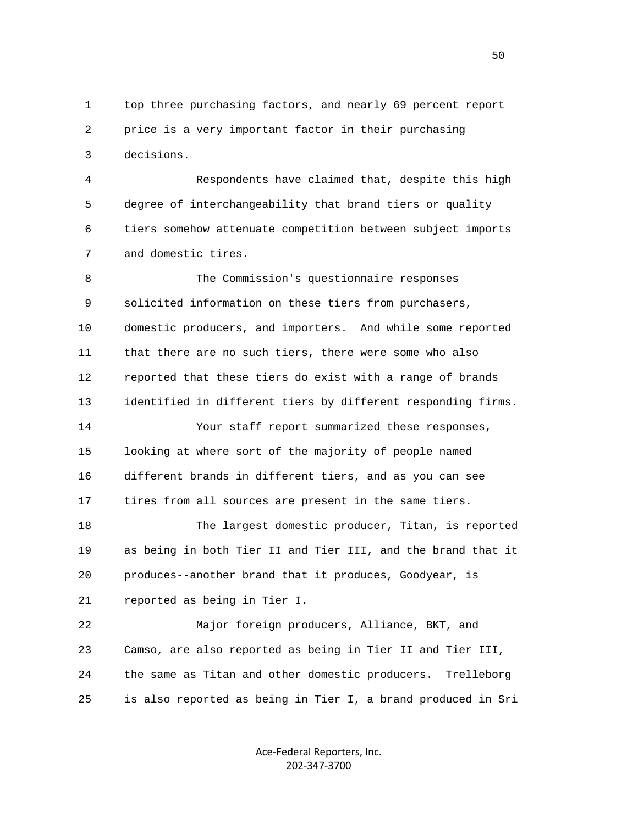1 top three purchasing factors, and nearly 69 percent report 2 price is a very important factor in their purchasing 3 decisions.

 4 Respondents have claimed that, despite this high 5 degree of interchangeability that brand tiers or quality 6 tiers somehow attenuate competition between subject imports 7 and domestic tires.

 8 The Commission's questionnaire responses 9 solicited information on these tiers from purchasers, 10 domestic producers, and importers. And while some reported 11 that there are no such tiers, there were some who also 12 reported that these tiers do exist with a range of brands 13 identified in different tiers by different responding firms. 14 Your staff report summarized these responses, 15 looking at where sort of the majority of people named 16 different brands in different tiers, and as you can see 17 tires from all sources are present in the same tiers. 18 The largest domestic producer, Titan, is reported 19 as being in both Tier II and Tier III, and the brand that it 20 produces--another brand that it produces, Goodyear, is 21 reported as being in Tier I. 22 Major foreign producers, Alliance, BKT, and 23 Camso, are also reported as being in Tier II and Tier III, 24 the same as Titan and other domestic producers. Trelleborg 25 is also reported as being in Tier I, a brand produced in Sri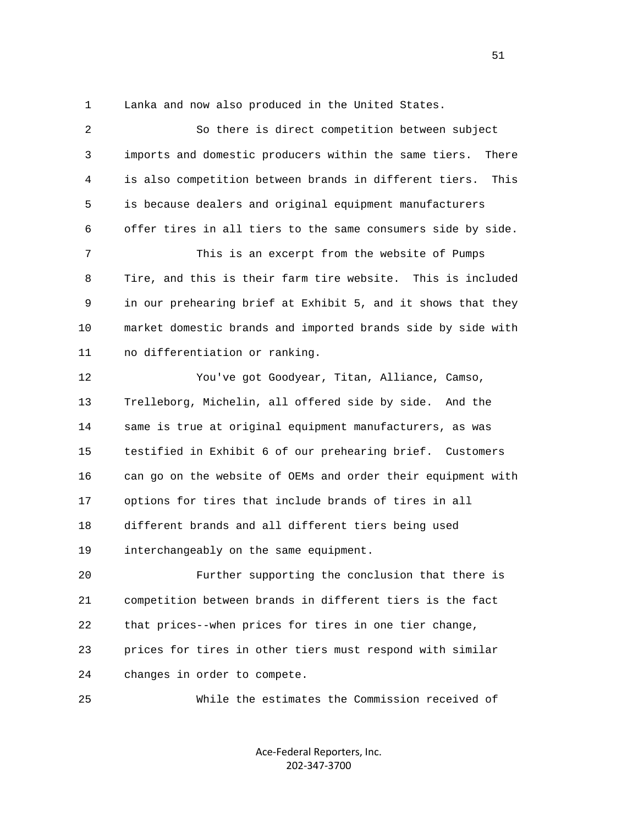1 Lanka and now also produced in the United States.

| $\overline{2}$ | So there is direct competition between subject                 |
|----------------|----------------------------------------------------------------|
| 3              | imports and domestic producers within the same tiers.<br>There |
| 4              | is also competition between brands in different tiers.<br>This |
| 5              | is because dealers and original equipment manufacturers        |
| 6              | offer tires in all tiers to the same consumers side by side.   |
| 7              | This is an excerpt from the website of Pumps                   |
| 8              | Tire, and this is their farm tire website. This is included    |
| 9              | in our prehearing brief at Exhibit 5, and it shows that they   |
| 10             | market domestic brands and imported brands side by side with   |
| 11             | no differentiation or ranking.                                 |
| 12             | You've got Goodyear, Titan, Alliance, Camso,                   |
| 13             | Trelleborg, Michelin, all offered side by side. And the        |
| 14             | same is true at original equipment manufacturers, as was       |
| 15             | testified in Exhibit 6 of our prehearing brief. Customers      |
| 16             | can go on the website of OEMs and order their equipment with   |
| 17             | options for tires that include brands of tires in all          |
| 18             | different brands and all different tiers being used            |
| 19             | interchangeably on the same equipment.                         |
| 20             | Further supporting the conclusion that there is                |
| 21             | competition between brands in different tiers is the fact      |
| 22             | that prices--when prices for tires in one tier change,         |
| 23             | prices for tires in other tiers must respond with similar      |
| 24             | changes in order to compete.                                   |
| 25             | While the estimates the Commission received of                 |
|                |                                                                |

Ace‐Federal Reporters, Inc. 202‐347‐3700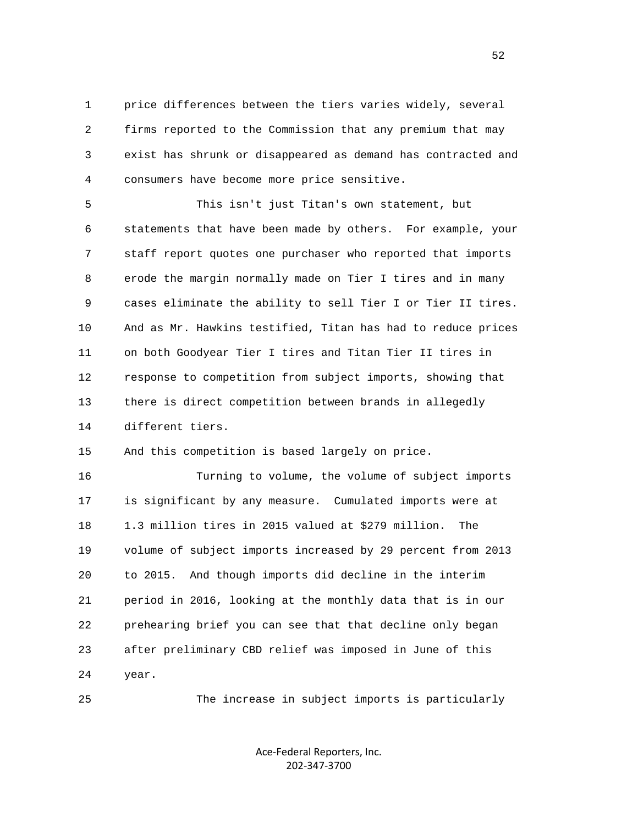1 price differences between the tiers varies widely, several 2 firms reported to the Commission that any premium that may 3 exist has shrunk or disappeared as demand has contracted and 4 consumers have become more price sensitive.

 5 This isn't just Titan's own statement, but 6 statements that have been made by others. For example, your 7 staff report quotes one purchaser who reported that imports 8 erode the margin normally made on Tier I tires and in many 9 cases eliminate the ability to sell Tier I or Tier II tires. 10 And as Mr. Hawkins testified, Titan has had to reduce prices 11 on both Goodyear Tier I tires and Titan Tier II tires in 12 response to competition from subject imports, showing that 13 there is direct competition between brands in allegedly 14 different tiers.

15 And this competition is based largely on price.

 16 Turning to volume, the volume of subject imports 17 is significant by any measure. Cumulated imports were at 18 1.3 million tires in 2015 valued at \$279 million. The 19 volume of subject imports increased by 29 percent from 2013 20 to 2015. And though imports did decline in the interim 21 period in 2016, looking at the monthly data that is in our 22 prehearing brief you can see that that decline only began 23 after preliminary CBD relief was imposed in June of this 24 year.

25 The increase in subject imports is particularly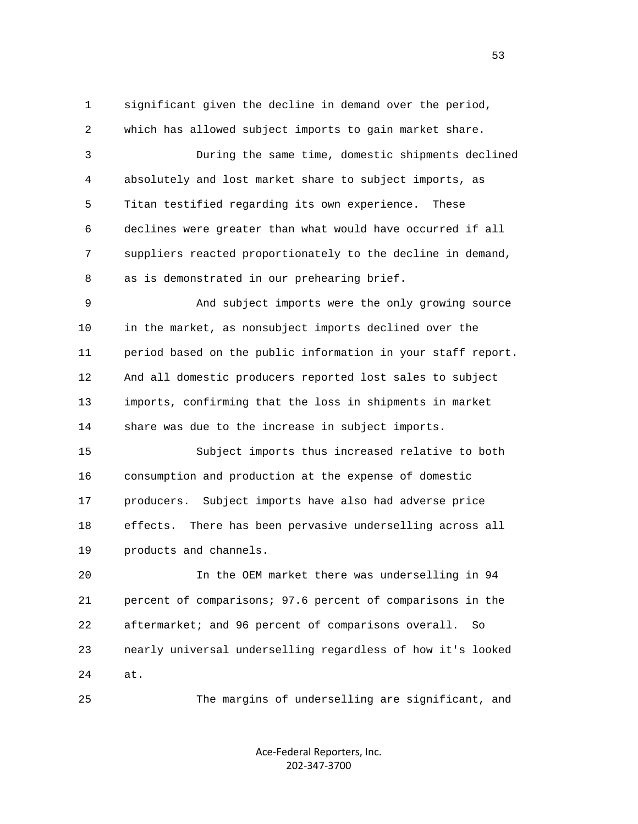1 significant given the decline in demand over the period,

2 which has allowed subject imports to gain market share.

 3 During the same time, domestic shipments declined 4 absolutely and lost market share to subject imports, as 5 Titan testified regarding its own experience. These 6 declines were greater than what would have occurred if all 7 suppliers reacted proportionately to the decline in demand, 8 as is demonstrated in our prehearing brief.

 9 And subject imports were the only growing source 10 in the market, as nonsubject imports declined over the 11 period based on the public information in your staff report. 12 And all domestic producers reported lost sales to subject 13 imports, confirming that the loss in shipments in market 14 share was due to the increase in subject imports.

 15 Subject imports thus increased relative to both 16 consumption and production at the expense of domestic 17 producers. Subject imports have also had adverse price 18 effects. There has been pervasive underselling across all 19 products and channels.

 20 In the OEM market there was underselling in 94 21 percent of comparisons; 97.6 percent of comparisons in the 22 aftermarket; and 96 percent of comparisons overall. So 23 nearly universal underselling regardless of how it's looked 24 at.

25 The margins of underselling are significant, and

Ace‐Federal Reporters, Inc. 202‐347‐3700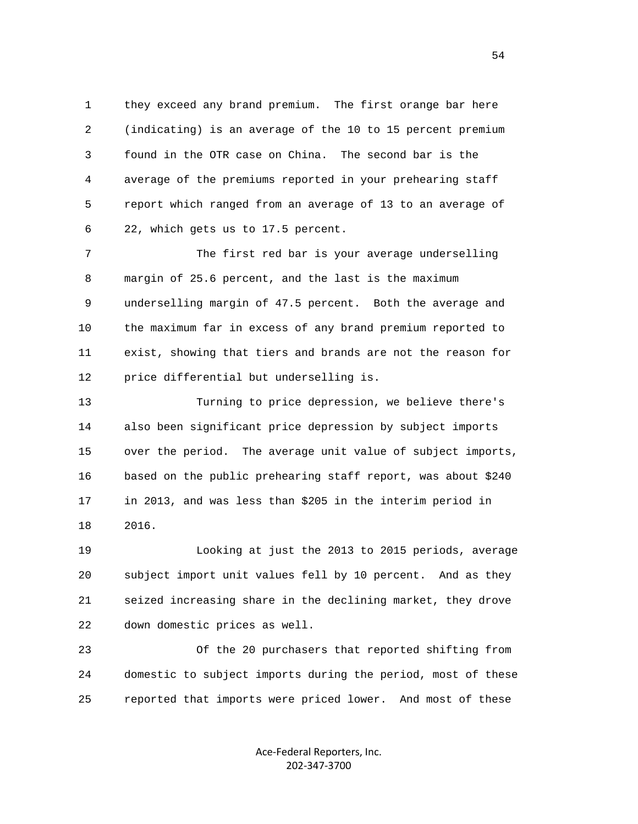1 they exceed any brand premium. The first orange bar here 2 (indicating) is an average of the 10 to 15 percent premium 3 found in the OTR case on China. The second bar is the 4 average of the premiums reported in your prehearing staff 5 report which ranged from an average of 13 to an average of 6 22, which gets us to 17.5 percent.

 7 The first red bar is your average underselling 8 margin of 25.6 percent, and the last is the maximum 9 underselling margin of 47.5 percent. Both the average and 10 the maximum far in excess of any brand premium reported to 11 exist, showing that tiers and brands are not the reason for 12 price differential but underselling is.

 13 Turning to price depression, we believe there's 14 also been significant price depression by subject imports 15 over the period. The average unit value of subject imports, 16 based on the public prehearing staff report, was about \$240 17 in 2013, and was less than \$205 in the interim period in 18 2016.

 19 Looking at just the 2013 to 2015 periods, average 20 subject import unit values fell by 10 percent. And as they 21 seized increasing share in the declining market, they drove 22 down domestic prices as well.

 23 Of the 20 purchasers that reported shifting from 24 domestic to subject imports during the period, most of these 25 reported that imports were priced lower. And most of these

> Ace‐Federal Reporters, Inc. 202‐347‐3700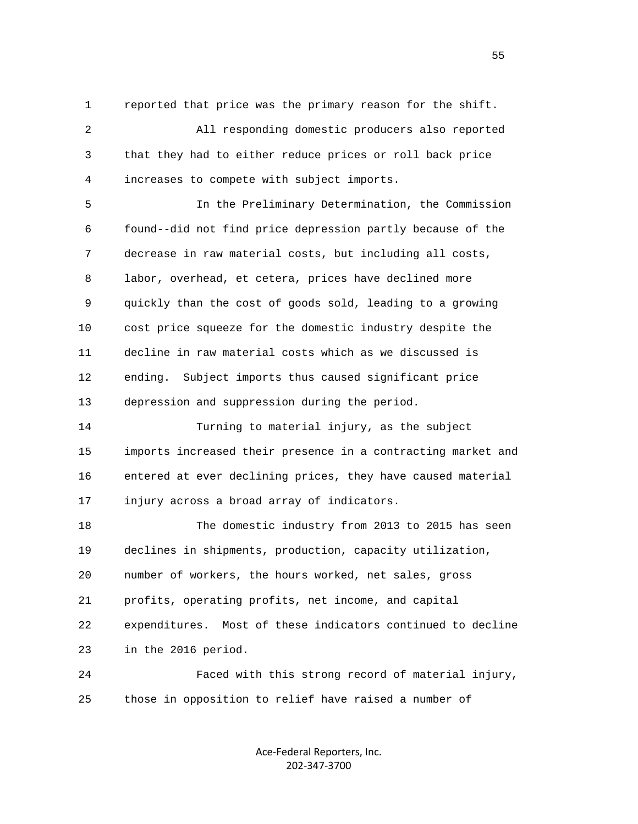1 reported that price was the primary reason for the shift.

 2 All responding domestic producers also reported 3 that they had to either reduce prices or roll back price 4 increases to compete with subject imports.

 5 In the Preliminary Determination, the Commission 6 found--did not find price depression partly because of the 7 decrease in raw material costs, but including all costs, 8 labor, overhead, et cetera, prices have declined more 9 quickly than the cost of goods sold, leading to a growing 10 cost price squeeze for the domestic industry despite the 11 decline in raw material costs which as we discussed is 12 ending. Subject imports thus caused significant price 13 depression and suppression during the period.

 14 Turning to material injury, as the subject 15 imports increased their presence in a contracting market and 16 entered at ever declining prices, they have caused material 17 injury across a broad array of indicators.

 18 The domestic industry from 2013 to 2015 has seen 19 declines in shipments, production, capacity utilization, 20 number of workers, the hours worked, net sales, gross 21 profits, operating profits, net income, and capital 22 expenditures. Most of these indicators continued to decline 23 in the 2016 period.

 24 Faced with this strong record of material injury, 25 those in opposition to relief have raised a number of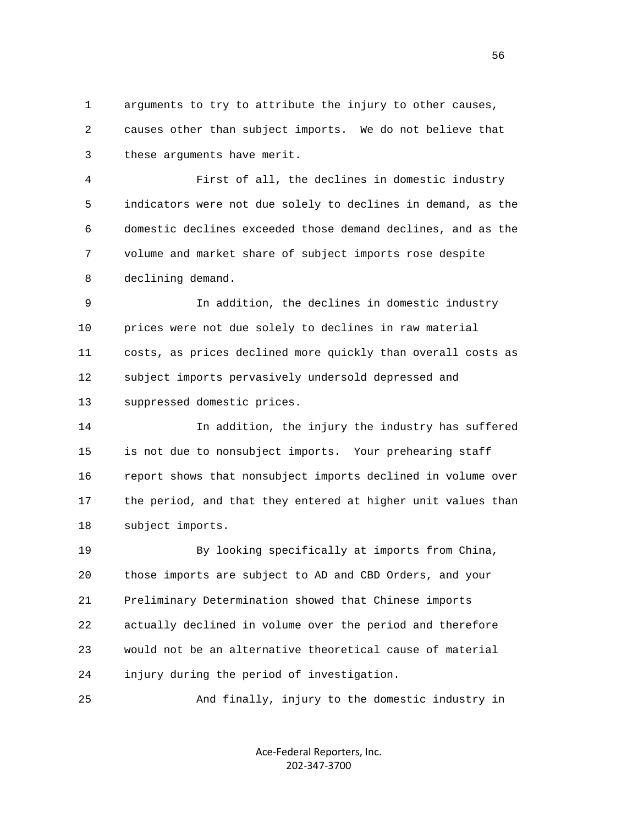1 arguments to try to attribute the injury to other causes, 2 causes other than subject imports. We do not believe that 3 these arguments have merit.

 4 First of all, the declines in domestic industry 5 indicators were not due solely to declines in demand, as the 6 domestic declines exceeded those demand declines, and as the 7 volume and market share of subject imports rose despite 8 declining demand.

 9 In addition, the declines in domestic industry 10 prices were not due solely to declines in raw material 11 costs, as prices declined more quickly than overall costs as 12 subject imports pervasively undersold depressed and 13 suppressed domestic prices.

 14 In addition, the injury the industry has suffered 15 is not due to nonsubject imports. Your prehearing staff 16 report shows that nonsubject imports declined in volume over 17 the period, and that they entered at higher unit values than 18 subject imports.

 19 By looking specifically at imports from China, 20 those imports are subject to AD and CBD Orders, and your 21 Preliminary Determination showed that Chinese imports 22 actually declined in volume over the period and therefore 23 would not be an alternative theoretical cause of material 24 injury during the period of investigation.

25 And finally, injury to the domestic industry in

Ace‐Federal Reporters, Inc. 202‐347‐3700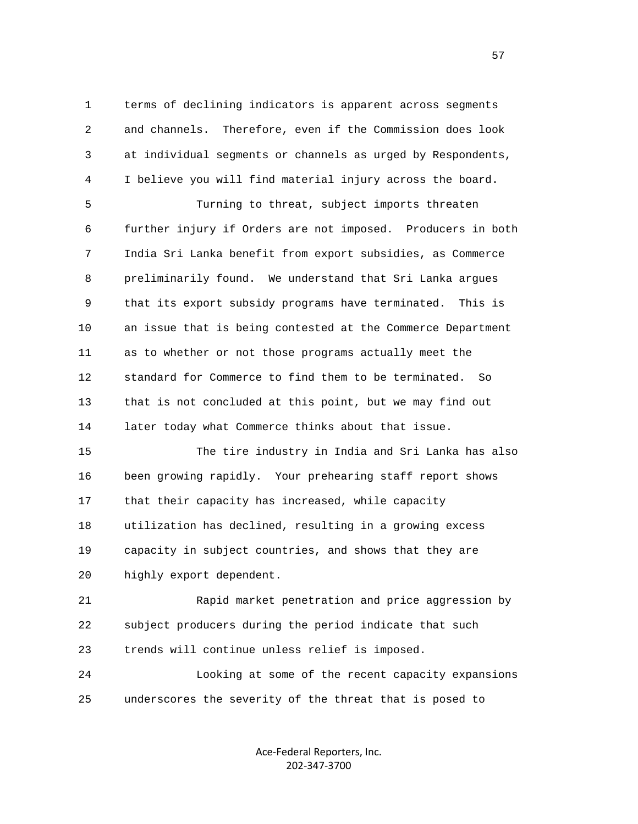1 terms of declining indicators is apparent across segments 2 and channels. Therefore, even if the Commission does look 3 at individual segments or channels as urged by Respondents, 4 I believe you will find material injury across the board.

 5 Turning to threat, subject imports threaten 6 further injury if Orders are not imposed. Producers in both 7 India Sri Lanka benefit from export subsidies, as Commerce 8 preliminarily found. We understand that Sri Lanka argues 9 that its export subsidy programs have terminated. This is 10 an issue that is being contested at the Commerce Department 11 as to whether or not those programs actually meet the 12 standard for Commerce to find them to be terminated. So 13 that is not concluded at this point, but we may find out 14 later today what Commerce thinks about that issue.

 15 The tire industry in India and Sri Lanka has also 16 been growing rapidly. Your prehearing staff report shows 17 that their capacity has increased, while capacity 18 utilization has declined, resulting in a growing excess 19 capacity in subject countries, and shows that they are 20 highly export dependent.

 21 Rapid market penetration and price aggression by 22 subject producers during the period indicate that such 23 trends will continue unless relief is imposed.

 24 Looking at some of the recent capacity expansions 25 underscores the severity of the threat that is posed to

> Ace‐Federal Reporters, Inc. 202‐347‐3700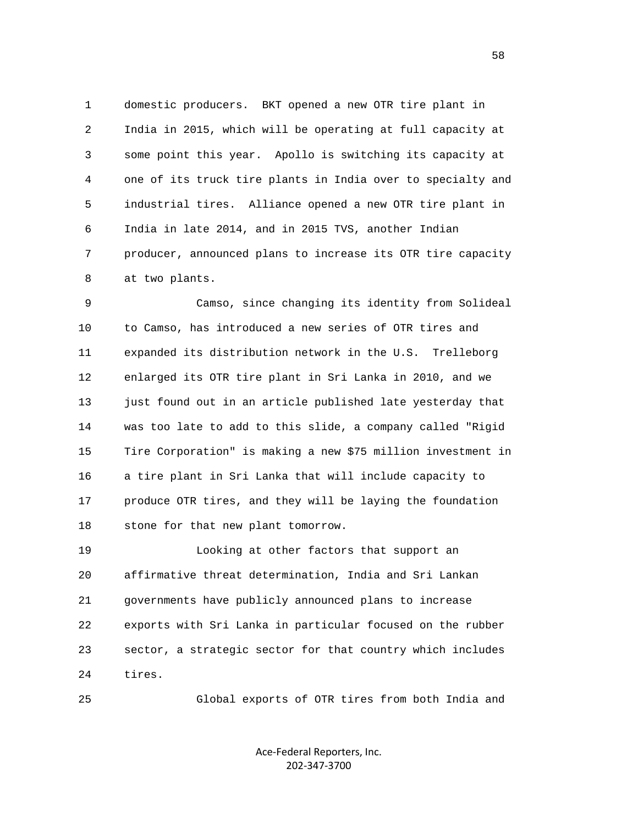1 domestic producers. BKT opened a new OTR tire plant in 2 India in 2015, which will be operating at full capacity at 3 some point this year. Apollo is switching its capacity at 4 one of its truck tire plants in India over to specialty and 5 industrial tires. Alliance opened a new OTR tire plant in 6 India in late 2014, and in 2015 TVS, another Indian 7 producer, announced plans to increase its OTR tire capacity 8 at two plants.

 9 Camso, since changing its identity from Solideal 10 to Camso, has introduced a new series of OTR tires and 11 expanded its distribution network in the U.S. Trelleborg 12 enlarged its OTR tire plant in Sri Lanka in 2010, and we 13 just found out in an article published late yesterday that 14 was too late to add to this slide, a company called "Rigid 15 Tire Corporation" is making a new \$75 million investment in 16 a tire plant in Sri Lanka that will include capacity to 17 produce OTR tires, and they will be laying the foundation 18 stone for that new plant tomorrow.

 19 Looking at other factors that support an 20 affirmative threat determination, India and Sri Lankan 21 governments have publicly announced plans to increase 22 exports with Sri Lanka in particular focused on the rubber 23 sector, a strategic sector for that country which includes 24 tires.

25 Global exports of OTR tires from both India and

Ace‐Federal Reporters, Inc. 202‐347‐3700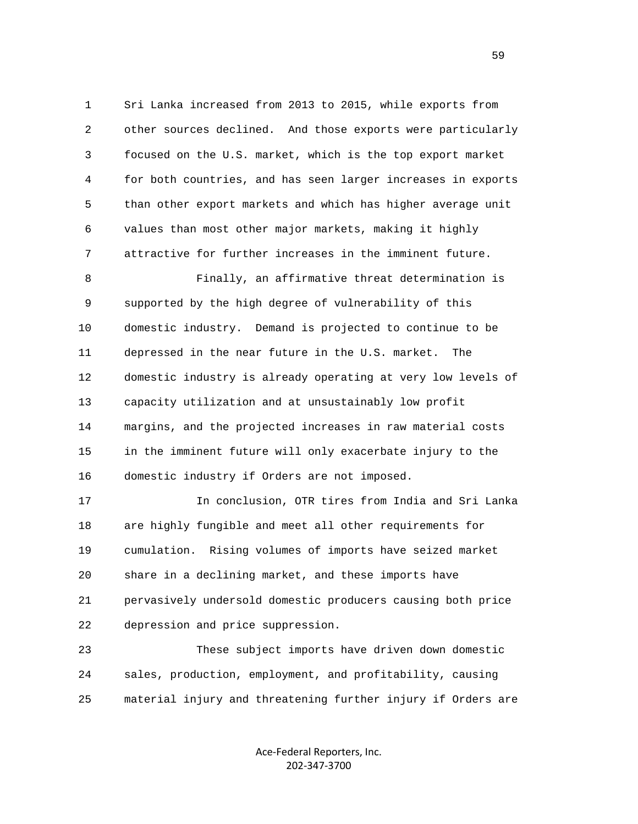1 Sri Lanka increased from 2013 to 2015, while exports from 2 other sources declined. And those exports were particularly 3 focused on the U.S. market, which is the top export market 4 for both countries, and has seen larger increases in exports 5 than other export markets and which has higher average unit 6 values than most other major markets, making it highly 7 attractive for further increases in the imminent future.

 8 Finally, an affirmative threat determination is 9 supported by the high degree of vulnerability of this 10 domestic industry. Demand is projected to continue to be 11 depressed in the near future in the U.S. market. The 12 domestic industry is already operating at very low levels of 13 capacity utilization and at unsustainably low profit 14 margins, and the projected increases in raw material costs 15 in the imminent future will only exacerbate injury to the 16 domestic industry if Orders are not imposed.

 17 In conclusion, OTR tires from India and Sri Lanka 18 are highly fungible and meet all other requirements for 19 cumulation. Rising volumes of imports have seized market 20 share in a declining market, and these imports have 21 pervasively undersold domestic producers causing both price 22 depression and price suppression.

 23 These subject imports have driven down domestic 24 sales, production, employment, and profitability, causing 25 material injury and threatening further injury if Orders are

> Ace‐Federal Reporters, Inc. 202‐347‐3700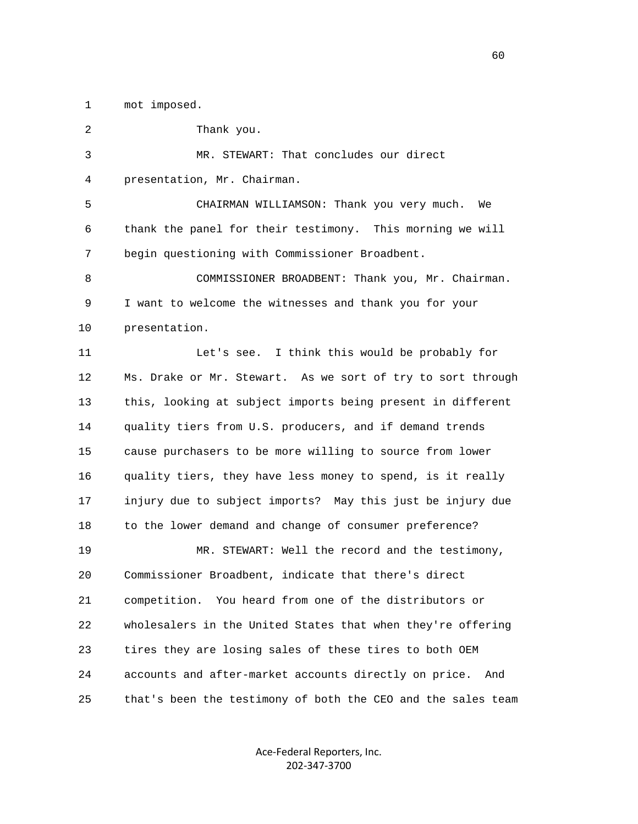1 mot imposed.

 2 Thank you. 3 MR. STEWART: That concludes our direct 4 presentation, Mr. Chairman. 5 CHAIRMAN WILLIAMSON: Thank you very much. We 6 thank the panel for their testimony. This morning we will 7 begin questioning with Commissioner Broadbent. 8 COMMISSIONER BROADBENT: Thank you, Mr. Chairman. 9 I want to welcome the witnesses and thank you for your 10 presentation. 11 Let's see. I think this would be probably for 12 Ms. Drake or Mr. Stewart. As we sort of try to sort through 13 this, looking at subject imports being present in different 14 quality tiers from U.S. producers, and if demand trends 15 cause purchasers to be more willing to source from lower 16 quality tiers, they have less money to spend, is it really 17 injury due to subject imports? May this just be injury due 18 to the lower demand and change of consumer preference? 19 MR. STEWART: Well the record and the testimony, 20 Commissioner Broadbent, indicate that there's direct 21 competition. You heard from one of the distributors or 22 wholesalers in the United States that when they're offering 23 tires they are losing sales of these tires to both OEM 24 accounts and after-market accounts directly on price. And 25 that's been the testimony of both the CEO and the sales team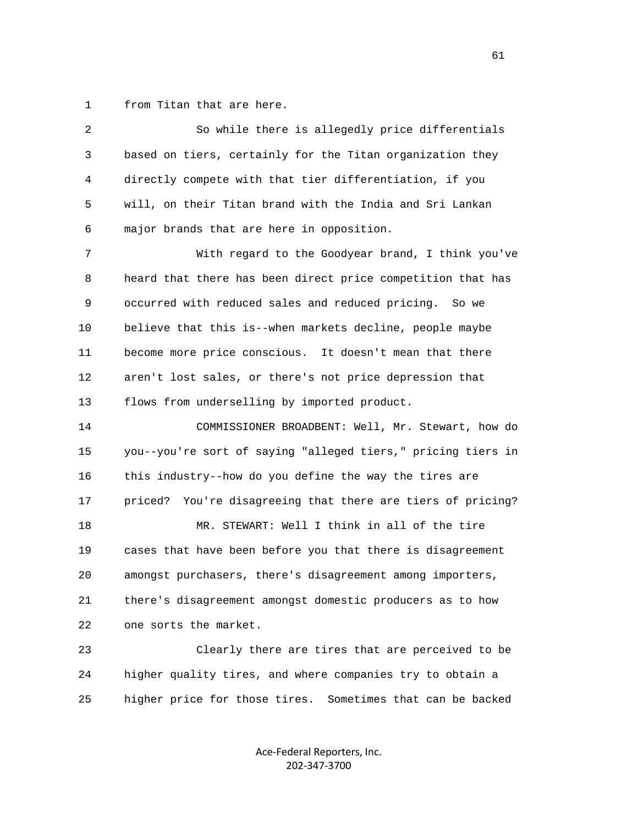1 from Titan that are here.

| 2  | So while there is allegedly price differentials                |
|----|----------------------------------------------------------------|
| 3  | based on tiers, certainly for the Titan organization they      |
| 4  | directly compete with that tier differentiation, if you        |
| 5  | will, on their Titan brand with the India and Sri Lankan       |
| 6  | major brands that are here in opposition.                      |
| 7  | With regard to the Goodyear brand, I think you've              |
| 8  | heard that there has been direct price competition that has    |
| 9  | occurred with reduced sales and reduced pricing. So we         |
| 10 | believe that this is--when markets decline, people maybe       |
| 11 | become more price conscious. It doesn't mean that there        |
| 12 | aren't lost sales, or there's not price depression that        |
| 13 | flows from underselling by imported product.                   |
| 14 | COMMISSIONER BROADBENT: Well, Mr. Stewart, how do              |
| 15 | you--you're sort of saying "alleged tiers," pricing tiers in   |
| 16 | this industry--how do you define the way the tires are         |
| 17 | You're disagreeing that there are tiers of pricing?<br>priced? |
| 18 | MR. STEWART: Well I think in all of the tire                   |
| 19 | cases that have been before you that there is disagreement     |
| 20 | amongst purchasers, there's disagreement among importers,      |
| 21 | there's disagreement amongst domestic producers as to how      |
| 22 | one sorts the market.                                          |
| 23 | Clearly there are tires that are perceived to be               |
| 24 | higher quality tires, and where companies try to obtain a      |
| 25 | higher price for those tires. Sometimes that can be backed     |

Ace‐Federal Reporters, Inc. 202‐347‐3700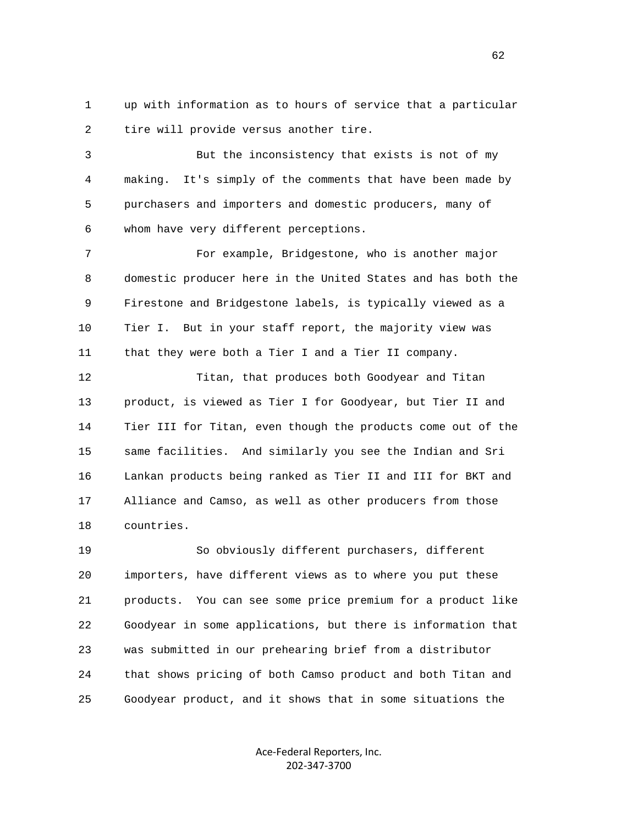1 up with information as to hours of service that a particular 2 tire will provide versus another tire.

 3 But the inconsistency that exists is not of my 4 making. It's simply of the comments that have been made by 5 purchasers and importers and domestic producers, many of 6 whom have very different perceptions.

 7 For example, Bridgestone, who is another major 8 domestic producer here in the United States and has both the 9 Firestone and Bridgestone labels, is typically viewed as a 10 Tier I. But in your staff report, the majority view was 11 that they were both a Tier I and a Tier II company.

 12 Titan, that produces both Goodyear and Titan 13 product, is viewed as Tier I for Goodyear, but Tier II and 14 Tier III for Titan, even though the products come out of the 15 same facilities. And similarly you see the Indian and Sri 16 Lankan products being ranked as Tier II and III for BKT and 17 Alliance and Camso, as well as other producers from those 18 countries.

 19 So obviously different purchasers, different 20 importers, have different views as to where you put these 21 products. You can see some price premium for a product like 22 Goodyear in some applications, but there is information that 23 was submitted in our prehearing brief from a distributor 24 that shows pricing of both Camso product and both Titan and 25 Goodyear product, and it shows that in some situations the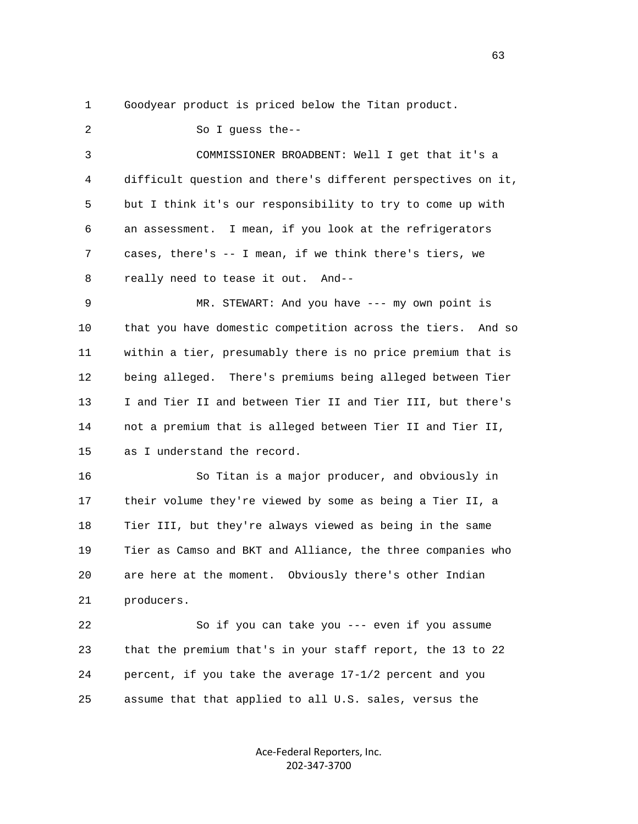1 Goodyear product is priced below the Titan product.

 2 So I guess the-- 3 COMMISSIONER BROADBENT: Well I get that it's a 4 difficult question and there's different perspectives on it, 5 but I think it's our responsibility to try to come up with 6 an assessment. I mean, if you look at the refrigerators 7 cases, there's -- I mean, if we think there's tiers, we 8 really need to tease it out. And-- 9 MR. STEWART: And you have --- my own point is 10 that you have domestic competition across the tiers. And so 11 within a tier, presumably there is no price premium that is 12 being alleged. There's premiums being alleged between Tier 13 I and Tier II and between Tier II and Tier III, but there's 14 not a premium that is alleged between Tier II and Tier II, 15 as I understand the record. 16 So Titan is a major producer, and obviously in 17 their volume they're viewed by some as being a Tier II, a 18 Tier III, but they're always viewed as being in the same 19 Tier as Camso and BKT and Alliance, the three companies who 20 are here at the moment. Obviously there's other Indian 21 producers. 22 So if you can take you --- even if you assume 23 that the premium that's in your staff report, the 13 to 22 24 percent, if you take the average 17-1/2 percent and you 25 assume that that applied to all U.S. sales, versus the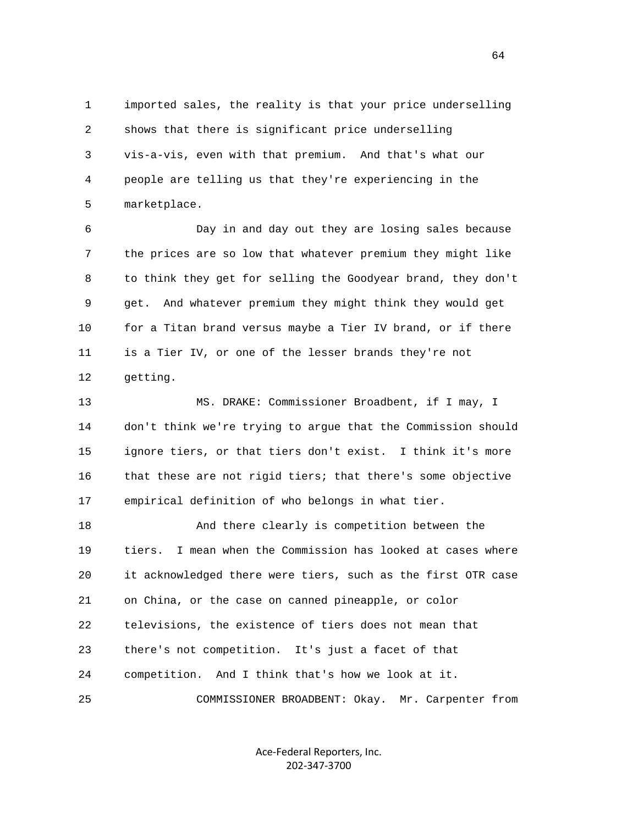1 imported sales, the reality is that your price underselling 2 shows that there is significant price underselling 3 vis-a-vis, even with that premium. And that's what our 4 people are telling us that they're experiencing in the 5 marketplace.

 6 Day in and day out they are losing sales because 7 the prices are so low that whatever premium they might like 8 to think they get for selling the Goodyear brand, they don't 9 get. And whatever premium they might think they would get 10 for a Titan brand versus maybe a Tier IV brand, or if there 11 is a Tier IV, or one of the lesser brands they're not 12 getting.

 13 MS. DRAKE: Commissioner Broadbent, if I may, I 14 don't think we're trying to argue that the Commission should 15 ignore tiers, or that tiers don't exist. I think it's more 16 that these are not rigid tiers; that there's some objective 17 empirical definition of who belongs in what tier.

 18 And there clearly is competition between the 19 tiers. I mean when the Commission has looked at cases where 20 it acknowledged there were tiers, such as the first OTR case 21 on China, or the case on canned pineapple, or color 22 televisions, the existence of tiers does not mean that 23 there's not competition. It's just a facet of that 24 competition. And I think that's how we look at it. 25 COMMISSIONER BROADBENT: Okay. Mr. Carpenter from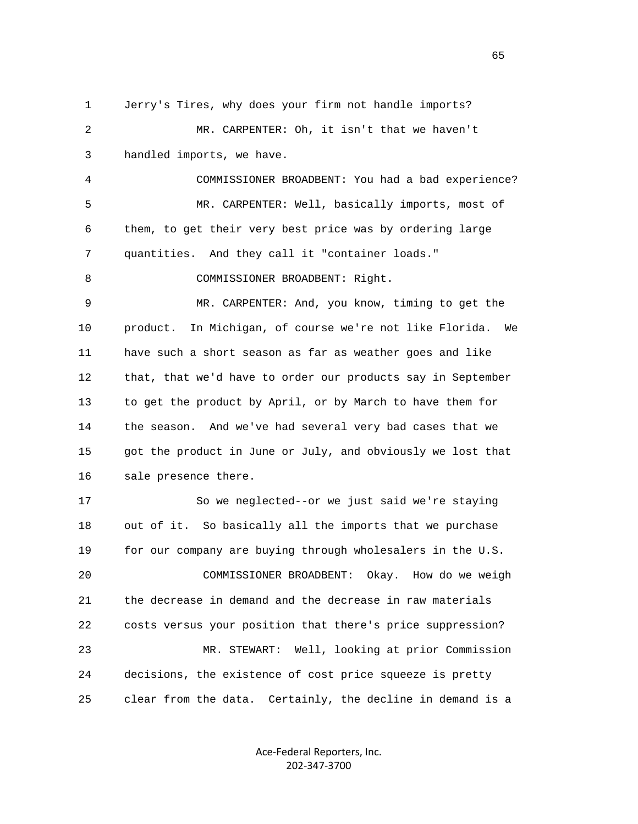1 Jerry's Tires, why does your firm not handle imports? 2 MR. CARPENTER: Oh, it isn't that we haven't 3 handled imports, we have. 4 COMMISSIONER BROADBENT: You had a bad experience? 5 MR. CARPENTER: Well, basically imports, most of 6 them, to get their very best price was by ordering large 7 quantities. And they call it "container loads." 8 COMMISSIONER BROADBENT: Right. 9 MR. CARPENTER: And, you know, timing to get the 10 product. In Michigan, of course we're not like Florida. We 11 have such a short season as far as weather goes and like 12 that, that we'd have to order our products say in September 13 to get the product by April, or by March to have them for 14 the season. And we've had several very bad cases that we 15 got the product in June or July, and obviously we lost that 16 sale presence there. 17 So we neglected--or we just said we're staying 18 out of it. So basically all the imports that we purchase 19 for our company are buying through wholesalers in the U.S. 20 COMMISSIONER BROADBENT: Okay. How do we weigh 21 the decrease in demand and the decrease in raw materials 22 costs versus your position that there's price suppression? 23 MR. STEWART: Well, looking at prior Commission 24 decisions, the existence of cost price squeeze is pretty 25 clear from the data. Certainly, the decline in demand is a

> Ace‐Federal Reporters, Inc. 202‐347‐3700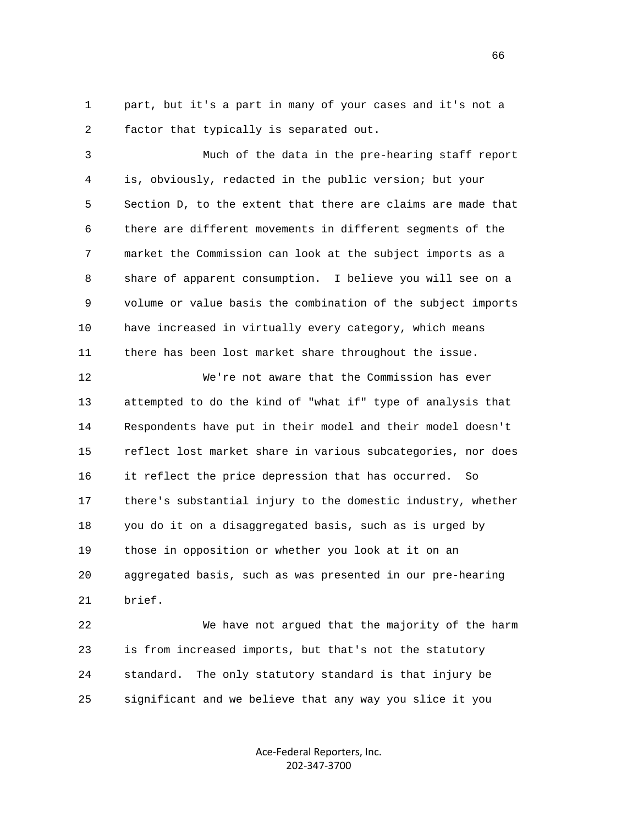1 part, but it's a part in many of your cases and it's not a 2 factor that typically is separated out.

 3 Much of the data in the pre-hearing staff report 4 is, obviously, redacted in the public version; but your 5 Section D, to the extent that there are claims are made that 6 there are different movements in different segments of the 7 market the Commission can look at the subject imports as a 8 share of apparent consumption. I believe you will see on a 9 volume or value basis the combination of the subject imports 10 have increased in virtually every category, which means 11 there has been lost market share throughout the issue.

 12 We're not aware that the Commission has ever 13 attempted to do the kind of "what if" type of analysis that 14 Respondents have put in their model and their model doesn't 15 reflect lost market share in various subcategories, nor does 16 it reflect the price depression that has occurred. So 17 there's substantial injury to the domestic industry, whether 18 you do it on a disaggregated basis, such as is urged by 19 those in opposition or whether you look at it on an 20 aggregated basis, such as was presented in our pre-hearing 21 brief.

 22 We have not argued that the majority of the harm 23 is from increased imports, but that's not the statutory 24 standard. The only statutory standard is that injury be 25 significant and we believe that any way you slice it you

> Ace‐Federal Reporters, Inc. 202‐347‐3700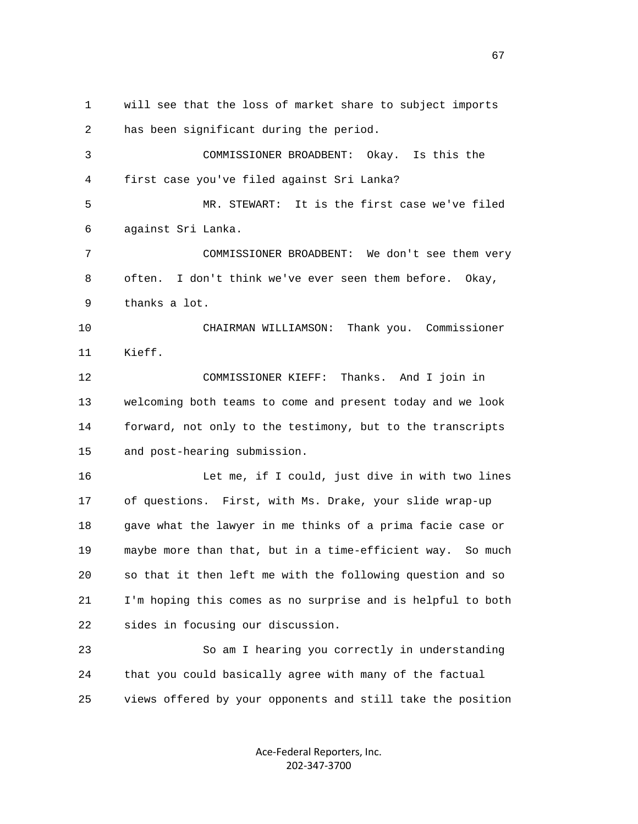1 will see that the loss of market share to subject imports 2 has been significant during the period. 3 COMMISSIONER BROADBENT: Okay. Is this the 4 first case you've filed against Sri Lanka? 5 MR. STEWART: It is the first case we've filed 6 against Sri Lanka. 7 COMMISSIONER BROADBENT: We don't see them very 8 often. I don't think we've ever seen them before. Okay, 9 thanks a lot. 10 CHAIRMAN WILLIAMSON: Thank you. Commissioner 11 Kieff. 12 COMMISSIONER KIEFF: Thanks. And I join in 13 welcoming both teams to come and present today and we look 14 forward, not only to the testimony, but to the transcripts 15 and post-hearing submission. 16 Let me, if I could, just dive in with two lines 17 of questions. First, with Ms. Drake, your slide wrap-up 18 gave what the lawyer in me thinks of a prima facie case or 19 maybe more than that, but in a time-efficient way. So much 20 so that it then left me with the following question and so 21 I'm hoping this comes as no surprise and is helpful to both 22 sides in focusing our discussion. 23 So am I hearing you correctly in understanding 24 that you could basically agree with many of the factual 25 views offered by your opponents and still take the position

> Ace‐Federal Reporters, Inc. 202‐347‐3700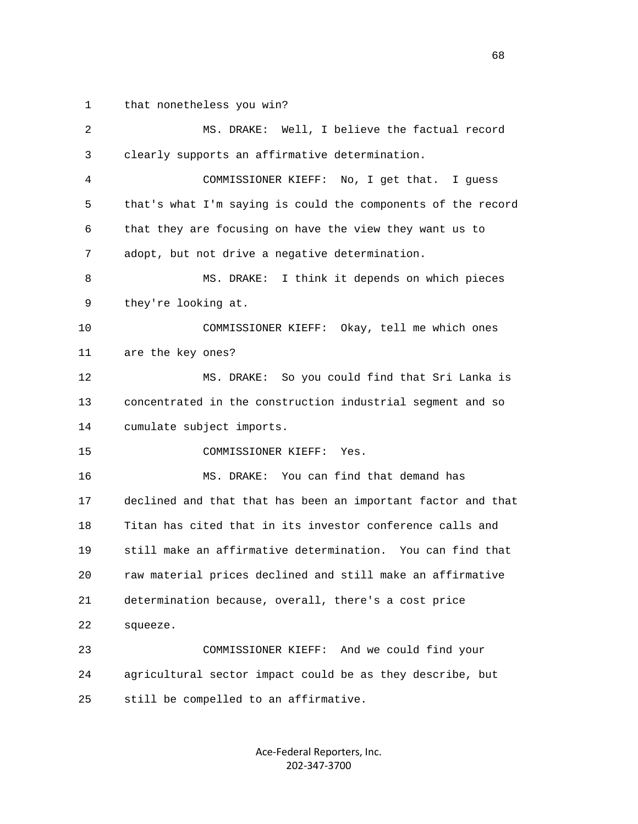1 that nonetheless you win?

| 2  | MS. DRAKE: Well, I believe the factual record                |
|----|--------------------------------------------------------------|
| 3  | clearly supports an affirmative determination.               |
| 4  | COMMISSIONER KIEFF: No, I get that. I guess                  |
| 5  | that's what I'm saying is could the components of the record |
| 6  | that they are focusing on have the view they want us to      |
| 7  | adopt, but not drive a negative determination.               |
| 8  | MS. DRAKE: I think it depends on which pieces                |
| 9  | they're looking at.                                          |
| 10 | COMMISSIONER KIEFF: Okay, tell me which ones                 |
| 11 | are the key ones?                                            |
| 12 | MS. DRAKE: So you could find that Sri Lanka is               |
| 13 | concentrated in the construction industrial segment and so   |
| 14 | cumulate subject imports.                                    |
| 15 | COMMISSIONER KIEFF:<br>Yes.                                  |
| 16 | MS. DRAKE: You can find that demand has                      |
| 17 | declined and that that has been an important factor and that |
| 18 | Titan has cited that in its investor conference calls and    |
| 19 | still make an affirmative determination. You can find that   |
| 20 | raw material prices declined and still make an affirmative   |
| 21 | determination because, overall, there's a cost price         |
| 22 | squeeze.                                                     |
| 23 | COMMISSIONER KIEFF: And we could find your                   |
| 24 | agricultural sector impact could be as they describe, but    |
| 25 | still be compelled to an affirmative.                        |
|    |                                                              |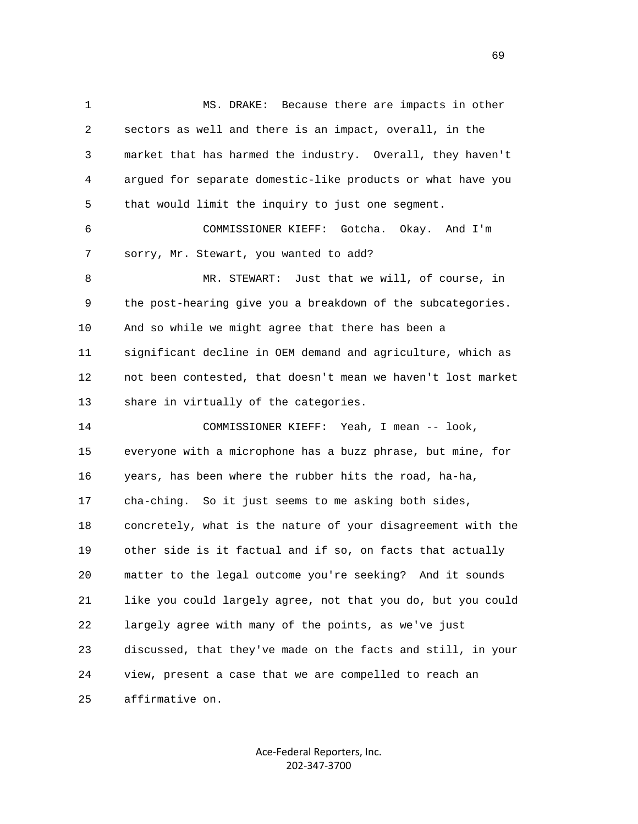1 MS. DRAKE: Because there are impacts in other 2 sectors as well and there is an impact, overall, in the 3 market that has harmed the industry. Overall, they haven't 4 argued for separate domestic-like products or what have you 5 that would limit the inquiry to just one segment. 6 COMMISSIONER KIEFF: Gotcha. Okay. And I'm 7 sorry, Mr. Stewart, you wanted to add? 8 MR. STEWART: Just that we will, of course, in 9 the post-hearing give you a breakdown of the subcategories. 10 And so while we might agree that there has been a 11 significant decline in OEM demand and agriculture, which as 12 not been contested, that doesn't mean we haven't lost market 13 share in virtually of the categories. 14 COMMISSIONER KIEFF: Yeah, I mean -- look, 15 everyone with a microphone has a buzz phrase, but mine, for 16 years, has been where the rubber hits the road, ha-ha, 17 cha-ching. So it just seems to me asking both sides, 18 concretely, what is the nature of your disagreement with the 19 other side is it factual and if so, on facts that actually 20 matter to the legal outcome you're seeking? And it sounds 21 like you could largely agree, not that you do, but you could 22 largely agree with many of the points, as we've just 23 discussed, that they've made on the facts and still, in your 24 view, present a case that we are compelled to reach an 25 affirmative on.

> Ace‐Federal Reporters, Inc. 202‐347‐3700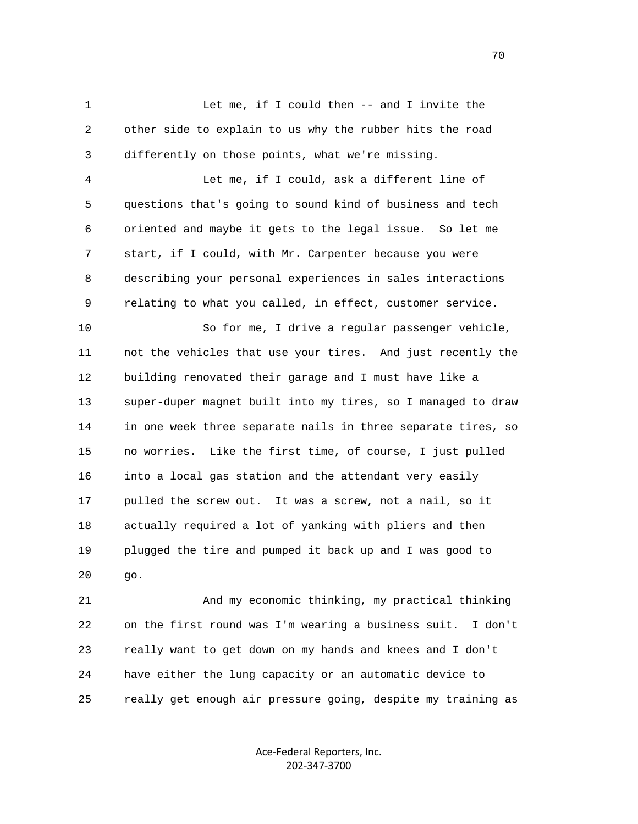1 Let me, if I could then -- and I invite the 2 other side to explain to us why the rubber hits the road 3 differently on those points, what we're missing.

 4 Let me, if I could, ask a different line of 5 questions that's going to sound kind of business and tech 6 oriented and maybe it gets to the legal issue. So let me 7 start, if I could, with Mr. Carpenter because you were 8 describing your personal experiences in sales interactions 9 relating to what you called, in effect, customer service.

 10 So for me, I drive a regular passenger vehicle, 11 not the vehicles that use your tires. And just recently the 12 building renovated their garage and I must have like a 13 super-duper magnet built into my tires, so I managed to draw 14 in one week three separate nails in three separate tires, so 15 no worries. Like the first time, of course, I just pulled 16 into a local gas station and the attendant very easily 17 pulled the screw out. It was a screw, not a nail, so it 18 actually required a lot of yanking with pliers and then 19 plugged the tire and pumped it back up and I was good to 20 go.

 21 And my economic thinking, my practical thinking 22 on the first round was I'm wearing a business suit. I don't 23 really want to get down on my hands and knees and I don't 24 have either the lung capacity or an automatic device to 25 really get enough air pressure going, despite my training as

> Ace‐Federal Reporters, Inc. 202‐347‐3700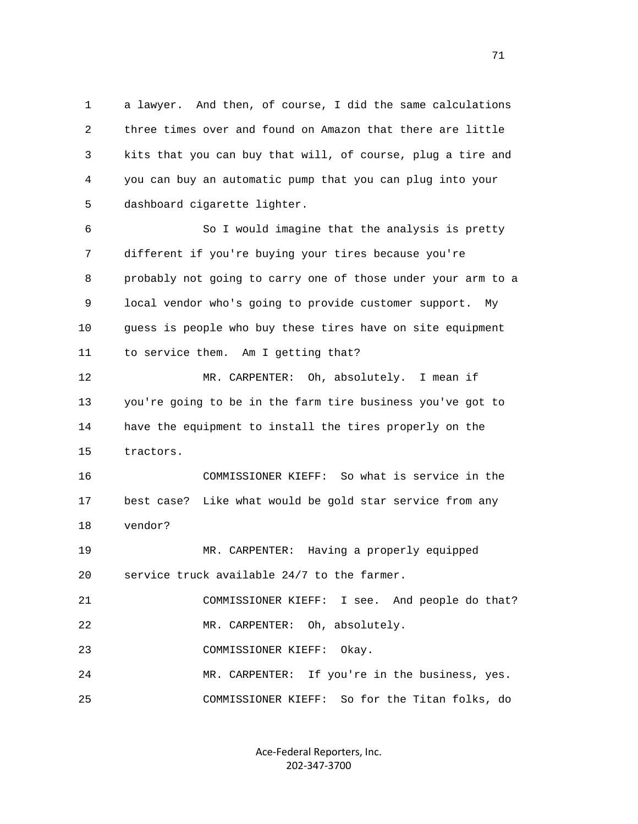1 a lawyer. And then, of course, I did the same calculations 2 three times over and found on Amazon that there are little 3 kits that you can buy that will, of course, plug a tire and 4 you can buy an automatic pump that you can plug into your 5 dashboard cigarette lighter.

 6 So I would imagine that the analysis is pretty 7 different if you're buying your tires because you're 8 probably not going to carry one of those under your arm to a 9 local vendor who's going to provide customer support. My 10 guess is people who buy these tires have on site equipment 11 to service them. Am I getting that?

 12 MR. CARPENTER: Oh, absolutely. I mean if 13 you're going to be in the farm tire business you've got to 14 have the equipment to install the tires properly on the 15 tractors.

 16 COMMISSIONER KIEFF: So what is service in the 17 best case? Like what would be gold star service from any 18 vendor?

 19 MR. CARPENTER: Having a properly equipped 20 service truck available 24/7 to the farmer.

 21 COMMISSIONER KIEFF: I see. And people do that? 22 MR. CARPENTER: Oh, absolutely.

23 COMMISSIONER KIEFF: Okay.

 24 MR. CARPENTER: If you're in the business, yes. 25 COMMISSIONER KIEFF: So for the Titan folks, do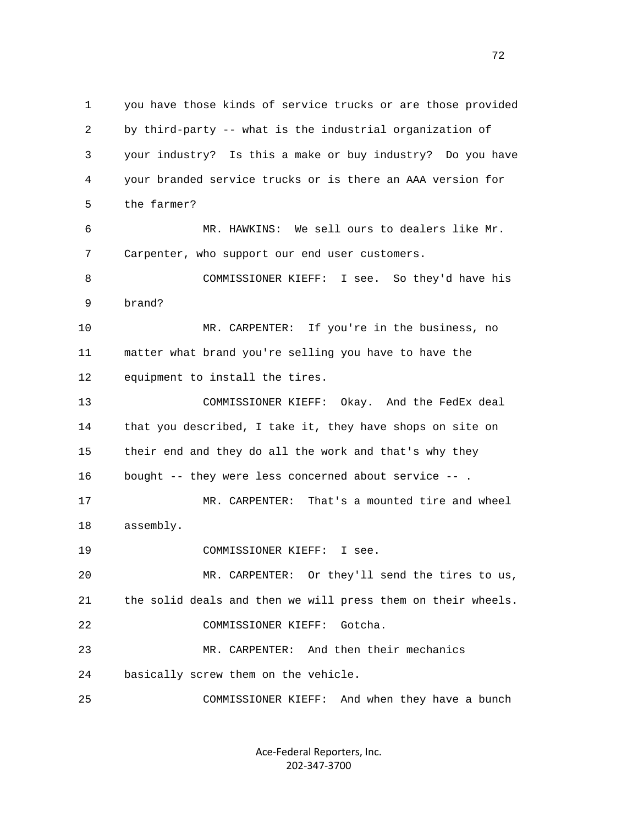1 you have those kinds of service trucks or are those provided 2 by third-party -- what is the industrial organization of 3 your industry? Is this a make or buy industry? Do you have 4 your branded service trucks or is there an AAA version for 5 the farmer? 6 MR. HAWKINS: We sell ours to dealers like Mr. 7 Carpenter, who support our end user customers. 8 COMMISSIONER KIEFF: I see. So they'd have his 9 brand? 10 MR. CARPENTER: If you're in the business, no 11 matter what brand you're selling you have to have the 12 equipment to install the tires. 13 COMMISSIONER KIEFF: Okay. And the FedEx deal 14 that you described, I take it, they have shops on site on 15 their end and they do all the work and that's why they 16 bought -- they were less concerned about service -- . 17 MR. CARPENTER: That's a mounted tire and wheel 18 assembly. 19 COMMISSIONER KIEFF: I see. 20 MR. CARPENTER: Or they'll send the tires to us, 21 the solid deals and then we will press them on their wheels. 22 COMMISSIONER KIEFF: Gotcha. 23 MR. CARPENTER: And then their mechanics 24 basically screw them on the vehicle. 25 COMMISSIONER KIEFF: And when they have a bunch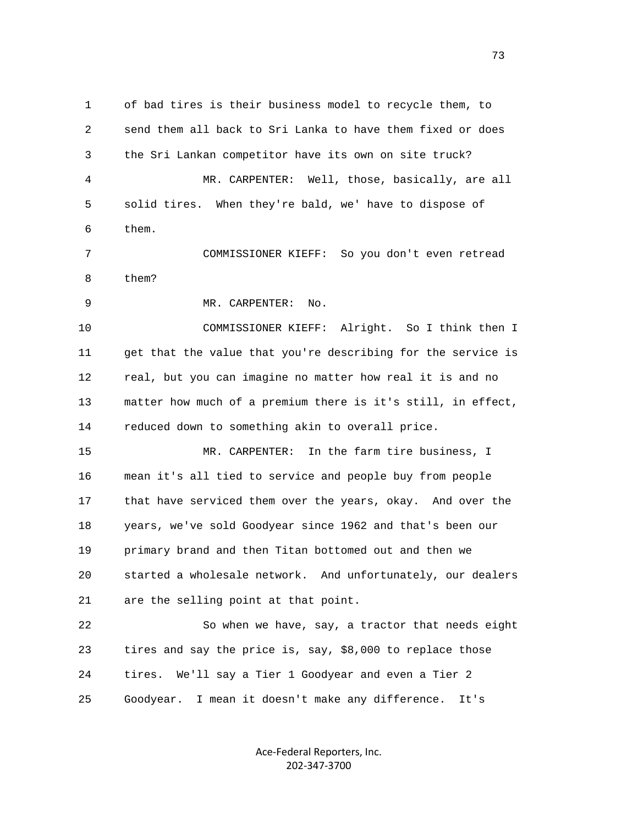1 of bad tires is their business model to recycle them, to 2 send them all back to Sri Lanka to have them fixed or does 3 the Sri Lankan competitor have its own on site truck? 4 MR. CARPENTER: Well, those, basically, are all 5 solid tires. When they're bald, we' have to dispose of 6 them. 7 COMMISSIONER KIEFF: So you don't even retread 8 them? 9 MR. CARPENTER: No. 10 COMMISSIONER KIEFF: Alright. So I think then I 11 get that the value that you're describing for the service is 12 real, but you can imagine no matter how real it is and no 13 matter how much of a premium there is it's still, in effect, 14 reduced down to something akin to overall price. 15 MR. CARPENTER: In the farm tire business, I 16 mean it's all tied to service and people buy from people 17 that have serviced them over the years, okay. And over the 18 years, we've sold Goodyear since 1962 and that's been our 19 primary brand and then Titan bottomed out and then we 20 started a wholesale network. And unfortunately, our dealers 21 are the selling point at that point. 22 So when we have, say, a tractor that needs eight 23 tires and say the price is, say, \$8,000 to replace those 24 tires. We'll say a Tier 1 Goodyear and even a Tier 2

> Ace‐Federal Reporters, Inc. 202‐347‐3700

25 Goodyear. I mean it doesn't make any difference. It's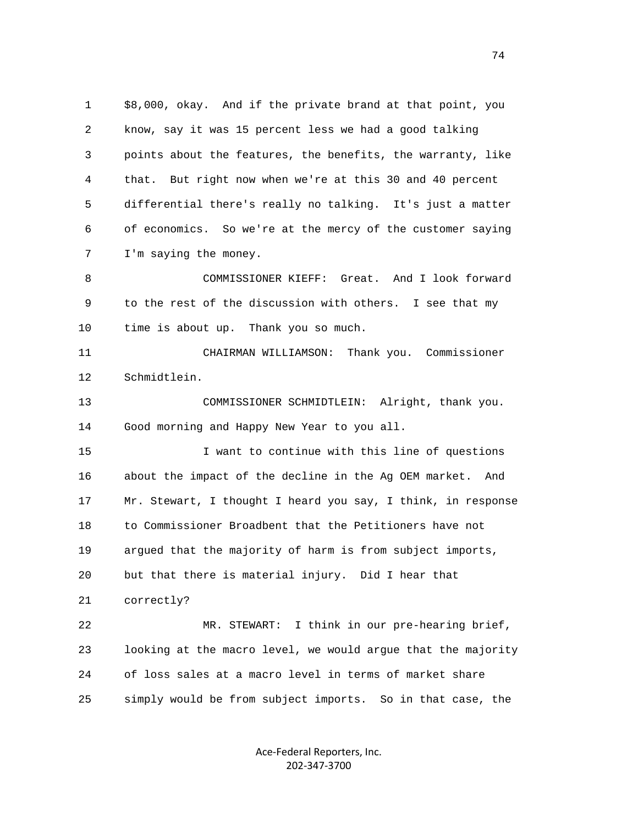1 \$8,000, okay. And if the private brand at that point, you 2 know, say it was 15 percent less we had a good talking 3 points about the features, the benefits, the warranty, like 4 that. But right now when we're at this 30 and 40 percent 5 differential there's really no talking. It's just a matter 6 of economics. So we're at the mercy of the customer saying 7 I'm saying the money.

 8 COMMISSIONER KIEFF: Great. And I look forward 9 to the rest of the discussion with others. I see that my 10 time is about up. Thank you so much.

 11 CHAIRMAN WILLIAMSON: Thank you. Commissioner 12 Schmidtlein.

 13 COMMISSIONER SCHMIDTLEIN: Alright, thank you. 14 Good morning and Happy New Year to you all.

 15 I want to continue with this line of questions 16 about the impact of the decline in the Ag OEM market. And 17 Mr. Stewart, I thought I heard you say, I think, in response 18 to Commissioner Broadbent that the Petitioners have not 19 argued that the majority of harm is from subject imports, 20 but that there is material injury. Did I hear that 21 correctly?

 22 MR. STEWART: I think in our pre-hearing brief, 23 looking at the macro level, we would argue that the majority 24 of loss sales at a macro level in terms of market share 25 simply would be from subject imports. So in that case, the

> Ace‐Federal Reporters, Inc. 202‐347‐3700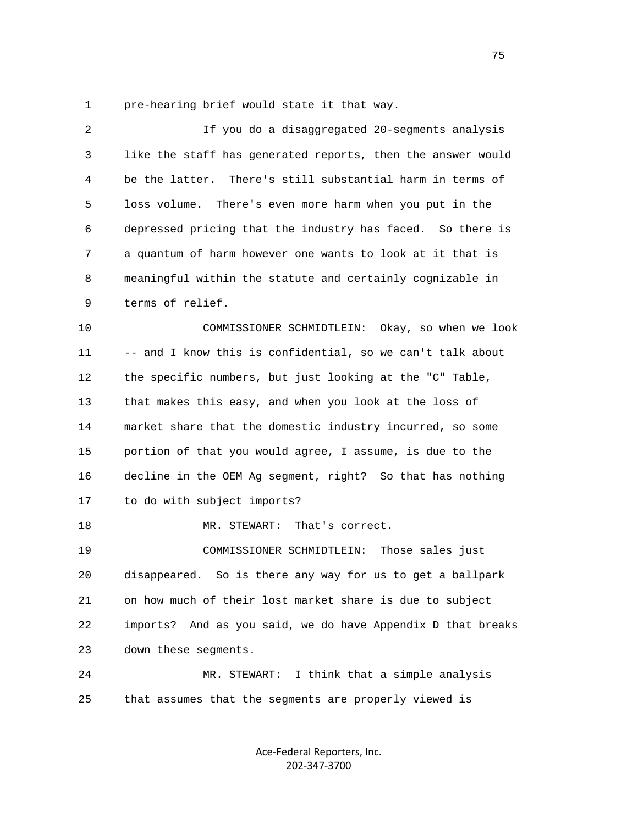1 pre-hearing brief would state it that way.

| 2  | If you do a disaggregated 20-segments analysis                 |
|----|----------------------------------------------------------------|
| 3  | like the staff has generated reports, then the answer would    |
| 4  | be the latter. There's still substantial harm in terms of      |
| 5  | loss volume. There's even more harm when you put in the        |
| 6  | depressed pricing that the industry has faced. So there is     |
| 7  | a quantum of harm however one wants to look at it that is      |
| 8  | meaningful within the statute and certainly cognizable in      |
| 9  | terms of relief.                                               |
| 10 | COMMISSIONER SCHMIDTLEIN: Okay, so when we look                |
| 11 | -- and I know this is confidential, so we can't talk about     |
| 12 | the specific numbers, but just looking at the "C" Table,       |
| 13 | that makes this easy, and when you look at the loss of         |
| 14 | market share that the domestic industry incurred, so some      |
| 15 | portion of that you would agree, I assume, is due to the       |
| 16 | decline in the OEM Ag segment, right? So that has nothing      |
| 17 | to do with subject imports?                                    |
| 18 | MR. STEWART:<br>That's correct.                                |
| 19 | COMMISSIONER SCHMIDTLEIN:<br>Those sales just                  |
| 20 | disappeared. So is there any way for us to get a ballpark      |
| 21 | on how much of their lost market share is due to subject       |
| 22 | And as you said, we do have Appendix D that breaks<br>imports? |
| 23 | down these segments.                                           |
| 24 | I think that a simple analysis<br>MR. STEWART:                 |
| 25 | that assumes that the segments are properly viewed is          |
|    |                                                                |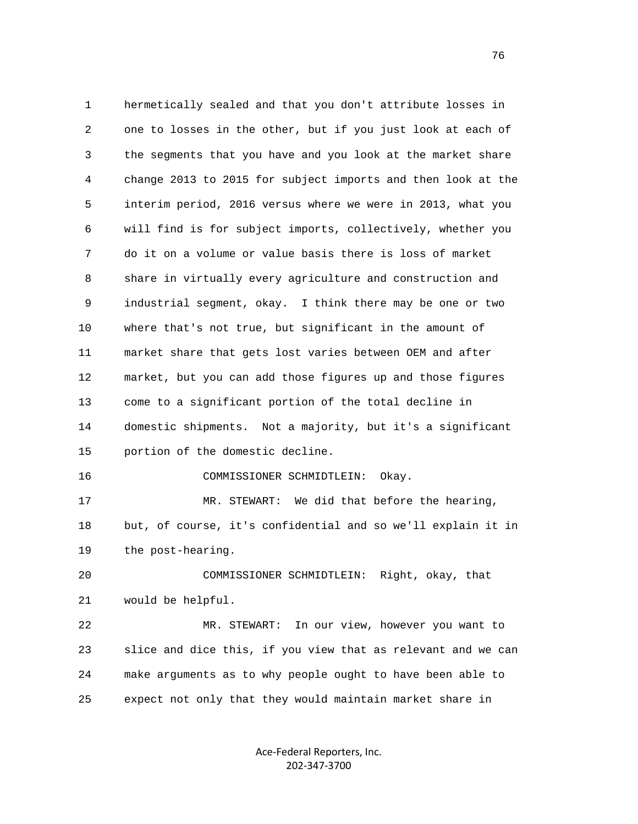1 hermetically sealed and that you don't attribute losses in 2 one to losses in the other, but if you just look at each of 3 the segments that you have and you look at the market share 4 change 2013 to 2015 for subject imports and then look at the 5 interim period, 2016 versus where we were in 2013, what you 6 will find is for subject imports, collectively, whether you 7 do it on a volume or value basis there is loss of market 8 share in virtually every agriculture and construction and 9 industrial segment, okay. I think there may be one or two 10 where that's not true, but significant in the amount of 11 market share that gets lost varies between OEM and after 12 market, but you can add those figures up and those figures 13 come to a significant portion of the total decline in 14 domestic shipments. Not a majority, but it's a significant 15 portion of the domestic decline. 16 COMMISSIONER SCHMIDTLEIN: Okay. 17 MR. STEWART: We did that before the hearing, 18 but, of course, it's confidential and so we'll explain it in 19 the post-hearing. 20 COMMISSIONER SCHMIDTLEIN: Right, okay, that 21 would be helpful. 22 MR. STEWART: In our view, however you want to 23 slice and dice this, if you view that as relevant and we can 24 make arguments as to why people ought to have been able to 25 expect not only that they would maintain market share in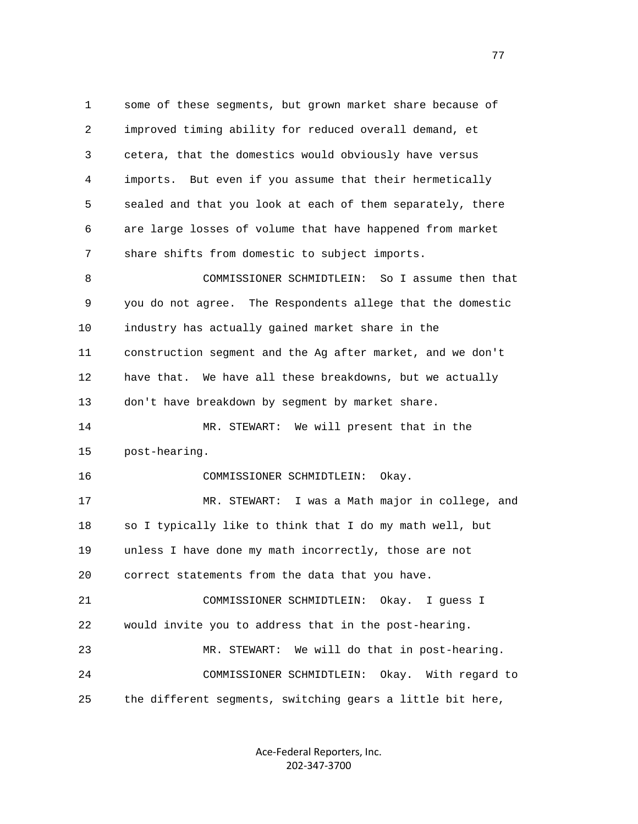1 some of these segments, but grown market share because of 2 improved timing ability for reduced overall demand, et 3 cetera, that the domestics would obviously have versus 4 imports. But even if you assume that their hermetically 5 sealed and that you look at each of them separately, there 6 are large losses of volume that have happened from market 7 share shifts from domestic to subject imports. 8 COMMISSIONER SCHMIDTLEIN: So I assume then that 9 you do not agree. The Respondents allege that the domestic 10 industry has actually gained market share in the 11 construction segment and the Ag after market, and we don't 12 have that. We have all these breakdowns, but we actually 13 don't have breakdown by segment by market share. 14 MR. STEWART: We will present that in the 15 post-hearing. 16 COMMISSIONER SCHMIDTLEIN: Okay. 17 MR. STEWART: I was a Math major in college, and 18 so I typically like to think that I do my math well, but 19 unless I have done my math incorrectly, those are not 20 correct statements from the data that you have. 21 COMMISSIONER SCHMIDTLEIN: Okay. I guess I 22 would invite you to address that in the post-hearing. 23 MR. STEWART: We will do that in post-hearing. 24 COMMISSIONER SCHMIDTLEIN: Okay. With regard to 25 the different segments, switching gears a little bit here,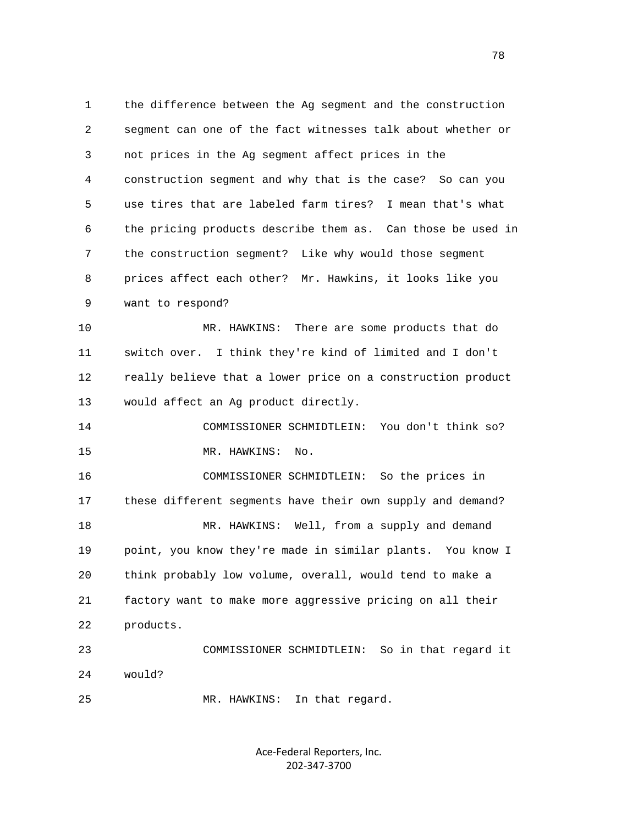1 the difference between the Ag segment and the construction 2 segment can one of the fact witnesses talk about whether or 3 not prices in the Ag segment affect prices in the 4 construction segment and why that is the case? So can you 5 use tires that are labeled farm tires? I mean that's what 6 the pricing products describe them as. Can those be used in 7 the construction segment? Like why would those segment 8 prices affect each other? Mr. Hawkins, it looks like you 9 want to respond?

 10 MR. HAWKINS: There are some products that do 11 switch over. I think they're kind of limited and I don't 12 really believe that a lower price on a construction product 13 would affect an Ag product directly.

 14 COMMISSIONER SCHMIDTLEIN: You don't think so? 15 MR. HAWKINS: No.

 16 COMMISSIONER SCHMIDTLEIN: So the prices in 17 these different segments have their own supply and demand? 18 MR. HAWKINS: Well, from a supply and demand 19 point, you know they're made in similar plants. You know I 20 think probably low volume, overall, would tend to make a 21 factory want to make more aggressive pricing on all their 22 products. 23 COMMISSIONER SCHMIDTLEIN: So in that regard it

24 would?

25 MR. HAWKINS: In that regard.

Ace‐Federal Reporters, Inc. 202‐347‐3700

n and the state of the state of the state of the state of the state of the state of the state of the state of the state of the state of the state of the state of the state of the state of the state of the state of the stat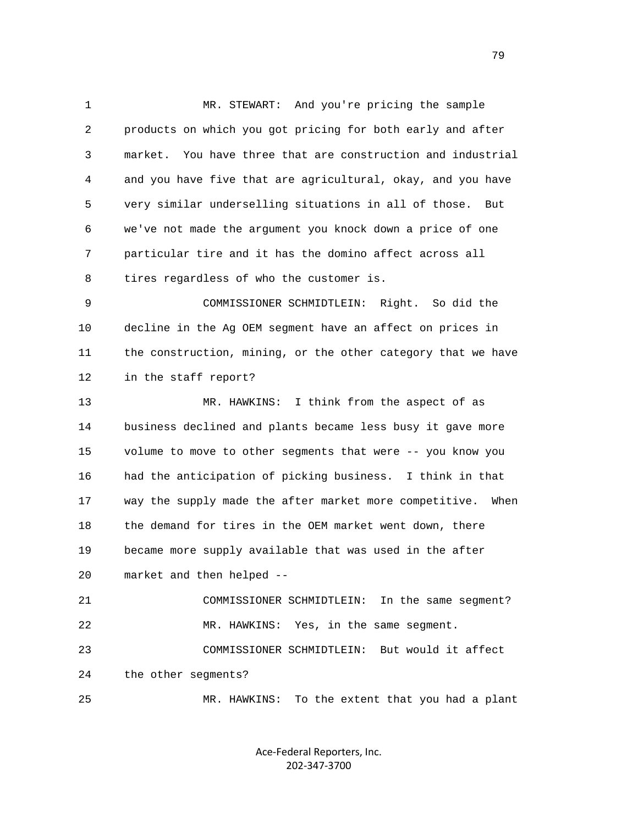1 MR. STEWART: And you're pricing the sample 2 products on which you got pricing for both early and after 3 market. You have three that are construction and industrial 4 and you have five that are agricultural, okay, and you have 5 very similar underselling situations in all of those. But 6 we've not made the argument you knock down a price of one 7 particular tire and it has the domino affect across all 8 tires regardless of who the customer is. 9 COMMISSIONER SCHMIDTLEIN: Right. So did the 10 decline in the Ag OEM segment have an affect on prices in 11 the construction, mining, or the other category that we have 12 in the staff report? 13 MR. HAWKINS: I think from the aspect of as 14 business declined and plants became less busy it gave more 15 volume to move to other segments that were -- you know you 16 had the anticipation of picking business. I think in that 17 way the supply made the after market more competitive. When 18 the demand for tires in the OEM market went down, there 19 became more supply available that was used in the after 20 market and then helped -- 21 COMMISSIONER SCHMIDTLEIN: In the same segment? 22 MR. HAWKINS: Yes, in the same segment. 23 COMMISSIONER SCHMIDTLEIN: But would it affect 24 the other segments? 25 MR. HAWKINS: To the extent that you had a plant

> Ace‐Federal Reporters, Inc. 202‐347‐3700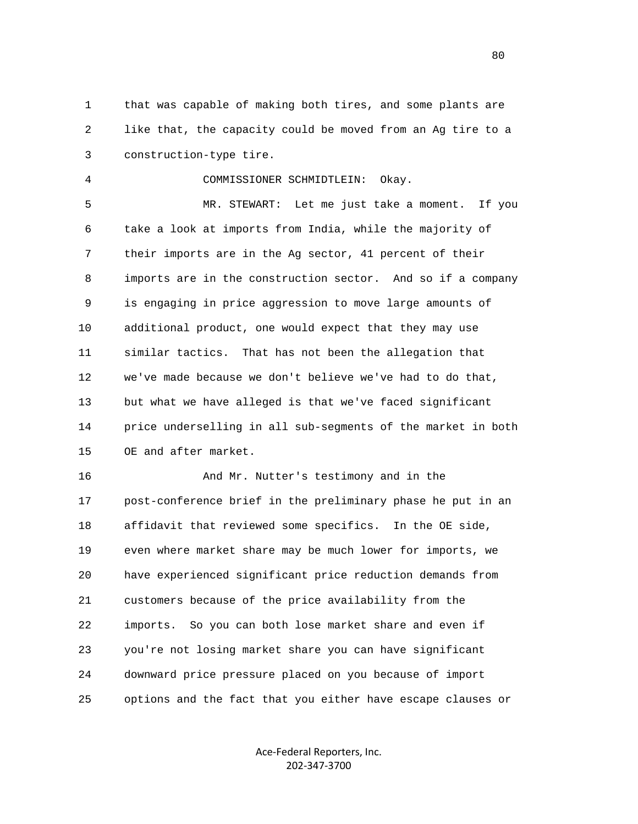1 that was capable of making both tires, and some plants are 2 like that, the capacity could be moved from an Ag tire to a 3 construction-type tire.

4 COMMISSIONER SCHMIDTLEIN: Okay.

 5 MR. STEWART: Let me just take a moment. If you 6 take a look at imports from India, while the majority of 7 their imports are in the Ag sector, 41 percent of their 8 imports are in the construction sector. And so if a company 9 is engaging in price aggression to move large amounts of 10 additional product, one would expect that they may use 11 similar tactics. That has not been the allegation that 12 we've made because we don't believe we've had to do that, 13 but what we have alleged is that we've faced significant 14 price underselling in all sub-segments of the market in both 15 OE and after market.

16 And Mr. Nutter's testimony and in the 17 post-conference brief in the preliminary phase he put in an 18 affidavit that reviewed some specifics. In the OE side, 19 even where market share may be much lower for imports, we 20 have experienced significant price reduction demands from 21 customers because of the price availability from the 22 imports. So you can both lose market share and even if 23 you're not losing market share you can have significant 24 downward price pressure placed on you because of import 25 options and the fact that you either have escape clauses or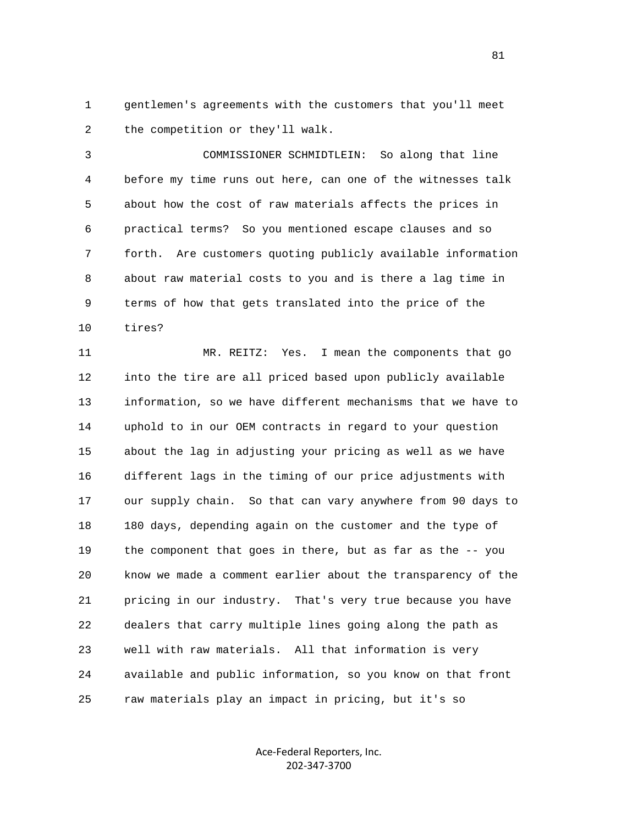1 gentlemen's agreements with the customers that you'll meet 2 the competition or they'll walk.

 3 COMMISSIONER SCHMIDTLEIN: So along that line 4 before my time runs out here, can one of the witnesses talk 5 about how the cost of raw materials affects the prices in 6 practical terms? So you mentioned escape clauses and so 7 forth. Are customers quoting publicly available information 8 about raw material costs to you and is there a lag time in 9 terms of how that gets translated into the price of the 10 tires?

 11 MR. REITZ: Yes. I mean the components that go 12 into the tire are all priced based upon publicly available 13 information, so we have different mechanisms that we have to 14 uphold to in our OEM contracts in regard to your question 15 about the lag in adjusting your pricing as well as we have 16 different lags in the timing of our price adjustments with 17 our supply chain. So that can vary anywhere from 90 days to 18 180 days, depending again on the customer and the type of 19 the component that goes in there, but as far as the -- you 20 know we made a comment earlier about the transparency of the 21 pricing in our industry. That's very true because you have 22 dealers that carry multiple lines going along the path as 23 well with raw materials. All that information is very 24 available and public information, so you know on that front 25 raw materials play an impact in pricing, but it's so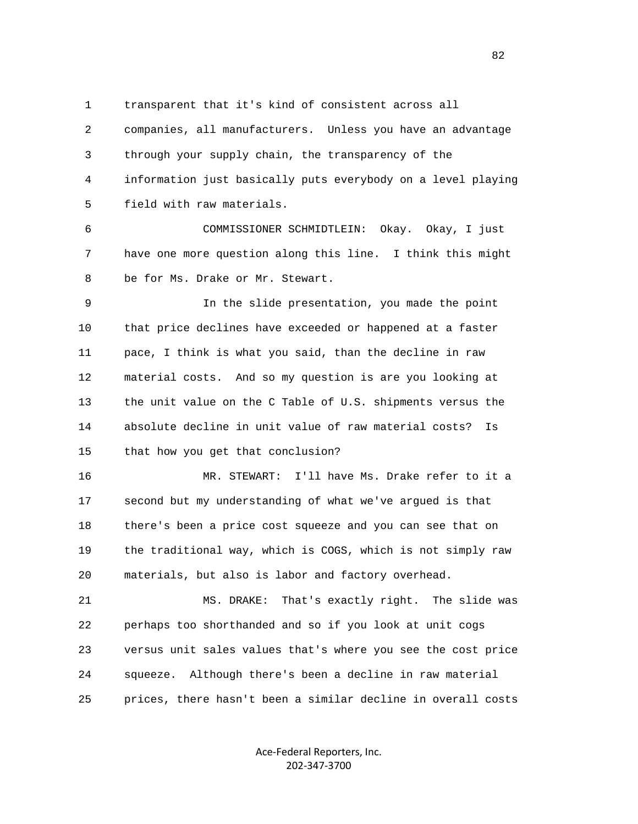1 transparent that it's kind of consistent across all 2 companies, all manufacturers. Unless you have an advantage 3 through your supply chain, the transparency of the 4 information just basically puts everybody on a level playing 5 field with raw materials.

 6 COMMISSIONER SCHMIDTLEIN: Okay. Okay, I just 7 have one more question along this line. I think this might 8 be for Ms. Drake or Mr. Stewart.

 9 In the slide presentation, you made the point 10 that price declines have exceeded or happened at a faster 11 pace, I think is what you said, than the decline in raw 12 material costs. And so my question is are you looking at 13 the unit value on the C Table of U.S. shipments versus the 14 absolute decline in unit value of raw material costs? Is 15 that how you get that conclusion?

 16 MR. STEWART: I'll have Ms. Drake refer to it a 17 second but my understanding of what we've argued is that 18 there's been a price cost squeeze and you can see that on 19 the traditional way, which is COGS, which is not simply raw 20 materials, but also is labor and factory overhead.

 21 MS. DRAKE: That's exactly right. The slide was 22 perhaps too shorthanded and so if you look at unit cogs 23 versus unit sales values that's where you see the cost price 24 squeeze. Although there's been a decline in raw material 25 prices, there hasn't been a similar decline in overall costs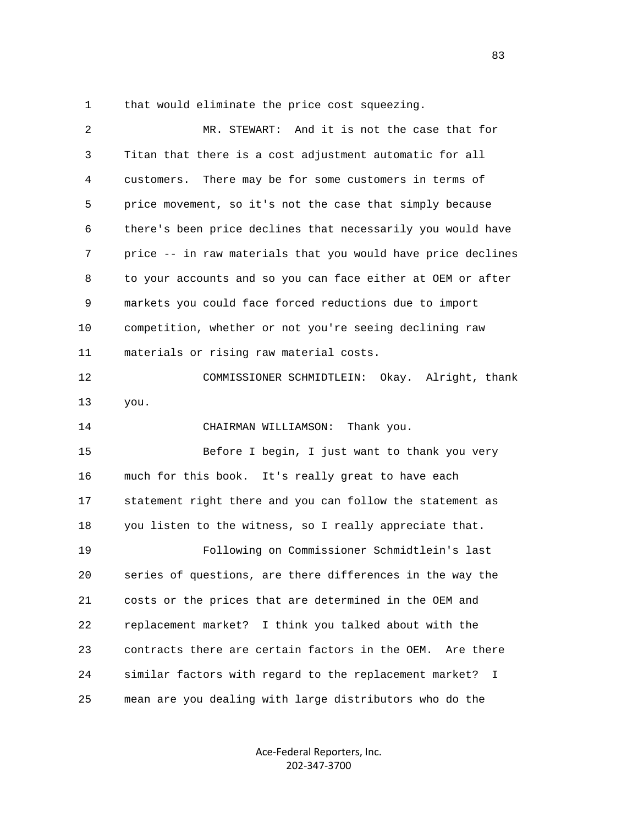1 that would eliminate the price cost squeezing.

| 2  | MR. STEWART: And it is not the case that for                 |
|----|--------------------------------------------------------------|
| 3  | Titan that there is a cost adjustment automatic for all      |
| 4  | There may be for some customers in terms of<br>customers.    |
| 5  | price movement, so it's not the case that simply because     |
| 6  | there's been price declines that necessarily you would have  |
| 7  | price -- in raw materials that you would have price declines |
| 8  | to your accounts and so you can face either at OEM or after  |
| 9  | markets you could face forced reductions due to import       |
| 10 | competition, whether or not you're seeing declining raw      |
| 11 | materials or rising raw material costs.                      |
| 12 | COMMISSIONER SCHMIDTLEIN: Okay. Alright, thank               |
| 13 | you.                                                         |
| 14 | CHAIRMAN WILLIAMSON:<br>Thank you.                           |
| 15 | Before I begin, I just want to thank you very                |
| 16 | much for this book. It's really great to have each           |
| 17 | statement right there and you can follow the statement as    |
| 18 | you listen to the witness, so I really appreciate that.      |
| 19 | Following on Commissioner Schmidtlein's last                 |
| 20 | series of questions, are there differences in the way the    |
| 21 | costs or the prices that are determined in the OEM and       |
| 22 | replacement market? I think you talked about with the        |
| 23 | contracts there are certain factors in the OEM.<br>Are there |
| 24 | similar factors with regard to the replacement market?<br>I  |
| 25 | mean are you dealing with large distributors who do the      |

Ace‐Federal Reporters, Inc. 202‐347‐3700

<u>83</u>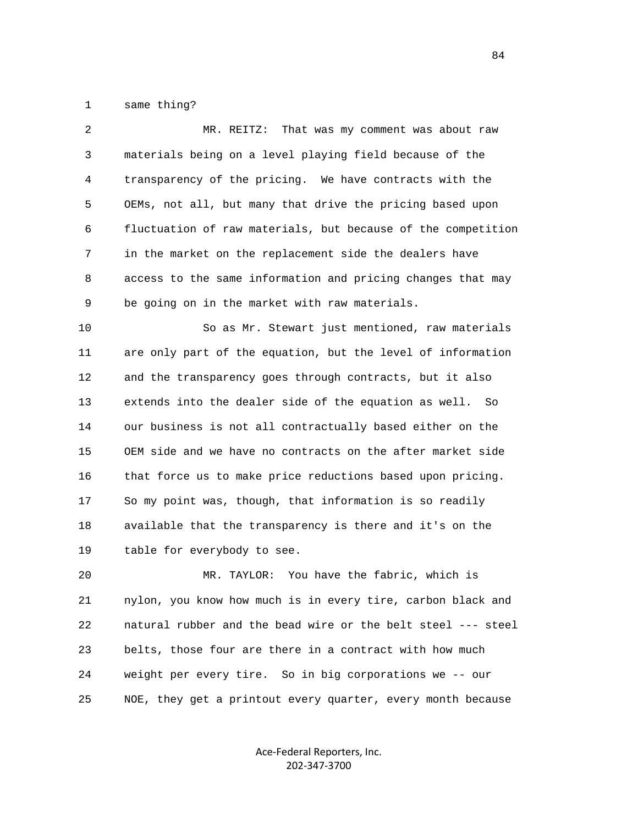1 same thing?

| 2  | That was my comment was about raw<br>MR. REITZ:              |
|----|--------------------------------------------------------------|
| 3  | materials being on a level playing field because of the      |
| 4  | transparency of the pricing. We have contracts with the      |
| 5  | OEMs, not all, but many that drive the pricing based upon    |
| 6  | fluctuation of raw materials, but because of the competition |
| 7  | in the market on the replacement side the dealers have       |
| 8  | access to the same information and pricing changes that may  |
| 9  | be going on in the market with raw materials.                |
| 10 | So as Mr. Stewart just mentioned, raw materials              |
| 11 | are only part of the equation, but the level of information  |
| 12 | and the transparency goes through contracts, but it also     |
| 13 | extends into the dealer side of the equation as well.<br>So  |
| 14 | our business is not all contractually based either on the    |
| 15 | OEM side and we have no contracts on the after market side   |
| 16 | that force us to make price reductions based upon pricing.   |
| 17 | So my point was, though, that information is so readily      |
| 18 | available that the transparency is there and it's on the     |
| 19 | table for everybody to see.                                  |
| 20 | You have the fabric, which is<br>MR. TAYLOR:                 |
| 21 | nylon, you know how much is in every tire, carbon black and  |
| 22 | natural rubber and the bead wire or the belt steel --- steel |
|    |                                                              |

 24 weight per every tire. So in big corporations we -- our 25 NOE, they get a printout every quarter, every month because

23 belts, those four are there in a contract with how much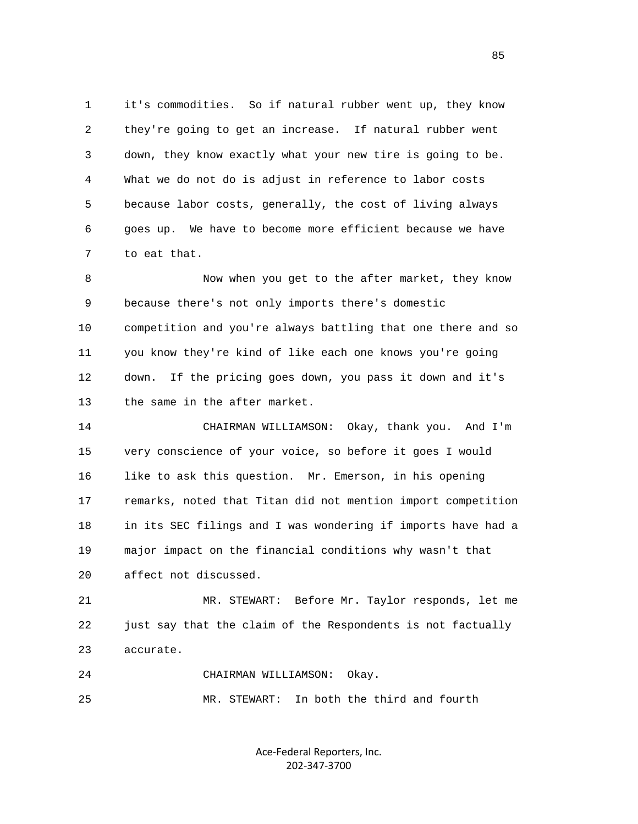1 it's commodities. So if natural rubber went up, they know 2 they're going to get an increase. If natural rubber went 3 down, they know exactly what your new tire is going to be. 4 What we do not do is adjust in reference to labor costs 5 because labor costs, generally, the cost of living always 6 goes up. We have to become more efficient because we have 7 to eat that.

 8 Now when you get to the after market, they know 9 because there's not only imports there's domestic 10 competition and you're always battling that one there and so 11 you know they're kind of like each one knows you're going 12 down. If the pricing goes down, you pass it down and it's 13 the same in the after market.

 14 CHAIRMAN WILLIAMSON: Okay, thank you. And I'm 15 very conscience of your voice, so before it goes I would 16 like to ask this question. Mr. Emerson, in his opening 17 remarks, noted that Titan did not mention import competition 18 in its SEC filings and I was wondering if imports have had a 19 major impact on the financial conditions why wasn't that 20 affect not discussed.

 21 MR. STEWART: Before Mr. Taylor responds, let me 22 just say that the claim of the Respondents is not factually 23 accurate.

 24 CHAIRMAN WILLIAMSON: Okay. 25 MR. STEWART: In both the third and fourth

> Ace‐Federal Reporters, Inc. 202‐347‐3700

<u>85</u>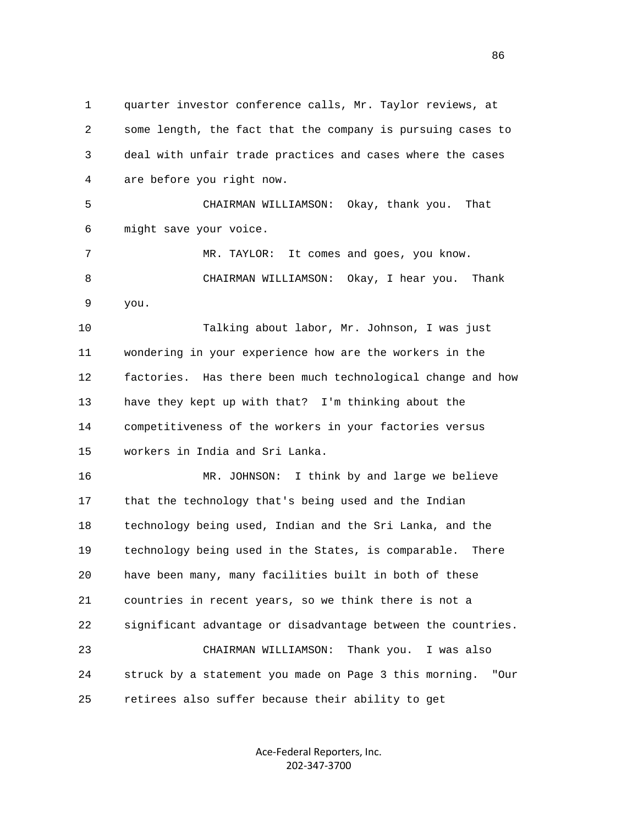1 quarter investor conference calls, Mr. Taylor reviews, at 2 some length, the fact that the company is pursuing cases to 3 deal with unfair trade practices and cases where the cases 4 are before you right now. 5 CHAIRMAN WILLIAMSON: Okay, thank you. That 6 might save your voice. 7 MR. TAYLOR: It comes and goes, you know. 8 CHAIRMAN WILLIAMSON: Okay, I hear you. Thank 9 you. 10 Talking about labor, Mr. Johnson, I was just 11 wondering in your experience how are the workers in the 12 factories. Has there been much technological change and how 13 have they kept up with that? I'm thinking about the 14 competitiveness of the workers in your factories versus 15 workers in India and Sri Lanka. 16 MR. JOHNSON: I think by and large we believe 17 that the technology that's being used and the Indian 18 technology being used, Indian and the Sri Lanka, and the 19 technology being used in the States, is comparable. There 20 have been many, many facilities built in both of these 21 countries in recent years, so we think there is not a 22 significant advantage or disadvantage between the countries. 23 CHAIRMAN WILLIAMSON: Thank you. I was also 24 struck by a statement you made on Page 3 this morning. "Our 25 retirees also suffer because their ability to get

> Ace‐Federal Reporters, Inc. 202‐347‐3700

<u>86 and 2001 and 2002 and 2003 and 2003 and 2003 and 2003 and 2003 and 2003 and 2003 and 2003 and 2003 and 200</u>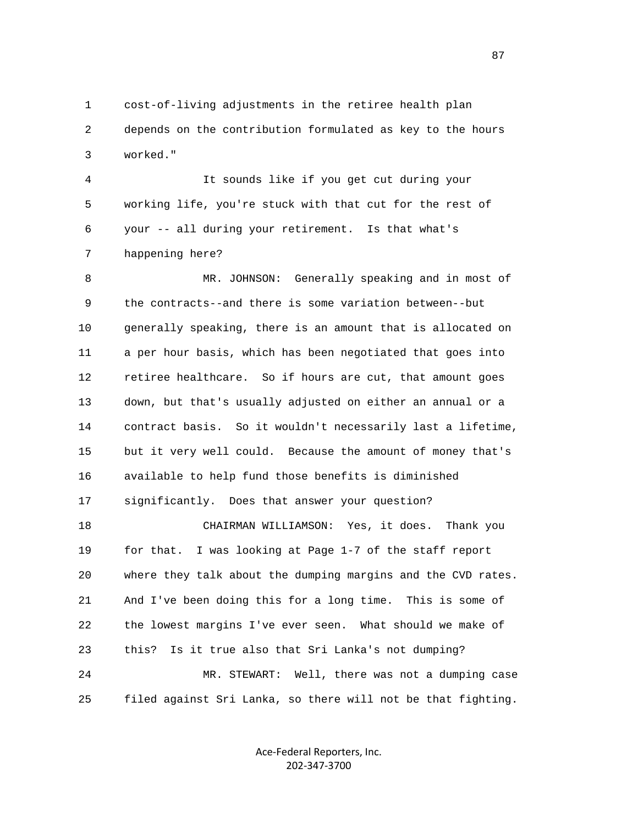1 cost-of-living adjustments in the retiree health plan 2 depends on the contribution formulated as key to the hours 3 worked."

 4 It sounds like if you get cut during your 5 working life, you're stuck with that cut for the rest of 6 your -- all during your retirement. Is that what's 7 happening here?

 8 MR. JOHNSON: Generally speaking and in most of 9 the contracts--and there is some variation between--but 10 generally speaking, there is an amount that is allocated on 11 a per hour basis, which has been negotiated that goes into 12 retiree healthcare. So if hours are cut, that amount goes 13 down, but that's usually adjusted on either an annual or a 14 contract basis. So it wouldn't necessarily last a lifetime, 15 but it very well could. Because the amount of money that's 16 available to help fund those benefits is diminished 17 significantly. Does that answer your question? 18 CHAIRMAN WILLIAMSON: Yes, it does. Thank you 19 for that. I was looking at Page 1-7 of the staff report 20 where they talk about the dumping margins and the CVD rates. 21 And I've been doing this for a long time. This is some of

22 the lowest margins I've ever seen. What should we make of

23 this? Is it true also that Sri Lanka's not dumping?

 24 MR. STEWART: Well, there was not a dumping case 25 filed against Sri Lanka, so there will not be that fighting.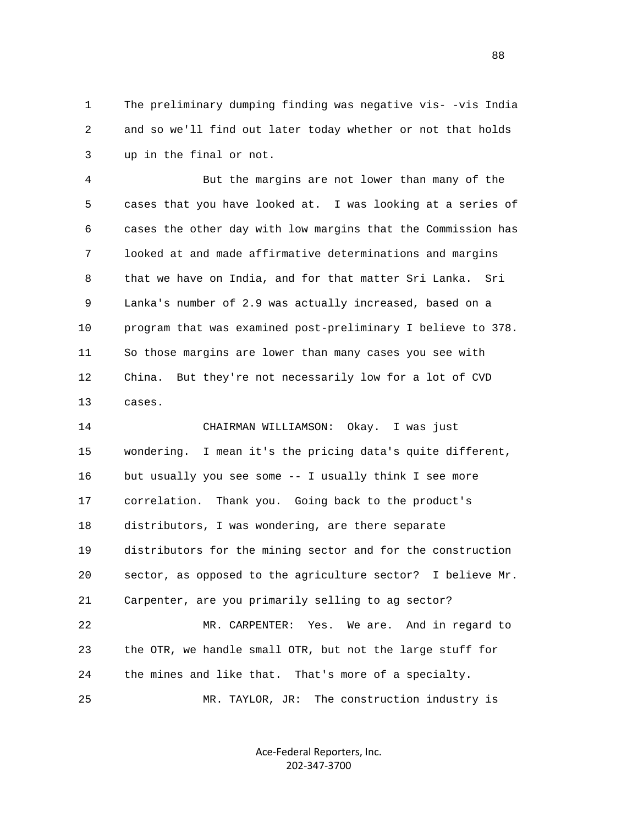1 The preliminary dumping finding was negative vis- -vis India 2 and so we'll find out later today whether or not that holds 3 up in the final or not.

 4 But the margins are not lower than many of the 5 cases that you have looked at. I was looking at a series of 6 cases the other day with low margins that the Commission has 7 looked at and made affirmative determinations and margins 8 that we have on India, and for that matter Sri Lanka. Sri 9 Lanka's number of 2.9 was actually increased, based on a 10 program that was examined post-preliminary I believe to 378. 11 So those margins are lower than many cases you see with 12 China. But they're not necessarily low for a lot of CVD 13 cases.

 14 CHAIRMAN WILLIAMSON: Okay. I was just 15 wondering. I mean it's the pricing data's quite different, 16 but usually you see some -- I usually think I see more 17 correlation. Thank you. Going back to the product's 18 distributors, I was wondering, are there separate 19 distributors for the mining sector and for the construction 20 sector, as opposed to the agriculture sector? I believe Mr. 21 Carpenter, are you primarily selling to ag sector? 22 MR. CARPENTER: Yes. We are. And in regard to 23 the OTR, we handle small OTR, but not the large stuff for 24 the mines and like that. That's more of a specialty. 25 MR. TAYLOR, JR: The construction industry is

> Ace‐Federal Reporters, Inc. 202‐347‐3700

en and the state of the state of the state of the state of the state of the state of the state of the state of the state of the state of the state of the state of the state of the state of the state of the state of the sta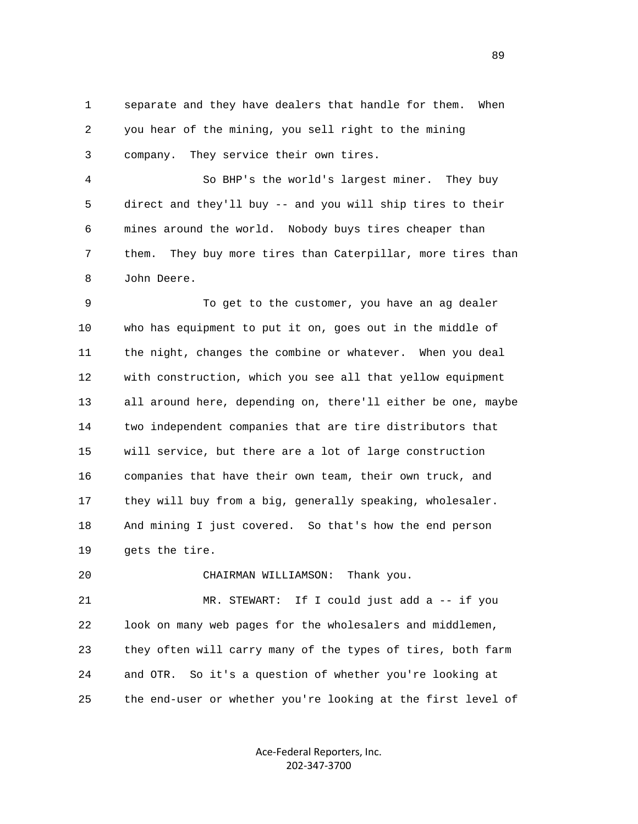1 separate and they have dealers that handle for them. When 2 you hear of the mining, you sell right to the mining 3 company. They service their own tires.

 4 So BHP's the world's largest miner. They buy 5 direct and they'll buy -- and you will ship tires to their 6 mines around the world. Nobody buys tires cheaper than 7 them. They buy more tires than Caterpillar, more tires than 8 John Deere.

 9 To get to the customer, you have an ag dealer 10 who has equipment to put it on, goes out in the middle of 11 the night, changes the combine or whatever. When you deal 12 with construction, which you see all that yellow equipment 13 all around here, depending on, there'll either be one, maybe 14 two independent companies that are tire distributors that 15 will service, but there are a lot of large construction 16 companies that have their own team, their own truck, and 17 they will buy from a big, generally speaking, wholesaler. 18 And mining I just covered. So that's how the end person 19 gets the tire.

20 CHAIRMAN WILLIAMSON: Thank you.

 21 MR. STEWART: If I could just add a -- if you 22 look on many web pages for the wholesalers and middlemen, 23 they often will carry many of the types of tires, both farm 24 and OTR. So it's a question of whether you're looking at 25 the end-user or whether you're looking at the first level of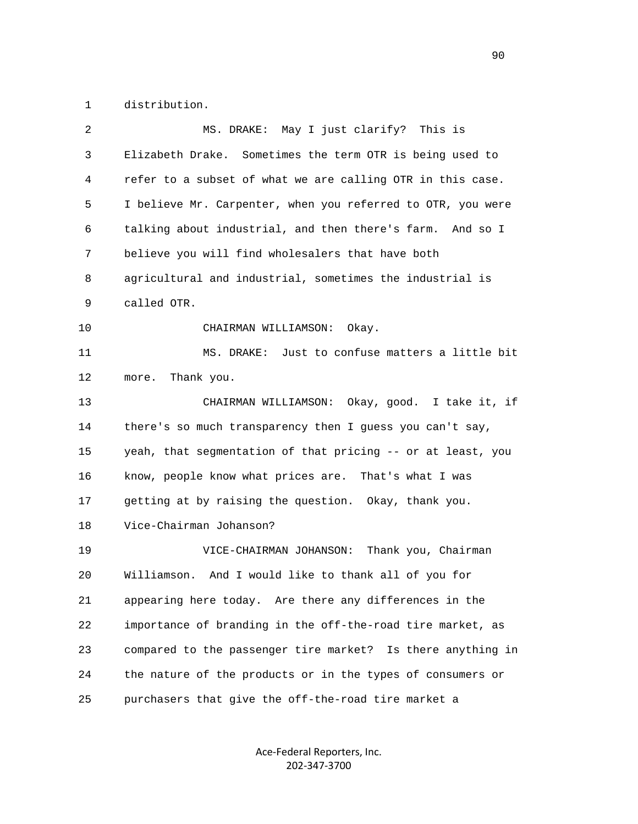1 distribution.

| 2  | MS. DRAKE: May I just clarify?<br>This is                   |
|----|-------------------------------------------------------------|
| 3  | Elizabeth Drake. Sometimes the term OTR is being used to    |
| 4  | refer to a subset of what we are calling OTR in this case.  |
| 5  | I believe Mr. Carpenter, when you referred to OTR, you were |
| 6  | talking about industrial, and then there's farm. And so I   |
| 7  | believe you will find wholesalers that have both            |
| 8  | agricultural and industrial, sometimes the industrial is    |
| 9  | called OTR.                                                 |
| 10 | CHAIRMAN WILLIAMSON: Okay.                                  |
| 11 | MS. DRAKE: Just to confuse matters a little bit             |
| 12 | Thank you.<br>more.                                         |
| 13 | CHAIRMAN WILLIAMSON: Okay, good. I take it, if              |
| 14 | there's so much transparency then I guess you can't say,    |
| 15 | yeah, that segmentation of that pricing -- or at least, you |
| 16 | know, people know what prices are. That's what I was        |
| 17 | getting at by raising the question. Okay, thank you.        |
| 18 | Vice-Chairman Johanson?                                     |
| 19 | Thank you, Chairman<br>VICE-CHAIRMAN JOHANSON:              |
| 20 | Williamson.<br>And I would like to thank all of you for     |
| 21 | appearing here today. Are there any differences in the      |
| 22 | importance of branding in the off-the-road tire market, as  |
| 23 | compared to the passenger tire market? Is there anything in |
| 24 | the nature of the products or in the types of consumers or  |
| 25 | purchasers that give the off-the-road tire market a         |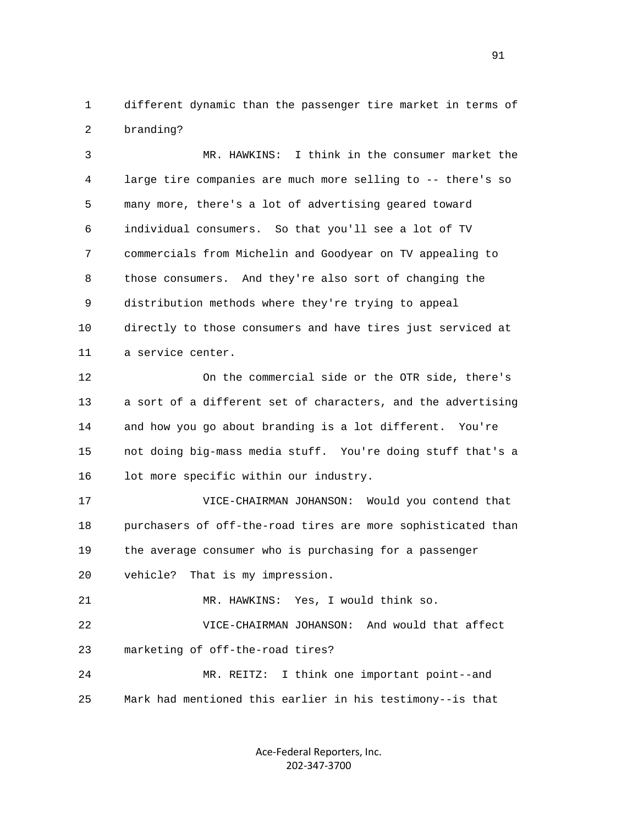1 different dynamic than the passenger tire market in terms of 2 branding?

 3 MR. HAWKINS: I think in the consumer market the 4 large tire companies are much more selling to -- there's so 5 many more, there's a lot of advertising geared toward 6 individual consumers. So that you'll see a lot of TV 7 commercials from Michelin and Goodyear on TV appealing to 8 those consumers. And they're also sort of changing the 9 distribution methods where they're trying to appeal 10 directly to those consumers and have tires just serviced at 11 a service center.

 12 On the commercial side or the OTR side, there's 13 a sort of a different set of characters, and the advertising 14 and how you go about branding is a lot different. You're 15 not doing big-mass media stuff. You're doing stuff that's a 16 lot more specific within our industry.

 17 VICE-CHAIRMAN JOHANSON: Would you contend that 18 purchasers of off-the-road tires are more sophisticated than 19 the average consumer who is purchasing for a passenger 20 vehicle? That is my impression.

21 MR. HAWKINS: Yes, I would think so.

 22 VICE-CHAIRMAN JOHANSON: And would that affect 23 marketing of off-the-road tires?

 24 MR. REITZ: I think one important point--and 25 Mark had mentioned this earlier in his testimony--is that

> Ace‐Federal Reporters, Inc. 202‐347‐3700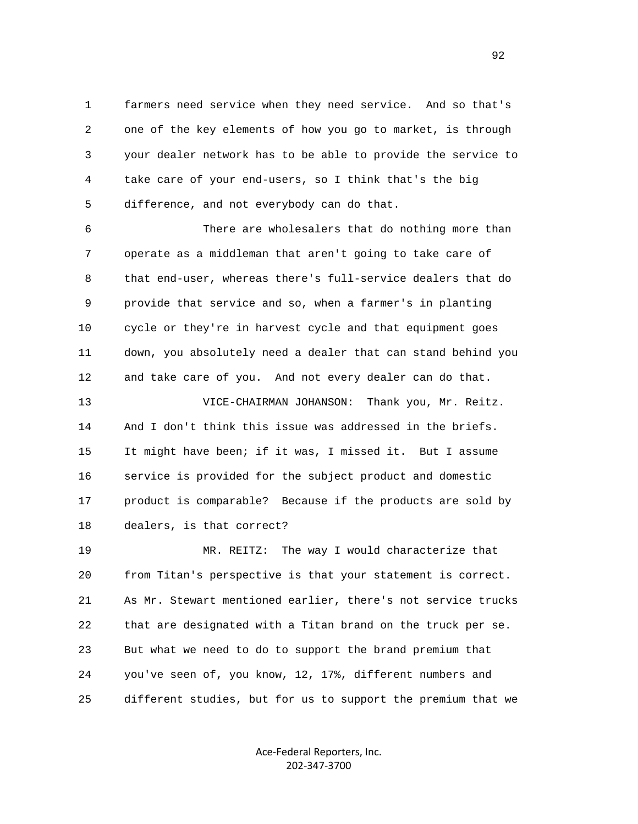1 farmers need service when they need service. And so that's 2 one of the key elements of how you go to market, is through 3 your dealer network has to be able to provide the service to 4 take care of your end-users, so I think that's the big 5 difference, and not everybody can do that.

 6 There are wholesalers that do nothing more than 7 operate as a middleman that aren't going to take care of 8 that end-user, whereas there's full-service dealers that do 9 provide that service and so, when a farmer's in planting 10 cycle or they're in harvest cycle and that equipment goes 11 down, you absolutely need a dealer that can stand behind you 12 and take care of you. And not every dealer can do that.

 13 VICE-CHAIRMAN JOHANSON: Thank you, Mr. Reitz. 14 And I don't think this issue was addressed in the briefs. 15 It might have been; if it was, I missed it. But I assume 16 service is provided for the subject product and domestic 17 product is comparable? Because if the products are sold by 18 dealers, is that correct?

 19 MR. REITZ: The way I would characterize that 20 from Titan's perspective is that your statement is correct. 21 As Mr. Stewart mentioned earlier, there's not service trucks 22 that are designated with a Titan brand on the truck per se. 23 But what we need to do to support the brand premium that 24 you've seen of, you know, 12, 17%, different numbers and 25 different studies, but for us to support the premium that we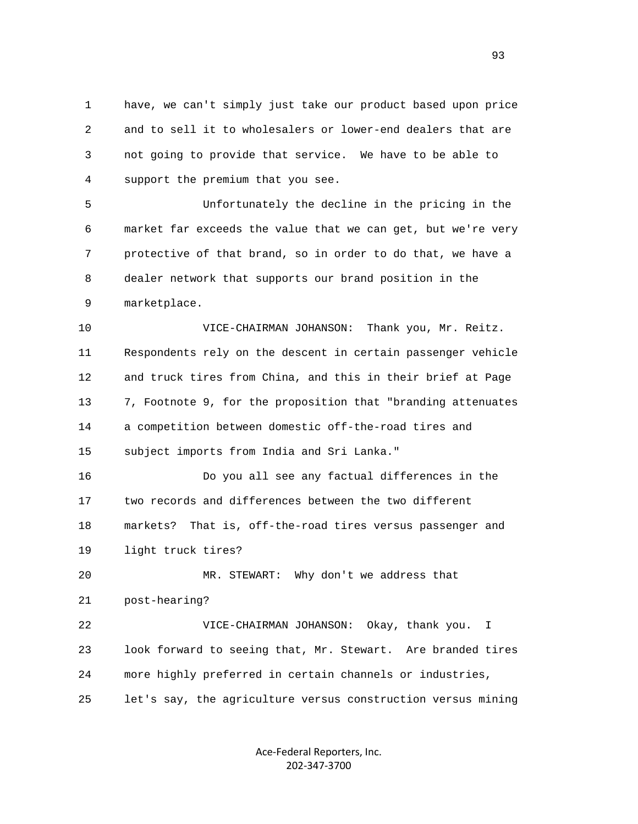1 have, we can't simply just take our product based upon price 2 and to sell it to wholesalers or lower-end dealers that are 3 not going to provide that service. We have to be able to 4 support the premium that you see.

 5 Unfortunately the decline in the pricing in the 6 market far exceeds the value that we can get, but we're very 7 protective of that brand, so in order to do that, we have a 8 dealer network that supports our brand position in the 9 marketplace.

 10 VICE-CHAIRMAN JOHANSON: Thank you, Mr. Reitz. 11 Respondents rely on the descent in certain passenger vehicle 12 and truck tires from China, and this in their brief at Page 13 7, Footnote 9, for the proposition that "branding attenuates 14 a competition between domestic off-the-road tires and 15 subject imports from India and Sri Lanka."

 16 Do you all see any factual differences in the 17 two records and differences between the two different 18 markets? That is, off-the-road tires versus passenger and 19 light truck tires?

 20 MR. STEWART: Why don't we address that 21 post-hearing? 22 VICE-CHAIRMAN JOHANSON: Okay, thank you. I 23 look forward to seeing that, Mr. Stewart. Are branded tires

24 more highly preferred in certain channels or industries,

25 let's say, the agriculture versus construction versus mining

Ace‐Federal Reporters, Inc. 202‐347‐3700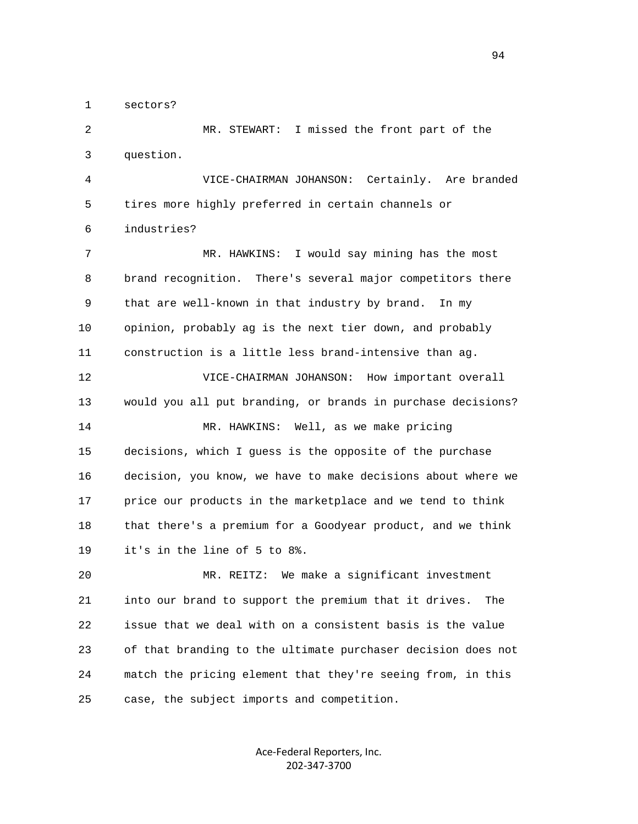1 sectors?

 2 MR. STEWART: I missed the front part of the 3 question.

 4 VICE-CHAIRMAN JOHANSON: Certainly. Are branded 5 tires more highly preferred in certain channels or 6 industries?

 7 MR. HAWKINS: I would say mining has the most 8 brand recognition. There's several major competitors there 9 that are well-known in that industry by brand. In my 10 opinion, probably ag is the next tier down, and probably 11 construction is a little less brand-intensive than ag.

 12 VICE-CHAIRMAN JOHANSON: How important overall 13 would you all put branding, or brands in purchase decisions? 14 MR. HAWKINS: Well, as we make pricing 15 decisions, which I guess is the opposite of the purchase 16 decision, you know, we have to make decisions about where we 17 price our products in the marketplace and we tend to think 18 that there's a premium for a Goodyear product, and we think 19 it's in the line of 5 to 8%.

 20 MR. REITZ: We make a significant investment 21 into our brand to support the premium that it drives. The 22 issue that we deal with on a consistent basis is the value 23 of that branding to the ultimate purchaser decision does not 24 match the pricing element that they're seeing from, in this 25 case, the subject imports and competition.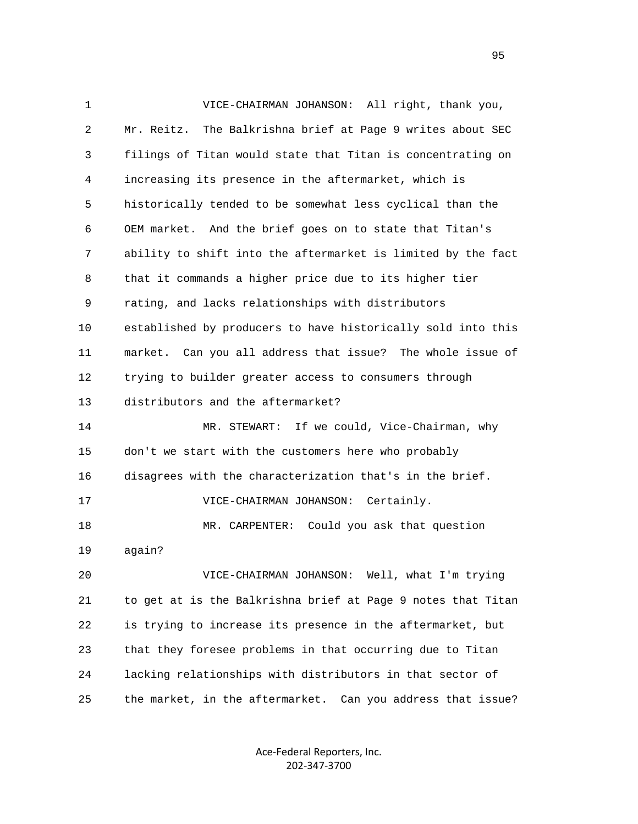1 VICE-CHAIRMAN JOHANSON: All right, thank you, 2 Mr. Reitz. The Balkrishna brief at Page 9 writes about SEC 3 filings of Titan would state that Titan is concentrating on 4 increasing its presence in the aftermarket, which is 5 historically tended to be somewhat less cyclical than the 6 OEM market. And the brief goes on to state that Titan's 7 ability to shift into the aftermarket is limited by the fact 8 that it commands a higher price due to its higher tier 9 rating, and lacks relationships with distributors 10 established by producers to have historically sold into this 11 market. Can you all address that issue? The whole issue of 12 trying to builder greater access to consumers through 13 distributors and the aftermarket? 14 MR. STEWART: If we could, Vice-Chairman, why 15 don't we start with the customers here who probably 16 disagrees with the characterization that's in the brief. 17 VICE-CHAIRMAN JOHANSON: Certainly. 18 MR. CARPENTER: Could you ask that question 19 again? 20 VICE-CHAIRMAN JOHANSON: Well, what I'm trying 21 to get at is the Balkrishna brief at Page 9 notes that Titan 22 is trying to increase its presence in the aftermarket, but 23 that they foresee problems in that occurring due to Titan 24 lacking relationships with distributors in that sector of 25 the market, in the aftermarket. Can you address that issue?

> Ace‐Federal Reporters, Inc. 202‐347‐3700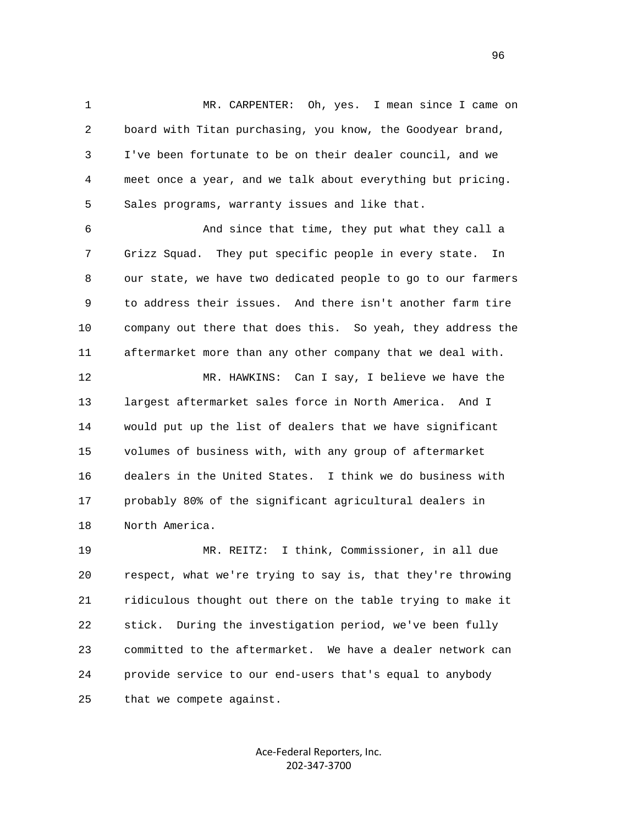1 MR. CARPENTER: Oh, yes. I mean since I came on 2 board with Titan purchasing, you know, the Goodyear brand, 3 I've been fortunate to be on their dealer council, and we 4 meet once a year, and we talk about everything but pricing. 5 Sales programs, warranty issues and like that.

 6 And since that time, they put what they call a 7 Grizz Squad. They put specific people in every state. In 8 our state, we have two dedicated people to go to our farmers 9 to address their issues. And there isn't another farm tire 10 company out there that does this. So yeah, they address the 11 aftermarket more than any other company that we deal with.

 12 MR. HAWKINS: Can I say, I believe we have the 13 largest aftermarket sales force in North America. And I 14 would put up the list of dealers that we have significant 15 volumes of business with, with any group of aftermarket 16 dealers in the United States. I think we do business with 17 probably 80% of the significant agricultural dealers in 18 North America.

 19 MR. REITZ: I think, Commissioner, in all due 20 respect, what we're trying to say is, that they're throwing 21 ridiculous thought out there on the table trying to make it 22 stick. During the investigation period, we've been fully 23 committed to the aftermarket. We have a dealer network can 24 provide service to our end-users that's equal to anybody 25 that we compete against.

> Ace‐Federal Reporters, Inc. 202‐347‐3700

<u>96</u>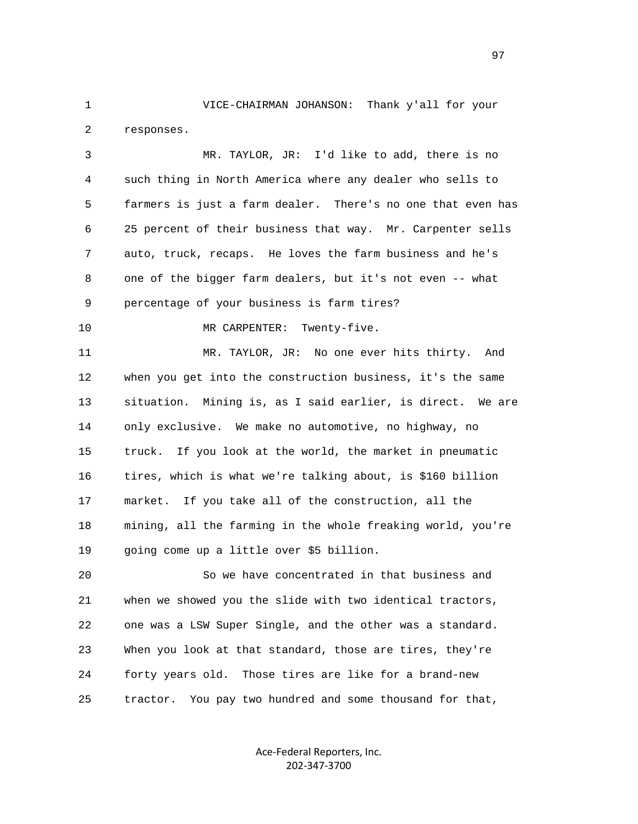1 VICE-CHAIRMAN JOHANSON: Thank y'all for your 2 responses.

 3 MR. TAYLOR, JR: I'd like to add, there is no 4 such thing in North America where any dealer who sells to 5 farmers is just a farm dealer. There's no one that even has 6 25 percent of their business that way. Mr. Carpenter sells 7 auto, truck, recaps. He loves the farm business and he's 8 one of the bigger farm dealers, but it's not even -- what 9 percentage of your business is farm tires?

10 MR CARPENTER: Twenty-five.

 11 MR. TAYLOR, JR: No one ever hits thirty. And 12 when you get into the construction business, it's the same 13 situation. Mining is, as I said earlier, is direct. We are 14 only exclusive. We make no automotive, no highway, no 15 truck. If you look at the world, the market in pneumatic 16 tires, which is what we're talking about, is \$160 billion 17 market. If you take all of the construction, all the 18 mining, all the farming in the whole freaking world, you're 19 going come up a little over \$5 billion.

 20 So we have concentrated in that business and 21 when we showed you the slide with two identical tractors, 22 one was a LSW Super Single, and the other was a standard. 23 When you look at that standard, those are tires, they're 24 forty years old. Those tires are like for a brand-new 25 tractor. You pay two hundred and some thousand for that,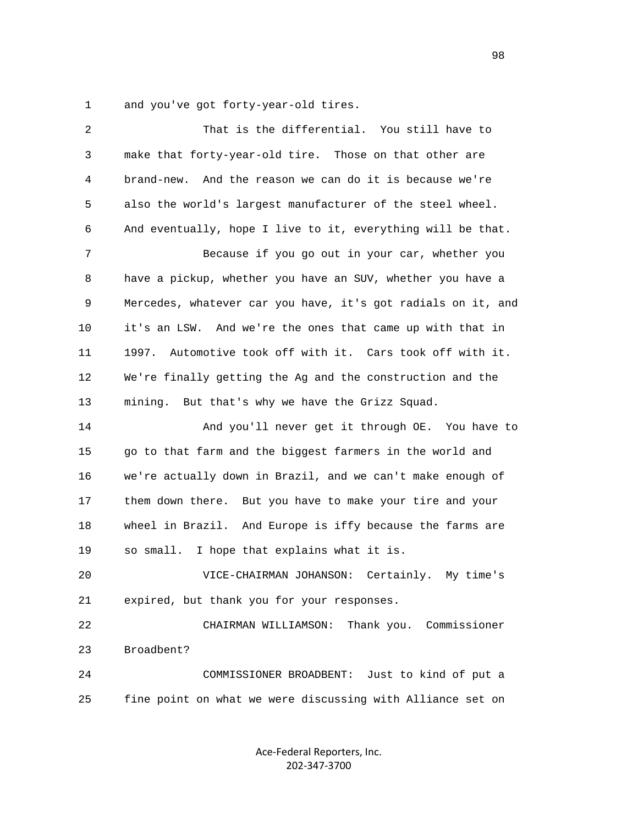1 and you've got forty-year-old tires.

| 2  | That is the differential. You still have to                  |
|----|--------------------------------------------------------------|
| 3  | make that forty-year-old tire. Those on that other are       |
| 4  | brand-new. And the reason we can do it is because we're      |
| 5  | also the world's largest manufacturer of the steel wheel.    |
| 6  | And eventually, hope I live to it, everything will be that.  |
| 7  | Because if you go out in your car, whether you               |
| 8  | have a pickup, whether you have an SUV, whether you have a   |
| 9  | Mercedes, whatever car you have, it's got radials on it, and |
| 10 | it's an LSW. And we're the ones that came up with that in    |
| 11 | Automotive took off with it. Cars took off with it.<br>1997. |
| 12 | We're finally getting the Ag and the construction and the    |
| 13 | mining. But that's why we have the Grizz Squad.              |
| 14 | And you'll never get it through OE. You have to              |
| 15 | go to that farm and the biggest farmers in the world and     |
| 16 | we're actually down in Brazil, and we can't make enough of   |
| 17 | them down there. But you have to make your tire and your     |
| 18 | wheel in Brazil. And Europe is iffy because the farms are    |
| 19 | so small. I hope that explains what it is.                   |
| 20 | VICE-CHAIRMAN JOHANSON:<br>Certainly. My time's              |
| 21 | expired, but thank you for your responses.                   |
| 22 | Thank you. Commissioner<br>CHAIRMAN WILLIAMSON:              |
| 23 | Broadbent?                                                   |
| 24 | Just to kind of put a<br>COMMISSIONER BROADBENT:             |
| 25 | fine point on what we were discussing with Alliance set on   |
|    |                                                              |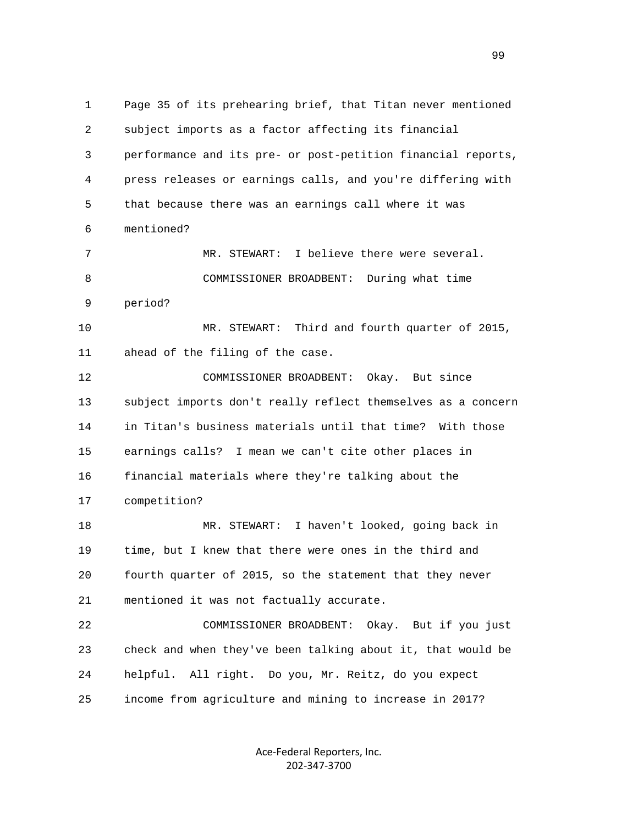1 Page 35 of its prehearing brief, that Titan never mentioned 2 subject imports as a factor affecting its financial 3 performance and its pre- or post-petition financial reports, 4 press releases or earnings calls, and you're differing with 5 that because there was an earnings call where it was 6 mentioned? 7 MR. STEWART: I believe there were several. 8 COMMISSIONER BROADBENT: During what time 9 period? 10 MR. STEWART: Third and fourth quarter of 2015, 11 ahead of the filing of the case. 12 COMMISSIONER BROADBENT: Okay. But since 13 subject imports don't really reflect themselves as a concern 14 in Titan's business materials until that time? With those 15 earnings calls? I mean we can't cite other places in 16 financial materials where they're talking about the 17 competition? 18 MR. STEWART: I haven't looked, going back in 19 time, but I knew that there were ones in the third and 20 fourth quarter of 2015, so the statement that they never 21 mentioned it was not factually accurate. 22 COMMISSIONER BROADBENT: Okay. But if you just 23 check and when they've been talking about it, that would be 24 helpful. All right. Do you, Mr. Reitz, do you expect 25 income from agriculture and mining to increase in 2017?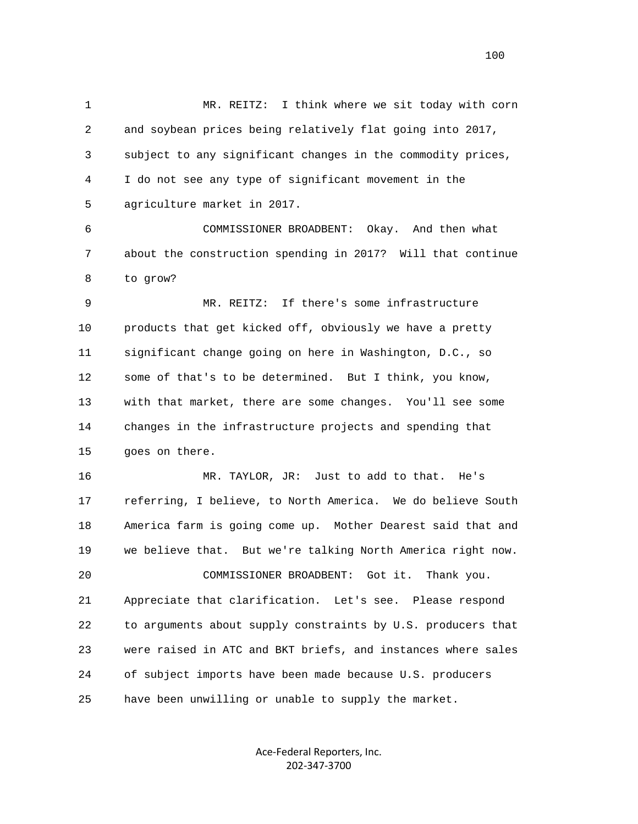1 MR. REITZ: I think where we sit today with corn 2 and soybean prices being relatively flat going into 2017, 3 subject to any significant changes in the commodity prices, 4 I do not see any type of significant movement in the 5 agriculture market in 2017. 6 COMMISSIONER BROADBENT: Okay. And then what 7 about the construction spending in 2017? Will that continue 8 to grow? 9 MR. REITZ: If there's some infrastructure 10 products that get kicked off, obviously we have a pretty 11 significant change going on here in Washington, D.C., so 12 some of that's to be determined. But I think, you know, 13 with that market, there are some changes. You'll see some 14 changes in the infrastructure projects and spending that 15 goes on there. 16 MR. TAYLOR, JR: Just to add to that. He's 17 referring, I believe, to North America. We do believe South 18 America farm is going come up. Mother Dearest said that and 19 we believe that. But we're talking North America right now. 20 COMMISSIONER BROADBENT: Got it. Thank you.

 21 Appreciate that clarification. Let's see. Please respond 22 to arguments about supply constraints by U.S. producers that 23 were raised in ATC and BKT briefs, and instances where sales 24 of subject imports have been made because U.S. producers 25 have been unwilling or unable to supply the market.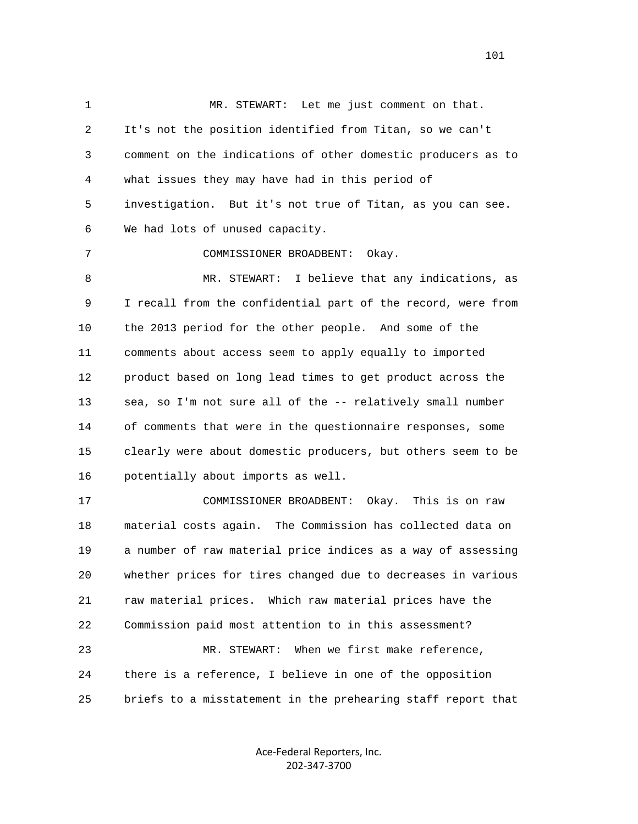1 MR. STEWART: Let me just comment on that. 2 It's not the position identified from Titan, so we can't 3 comment on the indications of other domestic producers as to 4 what issues they may have had in this period of 5 investigation. But it's not true of Titan, as you can see. 6 We had lots of unused capacity. 7 COMMISSIONER BROADBENT: Okay. 8 MR. STEWART: I believe that any indications, as 9 I recall from the confidential part of the record, were from 10 the 2013 period for the other people. And some of the 11 comments about access seem to apply equally to imported 12 product based on long lead times to get product across the 13 sea, so I'm not sure all of the -- relatively small number 14 of comments that were in the questionnaire responses, some 15 clearly were about domestic producers, but others seem to be 16 potentially about imports as well. 17 COMMISSIONER BROADBENT: Okay. This is on raw 18 material costs again. The Commission has collected data on 19 a number of raw material price indices as a way of assessing 20 whether prices for tires changed due to decreases in various 21 raw material prices. Which raw material prices have the 22 Commission paid most attention to in this assessment? 23 MR. STEWART: When we first make reference, 24 there is a reference, I believe in one of the opposition

25 briefs to a misstatement in the prehearing staff report that

Ace‐Federal Reporters, Inc. 202‐347‐3700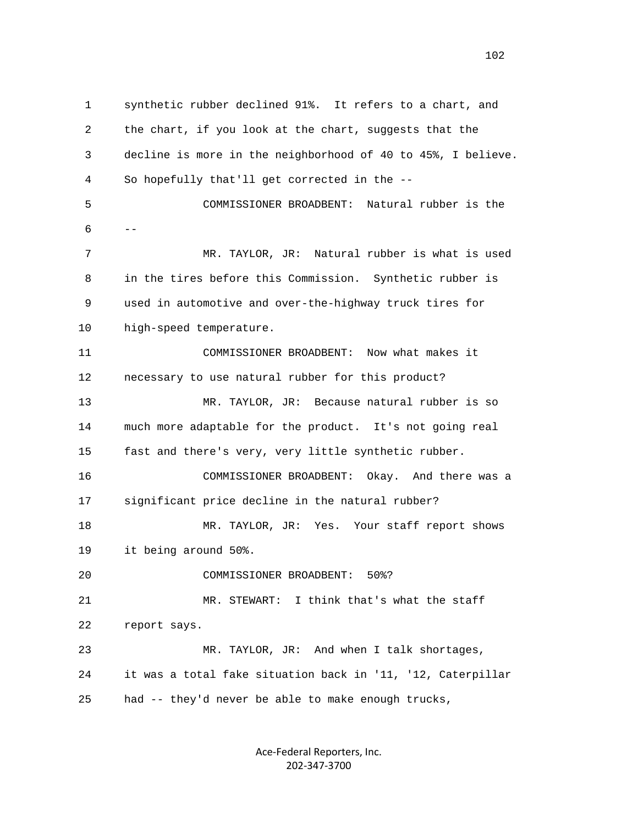1 synthetic rubber declined 91%. It refers to a chart, and 2 the chart, if you look at the chart, suggests that the 3 decline is more in the neighborhood of 40 to 45%, I believe. 4 So hopefully that'll get corrected in the -- 5 COMMISSIONER BROADBENT: Natural rubber is the  $6$  -- 7 MR. TAYLOR, JR: Natural rubber is what is used 8 in the tires before this Commission. Synthetic rubber is 9 used in automotive and over-the-highway truck tires for 10 high-speed temperature. 11 COMMISSIONER BROADBENT: Now what makes it 12 necessary to use natural rubber for this product? 13 MR. TAYLOR, JR: Because natural rubber is so 14 much more adaptable for the product. It's not going real 15 fast and there's very, very little synthetic rubber. 16 COMMISSIONER BROADBENT: Okay. And there was a 17 significant price decline in the natural rubber? 18 MR. TAYLOR, JR: Yes. Your staff report shows 19 it being around 50%. 20 COMMISSIONER BROADBENT: 50%? 21 MR. STEWART: I think that's what the staff 22 report says. 23 MR. TAYLOR, JR: And when I talk shortages, 24 it was a total fake situation back in '11, '12, Caterpillar 25 had -- they'd never be able to make enough trucks,

> Ace‐Federal Reporters, Inc. 202‐347‐3700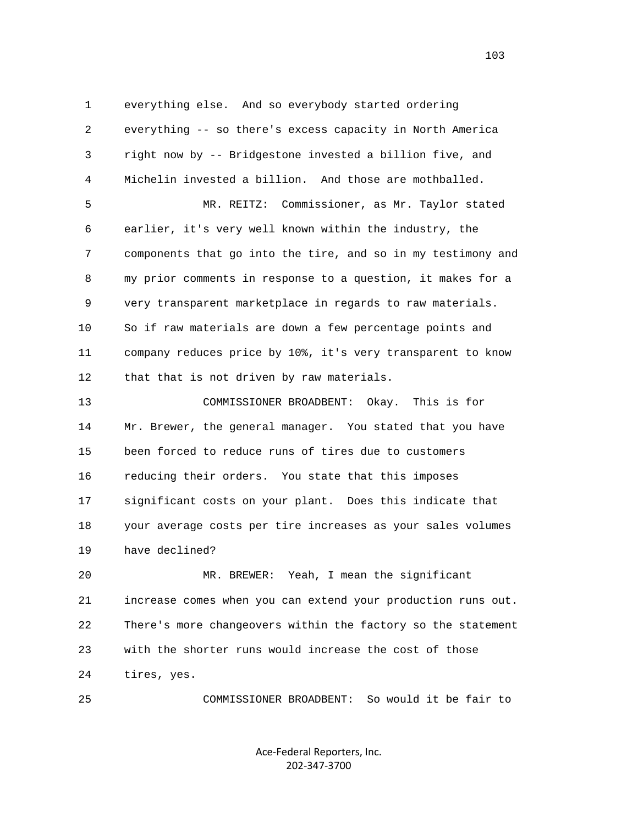1 everything else. And so everybody started ordering 2 everything -- so there's excess capacity in North America 3 right now by -- Bridgestone invested a billion five, and 4 Michelin invested a billion. And those are mothballed.

 5 MR. REITZ: Commissioner, as Mr. Taylor stated 6 earlier, it's very well known within the industry, the 7 components that go into the tire, and so in my testimony and 8 my prior comments in response to a question, it makes for a 9 very transparent marketplace in regards to raw materials. 10 So if raw materials are down a few percentage points and 11 company reduces price by 10%, it's very transparent to know 12 that that is not driven by raw materials.

 13 COMMISSIONER BROADBENT: Okay. This is for 14 Mr. Brewer, the general manager. You stated that you have 15 been forced to reduce runs of tires due to customers 16 reducing their orders. You state that this imposes 17 significant costs on your plant. Does this indicate that 18 your average costs per tire increases as your sales volumes 19 have declined?

 20 MR. BREWER: Yeah, I mean the significant 21 increase comes when you can extend your production runs out. 22 There's more changeovers within the factory so the statement 23 with the shorter runs would increase the cost of those 24 tires, yes.

25 COMMISSIONER BROADBENT: So would it be fair to

Ace‐Federal Reporters, Inc. 202‐347‐3700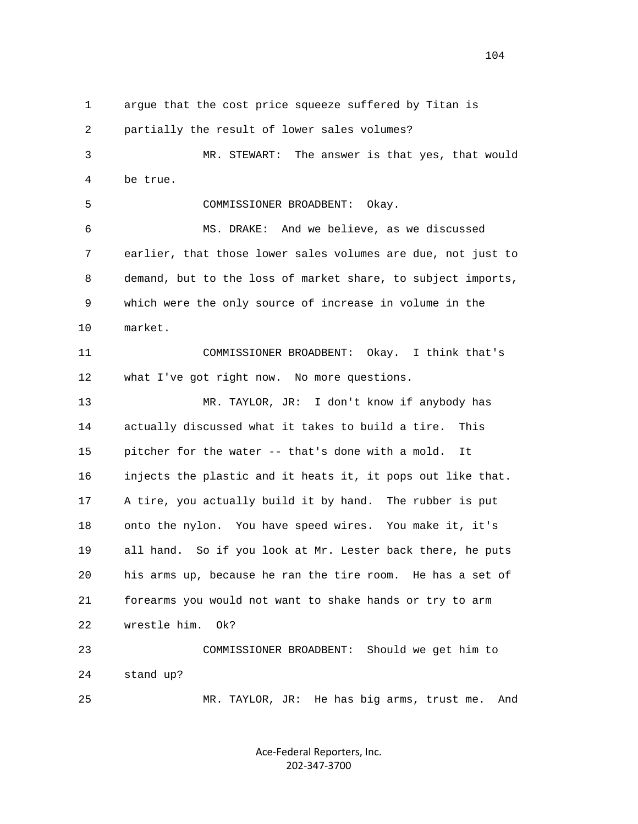1 argue that the cost price squeeze suffered by Titan is 2 partially the result of lower sales volumes? 3 MR. STEWART: The answer is that yes, that would 4 be true. 5 COMMISSIONER BROADBENT: Okay. 6 MS. DRAKE: And we believe, as we discussed 7 earlier, that those lower sales volumes are due, not just to 8 demand, but to the loss of market share, to subject imports, 9 which were the only source of increase in volume in the 10 market. 11 COMMISSIONER BROADBENT: Okay. I think that's 12 what I've got right now. No more questions. 13 MR. TAYLOR, JR: I don't know if anybody has 14 actually discussed what it takes to build a tire. This 15 pitcher for the water -- that's done with a mold. It 16 injects the plastic and it heats it, it pops out like that. 17 A tire, you actually build it by hand. The rubber is put 18 onto the nylon. You have speed wires. You make it, it's 19 all hand. So if you look at Mr. Lester back there, he puts 20 his arms up, because he ran the tire room. He has a set of 21 forearms you would not want to shake hands or try to arm 22 wrestle him. Ok? 23 COMMISSIONER BROADBENT: Should we get him to 24 stand up? 25 MR. TAYLOR, JR: He has big arms, trust me. And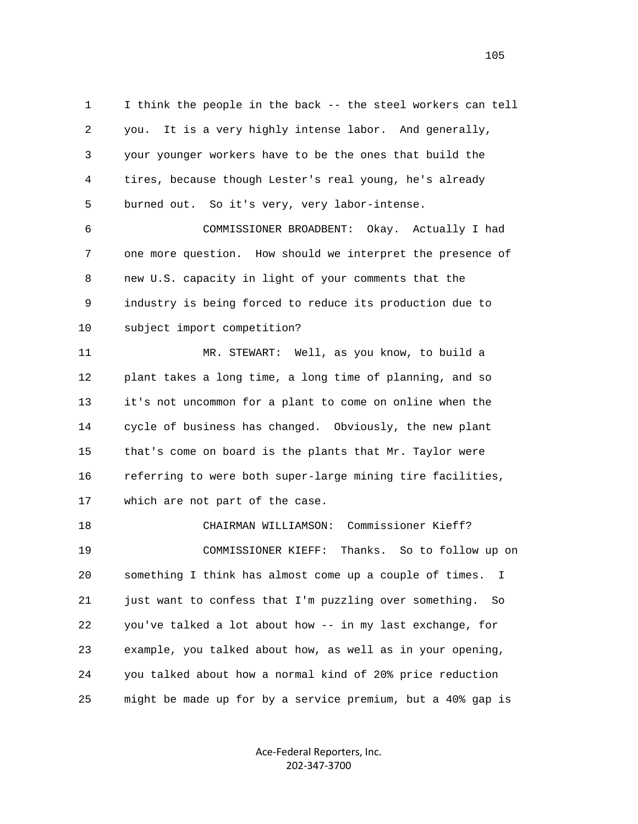1 I think the people in the back -- the steel workers can tell 2 you. It is a very highly intense labor. And generally, 3 your younger workers have to be the ones that build the 4 tires, because though Lester's real young, he's already 5 burned out. So it's very, very labor-intense.

 6 COMMISSIONER BROADBENT: Okay. Actually I had 7 one more question. How should we interpret the presence of 8 new U.S. capacity in light of your comments that the 9 industry is being forced to reduce its production due to 10 subject import competition?

 11 MR. STEWART: Well, as you know, to build a 12 plant takes a long time, a long time of planning, and so 13 it's not uncommon for a plant to come on online when the 14 cycle of business has changed. Obviously, the new plant 15 that's come on board is the plants that Mr. Taylor were 16 referring to were both super-large mining tire facilities, 17 which are not part of the case.

 18 CHAIRMAN WILLIAMSON: Commissioner Kieff? 19 COMMISSIONER KIEFF: Thanks. So to follow up on 20 something I think has almost come up a couple of times. I 21 just want to confess that I'm puzzling over something. So 22 you've talked a lot about how -- in my last exchange, for 23 example, you talked about how, as well as in your opening, 24 you talked about how a normal kind of 20% price reduction 25 might be made up for by a service premium, but a 40% gap is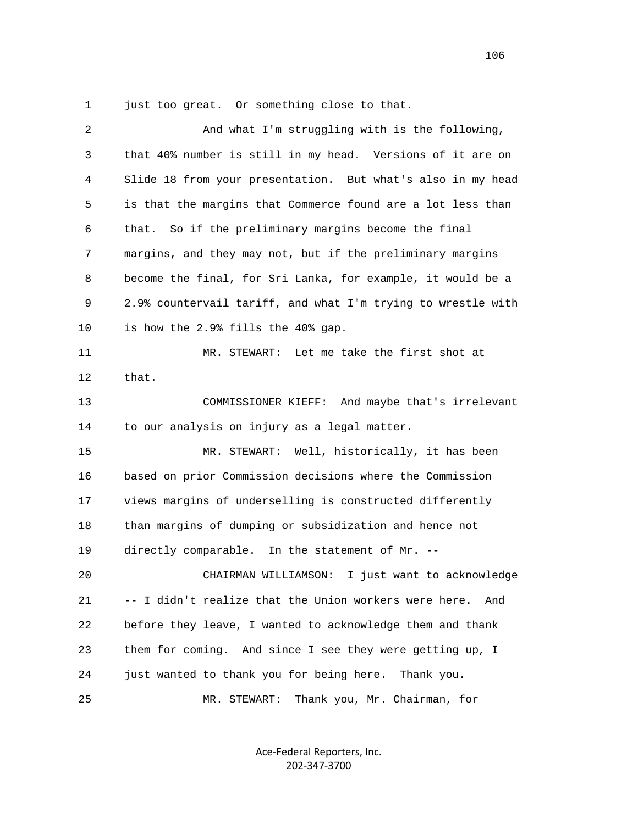1 just too great. Or something close to that.

| 2  | And what I'm struggling with is the following,               |
|----|--------------------------------------------------------------|
| 3  | that 40% number is still in my head. Versions of it are on   |
| 4  | Slide 18 from your presentation. But what's also in my head  |
| 5  | is that the margins that Commerce found are a lot less than  |
| 6  | So if the preliminary margins become the final<br>that.      |
| 7  | margins, and they may not, but if the preliminary margins    |
| 8  | become the final, for Sri Lanka, for example, it would be a  |
| 9  | 2.9% countervail tariff, and what I'm trying to wrestle with |
| 10 | is how the 2.9% fills the 40% gap.                           |
| 11 | MR. STEWART: Let me take the first shot at                   |
| 12 | that.                                                        |
| 13 | COMMISSIONER KIEFF: And maybe that's irrelevant              |
| 14 | to our analysis on injury as a legal matter.                 |
| 15 | MR. STEWART: Well, historically, it has been                 |
| 16 | based on prior Commission decisions where the Commission     |
| 17 | views margins of underselling is constructed differently     |
| 18 | than margins of dumping or subsidization and hence not       |
| 19 | directly comparable. In the statement of Mr. --              |
| 20 | CHAIRMAN WILLIAMSON:<br>I just want to acknowledge           |
| 21 | -- I didn't realize that the Union workers were here.<br>And |
| 22 | before they leave, I wanted to acknowledge them and thank    |
| 23 | them for coming. And since I see they were getting up, I     |
| 24 | just wanted to thank you for being here.<br>Thank you.       |
| 25 | Thank you, Mr. Chairman, for<br>MR. STEWART:                 |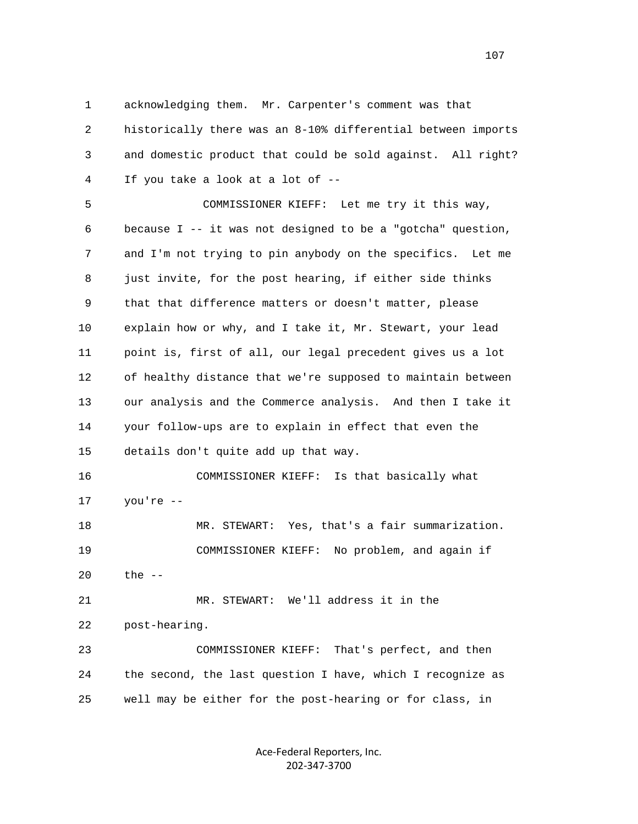1 acknowledging them. Mr. Carpenter's comment was that 2 historically there was an 8-10% differential between imports 3 and domestic product that could be sold against. All right? 4 If you take a look at a lot of --

 5 COMMISSIONER KIEFF: Let me try it this way, 6 because I -- it was not designed to be a "gotcha" question, 7 and I'm not trying to pin anybody on the specifics. Let me 8 just invite, for the post hearing, if either side thinks 9 that that difference matters or doesn't matter, please 10 explain how or why, and I take it, Mr. Stewart, your lead 11 point is, first of all, our legal precedent gives us a lot 12 of healthy distance that we're supposed to maintain between 13 our analysis and the Commerce analysis. And then I take it 14 your follow-ups are to explain in effect that even the 15 details don't quite add up that way. 16 COMMISSIONER KIEFF: Is that basically what

17 you're --

 18 MR. STEWART: Yes, that's a fair summarization. 19 COMMISSIONER KIEFF: No problem, and again if 20 the --

 21 MR. STEWART: We'll address it in the 22 post-hearing.

 23 COMMISSIONER KIEFF: That's perfect, and then 24 the second, the last question I have, which I recognize as 25 well may be either for the post-hearing or for class, in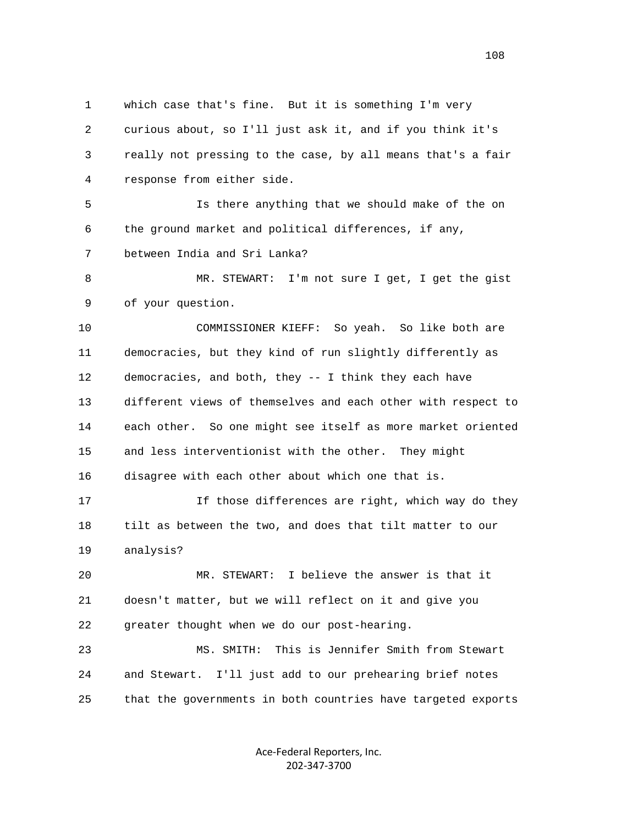1 which case that's fine. But it is something I'm very 2 curious about, so I'll just ask it, and if you think it's 3 really not pressing to the case, by all means that's a fair 4 response from either side. 5 Is there anything that we should make of the on 6 the ground market and political differences, if any, 7 between India and Sri Lanka? 8 MR. STEWART: I'm not sure I get, I get the gist 9 of your question. 10 COMMISSIONER KIEFF: So yeah. So like both are 11 democracies, but they kind of run slightly differently as 12 democracies, and both, they -- I think they each have 13 different views of themselves and each other with respect to 14 each other. So one might see itself as more market oriented 15 and less interventionist with the other. They might 16 disagree with each other about which one that is. 17 If those differences are right, which way do they 18 tilt as between the two, and does that tilt matter to our 19 analysis? 20 MR. STEWART: I believe the answer is that it 21 doesn't matter, but we will reflect on it and give you 22 greater thought when we do our post-hearing. 23 MS. SMITH: This is Jennifer Smith from Stewart 24 and Stewart. I'll just add to our prehearing brief notes 25 that the governments in both countries have targeted exports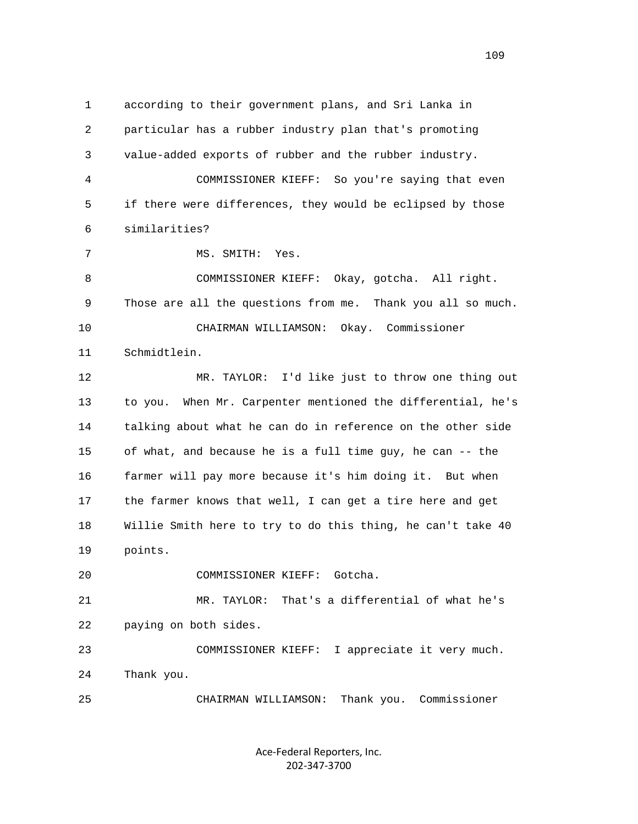1 according to their government plans, and Sri Lanka in 2 particular has a rubber industry plan that's promoting 3 value-added exports of rubber and the rubber industry. 4 COMMISSIONER KIEFF: So you're saying that even 5 if there were differences, they would be eclipsed by those 6 similarities? 7 MS. SMITH: Yes. 8 COMMISSIONER KIEFF: Okay, gotcha. All right. 9 Those are all the questions from me. Thank you all so much. 10 CHAIRMAN WILLIAMSON: Okay. Commissioner 11 Schmidtlein. 12 MR. TAYLOR: I'd like just to throw one thing out 13 to you. When Mr. Carpenter mentioned the differential, he's 14 talking about what he can do in reference on the other side 15 of what, and because he is a full time guy, he can -- the 16 farmer will pay more because it's him doing it. But when 17 the farmer knows that well, I can get a tire here and get 18 Willie Smith here to try to do this thing, he can't take 40 19 points. 20 COMMISSIONER KIEFF: Gotcha. 21 MR. TAYLOR: That's a differential of what he's 22 paying on both sides. 23 COMMISSIONER KIEFF: I appreciate it very much. 24 Thank you. 25 CHAIRMAN WILLIAMSON: Thank you. Commissioner

> Ace‐Federal Reporters, Inc. 202‐347‐3700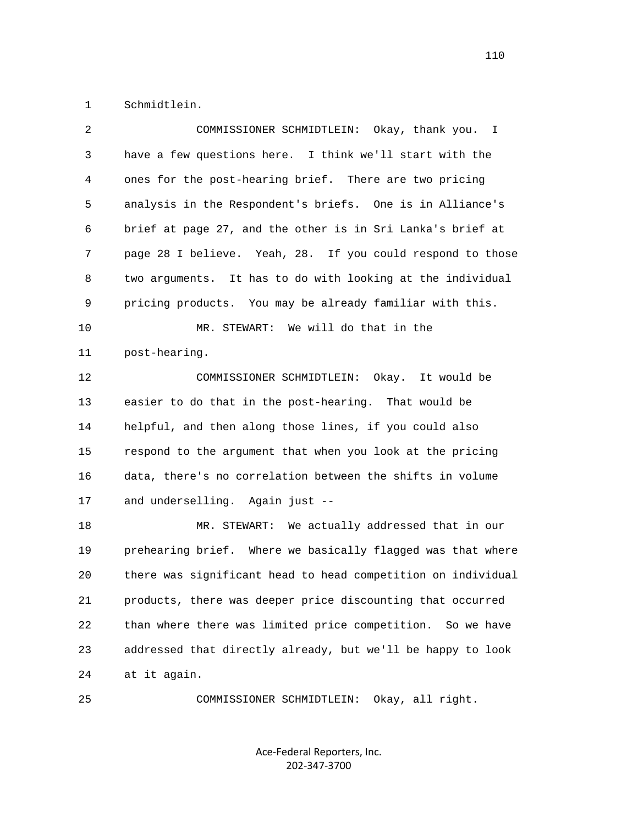1 Schmidtlein.

| 2  | COMMISSIONER SCHMIDTLEIN: Okay, thank you. I                  |
|----|---------------------------------------------------------------|
| 3  | have a few questions here. I think we'll start with the       |
| 4  | ones for the post-hearing brief. There are two pricing        |
| 5  | analysis in the Respondent's briefs. One is in Alliance's     |
| 6  | brief at page 27, and the other is in Sri Lanka's brief at    |
| 7  | page 28 I believe. Yeah, 28. If you could respond to those    |
| 8  | two arguments. It has to do with looking at the individual    |
| 9  | pricing products. You may be already familiar with this.      |
| 10 | MR. STEWART: We will do that in the                           |
| 11 | post-hearing.                                                 |
| 12 | It would be<br>COMMISSIONER SCHMIDTLEIN:<br>Okay.             |
| 13 | easier to do that in the post-hearing. That would be          |
| 14 | helpful, and then along those lines, if you could also        |
| 15 | respond to the argument that when you look at the pricing     |
| 16 | data, there's no correlation between the shifts in volume     |
| 17 | and underselling. Again just --                               |
| 18 | MR. STEWART: We actually addressed that in our                |
| 19 | prehearing brief. Where we basically flagged was that where   |
| 20 | there was significant head to head competition on individual  |
| 21 | products, there was deeper price discounting that occurred    |
| 22 | than where there was limited price competition.<br>So we have |
| 23 | addressed that directly already, but we'll be happy to look   |
| 24 | at it again.                                                  |
|    |                                                               |

25 COMMISSIONER SCHMIDTLEIN: Okay, all right.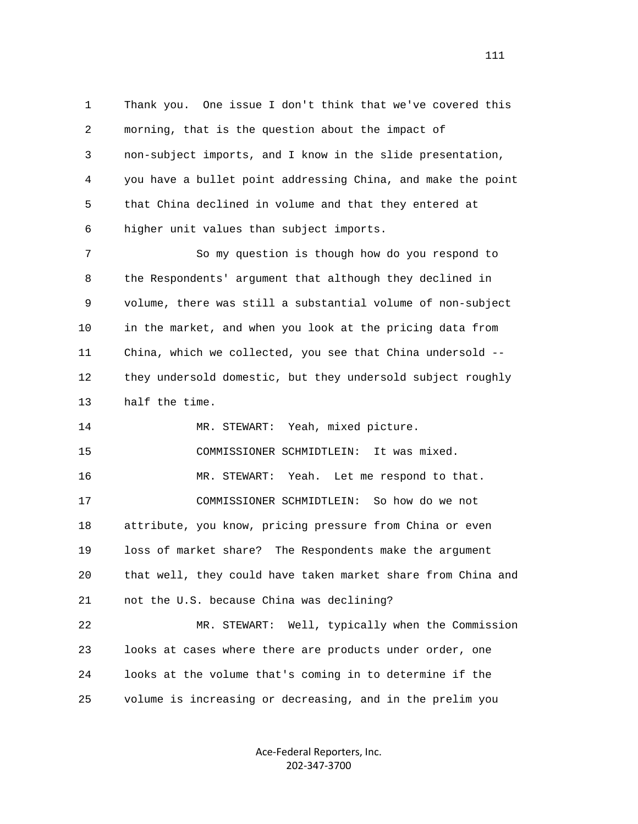1 Thank you. One issue I don't think that we've covered this 2 morning, that is the question about the impact of 3 non-subject imports, and I know in the slide presentation, 4 you have a bullet point addressing China, and make the point 5 that China declined in volume and that they entered at 6 higher unit values than subject imports.

 7 So my question is though how do you respond to 8 the Respondents' argument that although they declined in 9 volume, there was still a substantial volume of non-subject 10 in the market, and when you look at the pricing data from 11 China, which we collected, you see that China undersold -- 12 they undersold domestic, but they undersold subject roughly 13 half the time.

 14 MR. STEWART: Yeah, mixed picture. 15 COMMISSIONER SCHMIDTLEIN: It was mixed. 16 MR. STEWART: Yeah. Let me respond to that. 17 COMMISSIONER SCHMIDTLEIN: So how do we not 18 attribute, you know, pricing pressure from China or even 19 loss of market share? The Respondents make the argument 20 that well, they could have taken market share from China and 21 not the U.S. because China was declining?

 22 MR. STEWART: Well, typically when the Commission 23 looks at cases where there are products under order, one 24 looks at the volume that's coming in to determine if the 25 volume is increasing or decreasing, and in the prelim you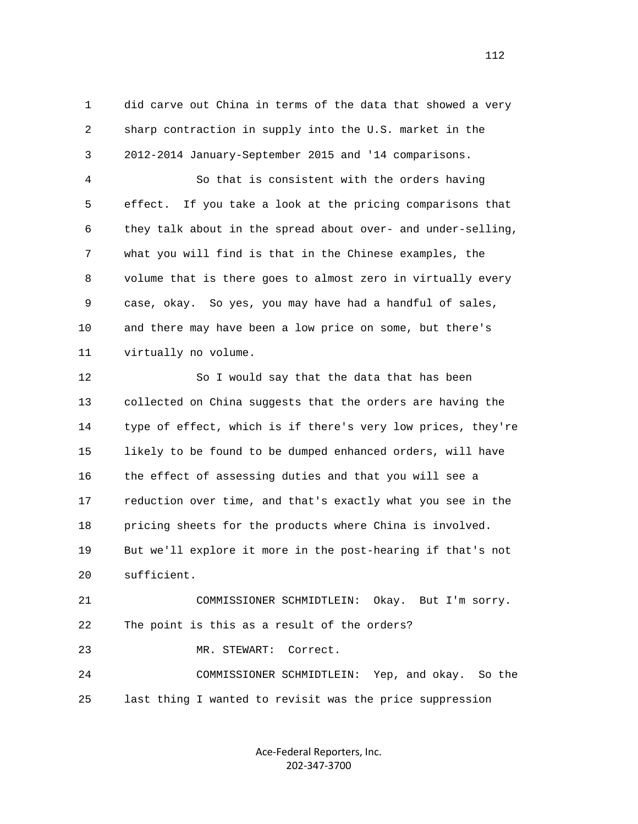1 did carve out China in terms of the data that showed a very 2 sharp contraction in supply into the U.S. market in the 3 2012-2014 January-September 2015 and '14 comparisons.

 4 So that is consistent with the orders having 5 effect. If you take a look at the pricing comparisons that 6 they talk about in the spread about over- and under-selling, 7 what you will find is that in the Chinese examples, the 8 volume that is there goes to almost zero in virtually every 9 case, okay. So yes, you may have had a handful of sales, 10 and there may have been a low price on some, but there's 11 virtually no volume.

 12 So I would say that the data that has been 13 collected on China suggests that the orders are having the 14 type of effect, which is if there's very low prices, they're 15 likely to be found to be dumped enhanced orders, will have 16 the effect of assessing duties and that you will see a 17 reduction over time, and that's exactly what you see in the 18 pricing sheets for the products where China is involved. 19 But we'll explore it more in the post-hearing if that's not 20 sufficient.

 21 COMMISSIONER SCHMIDTLEIN: Okay. But I'm sorry. 22 The point is this as a result of the orders?

23 MR. STEWART: Correct.

 24 COMMISSIONER SCHMIDTLEIN: Yep, and okay. So the 25 last thing I wanted to revisit was the price suppression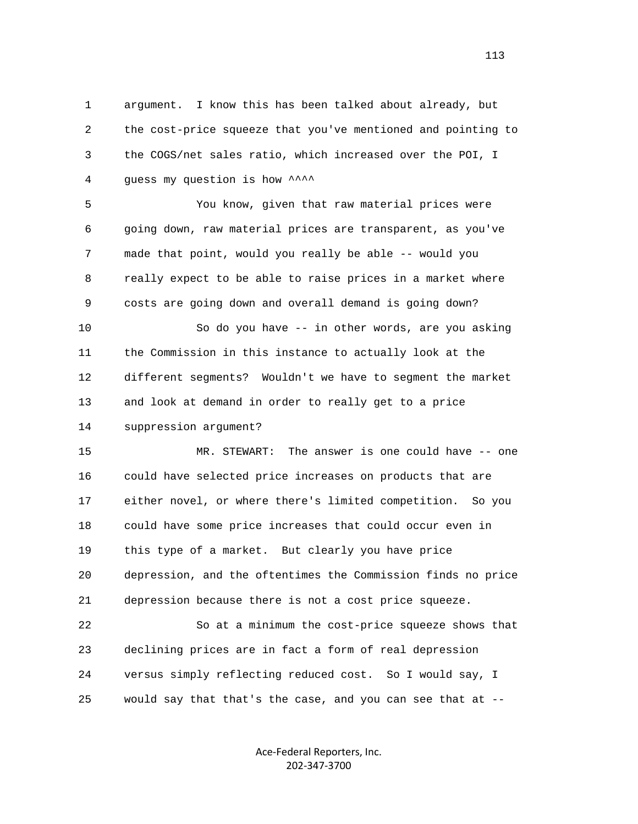1 argument. I know this has been talked about already, but 2 the cost-price squeeze that you've mentioned and pointing to 3 the COGS/net sales ratio, which increased over the POI, I 4 quess my question is how \*\*\*\*

 5 You know, given that raw material prices were 6 going down, raw material prices are transparent, as you've 7 made that point, would you really be able -- would you 8 really expect to be able to raise prices in a market where 9 costs are going down and overall demand is going down?

 10 So do you have -- in other words, are you asking 11 the Commission in this instance to actually look at the 12 different segments? Wouldn't we have to segment the market 13 and look at demand in order to really get to a price 14 suppression argument?

 15 MR. STEWART: The answer is one could have -- one 16 could have selected price increases on products that are 17 either novel, or where there's limited competition. So you 18 could have some price increases that could occur even in 19 this type of a market. But clearly you have price 20 depression, and the oftentimes the Commission finds no price 21 depression because there is not a cost price squeeze.

 22 So at a minimum the cost-price squeeze shows that 23 declining prices are in fact a form of real depression 24 versus simply reflecting reduced cost. So I would say, I 25 would say that that's the case, and you can see that at --

> Ace‐Federal Reporters, Inc. 202‐347‐3700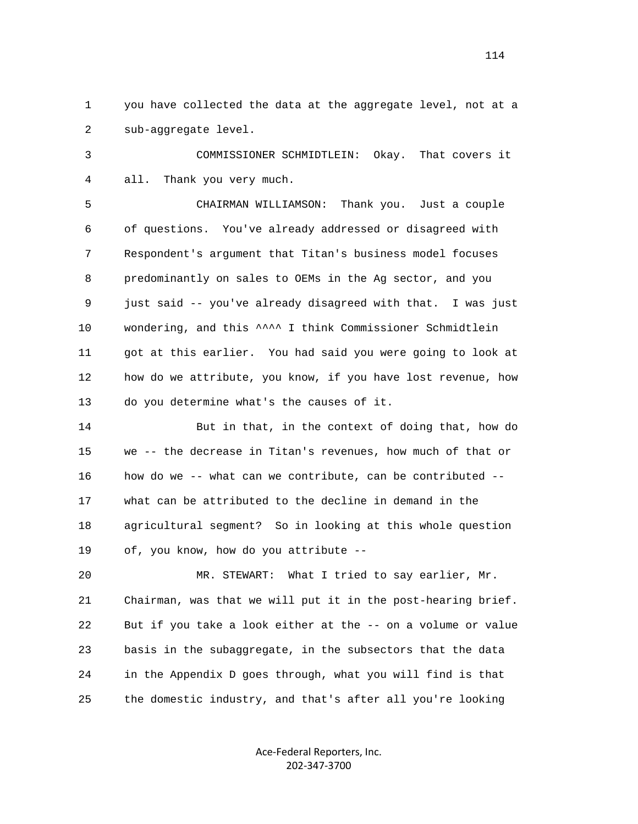1 you have collected the data at the aggregate level, not at a 2 sub-aggregate level.

 3 COMMISSIONER SCHMIDTLEIN: Okay. That covers it 4 all. Thank you very much.

 5 CHAIRMAN WILLIAMSON: Thank you. Just a couple 6 of questions. You've already addressed or disagreed with 7 Respondent's argument that Titan's business model focuses 8 predominantly on sales to OEMs in the Ag sector, and you 9 just said -- you've already disagreed with that. I was just 10 wondering, and this ^^^^ I think Commissioner Schmidtlein 11 got at this earlier. You had said you were going to look at 12 how do we attribute, you know, if you have lost revenue, how 13 do you determine what's the causes of it.

 14 But in that, in the context of doing that, how do 15 we -- the decrease in Titan's revenues, how much of that or 16 how do we -- what can we contribute, can be contributed -- 17 what can be attributed to the decline in demand in the 18 agricultural segment? So in looking at this whole question 19 of, you know, how do you attribute --

 20 MR. STEWART: What I tried to say earlier, Mr. 21 Chairman, was that we will put it in the post-hearing brief. 22 But if you take a look either at the -- on a volume or value 23 basis in the subaggregate, in the subsectors that the data 24 in the Appendix D goes through, what you will find is that 25 the domestic industry, and that's after all you're looking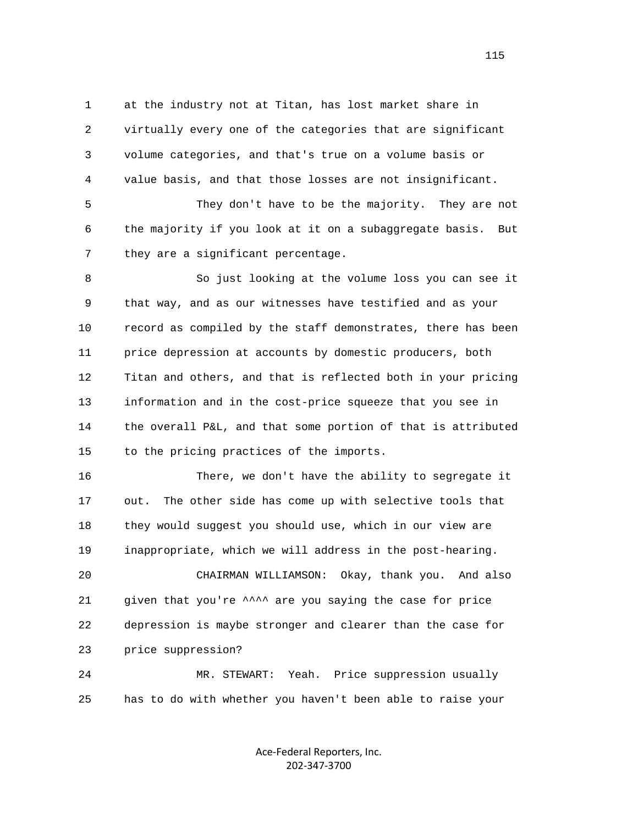1 at the industry not at Titan, has lost market share in 2 virtually every one of the categories that are significant 3 volume categories, and that's true on a volume basis or 4 value basis, and that those losses are not insignificant.

 5 They don't have to be the majority. They are not 6 the majority if you look at it on a subaggregate basis. But 7 they are a significant percentage.

 8 So just looking at the volume loss you can see it 9 that way, and as our witnesses have testified and as your 10 record as compiled by the staff demonstrates, there has been 11 price depression at accounts by domestic producers, both 12 Titan and others, and that is reflected both in your pricing 13 information and in the cost-price squeeze that you see in 14 the overall P&L, and that some portion of that is attributed 15 to the pricing practices of the imports.

 16 There, we don't have the ability to segregate it 17 out. The other side has come up with selective tools that 18 they would suggest you should use, which in our view are 19 inappropriate, which we will address in the post-hearing.

 20 CHAIRMAN WILLIAMSON: Okay, thank you. And also 21 given that you're ^^^^ are you saying the case for price 22 depression is maybe stronger and clearer than the case for 23 price suppression?

 24 MR. STEWART: Yeah. Price suppression usually 25 has to do with whether you haven't been able to raise your

> Ace‐Federal Reporters, Inc. 202‐347‐3700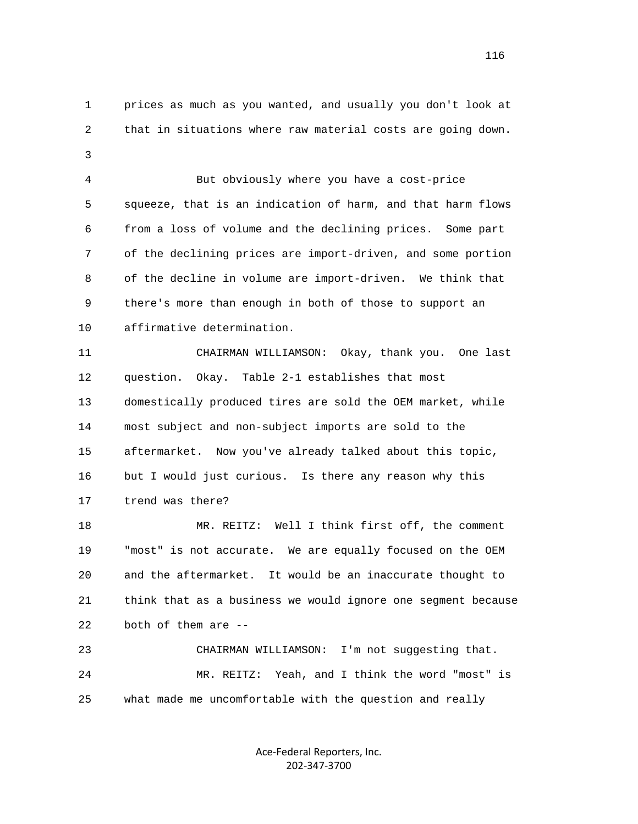1 prices as much as you wanted, and usually you don't look at 2 that in situations where raw material costs are going down. 3 4 But obviously where you have a cost-price

 5 squeeze, that is an indication of harm, and that harm flows 6 from a loss of volume and the declining prices. Some part 7 of the declining prices are import-driven, and some portion 8 of the decline in volume are import-driven. We think that 9 there's more than enough in both of those to support an 10 affirmative determination.

 11 CHAIRMAN WILLIAMSON: Okay, thank you. One last 12 question. Okay. Table 2-1 establishes that most 13 domestically produced tires are sold the OEM market, while 14 most subject and non-subject imports are sold to the 15 aftermarket. Now you've already talked about this topic, 16 but I would just curious. Is there any reason why this 17 trend was there?

 18 MR. REITZ: Well I think first off, the comment 19 "most" is not accurate. We are equally focused on the OEM 20 and the aftermarket. It would be an inaccurate thought to 21 think that as a business we would ignore one segment because 22 both of them are --

 23 CHAIRMAN WILLIAMSON: I'm not suggesting that. 24 MR. REITZ: Yeah, and I think the word "most" is 25 what made me uncomfortable with the question and really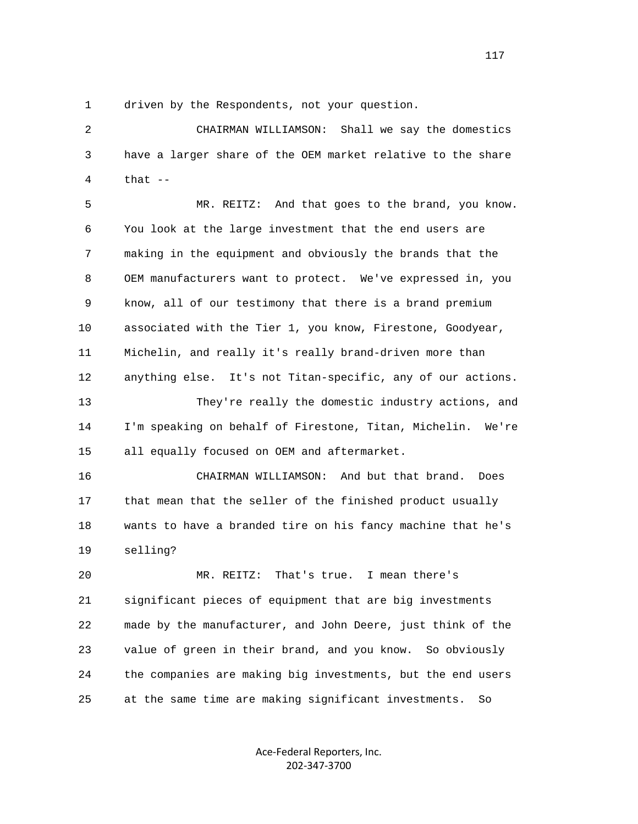1 driven by the Respondents, not your question.

 2 CHAIRMAN WILLIAMSON: Shall we say the domestics 3 have a larger share of the OEM market relative to the share  $4$  that  $-$ 

 5 MR. REITZ: And that goes to the brand, you know. 6 You look at the large investment that the end users are 7 making in the equipment and obviously the brands that the 8 OEM manufacturers want to protect. We've expressed in, you 9 know, all of our testimony that there is a brand premium 10 associated with the Tier 1, you know, Firestone, Goodyear, 11 Michelin, and really it's really brand-driven more than 12 anything else. It's not Titan-specific, any of our actions. 13 They're really the domestic industry actions, and 14 I'm speaking on behalf of Firestone, Titan, Michelin. We're 15 all equally focused on OEM and aftermarket.

 16 CHAIRMAN WILLIAMSON: And but that brand. Does 17 that mean that the seller of the finished product usually 18 wants to have a branded tire on his fancy machine that he's 19 selling?

 20 MR. REITZ: That's true. I mean there's 21 significant pieces of equipment that are big investments 22 made by the manufacturer, and John Deere, just think of the 23 value of green in their brand, and you know. So obviously 24 the companies are making big investments, but the end users 25 at the same time are making significant investments. So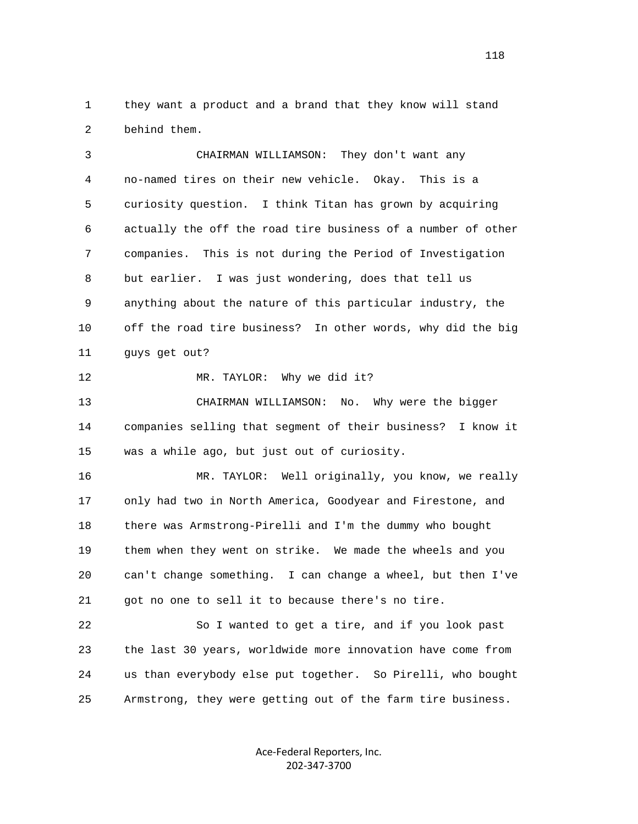1 they want a product and a brand that they know will stand 2 behind them.

 3 CHAIRMAN WILLIAMSON: They don't want any 4 no-named tires on their new vehicle. Okay. This is a 5 curiosity question. I think Titan has grown by acquiring 6 actually the off the road tire business of a number of other 7 companies. This is not during the Period of Investigation 8 but earlier. I was just wondering, does that tell us 9 anything about the nature of this particular industry, the 10 off the road tire business? In other words, why did the big 11 guys get out?

12 MR. TAYLOR: Why we did it?

 13 CHAIRMAN WILLIAMSON: No. Why were the bigger 14 companies selling that segment of their business? I know it 15 was a while ago, but just out of curiosity.

 16 MR. TAYLOR: Well originally, you know, we really 17 only had two in North America, Goodyear and Firestone, and 18 there was Armstrong-Pirelli and I'm the dummy who bought 19 them when they went on strike. We made the wheels and you 20 can't change something. I can change a wheel, but then I've 21 got no one to sell it to because there's no tire.

 22 So I wanted to get a tire, and if you look past 23 the last 30 years, worldwide more innovation have come from 24 us than everybody else put together. So Pirelli, who bought 25 Armstrong, they were getting out of the farm tire business.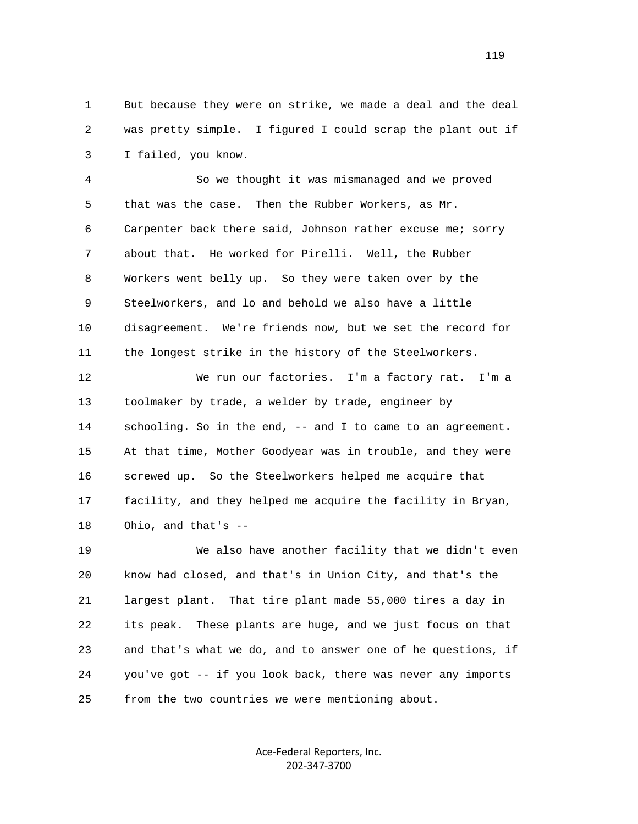1 But because they were on strike, we made a deal and the deal 2 was pretty simple. I figured I could scrap the plant out if 3 I failed, you know.

 4 So we thought it was mismanaged and we proved 5 that was the case. Then the Rubber Workers, as Mr. 6 Carpenter back there said, Johnson rather excuse me; sorry 7 about that. He worked for Pirelli. Well, the Rubber 8 Workers went belly up. So they were taken over by the 9 Steelworkers, and lo and behold we also have a little 10 disagreement. We're friends now, but we set the record for 11 the longest strike in the history of the Steelworkers.

 12 We run our factories. I'm a factory rat. I'm a 13 toolmaker by trade, a welder by trade, engineer by 14 schooling. So in the end, -- and I to came to an agreement. 15 At that time, Mother Goodyear was in trouble, and they were 16 screwed up. So the Steelworkers helped me acquire that 17 facility, and they helped me acquire the facility in Bryan, 18 Ohio, and that's --

 19 We also have another facility that we didn't even 20 know had closed, and that's in Union City, and that's the 21 largest plant. That tire plant made 55,000 tires a day in 22 its peak. These plants are huge, and we just focus on that 23 and that's what we do, and to answer one of he questions, if 24 you've got -- if you look back, there was never any imports 25 from the two countries we were mentioning about.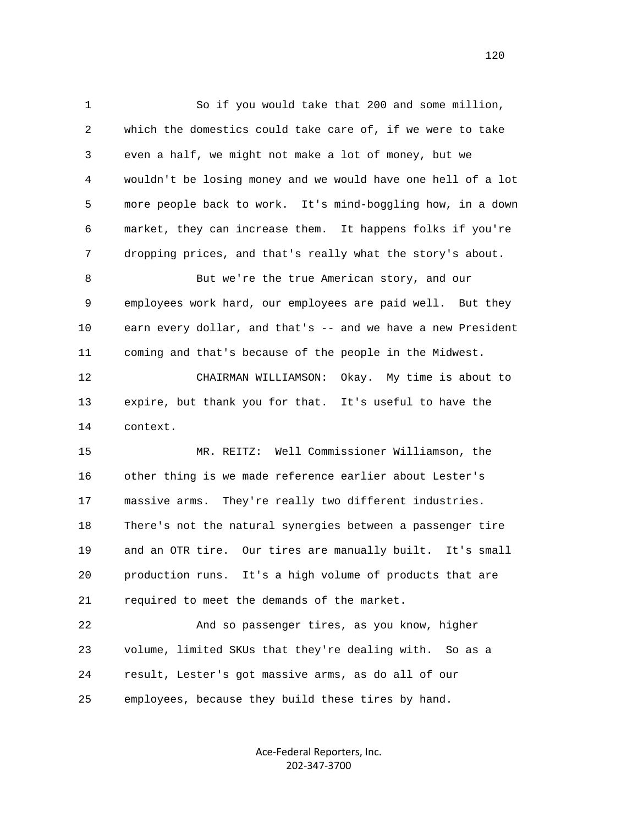1 So if you would take that 200 and some million, 2 which the domestics could take care of, if we were to take 3 even a half, we might not make a lot of money, but we 4 wouldn't be losing money and we would have one hell of a lot 5 more people back to work. It's mind-boggling how, in a down 6 market, they can increase them. It happens folks if you're 7 dropping prices, and that's really what the story's about. 8 But we're the true American story, and our 9 employees work hard, our employees are paid well. But they 10 earn every dollar, and that's -- and we have a new President 11 coming and that's because of the people in the Midwest. 12 CHAIRMAN WILLIAMSON: Okay. My time is about to 13 expire, but thank you for that. It's useful to have the 14 context. 15 MR. REITZ: Well Commissioner Williamson, the 16 other thing is we made reference earlier about Lester's 17 massive arms. They're really two different industries. 18 There's not the natural synergies between a passenger tire 19 and an OTR tire. Our tires are manually built. It's small 20 production runs. It's a high volume of products that are 21 required to meet the demands of the market. 22 And so passenger tires, as you know, higher

 23 volume, limited SKUs that they're dealing with. So as a 24 result, Lester's got massive arms, as do all of our 25 employees, because they build these tires by hand.

> Ace‐Federal Reporters, Inc. 202‐347‐3700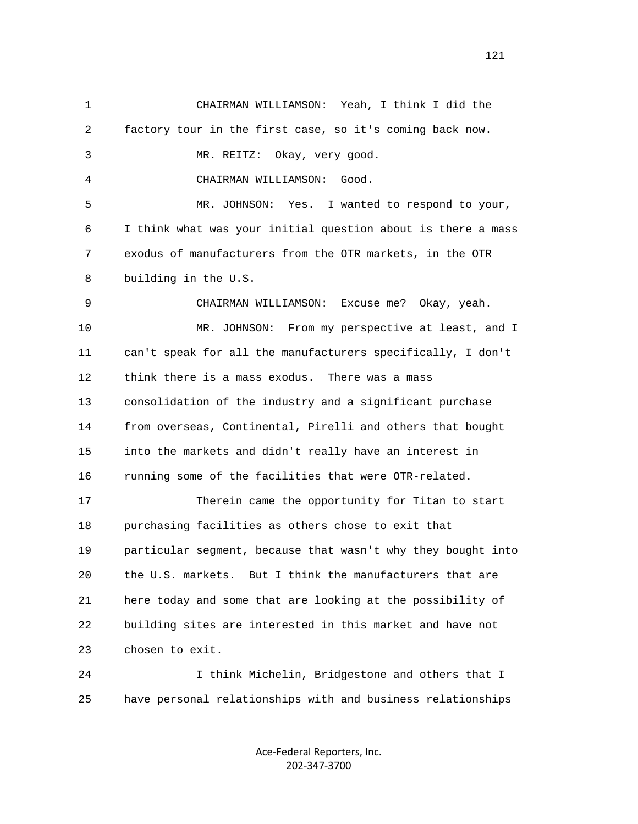1 CHAIRMAN WILLIAMSON: Yeah, I think I did the 2 factory tour in the first case, so it's coming back now. 3 MR. REITZ: Okay, very good. 4 CHAIRMAN WILLIAMSON: Good. 5 MR. JOHNSON: Yes. I wanted to respond to your, 6 I think what was your initial question about is there a mass 7 exodus of manufacturers from the OTR markets, in the OTR 8 building in the U.S. 9 CHAIRMAN WILLIAMSON: Excuse me? Okay, yeah. 10 MR. JOHNSON: From my perspective at least, and I 11 can't speak for all the manufacturers specifically, I don't 12 think there is a mass exodus. There was a mass 13 consolidation of the industry and a significant purchase 14 from overseas, Continental, Pirelli and others that bought 15 into the markets and didn't really have an interest in 16 running some of the facilities that were OTR-related. 17 Therein came the opportunity for Titan to start 18 purchasing facilities as others chose to exit that 19 particular segment, because that wasn't why they bought into 20 the U.S. markets. But I think the manufacturers that are 21 here today and some that are looking at the possibility of 22 building sites are interested in this market and have not 23 chosen to exit. 24 I think Michelin, Bridgestone and others that I 25 have personal relationships with and business relationships

> Ace‐Federal Reporters, Inc. 202‐347‐3700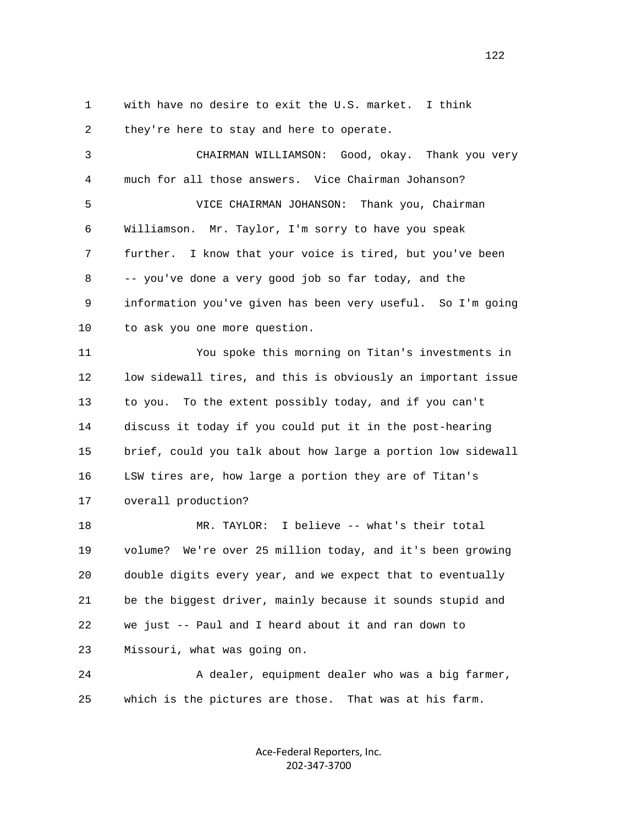1 with have no desire to exit the U.S. market. I think

 2 they're here to stay and here to operate. 3 CHAIRMAN WILLIAMSON: Good, okay. Thank you very 4 much for all those answers. Vice Chairman Johanson? 5 VICE CHAIRMAN JOHANSON: Thank you, Chairman 6 Williamson. Mr. Taylor, I'm sorry to have you speak 7 further. I know that your voice is tired, but you've been 8 -- you've done a very good job so far today, and the 9 information you've given has been very useful. So I'm going 10 to ask you one more question. 11 You spoke this morning on Titan's investments in 12 low sidewall tires, and this is obviously an important issue 13 to you. To the extent possibly today, and if you can't 14 discuss it today if you could put it in the post-hearing 15 brief, could you talk about how large a portion low sidewall 16 LSW tires are, how large a portion they are of Titan's 17 overall production? 18 MR. TAYLOR: I believe -- what's their total 19 volume? We're over 25 million today, and it's been growing 20 double digits every year, and we expect that to eventually 21 be the biggest driver, mainly because it sounds stupid and 22 we just -- Paul and I heard about it and ran down to 23 Missouri, what was going on. 24 A dealer, equipment dealer who was a big farmer, 25 which is the pictures are those. That was at his farm.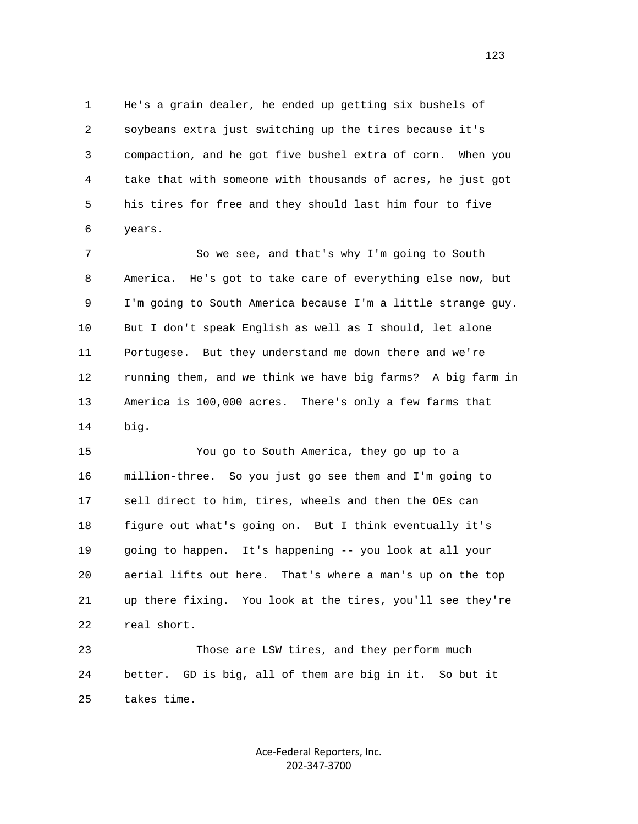1 He's a grain dealer, he ended up getting six bushels of 2 soybeans extra just switching up the tires because it's 3 compaction, and he got five bushel extra of corn. When you 4 take that with someone with thousands of acres, he just got 5 his tires for free and they should last him four to five 6 years.

 7 So we see, and that's why I'm going to South 8 America. He's got to take care of everything else now, but 9 I'm going to South America because I'm a little strange guy. 10 But I don't speak English as well as I should, let alone 11 Portugese. But they understand me down there and we're 12 running them, and we think we have big farms? A big farm in 13 America is 100,000 acres. There's only a few farms that 14 big.

 15 You go to South America, they go up to a 16 million-three. So you just go see them and I'm going to 17 sell direct to him, tires, wheels and then the OEs can 18 figure out what's going on. But I think eventually it's 19 going to happen. It's happening -- you look at all your 20 aerial lifts out here. That's where a man's up on the top 21 up there fixing. You look at the tires, you'll see they're 22 real short.

 23 Those are LSW tires, and they perform much 24 better. GD is big, all of them are big in it. So but it 25 takes time.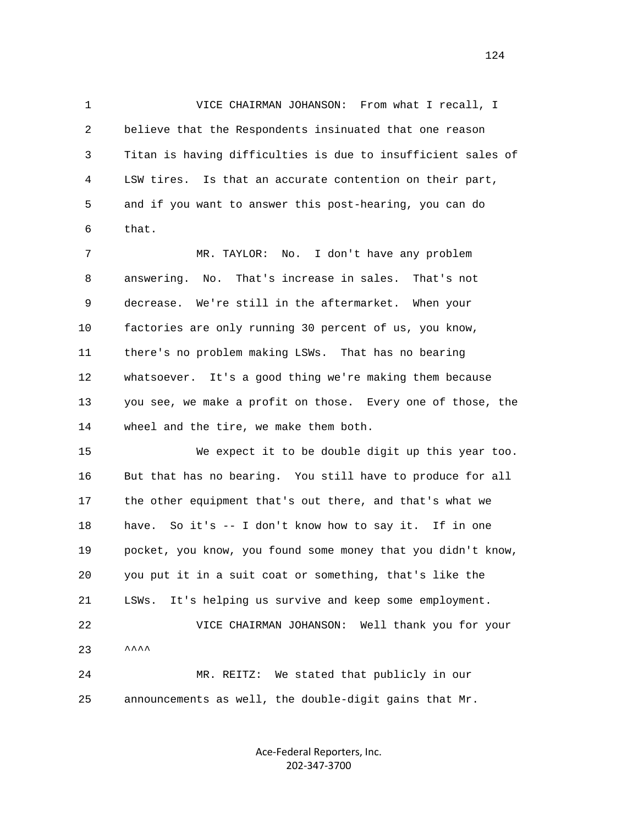1 VICE CHAIRMAN JOHANSON: From what I recall, I 2 believe that the Respondents insinuated that one reason 3 Titan is having difficulties is due to insufficient sales of 4 LSW tires. Is that an accurate contention on their part, 5 and if you want to answer this post-hearing, you can do 6 that.

 7 MR. TAYLOR: No. I don't have any problem 8 answering. No. That's increase in sales. That's not 9 decrease. We're still in the aftermarket. When your 10 factories are only running 30 percent of us, you know, 11 there's no problem making LSWs. That has no bearing 12 whatsoever. It's a good thing we're making them because 13 you see, we make a profit on those. Every one of those, the 14 wheel and the tire, we make them both.

 15 We expect it to be double digit up this year too. 16 But that has no bearing. You still have to produce for all 17 the other equipment that's out there, and that's what we 18 have. So it's -- I don't know how to say it. If in one 19 pocket, you know, you found some money that you didn't know, 20 you put it in a suit coat or something, that's like the 21 LSWs. It's helping us survive and keep some employment. 22 VICE CHAIRMAN JOHANSON: Well thank you for your  $23$   $\lambda$ <sup> $\lambda$ </sup> $\lambda$  24 MR. REITZ: We stated that publicly in our 25 announcements as well, the double-digit gains that Mr.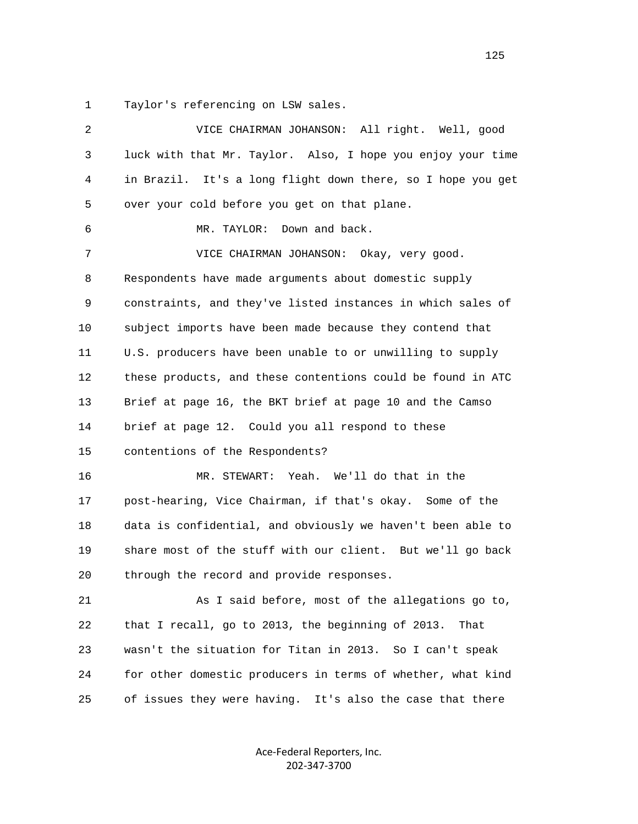1 Taylor's referencing on LSW sales.

| 2  | VICE CHAIRMAN JOHANSON: All right. Well, good                |
|----|--------------------------------------------------------------|
| 3  | luck with that Mr. Taylor. Also, I hope you enjoy your time  |
| 4  | in Brazil. It's a long flight down there, so I hope you get  |
| 5  | over your cold before you get on that plane.                 |
| 6  | MR. TAYLOR: Down and back.                                   |
| 7  | VICE CHAIRMAN JOHANSON: Okay, very good.                     |
| 8  | Respondents have made arguments about domestic supply        |
| 9  | constraints, and they've listed instances in which sales of  |
| 10 | subject imports have been made because they contend that     |
| 11 | U.S. producers have been unable to or unwilling to supply    |
| 12 | these products, and these contentions could be found in ATC  |
| 13 | Brief at page 16, the BKT brief at page 10 and the Camso     |
| 14 | brief at page 12. Could you all respond to these             |
| 15 | contentions of the Respondents?                              |
| 16 | Yeah. We'll do that in the<br>MR. STEWART:                   |
| 17 | post-hearing, Vice Chairman, if that's okay. Some of the     |
| 18 | data is confidential, and obviously we haven't been able to  |
| 19 | share most of the stuff with our client. But we'll go back   |
| 20 | through the record and provide responses.                    |
| 21 | As I said before, most of the allegations go to,             |
| 22 | that I recall, go to 2013, the beginning of 2013.<br>That    |
| 23 | wasn't the situation for Titan in 2013. So I can't speak     |
| 24 | for other domestic producers in terms of whether, what kind  |
| 25 | of issues they were having.<br>It's also the case that there |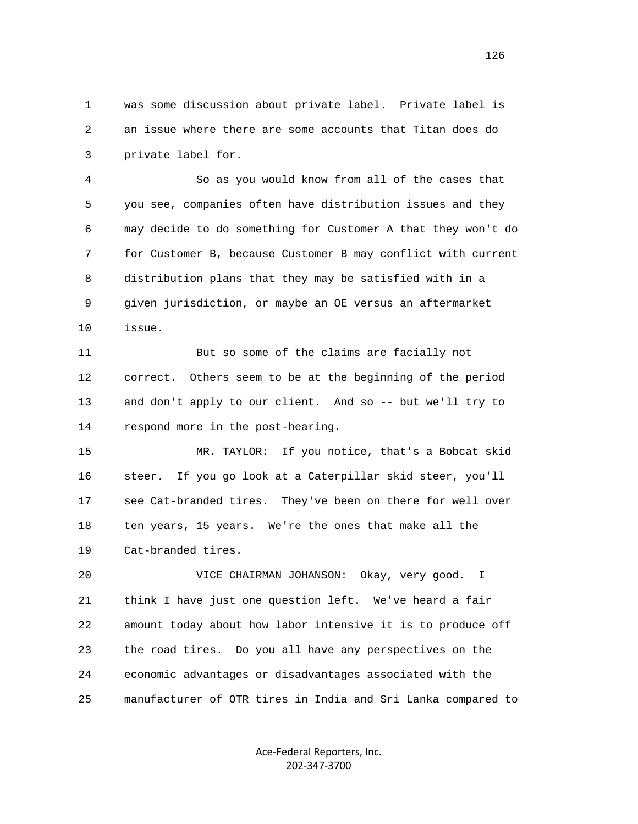1 was some discussion about private label. Private label is 2 an issue where there are some accounts that Titan does do 3 private label for.

 4 So as you would know from all of the cases that 5 you see, companies often have distribution issues and they 6 may decide to do something for Customer A that they won't do 7 for Customer B, because Customer B may conflict with current 8 distribution plans that they may be satisfied with in a 9 given jurisdiction, or maybe an OE versus an aftermarket 10 issue.

 11 But so some of the claims are facially not 12 correct. Others seem to be at the beginning of the period 13 and don't apply to our client. And so -- but we'll try to 14 respond more in the post-hearing.

 15 MR. TAYLOR: If you notice, that's a Bobcat skid 16 steer. If you go look at a Caterpillar skid steer, you'll 17 see Cat-branded tires. They've been on there for well over 18 ten years, 15 years. We're the ones that make all the 19 Cat-branded tires.

 20 VICE CHAIRMAN JOHANSON: Okay, very good. I 21 think I have just one question left. We've heard a fair 22 amount today about how labor intensive it is to produce off 23 the road tires. Do you all have any perspectives on the 24 economic advantages or disadvantages associated with the 25 manufacturer of OTR tires in India and Sri Lanka compared to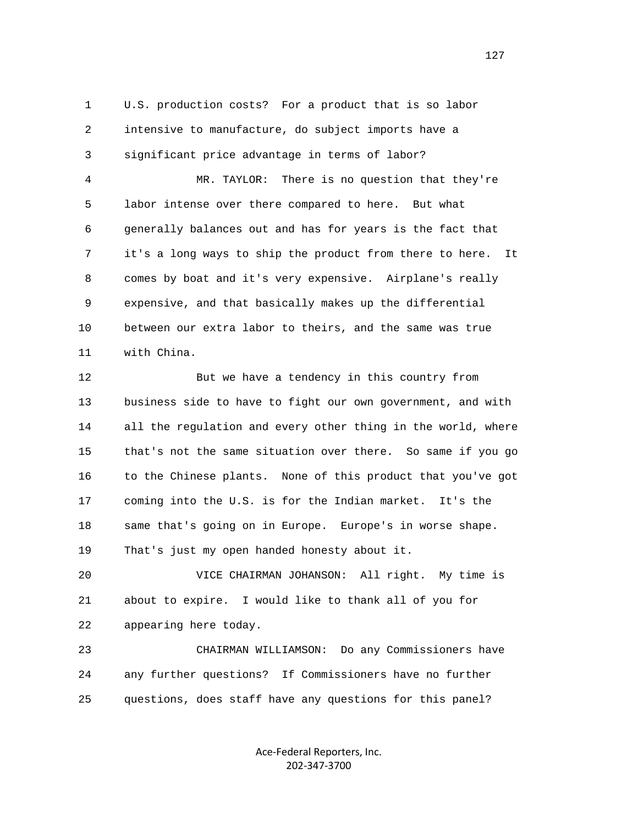1 U.S. production costs? For a product that is so labor 2 intensive to manufacture, do subject imports have a 3 significant price advantage in terms of labor?

 4 MR. TAYLOR: There is no question that they're 5 labor intense over there compared to here. But what 6 generally balances out and has for years is the fact that 7 it's a long ways to ship the product from there to here. It 8 comes by boat and it's very expensive. Airplane's really 9 expensive, and that basically makes up the differential 10 between our extra labor to theirs, and the same was true 11 with China.

 12 But we have a tendency in this country from 13 business side to have to fight our own government, and with 14 all the regulation and every other thing in the world, where 15 that's not the same situation over there. So same if you go 16 to the Chinese plants. None of this product that you've got 17 coming into the U.S. is for the Indian market. It's the 18 same that's going on in Europe. Europe's in worse shape. 19 That's just my open handed honesty about it.

 20 VICE CHAIRMAN JOHANSON: All right. My time is 21 about to expire. I would like to thank all of you for 22 appearing here today.

 23 CHAIRMAN WILLIAMSON: Do any Commissioners have 24 any further questions? If Commissioners have no further 25 questions, does staff have any questions for this panel?

> Ace‐Federal Reporters, Inc. 202‐347‐3700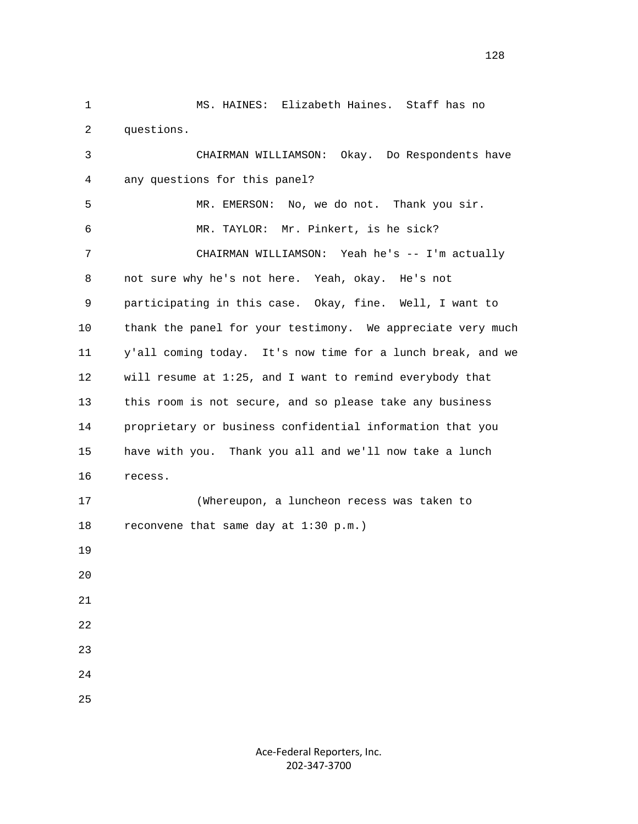1 MS. HAINES: Elizabeth Haines. Staff has no 2 questions. 3 CHAIRMAN WILLIAMSON: Okay. Do Respondents have 4 any questions for this panel? 5 MR. EMERSON: No, we do not. Thank you sir. 6 MR. TAYLOR: Mr. Pinkert, is he sick? 7 CHAIRMAN WILLIAMSON: Yeah he's -- I'm actually 8 not sure why he's not here. Yeah, okay. He's not 9 participating in this case. Okay, fine. Well, I want to 10 thank the panel for your testimony. We appreciate very much 11 y'all coming today. It's now time for a lunch break, and we 12 will resume at 1:25, and I want to remind everybody that 13 this room is not secure, and so please take any business 14 proprietary or business confidential information that you 15 have with you. Thank you all and we'll now take a lunch 16 recess. 17 (Whereupon, a luncheon recess was taken to 18 reconvene that same day at 1:30 p.m.) 19  $20^{\circ}$  21 22 23 24 25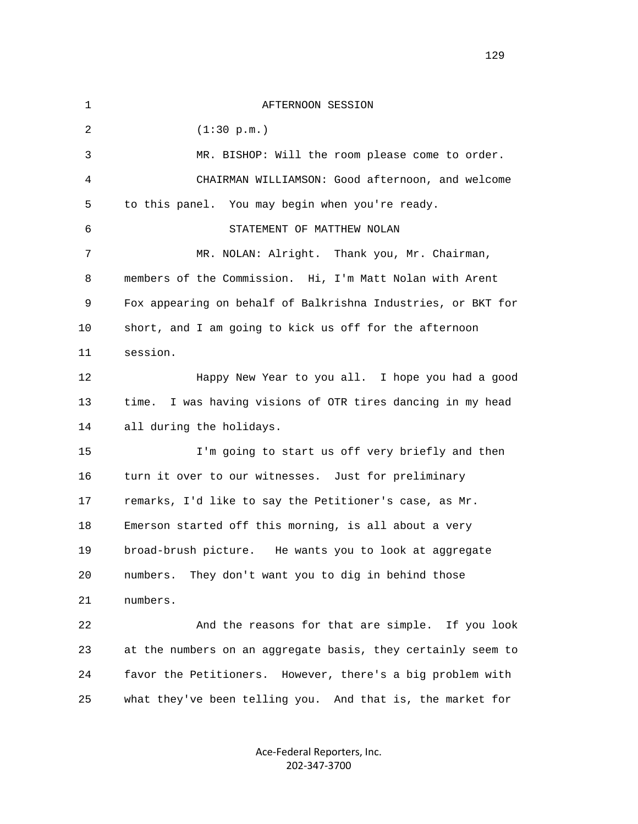| $\mathbf 1$ | AFTERNOON SESSION                                             |
|-------------|---------------------------------------------------------------|
| 2           | (1:30 p.m.)                                                   |
| 3           | MR. BISHOP: Will the room please come to order.               |
| 4           | CHAIRMAN WILLIAMSON: Good afternoon, and welcome              |
| 5           | to this panel. You may begin when you're ready.               |
| 6           | STATEMENT OF MATTHEW NOLAN                                    |
| 7           | MR. NOLAN: Alright. Thank you, Mr. Chairman,                  |
| 8           | members of the Commission. Hi, I'm Matt Nolan with Arent      |
| 9           | Fox appearing on behalf of Balkrishna Industries, or BKT for  |
| 10          | short, and I am going to kick us off for the afternoon        |
| 11          | session.                                                      |
| 12          | Happy New Year to you all. I hope you had a good              |
| 13          | I was having visions of OTR tires dancing in my head<br>time. |
| 14          | all during the holidays.                                      |
| 15          | I'm going to start us off very briefly and then               |
| 16          | turn it over to our witnesses. Just for preliminary           |
| 17          | remarks, I'd like to say the Petitioner's case, as Mr.        |
| 18          | Emerson started off this morning, is all about a very         |
| 19          | broad-brush picture. He wants you to look at aggregate        |
| 20          | They don't want you to dig in behind those<br>numbers.        |
| 21          | numbers.                                                      |
| 22          | And the reasons for that are simple. If you look              |
| 23          | at the numbers on an aggregate basis, they certainly seem to  |
| 24          | favor the Petitioners. However, there's a big problem with    |
| 25          | what they've been telling you. And that is, the market for    |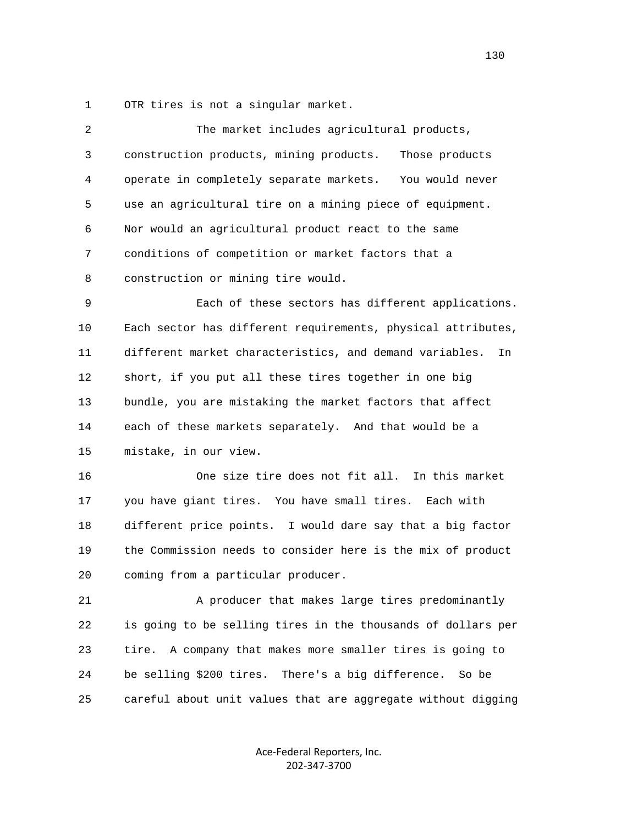1 OTR tires is not a singular market.

| $\overline{2}$ | The market includes agricultural products,                    |
|----------------|---------------------------------------------------------------|
| 3              | construction products, mining products.<br>Those products     |
| 4              | operate in completely separate markets. You would never       |
| 5              | use an agricultural tire on a mining piece of equipment.      |
| 6              | Nor would an agricultural product react to the same           |
| 7              | conditions of competition or market factors that a            |
| 8              | construction or mining tire would.                            |
| 9              | Each of these sectors has different applications.             |
| 10             | Each sector has different requirements, physical attributes,  |
| 11             | different market characteristics, and demand variables.<br>In |
| 12             | short, if you put all these tires together in one big         |
| 13             | bundle, you are mistaking the market factors that affect      |
| 14             | each of these markets separately. And that would be a         |
| 15             | mistake, in our view.                                         |
| 16             | One size tire does not fit all. In this market                |
| 17             | you have giant tires. You have small tires. Each with         |
| 18             | different price points. I would dare say that a big factor    |
| 19             | the Commission needs to consider here is the mix of product   |
| 20             | coming from a particular producer.                            |
| 21             | A producer that makes large tires predominantly               |
| 22             | is going to be selling tires in the thousands of dollars per  |
| 23             | tire. A company that makes more smaller tires is going to     |
| 24             | be selling \$200 tires. There's a big difference. So be       |
| 25             | careful about unit values that are aggregate without digging  |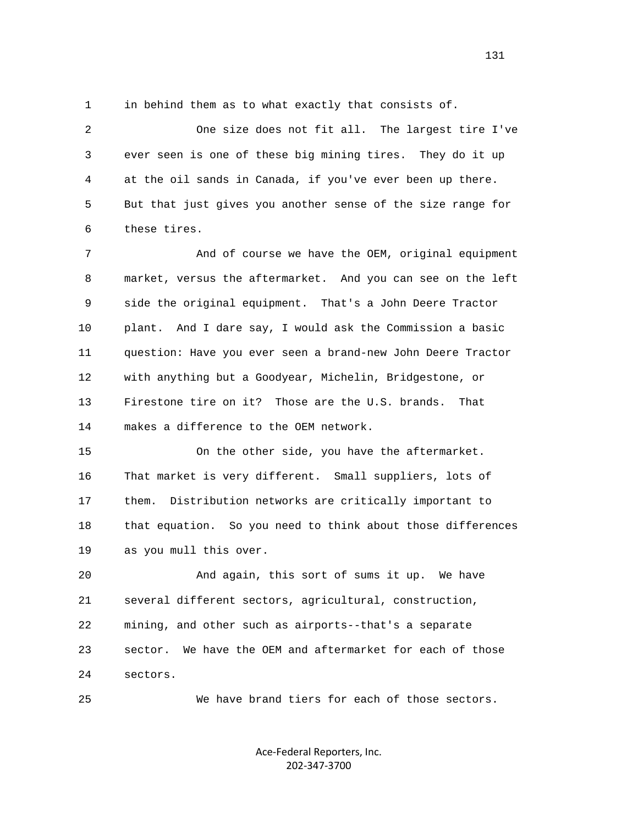1 in behind them as to what exactly that consists of.

 2 One size does not fit all. The largest tire I've 3 ever seen is one of these big mining tires. They do it up 4 at the oil sands in Canada, if you've ever been up there. 5 But that just gives you another sense of the size range for 6 these tires.

 7 And of course we have the OEM, original equipment 8 market, versus the aftermarket. And you can see on the left 9 side the original equipment. That's a John Deere Tractor 10 plant. And I dare say, I would ask the Commission a basic 11 question: Have you ever seen a brand-new John Deere Tractor 12 with anything but a Goodyear, Michelin, Bridgestone, or 13 Firestone tire on it? Those are the U.S. brands. That 14 makes a difference to the OEM network.

 15 On the other side, you have the aftermarket. 16 That market is very different. Small suppliers, lots of 17 them. Distribution networks are critically important to 18 that equation. So you need to think about those differences 19 as you mull this over.

 20 And again, this sort of sums it up. We have 21 several different sectors, agricultural, construction, 22 mining, and other such as airports--that's a separate 23 sector. We have the OEM and aftermarket for each of those 24 sectors.

25 We have brand tiers for each of those sectors.

Ace‐Federal Reporters, Inc. 202‐347‐3700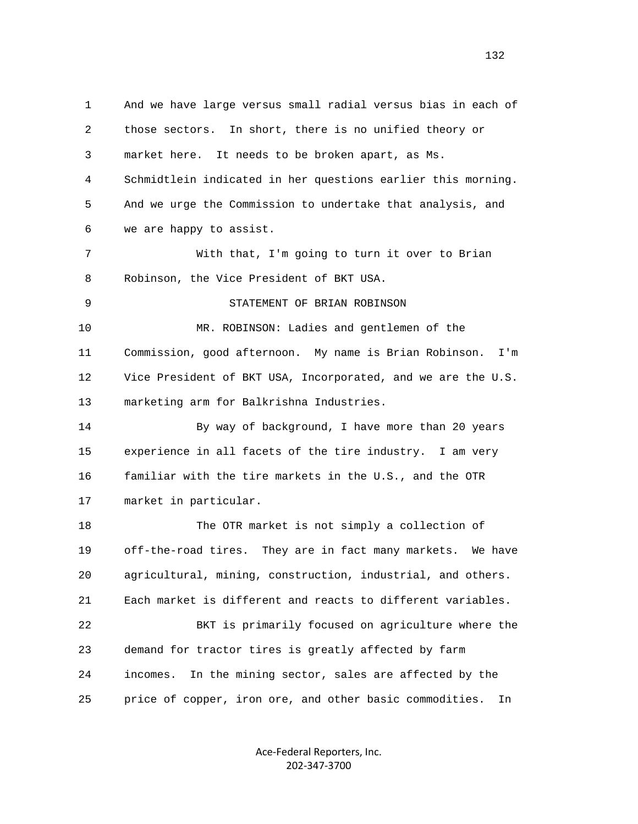1 And we have large versus small radial versus bias in each of 2 those sectors. In short, there is no unified theory or 3 market here. It needs to be broken apart, as Ms. 4 Schmidtlein indicated in her questions earlier this morning. 5 And we urge the Commission to undertake that analysis, and 6 we are happy to assist. 7 With that, I'm going to turn it over to Brian 8 Robinson, the Vice President of BKT USA. 9 STATEMENT OF BRIAN ROBINSON 10 MR. ROBINSON: Ladies and gentlemen of the 11 Commission, good afternoon. My name is Brian Robinson. I'm 12 Vice President of BKT USA, Incorporated, and we are the U.S. 13 marketing arm for Balkrishna Industries. 14 By way of background, I have more than 20 years 15 experience in all facets of the tire industry. I am very 16 familiar with the tire markets in the U.S., and the OTR 17 market in particular. 18 The OTR market is not simply a collection of 19 off-the-road tires. They are in fact many markets. We have 20 agricultural, mining, construction, industrial, and others. 21 Each market is different and reacts to different variables. 22 BKT is primarily focused on agriculture where the 23 demand for tractor tires is greatly affected by farm 24 incomes. In the mining sector, sales are affected by the 25 price of copper, iron ore, and other basic commodities. In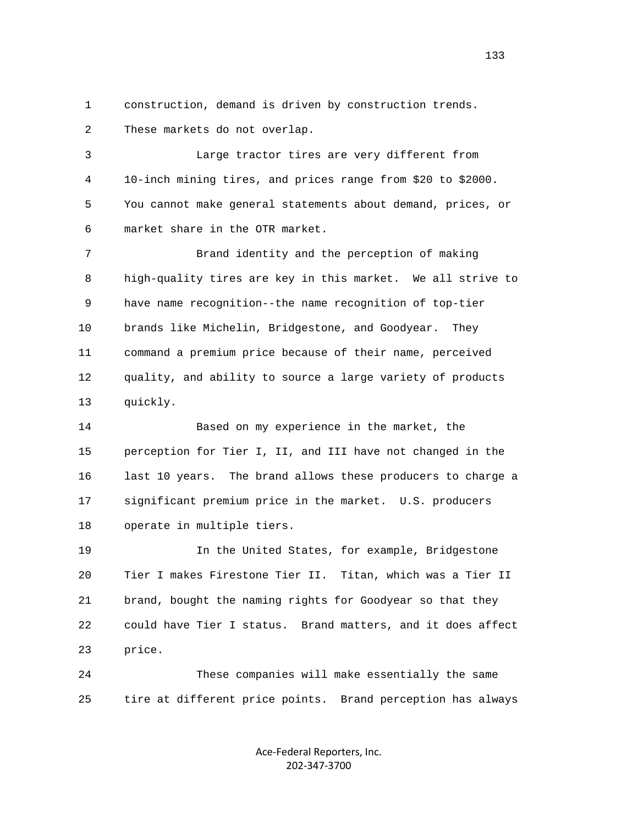1 construction, demand is driven by construction trends. 2 These markets do not overlap.

 3 Large tractor tires are very different from 4 10-inch mining tires, and prices range from \$20 to \$2000. 5 You cannot make general statements about demand, prices, or 6 market share in the OTR market.

 7 Brand identity and the perception of making 8 high-quality tires are key in this market. We all strive to 9 have name recognition--the name recognition of top-tier 10 brands like Michelin, Bridgestone, and Goodyear. They 11 command a premium price because of their name, perceived 12 quality, and ability to source a large variety of products 13 quickly.

 14 Based on my experience in the market, the 15 perception for Tier I, II, and III have not changed in the 16 last 10 years. The brand allows these producers to charge a 17 significant premium price in the market. U.S. producers 18 operate in multiple tiers.

 19 In the United States, for example, Bridgestone 20 Tier I makes Firestone Tier II. Titan, which was a Tier II 21 brand, bought the naming rights for Goodyear so that they 22 could have Tier I status. Brand matters, and it does affect 23 price.

 24 These companies will make essentially the same 25 tire at different price points. Brand perception has always

> Ace‐Federal Reporters, Inc. 202‐347‐3700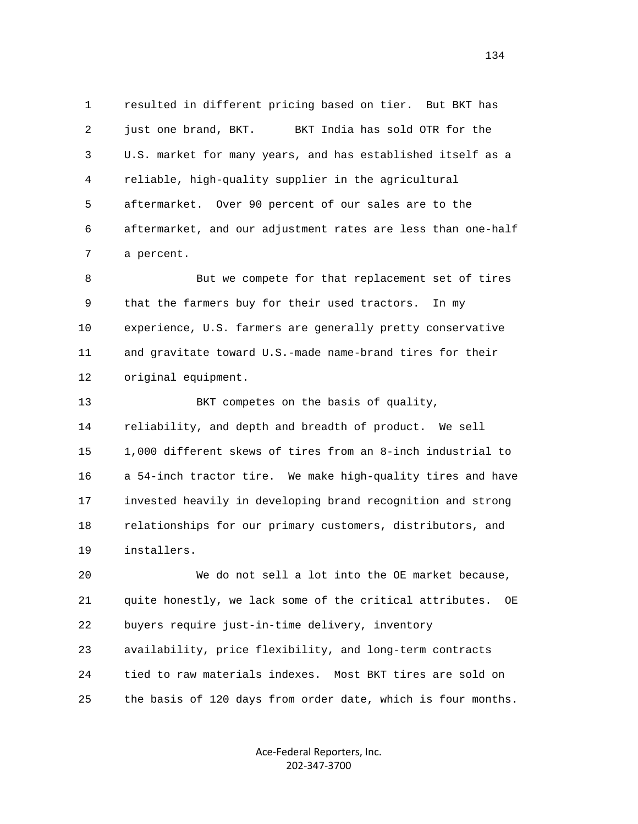1 resulted in different pricing based on tier. But BKT has 2 just one brand, BKT. BKT India has sold OTR for the 3 U.S. market for many years, and has established itself as a 4 reliable, high-quality supplier in the agricultural 5 aftermarket. Over 90 percent of our sales are to the 6 aftermarket, and our adjustment rates are less than one-half 7 a percent.

 8 But we compete for that replacement set of tires 9 that the farmers buy for their used tractors. In my 10 experience, U.S. farmers are generally pretty conservative 11 and gravitate toward U.S.-made name-brand tires for their 12 original equipment.

 13 BKT competes on the basis of quality, 14 reliability, and depth and breadth of product. We sell 15 1,000 different skews of tires from an 8-inch industrial to 16 a 54-inch tractor tire. We make high-quality tires and have 17 invested heavily in developing brand recognition and strong 18 relationships for our primary customers, distributors, and 19 installers.

 20 We do not sell a lot into the OE market because, 21 quite honestly, we lack some of the critical attributes. OE 22 buyers require just-in-time delivery, inventory 23 availability, price flexibility, and long-term contracts 24 tied to raw materials indexes. Most BKT tires are sold on 25 the basis of 120 days from order date, which is four months.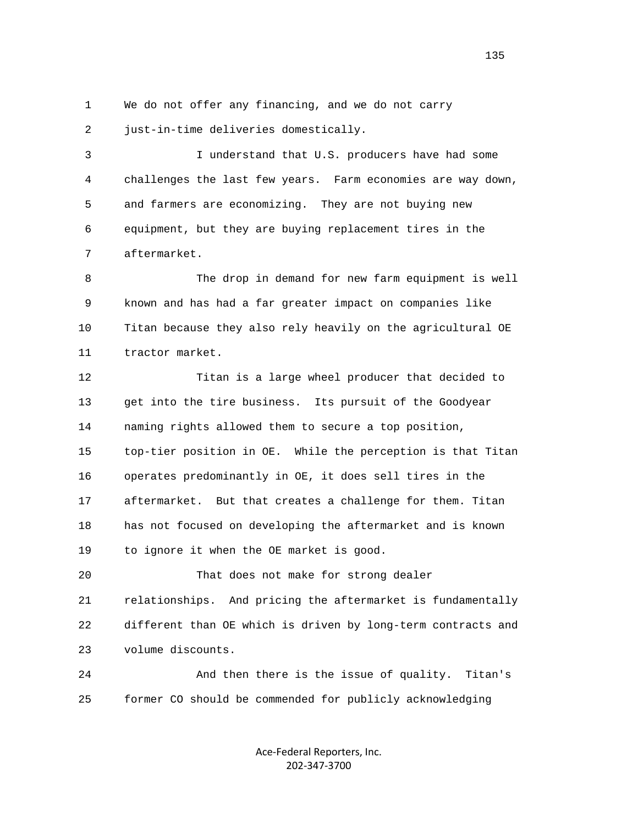1 We do not offer any financing, and we do not carry 2 just-in-time deliveries domestically.

 3 I understand that U.S. producers have had some 4 challenges the last few years. Farm economies are way down, 5 and farmers are economizing. They are not buying new 6 equipment, but they are buying replacement tires in the 7 aftermarket.

 8 The drop in demand for new farm equipment is well 9 known and has had a far greater impact on companies like 10 Titan because they also rely heavily on the agricultural OE 11 tractor market.

 12 Titan is a large wheel producer that decided to 13 get into the tire business. Its pursuit of the Goodyear 14 naming rights allowed them to secure a top position, 15 top-tier position in OE. While the perception is that Titan 16 operates predominantly in OE, it does sell tires in the 17 aftermarket. But that creates a challenge for them. Titan 18 has not focused on developing the aftermarket and is known 19 to ignore it when the OE market is good.

 20 That does not make for strong dealer 21 relationships. And pricing the aftermarket is fundamentally 22 different than OE which is driven by long-term contracts and 23 volume discounts.

 24 And then there is the issue of quality. Titan's 25 former CO should be commended for publicly acknowledging

> Ace‐Federal Reporters, Inc. 202‐347‐3700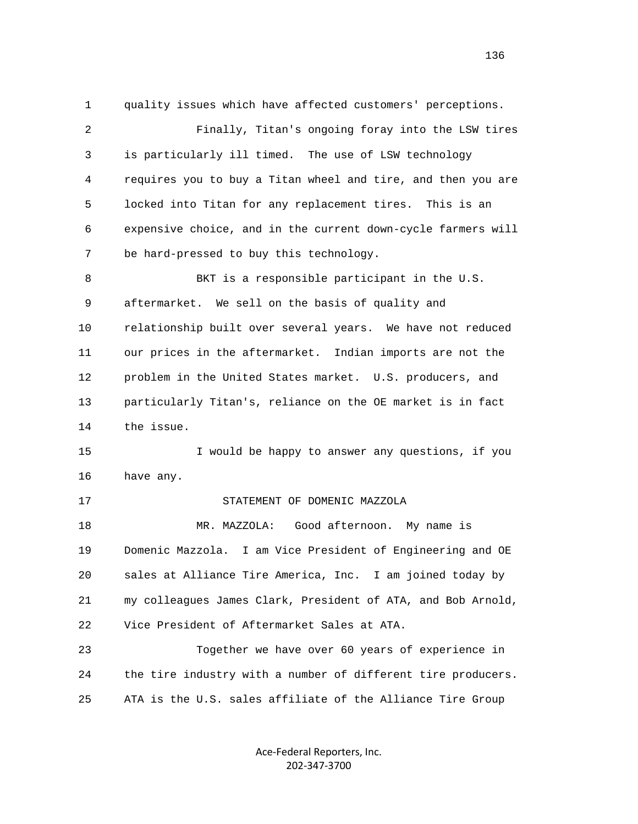1 quality issues which have affected customers' perceptions. 2 Finally, Titan's ongoing foray into the LSW tires 3 is particularly ill timed. The use of LSW technology 4 requires you to buy a Titan wheel and tire, and then you are 5 locked into Titan for any replacement tires. This is an 6 expensive choice, and in the current down-cycle farmers will 7 be hard-pressed to buy this technology. 8 BKT is a responsible participant in the U.S. 9 aftermarket. We sell on the basis of quality and 10 relationship built over several years. We have not reduced 11 our prices in the aftermarket. Indian imports are not the 12 problem in the United States market. U.S. producers, and 13 particularly Titan's, reliance on the OE market is in fact 14 the issue. 15 I would be happy to answer any questions, if you 16 have any. 17 STATEMENT OF DOMENIC MAZZOLA 18 MR. MAZZOLA: Good afternoon. My name is 19 Domenic Mazzola. I am Vice President of Engineering and OE 20 sales at Alliance Tire America, Inc. I am joined today by 21 my colleagues James Clark, President of ATA, and Bob Arnold, 22 Vice President of Aftermarket Sales at ATA. 23 Together we have over 60 years of experience in 24 the tire industry with a number of different tire producers. 25 ATA is the U.S. sales affiliate of the Alliance Tire Group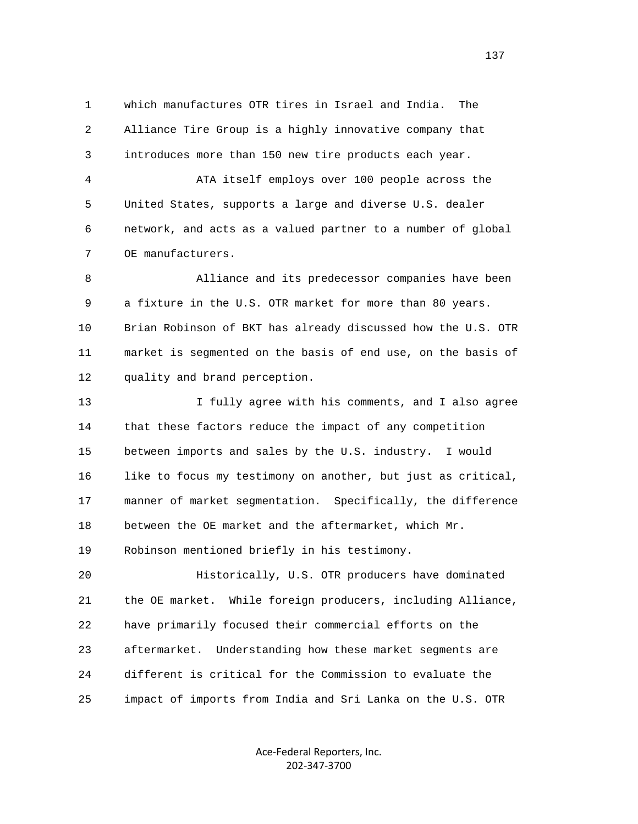1 which manufactures OTR tires in Israel and India. The 2 Alliance Tire Group is a highly innovative company that 3 introduces more than 150 new tire products each year.

 4 ATA itself employs over 100 people across the 5 United States, supports a large and diverse U.S. dealer 6 network, and acts as a valued partner to a number of global 7 OE manufacturers.

 8 Alliance and its predecessor companies have been 9 a fixture in the U.S. OTR market for more than 80 years. 10 Brian Robinson of BKT has already discussed how the U.S. OTR 11 market is segmented on the basis of end use, on the basis of 12 quality and brand perception.

 13 I fully agree with his comments, and I also agree 14 that these factors reduce the impact of any competition 15 between imports and sales by the U.S. industry. I would 16 like to focus my testimony on another, but just as critical, 17 manner of market segmentation. Specifically, the difference 18 between the OE market and the aftermarket, which Mr. 19 Robinson mentioned briefly in his testimony.

 20 Historically, U.S. OTR producers have dominated 21 the OE market. While foreign producers, including Alliance, 22 have primarily focused their commercial efforts on the 23 aftermarket. Understanding how these market segments are 24 different is critical for the Commission to evaluate the 25 impact of imports from India and Sri Lanka on the U.S. OTR

> Ace‐Federal Reporters, Inc. 202‐347‐3700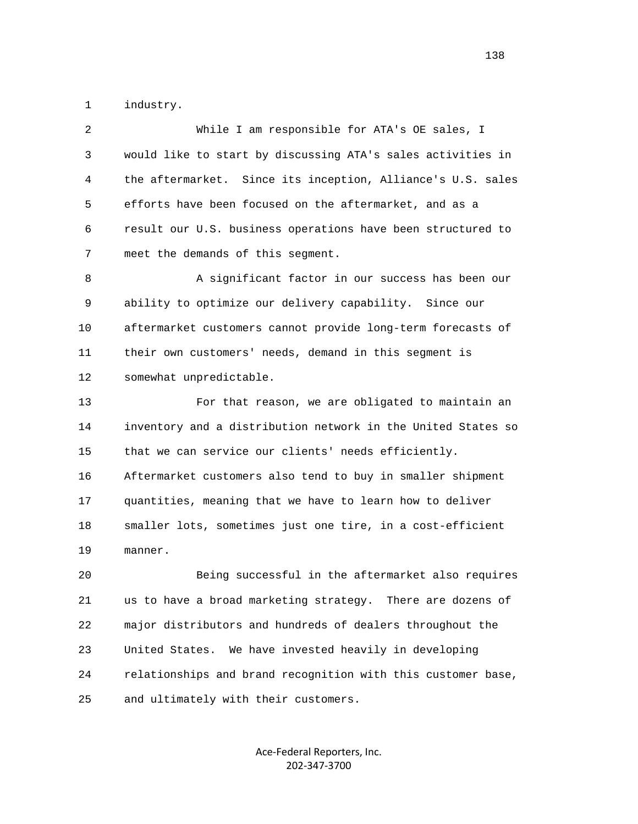1 industry.

| 2  | While I am responsible for ATA's OE sales, I                 |
|----|--------------------------------------------------------------|
| 3  | would like to start by discussing ATA's sales activities in  |
| 4  | the aftermarket. Since its inception, Alliance's U.S. sales  |
| 5  | efforts have been focused on the aftermarket, and as a       |
| 6  | result our U.S. business operations have been structured to  |
| 7  | meet the demands of this segment.                            |
| 8  | A significant factor in our success has been our             |
| 9  | ability to optimize our delivery capability. Since our       |
| 10 | aftermarket customers cannot provide long-term forecasts of  |
| 11 | their own customers' needs, demand in this segment is        |
| 12 | somewhat unpredictable.                                      |
| 13 | For that reason, we are obligated to maintain an             |
| 14 | inventory and a distribution network in the United States so |
| 15 | that we can service our clients' needs efficiently.          |
| 16 | Aftermarket customers also tend to buy in smaller shipment   |
| 17 | quantities, meaning that we have to learn how to deliver     |
| 18 | smaller lots, sometimes just one tire, in a cost-efficient   |
| 19 | manner.                                                      |
| 20 | Being successful in the aftermarket also requires            |
| 21 | us to have a broad marketing strategy. There are dozens of   |
| 22 | major distributors and hundreds of dealers throughout the    |
| 23 | We have invested heavily in developing<br>United States.     |
| 24 | relationships and brand recognition with this customer base, |
| 25 | and ultimately with their customers.                         |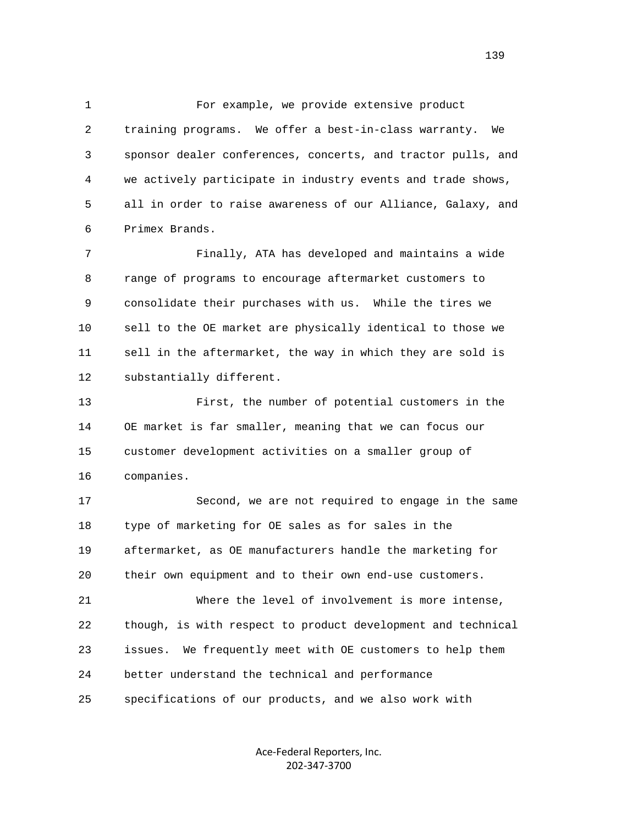1 For example, we provide extensive product 2 training programs. We offer a best-in-class warranty. We 3 sponsor dealer conferences, concerts, and tractor pulls, and 4 we actively participate in industry events and trade shows, 5 all in order to raise awareness of our Alliance, Galaxy, and 6 Primex Brands.

 7 Finally, ATA has developed and maintains a wide 8 range of programs to encourage aftermarket customers to 9 consolidate their purchases with us. While the tires we 10 sell to the OE market are physically identical to those we 11 sell in the aftermarket, the way in which they are sold is 12 substantially different.

 13 First, the number of potential customers in the 14 OE market is far smaller, meaning that we can focus our 15 customer development activities on a smaller group of 16 companies.

 17 Second, we are not required to engage in the same 18 type of marketing for OE sales as for sales in the 19 aftermarket, as OE manufacturers handle the marketing for 20 their own equipment and to their own end-use customers. 21 Where the level of involvement is more intense, 22 though, is with respect to product development and technical

23 issues. We frequently meet with OE customers to help them

24 better understand the technical and performance

25 specifications of our products, and we also work with

Ace‐Federal Reporters, Inc. 202‐347‐3700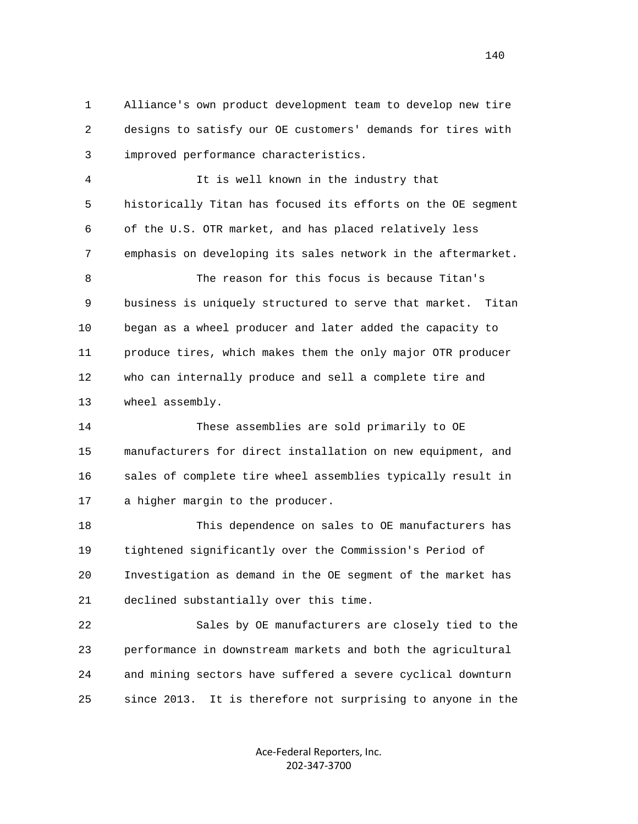1 Alliance's own product development team to develop new tire 2 designs to satisfy our OE customers' demands for tires with 3 improved performance characteristics.

 4 It is well known in the industry that 5 historically Titan has focused its efforts on the OE segment 6 of the U.S. OTR market, and has placed relatively less 7 emphasis on developing its sales network in the aftermarket.

 8 The reason for this focus is because Titan's 9 business is uniquely structured to serve that market. Titan 10 began as a wheel producer and later added the capacity to 11 produce tires, which makes them the only major OTR producer 12 who can internally produce and sell a complete tire and 13 wheel assembly.

 14 These assemblies are sold primarily to OE 15 manufacturers for direct installation on new equipment, and 16 sales of complete tire wheel assemblies typically result in 17 a higher margin to the producer.

 18 This dependence on sales to OE manufacturers has 19 tightened significantly over the Commission's Period of 20 Investigation as demand in the OE segment of the market has 21 declined substantially over this time.

 22 Sales by OE manufacturers are closely tied to the 23 performance in downstream markets and both the agricultural 24 and mining sectors have suffered a severe cyclical downturn 25 since 2013. It is therefore not surprising to anyone in the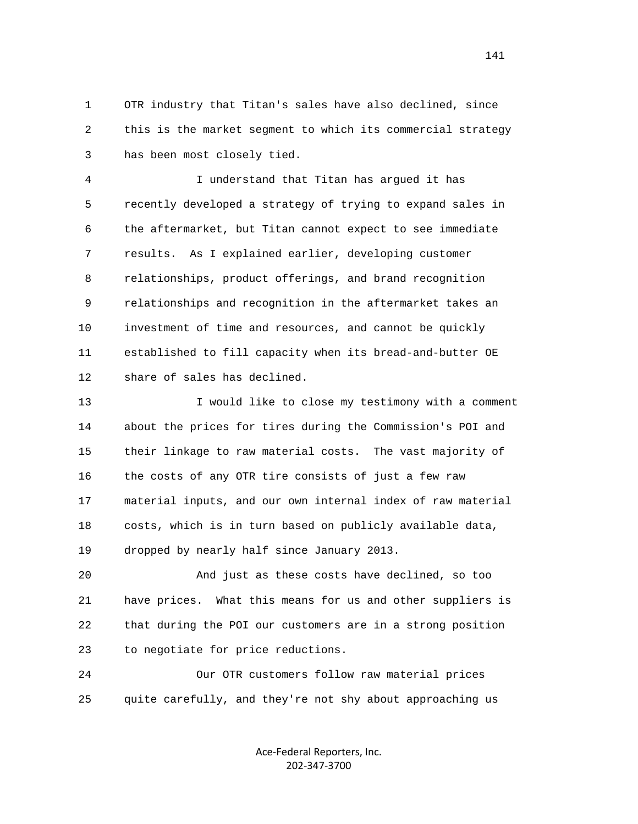1 OTR industry that Titan's sales have also declined, since 2 this is the market segment to which its commercial strategy 3 has been most closely tied.

 4 I understand that Titan has argued it has 5 recently developed a strategy of trying to expand sales in 6 the aftermarket, but Titan cannot expect to see immediate 7 results. As I explained earlier, developing customer 8 relationships, product offerings, and brand recognition 9 relationships and recognition in the aftermarket takes an 10 investment of time and resources, and cannot be quickly 11 established to fill capacity when its bread-and-butter OE 12 share of sales has declined.

 13 I would like to close my testimony with a comment 14 about the prices for tires during the Commission's POI and 15 their linkage to raw material costs. The vast majority of 16 the costs of any OTR tire consists of just a few raw 17 material inputs, and our own internal index of raw material 18 costs, which is in turn based on publicly available data, 19 dropped by nearly half since January 2013.

 20 And just as these costs have declined, so too 21 have prices. What this means for us and other suppliers is 22 that during the POI our customers are in a strong position 23 to negotiate for price reductions.

 24 Our OTR customers follow raw material prices 25 quite carefully, and they're not shy about approaching us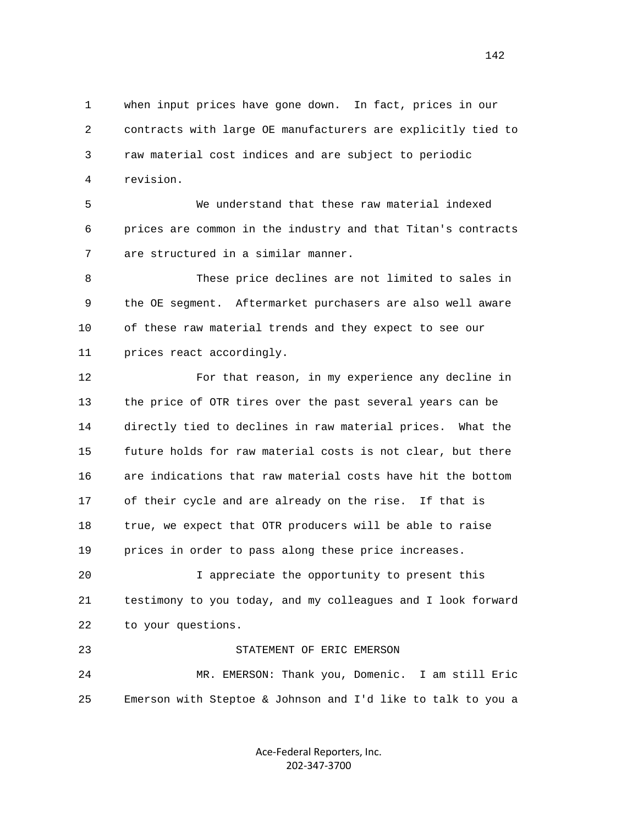1 when input prices have gone down. In fact, prices in our 2 contracts with large OE manufacturers are explicitly tied to 3 raw material cost indices and are subject to periodic 4 revision.

 5 We understand that these raw material indexed 6 prices are common in the industry and that Titan's contracts 7 are structured in a similar manner.

 8 These price declines are not limited to sales in 9 the OE segment. Aftermarket purchasers are also well aware 10 of these raw material trends and they expect to see our 11 prices react accordingly.

 12 For that reason, in my experience any decline in 13 the price of OTR tires over the past several years can be 14 directly tied to declines in raw material prices. What the 15 future holds for raw material costs is not clear, but there 16 are indications that raw material costs have hit the bottom 17 of their cycle and are already on the rise. If that is 18 true, we expect that OTR producers will be able to raise 19 prices in order to pass along these price increases.

 20 I appreciate the opportunity to present this 21 testimony to you today, and my colleagues and I look forward 22 to your questions.

 23 STATEMENT OF ERIC EMERSON 24 MR. EMERSON: Thank you, Domenic. I am still Eric 25 Emerson with Steptoe & Johnson and I'd like to talk to you a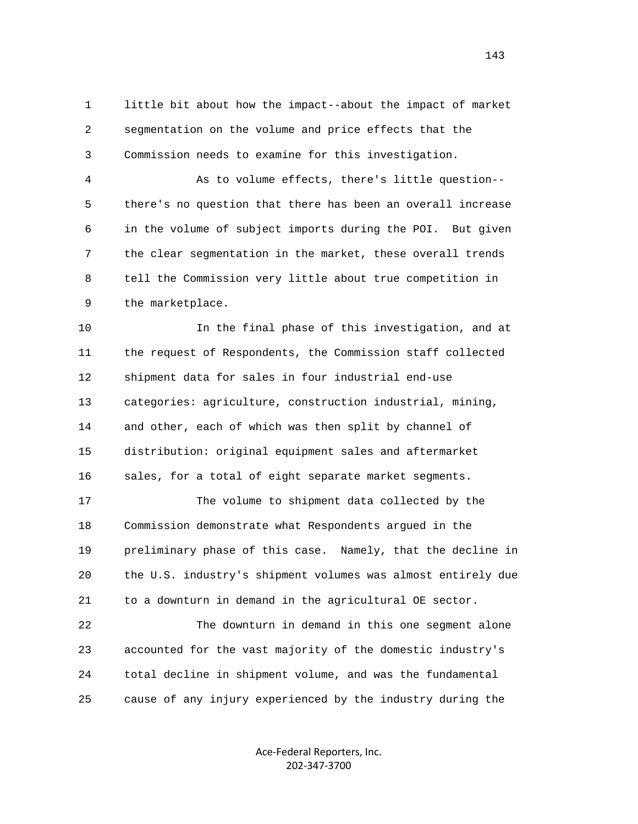1 little bit about how the impact--about the impact of market 2 segmentation on the volume and price effects that the 3 Commission needs to examine for this investigation.

 4 As to volume effects, there's little question-- 5 there's no question that there has been an overall increase 6 in the volume of subject imports during the POI. But given 7 the clear segmentation in the market, these overall trends 8 tell the Commission very little about true competition in 9 the marketplace.

 10 In the final phase of this investigation, and at 11 the request of Respondents, the Commission staff collected 12 shipment data for sales in four industrial end-use 13 categories: agriculture, construction industrial, mining, 14 and other, each of which was then split by channel of 15 distribution: original equipment sales and aftermarket 16 sales, for a total of eight separate market segments.

 17 The volume to shipment data collected by the 18 Commission demonstrate what Respondents argued in the 19 preliminary phase of this case. Namely, that the decline in 20 the U.S. industry's shipment volumes was almost entirely due 21 to a downturn in demand in the agricultural OE sector.

 22 The downturn in demand in this one segment alone 23 accounted for the vast majority of the domestic industry's 24 total decline in shipment volume, and was the fundamental 25 cause of any injury experienced by the industry during the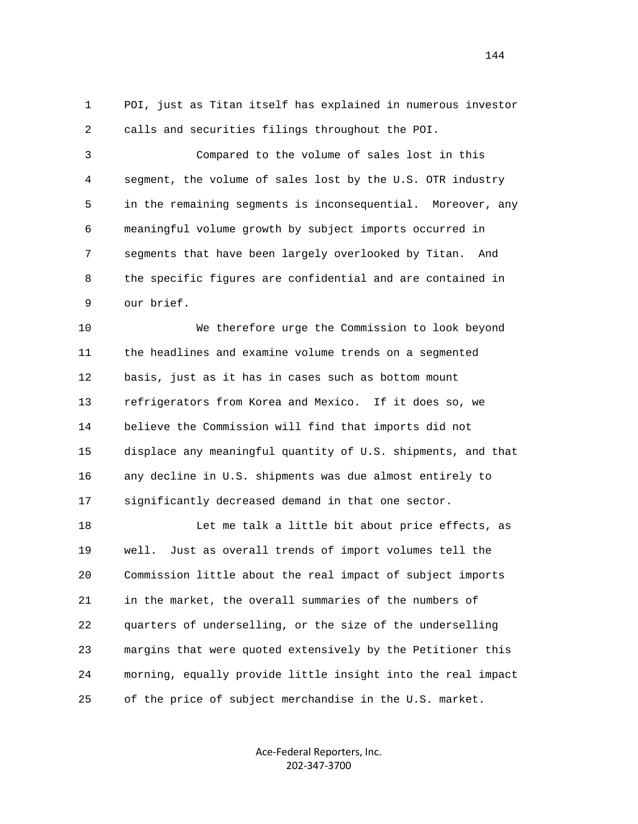1 POI, just as Titan itself has explained in numerous investor 2 calls and securities filings throughout the POI.

 3 Compared to the volume of sales lost in this 4 segment, the volume of sales lost by the U.S. OTR industry 5 in the remaining segments is inconsequential. Moreover, any 6 meaningful volume growth by subject imports occurred in 7 segments that have been largely overlooked by Titan. And 8 the specific figures are confidential and are contained in 9 our brief.

 10 We therefore urge the Commission to look beyond 11 the headlines and examine volume trends on a segmented 12 basis, just as it has in cases such as bottom mount 13 refrigerators from Korea and Mexico. If it does so, we 14 believe the Commission will find that imports did not 15 displace any meaningful quantity of U.S. shipments, and that 16 any decline in U.S. shipments was due almost entirely to 17 significantly decreased demand in that one sector.

 18 Let me talk a little bit about price effects, as 19 well. Just as overall trends of import volumes tell the 20 Commission little about the real impact of subject imports 21 in the market, the overall summaries of the numbers of 22 quarters of underselling, or the size of the underselling 23 margins that were quoted extensively by the Petitioner this 24 morning, equally provide little insight into the real impact 25 of the price of subject merchandise in the U.S. market.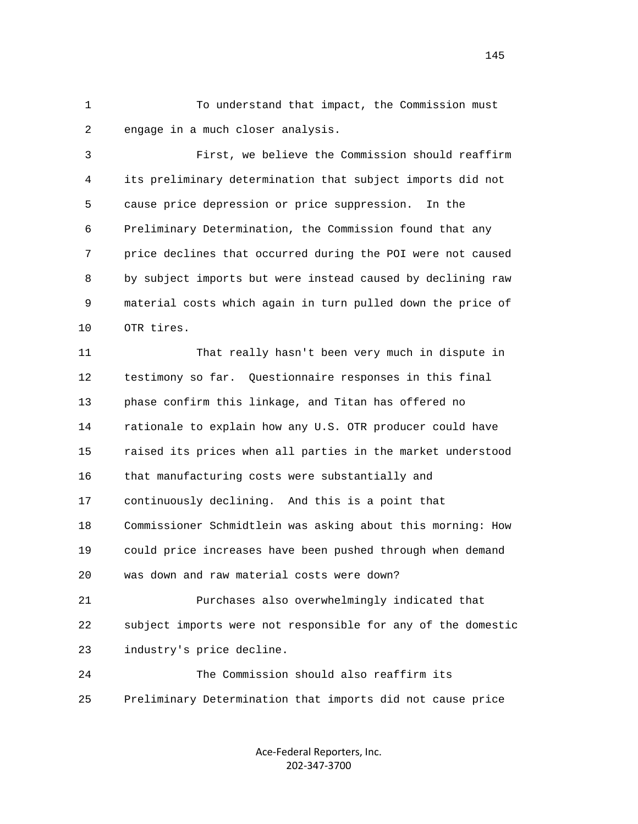1 To understand that impact, the Commission must 2 engage in a much closer analysis.

 3 First, we believe the Commission should reaffirm 4 its preliminary determination that subject imports did not 5 cause price depression or price suppression. In the 6 Preliminary Determination, the Commission found that any 7 price declines that occurred during the POI were not caused 8 by subject imports but were instead caused by declining raw 9 material costs which again in turn pulled down the price of 10 OTR tires.

 11 That really hasn't been very much in dispute in 12 testimony so far. Questionnaire responses in this final 13 phase confirm this linkage, and Titan has offered no 14 rationale to explain how any U.S. OTR producer could have 15 raised its prices when all parties in the market understood 16 that manufacturing costs were substantially and 17 continuously declining. And this is a point that 18 Commissioner Schmidtlein was asking about this morning: How 19 could price increases have been pushed through when demand 20 was down and raw material costs were down? 21 Purchases also overwhelmingly indicated that 22 subject imports were not responsible for any of the domestic

23 industry's price decline.

 24 The Commission should also reaffirm its 25 Preliminary Determination that imports did not cause price

> Ace‐Federal Reporters, Inc. 202‐347‐3700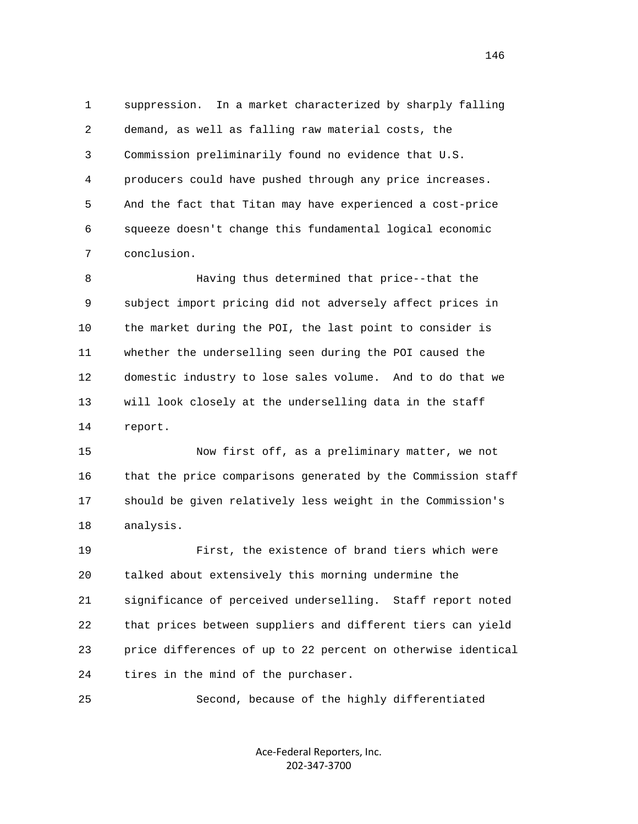1 suppression. In a market characterized by sharply falling 2 demand, as well as falling raw material costs, the 3 Commission preliminarily found no evidence that U.S. 4 producers could have pushed through any price increases. 5 And the fact that Titan may have experienced a cost-price 6 squeeze doesn't change this fundamental logical economic 7 conclusion.

 8 Having thus determined that price--that the 9 subject import pricing did not adversely affect prices in 10 the market during the POI, the last point to consider is 11 whether the underselling seen during the POI caused the 12 domestic industry to lose sales volume. And to do that we 13 will look closely at the underselling data in the staff 14 report.

 15 Now first off, as a preliminary matter, we not 16 that the price comparisons generated by the Commission staff 17 should be given relatively less weight in the Commission's 18 analysis.

 19 First, the existence of brand tiers which were 20 talked about extensively this morning undermine the 21 significance of perceived underselling. Staff report noted 22 that prices between suppliers and different tiers can yield 23 price differences of up to 22 percent on otherwise identical 24 tires in the mind of the purchaser.

25 Second, because of the highly differentiated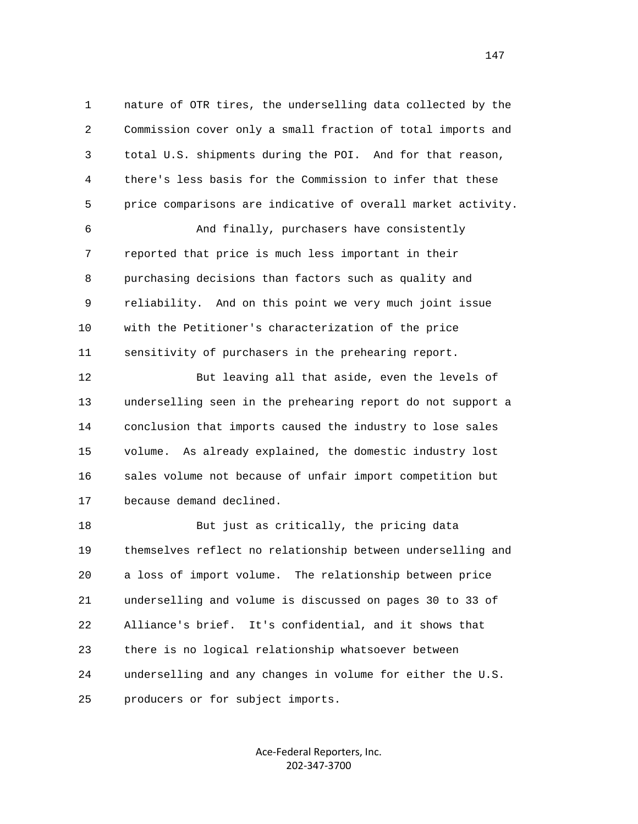1 nature of OTR tires, the underselling data collected by the 2 Commission cover only a small fraction of total imports and 3 total U.S. shipments during the POI. And for that reason, 4 there's less basis for the Commission to infer that these 5 price comparisons are indicative of overall market activity.

 6 And finally, purchasers have consistently 7 reported that price is much less important in their 8 purchasing decisions than factors such as quality and 9 reliability. And on this point we very much joint issue 10 with the Petitioner's characterization of the price 11 sensitivity of purchasers in the prehearing report.

 12 But leaving all that aside, even the levels of 13 underselling seen in the prehearing report do not support a 14 conclusion that imports caused the industry to lose sales 15 volume. As already explained, the domestic industry lost 16 sales volume not because of unfair import competition but 17 because demand declined.

 18 But just as critically, the pricing data 19 themselves reflect no relationship between underselling and 20 a loss of import volume. The relationship between price 21 underselling and volume is discussed on pages 30 to 33 of 22 Alliance's brief. It's confidential, and it shows that 23 there is no logical relationship whatsoever between 24 underselling and any changes in volume for either the U.S. 25 producers or for subject imports.

> Ace‐Federal Reporters, Inc. 202‐347‐3700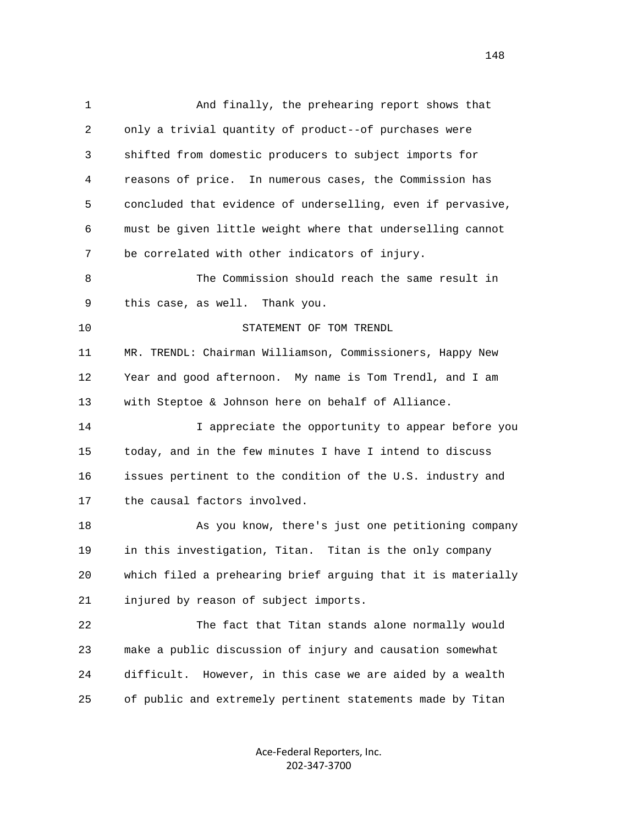| $\mathbf{1}$ | And finally, the prehearing report shows that                |
|--------------|--------------------------------------------------------------|
| 2            | only a trivial quantity of product--of purchases were        |
| 3            | shifted from domestic producers to subject imports for       |
| 4            | reasons of price. In numerous cases, the Commission has      |
| 5            | concluded that evidence of underselling, even if pervasive,  |
| 6            | must be given little weight where that underselling cannot   |
| 7            | be correlated with other indicators of injury.               |
| 8            | The Commission should reach the same result in               |
| 9            | this case, as well. Thank you.                               |
| 10           | STATEMENT OF TOM TRENDL                                      |
| 11           | MR. TRENDL: Chairman Williamson, Commissioners, Happy New    |
| 12           | Year and good afternoon. My name is Tom Trendl, and I am     |
| 13           | with Steptoe & Johnson here on behalf of Alliance.           |
| 14           | I appreciate the opportunity to appear before you            |
| 15           | today, and in the few minutes I have I intend to discuss     |
| 16           | issues pertinent to the condition of the U.S. industry and   |
| 17           | the causal factors involved.                                 |
| 18           | As you know, there's just one petitioning company            |
| 19           | in this investigation, Titan. Titan is the only company      |
| 20           | which filed a prehearing brief arguing that it is materially |
| 21           | injured by reason of subject imports.                        |
| 22           | The fact that Titan stands alone normally would              |
| 23           | make a public discussion of injury and causation somewhat    |
| 24           | However, in this case we are aided by a wealth<br>difficult. |
| 25           | of public and extremely pertinent statements made by Titan   |
|              |                                                              |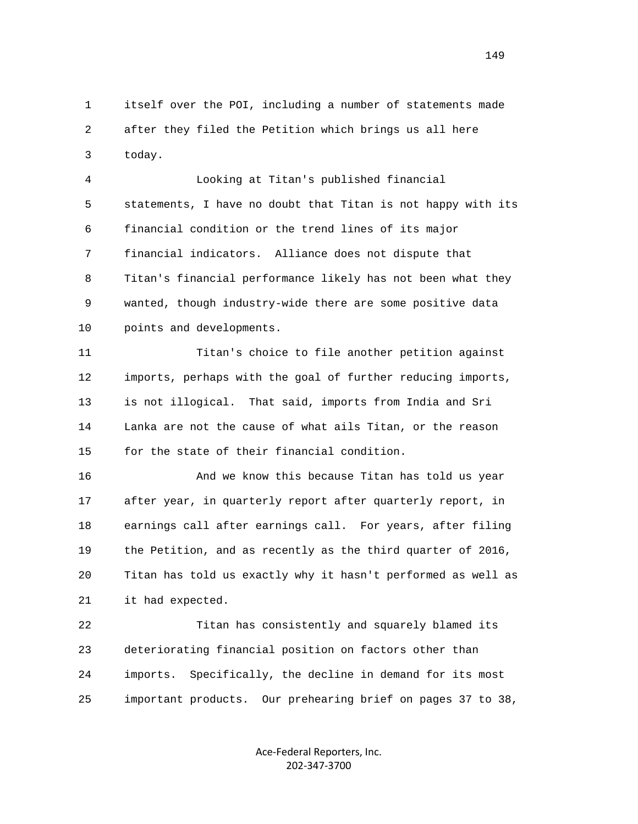1 itself over the POI, including a number of statements made 2 after they filed the Petition which brings us all here 3 today.

 4 Looking at Titan's published financial 5 statements, I have no doubt that Titan is not happy with its 6 financial condition or the trend lines of its major 7 financial indicators. Alliance does not dispute that 8 Titan's financial performance likely has not been what they 9 wanted, though industry-wide there are some positive data 10 points and developments.

 11 Titan's choice to file another petition against 12 imports, perhaps with the goal of further reducing imports, 13 is not illogical. That said, imports from India and Sri 14 Lanka are not the cause of what ails Titan, or the reason 15 for the state of their financial condition.

 16 And we know this because Titan has told us year 17 after year, in quarterly report after quarterly report, in 18 earnings call after earnings call. For years, after filing 19 the Petition, and as recently as the third quarter of 2016, 20 Titan has told us exactly why it hasn't performed as well as 21 it had expected.

 22 Titan has consistently and squarely blamed its 23 deteriorating financial position on factors other than 24 imports. Specifically, the decline in demand for its most 25 important products. Our prehearing brief on pages 37 to 38,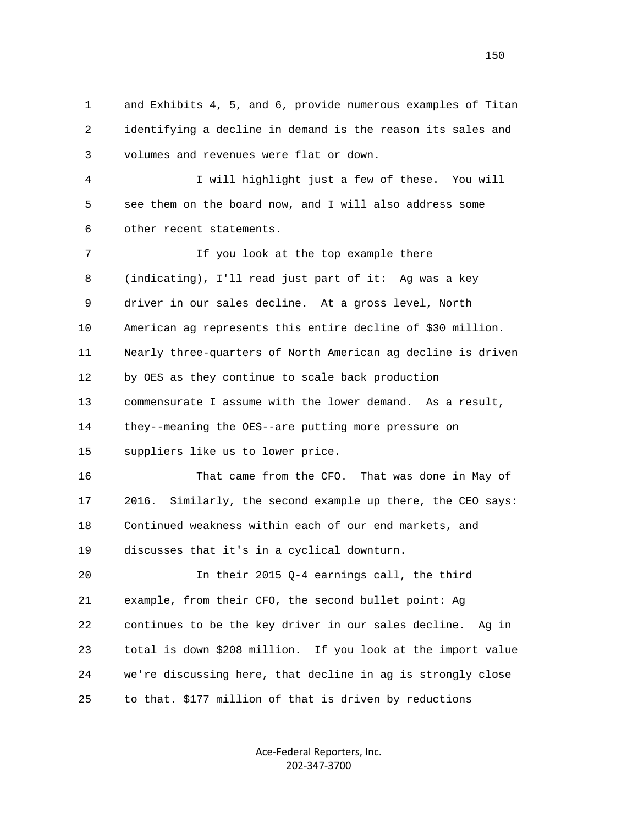1 and Exhibits 4, 5, and 6, provide numerous examples of Titan 2 identifying a decline in demand is the reason its sales and 3 volumes and revenues were flat or down. 4 I will highlight just a few of these. You will 5 see them on the board now, and I will also address some 6 other recent statements. 7 11 If you look at the top example there 8 (indicating), I'll read just part of it: Ag was a key 9 driver in our sales decline. At a gross level, North 10 American ag represents this entire decline of \$30 million. 11 Nearly three-quarters of North American ag decline is driven 12 by OES as they continue to scale back production 13 commensurate I assume with the lower demand. As a result, 14 they--meaning the OES--are putting more pressure on 15 suppliers like us to lower price. 16 That came from the CFO. That was done in May of 17 2016. Similarly, the second example up there, the CEO says: 18 Continued weakness within each of our end markets, and 19 discusses that it's in a cyclical downturn. 20 In their 2015 Q-4 earnings call, the third 21 example, from their CFO, the second bullet point: Ag 22 continues to be the key driver in our sales decline. Ag in 23 total is down \$208 million. If you look at the import value 24 we're discussing here, that decline in ag is strongly close 25 to that. \$177 million of that is driven by reductions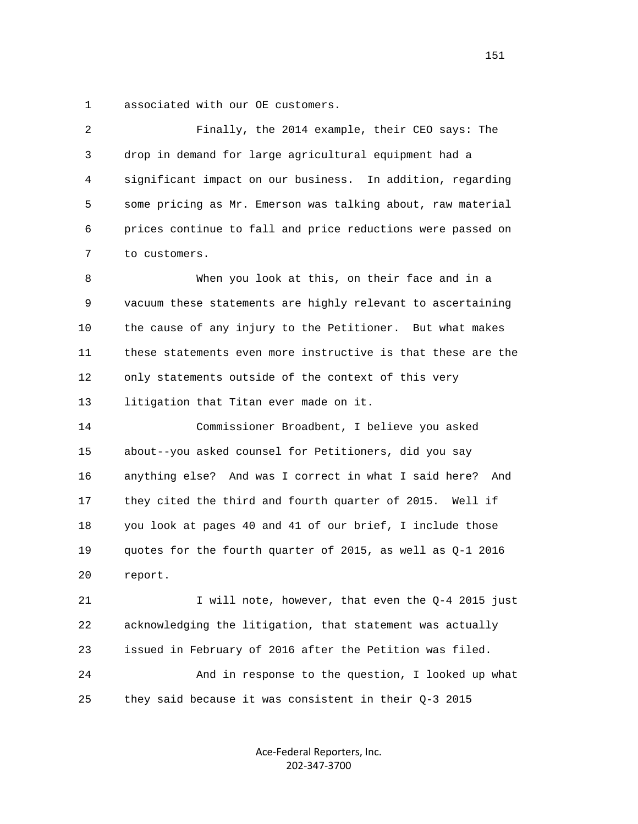1 associated with our OE customers.

 2 Finally, the 2014 example, their CEO says: The 3 drop in demand for large agricultural equipment had a 4 significant impact on our business. In addition, regarding 5 some pricing as Mr. Emerson was talking about, raw material 6 prices continue to fall and price reductions were passed on 7 to customers. 8 When you look at this, on their face and in a 9 vacuum these statements are highly relevant to ascertaining 10 the cause of any injury to the Petitioner. But what makes 11 these statements even more instructive is that these are the 12 only statements outside of the context of this very 13 litigation that Titan ever made on it. 14 Commissioner Broadbent, I believe you asked 15 about--you asked counsel for Petitioners, did you say 16 anything else? And was I correct in what I said here? And 17 they cited the third and fourth quarter of 2015. Well if 18 you look at pages 40 and 41 of our brief, I include those 19 quotes for the fourth quarter of 2015, as well as Q-1 2016 20 report. 21 I will note, however, that even the Q-4 2015 just 22 acknowledging the litigation, that statement was actually 23 issued in February of 2016 after the Petition was filed. 24 And in response to the question, I looked up what 25 they said because it was consistent in their Q-3 2015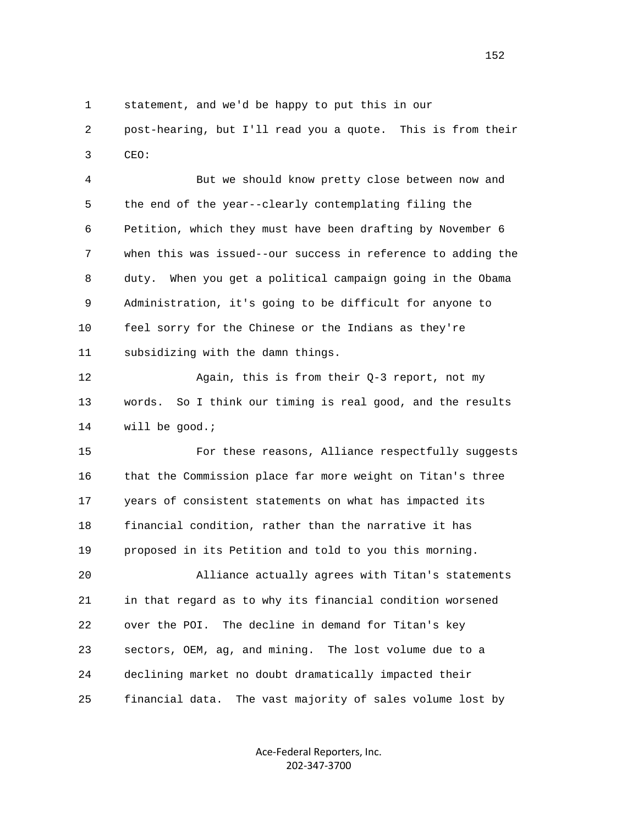1 statement, and we'd be happy to put this in our

 2 post-hearing, but I'll read you a quote. This is from their 3 CEO:

 4 But we should know pretty close between now and 5 the end of the year--clearly contemplating filing the 6 Petition, which they must have been drafting by November 6 7 when this was issued--our success in reference to adding the 8 duty. When you get a political campaign going in the Obama 9 Administration, it's going to be difficult for anyone to 10 feel sorry for the Chinese or the Indians as they're 11 subsidizing with the damn things.

 12 Again, this is from their Q-3 report, not my 13 words. So I think our timing is real good, and the results 14 will be good.;

 15 For these reasons, Alliance respectfully suggests 16 that the Commission place far more weight on Titan's three 17 years of consistent statements on what has impacted its 18 financial condition, rather than the narrative it has 19 proposed in its Petition and told to you this morning.

 20 Alliance actually agrees with Titan's statements 21 in that regard as to why its financial condition worsened 22 over the POI. The decline in demand for Titan's key 23 sectors, OEM, ag, and mining. The lost volume due to a 24 declining market no doubt dramatically impacted their 25 financial data. The vast majority of sales volume lost by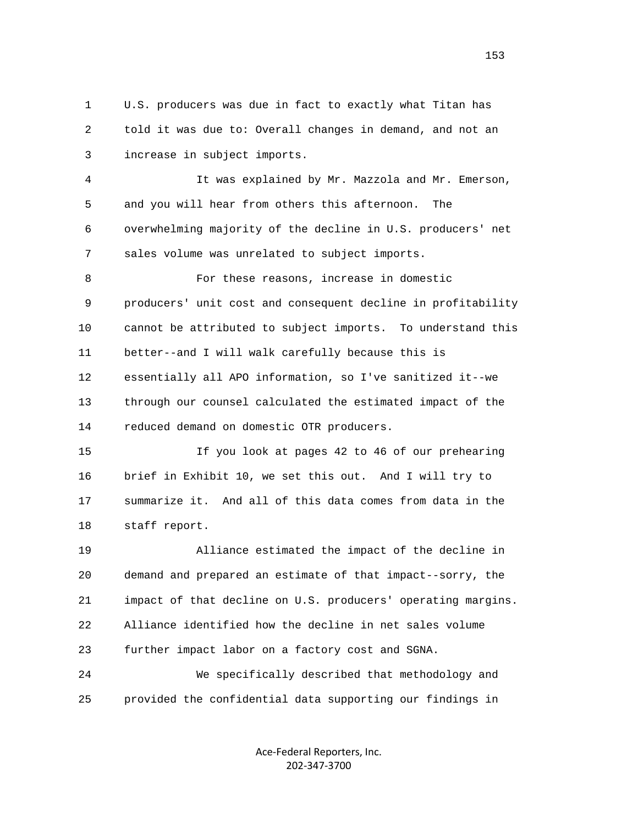1 U.S. producers was due in fact to exactly what Titan has 2 told it was due to: Overall changes in demand, and not an 3 increase in subject imports.

 4 It was explained by Mr. Mazzola and Mr. Emerson, 5 and you will hear from others this afternoon. The 6 overwhelming majority of the decline in U.S. producers' net 7 sales volume was unrelated to subject imports.

 8 For these reasons, increase in domestic 9 producers' unit cost and consequent decline in profitability 10 cannot be attributed to subject imports. To understand this 11 better--and I will walk carefully because this is 12 essentially all APO information, so I've sanitized it--we 13 through our counsel calculated the estimated impact of the 14 reduced demand on domestic OTR producers.

 15 If you look at pages 42 to 46 of our prehearing 16 brief in Exhibit 10, we set this out. And I will try to 17 summarize it. And all of this data comes from data in the 18 staff report.

 19 Alliance estimated the impact of the decline in 20 demand and prepared an estimate of that impact--sorry, the 21 impact of that decline on U.S. producers' operating margins. 22 Alliance identified how the decline in net sales volume 23 further impact labor on a factory cost and SGNA.

 24 We specifically described that methodology and 25 provided the confidential data supporting our findings in

> Ace‐Federal Reporters, Inc. 202‐347‐3700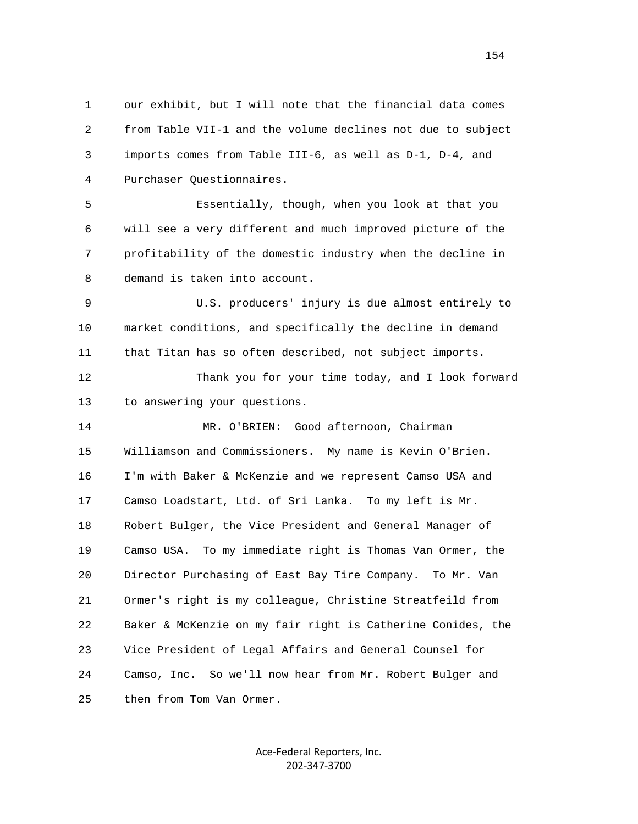1 our exhibit, but I will note that the financial data comes 2 from Table VII-1 and the volume declines not due to subject 3 imports comes from Table III-6, as well as D-1, D-4, and 4 Purchaser Questionnaires.

 5 Essentially, though, when you look at that you 6 will see a very different and much improved picture of the 7 profitability of the domestic industry when the decline in 8 demand is taken into account.

 9 U.S. producers' injury is due almost entirely to 10 market conditions, and specifically the decline in demand 11 that Titan has so often described, not subject imports.

 12 Thank you for your time today, and I look forward 13 to answering your questions.

 14 MR. O'BRIEN: Good afternoon, Chairman 15 Williamson and Commissioners. My name is Kevin O'Brien. 16 I'm with Baker & McKenzie and we represent Camso USA and 17 Camso Loadstart, Ltd. of Sri Lanka. To my left is Mr. 18 Robert Bulger, the Vice President and General Manager of 19 Camso USA. To my immediate right is Thomas Van Ormer, the 20 Director Purchasing of East Bay Tire Company. To Mr. Van 21 Ormer's right is my colleague, Christine Streatfeild from 22 Baker & McKenzie on my fair right is Catherine Conides, the 23 Vice President of Legal Affairs and General Counsel for 24 Camso, Inc. So we'll now hear from Mr. Robert Bulger and 25 then from Tom Van Ormer.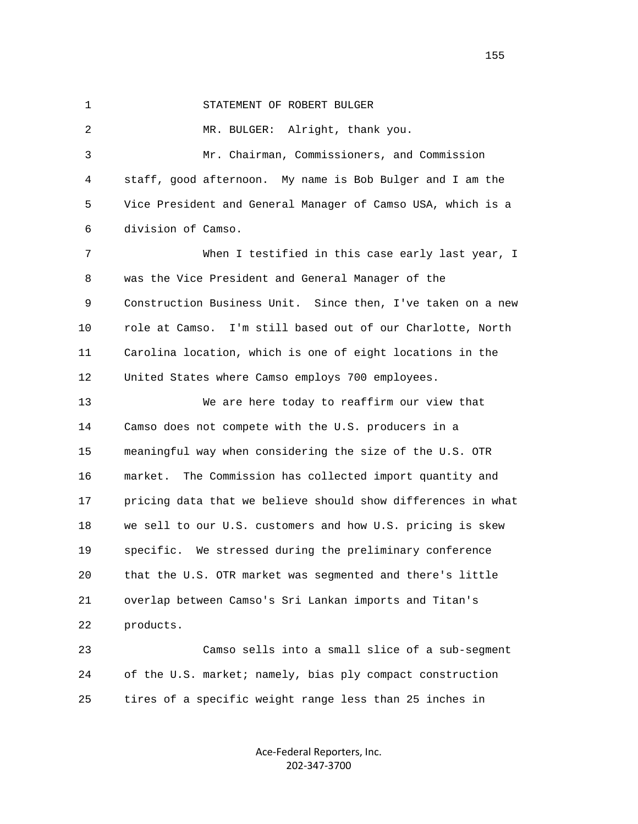1 STATEMENT OF ROBERT BULGER

 2 MR. BULGER: Alright, thank you. 3 Mr. Chairman, Commissioners, and Commission 4 staff, good afternoon. My name is Bob Bulger and I am the 5 Vice President and General Manager of Camso USA, which is a 6 division of Camso. 7 When I testified in this case early last year, I 8 was the Vice President and General Manager of the 9 Construction Business Unit. Since then, I've taken on a new 10 role at Camso. I'm still based out of our Charlotte, North 11 Carolina location, which is one of eight locations in the 12 United States where Camso employs 700 employees. 13 We are here today to reaffirm our view that 14 Camso does not compete with the U.S. producers in a 15 meaningful way when considering the size of the U.S. OTR 16 market. The Commission has collected import quantity and 17 pricing data that we believe should show differences in what 18 we sell to our U.S. customers and how U.S. pricing is skew 19 specific. We stressed during the preliminary conference 20 that the U.S. OTR market was segmented and there's little 21 overlap between Camso's Sri Lankan imports and Titan's 22 products.

 23 Camso sells into a small slice of a sub-segment 24 of the U.S. market; namely, bias ply compact construction 25 tires of a specific weight range less than 25 inches in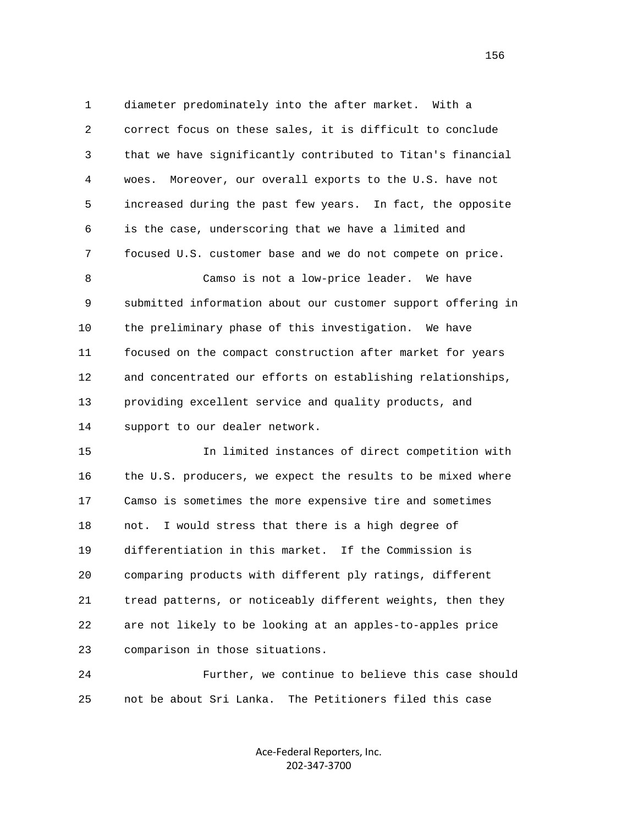1 diameter predominately into the after market. With a 2 correct focus on these sales, it is difficult to conclude 3 that we have significantly contributed to Titan's financial 4 woes. Moreover, our overall exports to the U.S. have not 5 increased during the past few years. In fact, the opposite 6 is the case, underscoring that we have a limited and 7 focused U.S. customer base and we do not compete on price. 8 Camso is not a low-price leader. We have 9 submitted information about our customer support offering in 10 the preliminary phase of this investigation. We have 11 focused on the compact construction after market for years 12 and concentrated our efforts on establishing relationships, 13 providing excellent service and quality products, and 14 support to our dealer network. 15 In limited instances of direct competition with 16 the U.S. producers, we expect the results to be mixed where 17 Camso is sometimes the more expensive tire and sometimes 18 not. I would stress that there is a high degree of

 19 differentiation in this market. If the Commission is 20 comparing products with different ply ratings, different 21 tread patterns, or noticeably different weights, then they 22 are not likely to be looking at an apples-to-apples price 23 comparison in those situations.

 24 Further, we continue to believe this case should 25 not be about Sri Lanka. The Petitioners filed this case

> Ace‐Federal Reporters, Inc. 202‐347‐3700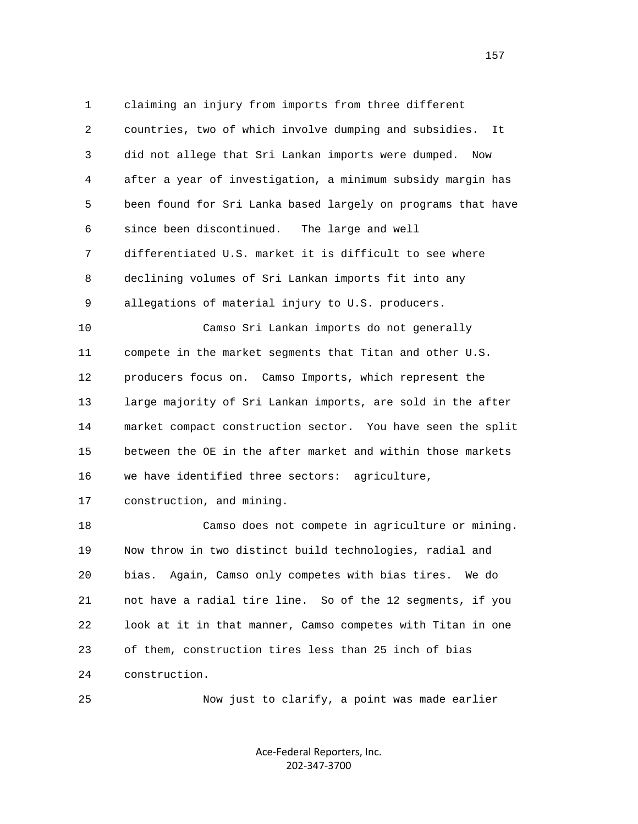1 claiming an injury from imports from three different 2 countries, two of which involve dumping and subsidies. It 3 did not allege that Sri Lankan imports were dumped. Now 4 after a year of investigation, a minimum subsidy margin has 5 been found for Sri Lanka based largely on programs that have 6 since been discontinued. The large and well 7 differentiated U.S. market it is difficult to see where 8 declining volumes of Sri Lankan imports fit into any 9 allegations of material injury to U.S. producers. 10 Camso Sri Lankan imports do not generally 11 compete in the market segments that Titan and other U.S. 12 producers focus on. Camso Imports, which represent the 13 large majority of Sri Lankan imports, are sold in the after 14 market compact construction sector. You have seen the split 15 between the OE in the after market and within those markets 16 we have identified three sectors: agriculture, 17 construction, and mining. 18 Camso does not compete in agriculture or mining. 19 Now throw in two distinct build technologies, radial and 20 bias. Again, Camso only competes with bias tires. We do

 21 not have a radial tire line. So of the 12 segments, if you 22 look at it in that manner, Camso competes with Titan in one 23 of them, construction tires less than 25 inch of bias 24 construction.

25 Now just to clarify, a point was made earlier

Ace‐Federal Reporters, Inc. 202‐347‐3700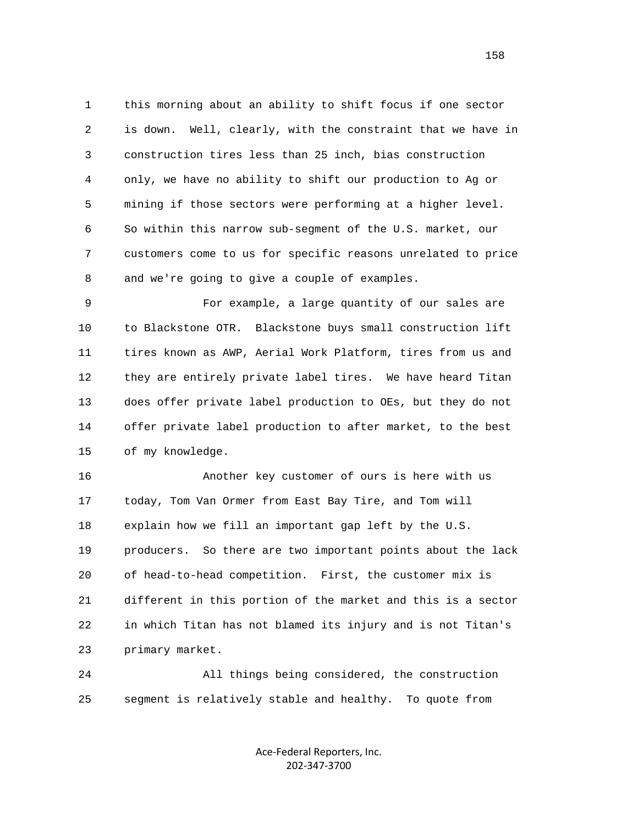1 this morning about an ability to shift focus if one sector 2 is down. Well, clearly, with the constraint that we have in 3 construction tires less than 25 inch, bias construction 4 only, we have no ability to shift our production to Ag or 5 mining if those sectors were performing at a higher level. 6 So within this narrow sub-segment of the U.S. market, our 7 customers come to us for specific reasons unrelated to price 8 and we're going to give a couple of examples.

 9 For example, a large quantity of our sales are 10 to Blackstone OTR. Blackstone buys small construction lift 11 tires known as AWP, Aerial Work Platform, tires from us and 12 they are entirely private label tires. We have heard Titan 13 does offer private label production to OEs, but they do not 14 offer private label production to after market, to the best 15 of my knowledge.

 16 Another key customer of ours is here with us 17 today, Tom Van Ormer from East Bay Tire, and Tom will 18 explain how we fill an important gap left by the U.S. 19 producers. So there are two important points about the lack 20 of head-to-head competition. First, the customer mix is 21 different in this portion of the market and this is a sector 22 in which Titan has not blamed its injury and is not Titan's 23 primary market.

 24 All things being considered, the construction 25 segment is relatively stable and healthy. To quote from

> Ace‐Federal Reporters, Inc. 202‐347‐3700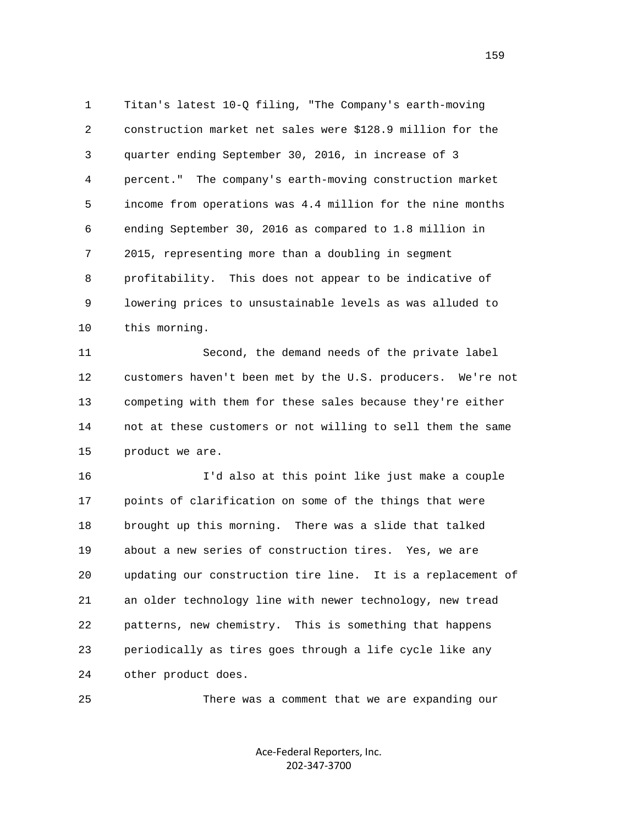1 Titan's latest 10-Q filing, "The Company's earth-moving 2 construction market net sales were \$128.9 million for the 3 quarter ending September 30, 2016, in increase of 3 4 percent." The company's earth-moving construction market 5 income from operations was 4.4 million for the nine months 6 ending September 30, 2016 as compared to 1.8 million in 7 2015, representing more than a doubling in segment 8 profitability. This does not appear to be indicative of 9 lowering prices to unsustainable levels as was alluded to 10 this morning.

 11 Second, the demand needs of the private label 12 customers haven't been met by the U.S. producers. We're not 13 competing with them for these sales because they're either 14 not at these customers or not willing to sell them the same 15 product we are.

 16 I'd also at this point like just make a couple 17 points of clarification on some of the things that were 18 brought up this morning. There was a slide that talked 19 about a new series of construction tires. Yes, we are 20 updating our construction tire line. It is a replacement of 21 an older technology line with newer technology, new tread 22 patterns, new chemistry. This is something that happens 23 periodically as tires goes through a life cycle like any 24 other product does.

25 There was a comment that we are expanding our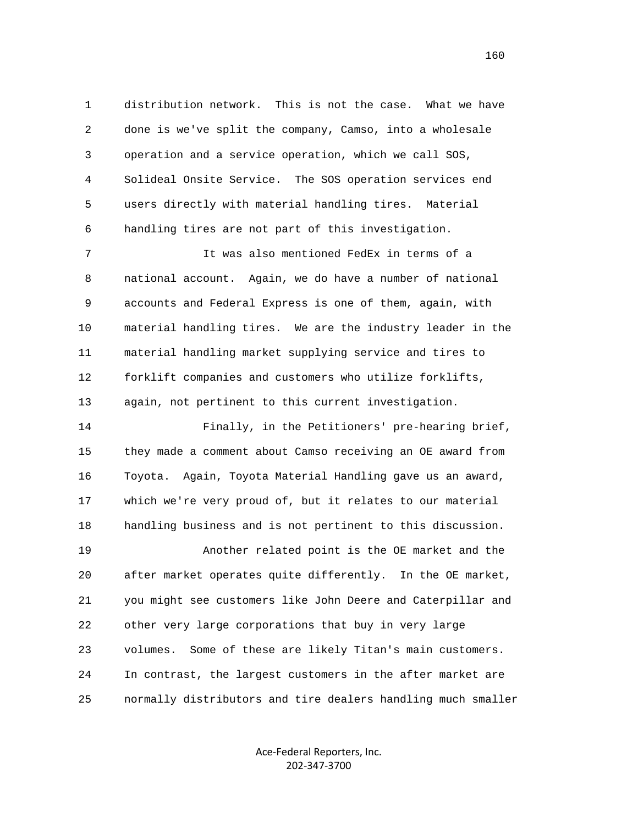1 distribution network. This is not the case. What we have 2 done is we've split the company, Camso, into a wholesale 3 operation and a service operation, which we call SOS, 4 Solideal Onsite Service. The SOS operation services end 5 users directly with material handling tires. Material 6 handling tires are not part of this investigation.

 7 It was also mentioned FedEx in terms of a 8 national account. Again, we do have a number of national 9 accounts and Federal Express is one of them, again, with 10 material handling tires. We are the industry leader in the 11 material handling market supplying service and tires to 12 forklift companies and customers who utilize forklifts, 13 again, not pertinent to this current investigation.

 14 Finally, in the Petitioners' pre-hearing brief, 15 they made a comment about Camso receiving an OE award from 16 Toyota. Again, Toyota Material Handling gave us an award, 17 which we're very proud of, but it relates to our material 18 handling business and is not pertinent to this discussion. 19 Another related point is the OE market and the 20 after market operates quite differently. In the OE market, 21 you might see customers like John Deere and Caterpillar and 22 other very large corporations that buy in very large 23 volumes. Some of these are likely Titan's main customers. 24 In contrast, the largest customers in the after market are 25 normally distributors and tire dealers handling much smaller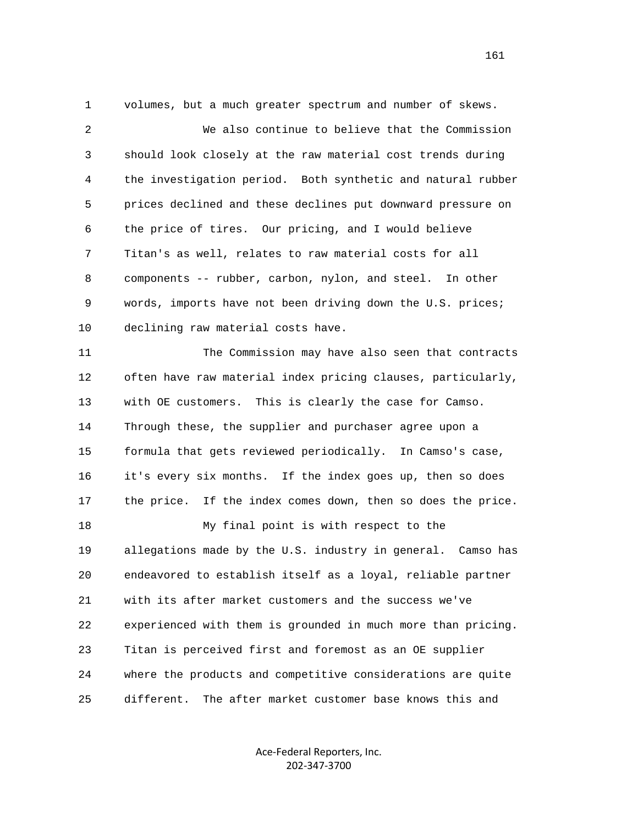1 volumes, but a much greater spectrum and number of skews.

 2 We also continue to believe that the Commission 3 should look closely at the raw material cost trends during 4 the investigation period. Both synthetic and natural rubber 5 prices declined and these declines put downward pressure on 6 the price of tires. Our pricing, and I would believe 7 Titan's as well, relates to raw material costs for all 8 components -- rubber, carbon, nylon, and steel. In other 9 words, imports have not been driving down the U.S. prices; 10 declining raw material costs have.

 11 The Commission may have also seen that contracts 12 often have raw material index pricing clauses, particularly, 13 with OE customers. This is clearly the case for Camso. 14 Through these, the supplier and purchaser agree upon a 15 formula that gets reviewed periodically. In Camso's case, 16 it's every six months. If the index goes up, then so does 17 the price. If the index comes down, then so does the price. 18 My final point is with respect to the 19 allegations made by the U.S. industry in general. Camso has 20 endeavored to establish itself as a loyal, reliable partner 21 with its after market customers and the success we've 22 experienced with them is grounded in much more than pricing. 23 Titan is perceived first and foremost as an OE supplier 24 where the products and competitive considerations are quite 25 different. The after market customer base knows this and

> Ace‐Federal Reporters, Inc. 202‐347‐3700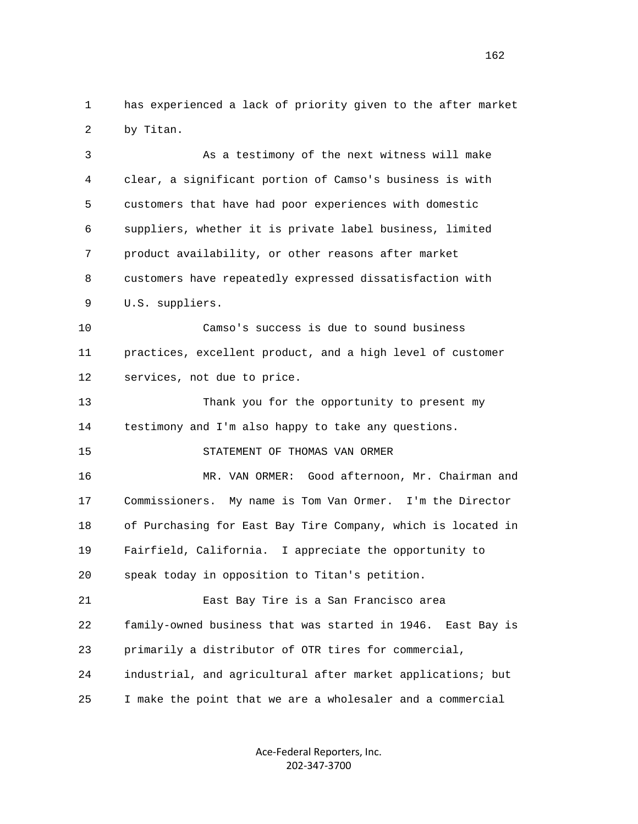1 has experienced a lack of priority given to the after market 2 by Titan.

 3 As a testimony of the next witness will make 4 clear, a significant portion of Camso's business is with 5 customers that have had poor experiences with domestic 6 suppliers, whether it is private label business, limited 7 product availability, or other reasons after market 8 customers have repeatedly expressed dissatisfaction with 9 U.S. suppliers. 10 Camso's success is due to sound business 11 practices, excellent product, and a high level of customer 12 services, not due to price. 13 Thank you for the opportunity to present my 14 testimony and I'm also happy to take any questions. 15 STATEMENT OF THOMAS VAN ORMER 16 MR. VAN ORMER: Good afternoon, Mr. Chairman and 17 Commissioners. My name is Tom Van Ormer. I'm the Director 18 of Purchasing for East Bay Tire Company, which is located in 19 Fairfield, California. I appreciate the opportunity to 20 speak today in opposition to Titan's petition. 21 East Bay Tire is a San Francisco area 22 family-owned business that was started in 1946. East Bay is 23 primarily a distributor of OTR tires for commercial, 24 industrial, and agricultural after market applications; but 25 I make the point that we are a wholesaler and a commercial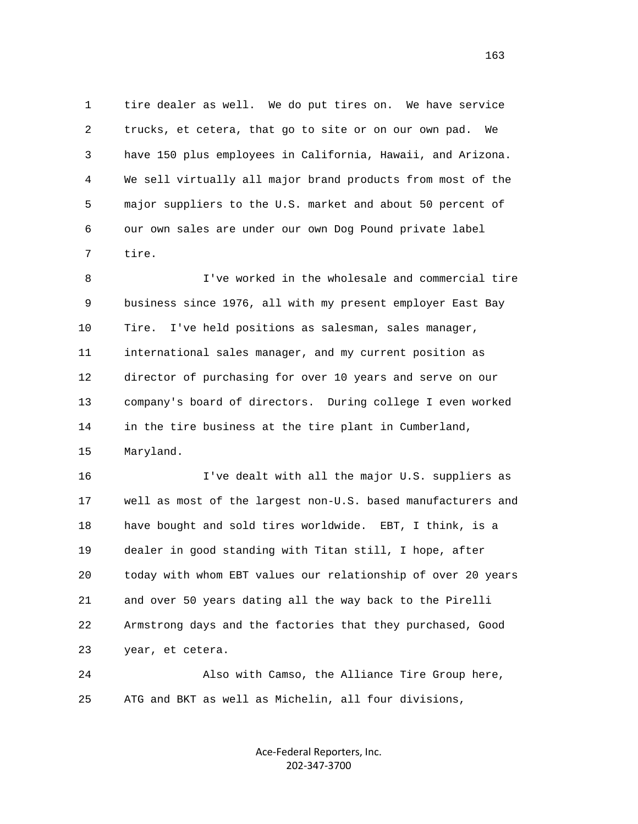1 tire dealer as well. We do put tires on. We have service 2 trucks, et cetera, that go to site or on our own pad. We 3 have 150 plus employees in California, Hawaii, and Arizona. 4 We sell virtually all major brand products from most of the 5 major suppliers to the U.S. market and about 50 percent of 6 our own sales are under our own Dog Pound private label 7 tire.

 8 I've worked in the wholesale and commercial tire 9 business since 1976, all with my present employer East Bay 10 Tire. I've held positions as salesman, sales manager, 11 international sales manager, and my current position as 12 director of purchasing for over 10 years and serve on our 13 company's board of directors. During college I even worked 14 in the tire business at the tire plant in Cumberland, 15 Maryland.

 16 I've dealt with all the major U.S. suppliers as 17 well as most of the largest non-U.S. based manufacturers and 18 have bought and sold tires worldwide. EBT, I think, is a 19 dealer in good standing with Titan still, I hope, after 20 today with whom EBT values our relationship of over 20 years 21 and over 50 years dating all the way back to the Pirelli 22 Armstrong days and the factories that they purchased, Good 23 year, et cetera.

 24 Also with Camso, the Alliance Tire Group here, 25 ATG and BKT as well as Michelin, all four divisions,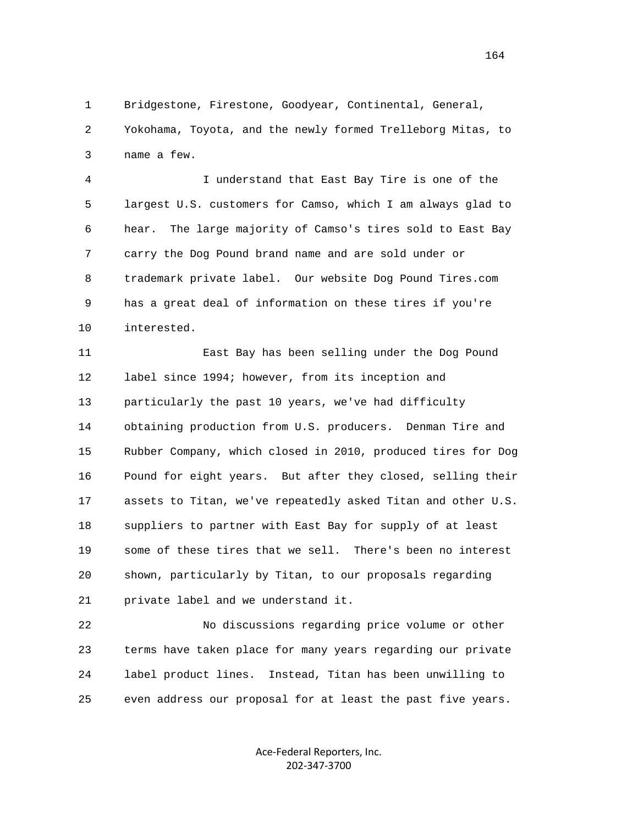1 Bridgestone, Firestone, Goodyear, Continental, General, 2 Yokohama, Toyota, and the newly formed Trelleborg Mitas, to 3 name a few.

 4 I understand that East Bay Tire is one of the 5 largest U.S. customers for Camso, which I am always glad to 6 hear. The large majority of Camso's tires sold to East Bay 7 carry the Dog Pound brand name and are sold under or 8 trademark private label. Our website Dog Pound Tires.com 9 has a great deal of information on these tires if you're 10 interested.

 11 East Bay has been selling under the Dog Pound 12 label since 1994; however, from its inception and 13 particularly the past 10 years, we've had difficulty 14 obtaining production from U.S. producers. Denman Tire and 15 Rubber Company, which closed in 2010, produced tires for Dog 16 Pound for eight years. But after they closed, selling their 17 assets to Titan, we've repeatedly asked Titan and other U.S. 18 suppliers to partner with East Bay for supply of at least 19 some of these tires that we sell. There's been no interest 20 shown, particularly by Titan, to our proposals regarding 21 private label and we understand it.

 22 No discussions regarding price volume or other 23 terms have taken place for many years regarding our private 24 label product lines. Instead, Titan has been unwilling to 25 even address our proposal for at least the past five years.

> Ace‐Federal Reporters, Inc. 202‐347‐3700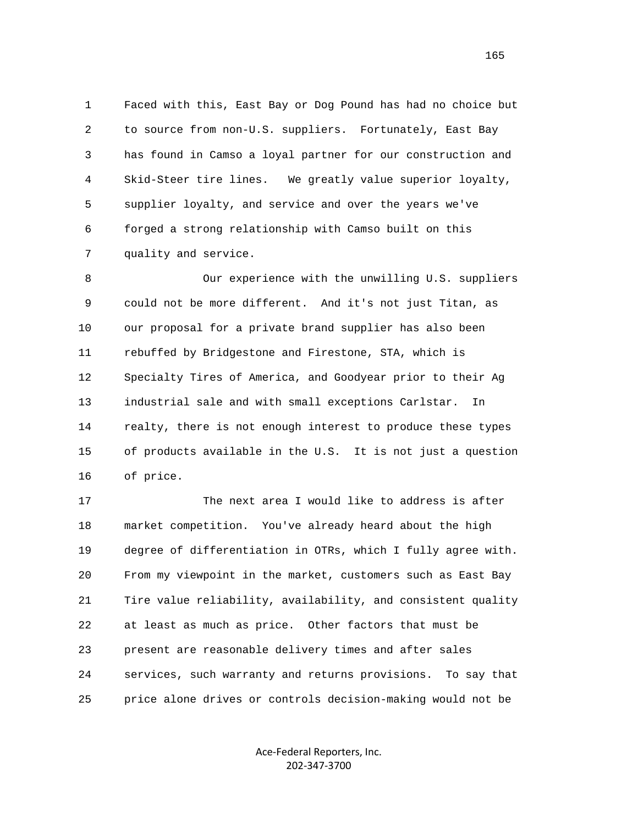1 Faced with this, East Bay or Dog Pound has had no choice but 2 to source from non-U.S. suppliers. Fortunately, East Bay 3 has found in Camso a loyal partner for our construction and 4 Skid-Steer tire lines. We greatly value superior loyalty, 5 supplier loyalty, and service and over the years we've 6 forged a strong relationship with Camso built on this 7 quality and service.

 8 Our experience with the unwilling U.S. suppliers 9 could not be more different. And it's not just Titan, as 10 our proposal for a private brand supplier has also been 11 rebuffed by Bridgestone and Firestone, STA, which is 12 Specialty Tires of America, and Goodyear prior to their Ag 13 industrial sale and with small exceptions Carlstar. In 14 realty, there is not enough interest to produce these types 15 of products available in the U.S. It is not just a question 16 of price.

 17 The next area I would like to address is after 18 market competition. You've already heard about the high 19 degree of differentiation in OTRs, which I fully agree with. 20 From my viewpoint in the market, customers such as East Bay 21 Tire value reliability, availability, and consistent quality 22 at least as much as price. Other factors that must be 23 present are reasonable delivery times and after sales 24 services, such warranty and returns provisions. To say that 25 price alone drives or controls decision-making would not be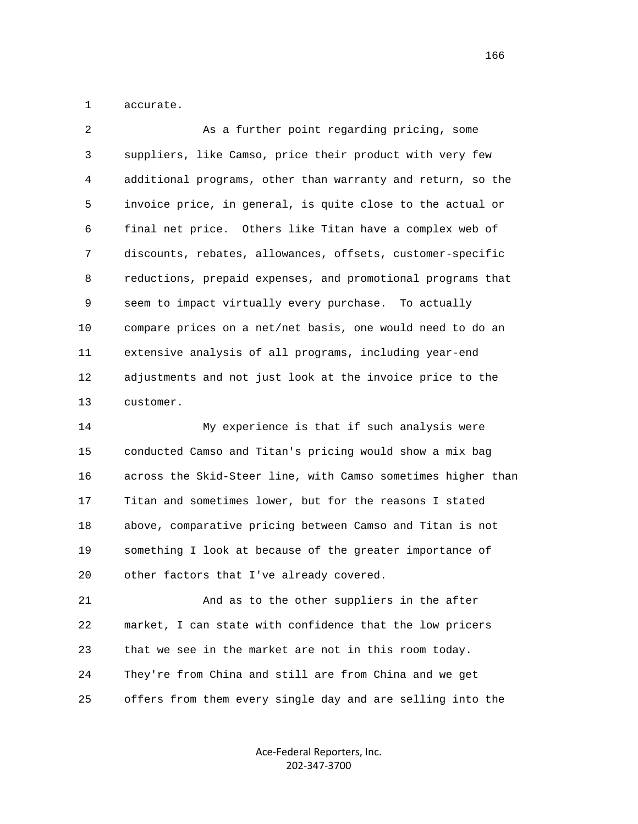1 accurate.

| 2  | As a further point regarding pricing, some                  |
|----|-------------------------------------------------------------|
| 3  | suppliers, like Camso, price their product with very few    |
| 4  | additional programs, other than warranty and return, so the |
| 5  | invoice price, in general, is quite close to the actual or  |
| 6  | final net price. Others like Titan have a complex web of    |
| 7  | discounts, rebates, allowances, offsets, customer-specific  |
| 8  | reductions, prepaid expenses, and promotional programs that |
| 9  | seem to impact virtually every purchase. To actually        |
| 10 | compare prices on a net/net basis, one would need to do an  |
| 11 | extensive analysis of all programs, including year-end      |
| 12 | adjustments and not just look at the invoice price to the   |
| 13 | customer.                                                   |

 14 My experience is that if such analysis were 15 conducted Camso and Titan's pricing would show a mix bag 16 across the Skid-Steer line, with Camso sometimes higher than 17 Titan and sometimes lower, but for the reasons I stated 18 above, comparative pricing between Camso and Titan is not 19 something I look at because of the greater importance of 20 other factors that I've already covered.

 21 And as to the other suppliers in the after 22 market, I can state with confidence that the low pricers 23 that we see in the market are not in this room today. 24 They're from China and still are from China and we get 25 offers from them every single day and are selling into the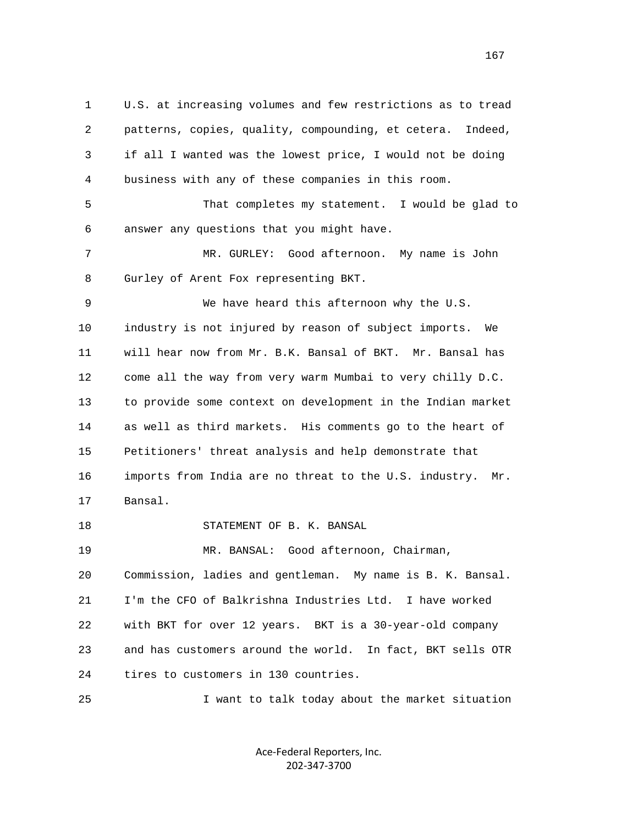1 U.S. at increasing volumes and few restrictions as to tread 2 patterns, copies, quality, compounding, et cetera. Indeed, 3 if all I wanted was the lowest price, I would not be doing 4 business with any of these companies in this room.

 5 That completes my statement. I would be glad to 6 answer any questions that you might have.

 7 MR. GURLEY: Good afternoon. My name is John 8 Gurley of Arent Fox representing BKT.

 9 We have heard this afternoon why the U.S. 10 industry is not injured by reason of subject imports. We 11 will hear now from Mr. B.K. Bansal of BKT. Mr. Bansal has 12 come all the way from very warm Mumbai to very chilly D.C. 13 to provide some context on development in the Indian market 14 as well as third markets. His comments go to the heart of 15 Petitioners' threat analysis and help demonstrate that 16 imports from India are no threat to the U.S. industry. Mr. 17 Bansal.

18 STATEMENT OF B. K. BANSAL

 19 MR. BANSAL: Good afternoon, Chairman, 20 Commission, ladies and gentleman. My name is B. K. Bansal. 21 I'm the CFO of Balkrishna Industries Ltd. I have worked 22 with BKT for over 12 years. BKT is a 30-year-old company 23 and has customers around the world. In fact, BKT sells OTR 24 tires to customers in 130 countries.

25 I want to talk today about the market situation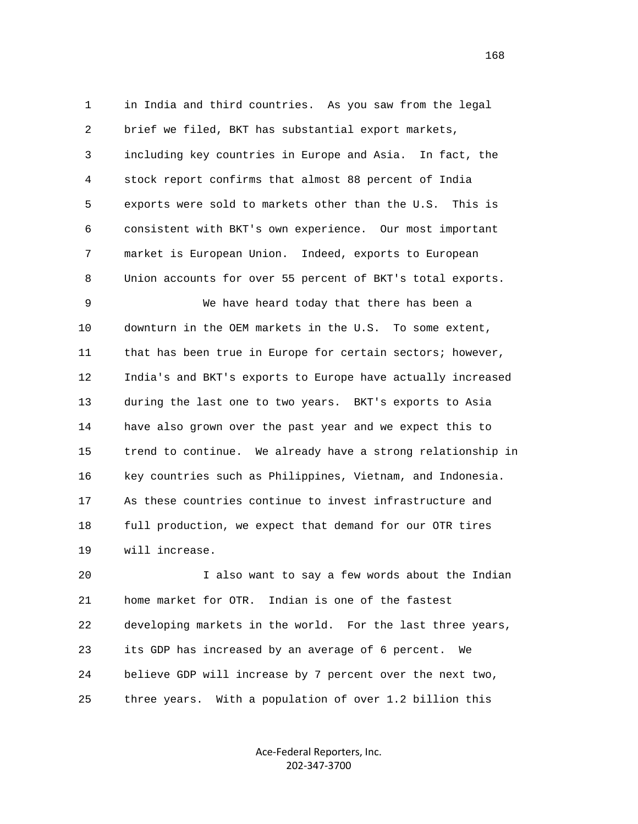1 in India and third countries. As you saw from the legal 2 brief we filed, BKT has substantial export markets, 3 including key countries in Europe and Asia. In fact, the 4 stock report confirms that almost 88 percent of India 5 exports were sold to markets other than the U.S. This is 6 consistent with BKT's own experience. Our most important 7 market is European Union. Indeed, exports to European 8 Union accounts for over 55 percent of BKT's total exports.

 9 We have heard today that there has been a 10 downturn in the OEM markets in the U.S. To some extent, 11 that has been true in Europe for certain sectors; however, 12 India's and BKT's exports to Europe have actually increased 13 during the last one to two years. BKT's exports to Asia 14 have also grown over the past year and we expect this to 15 trend to continue. We already have a strong relationship in 16 key countries such as Philippines, Vietnam, and Indonesia. 17 As these countries continue to invest infrastructure and 18 full production, we expect that demand for our OTR tires 19 will increase.

 20 I also want to say a few words about the Indian 21 home market for OTR. Indian is one of the fastest 22 developing markets in the world. For the last three years, 23 its GDP has increased by an average of 6 percent. We 24 believe GDP will increase by 7 percent over the next two, 25 three years. With a population of over 1.2 billion this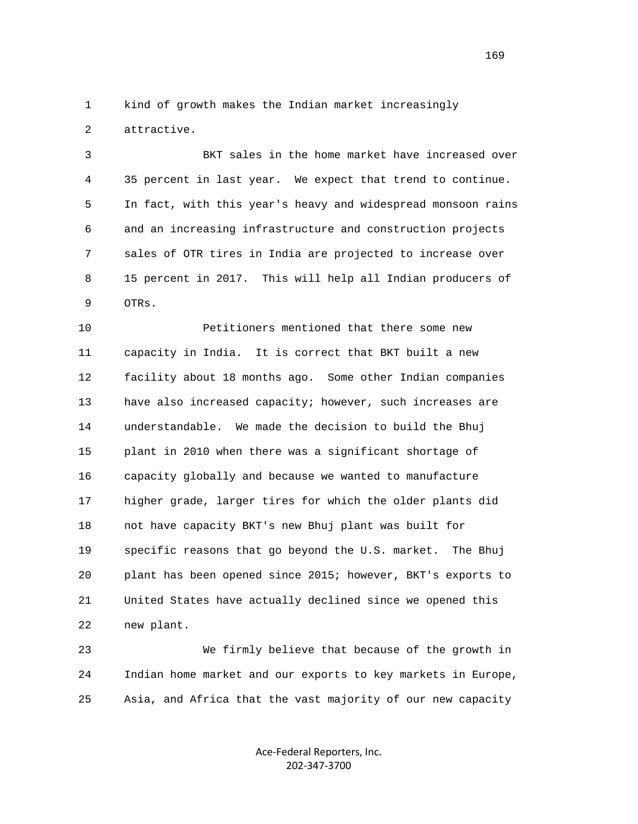1 kind of growth makes the Indian market increasingly 2 attractive.

 3 BKT sales in the home market have increased over 4 35 percent in last year. We expect that trend to continue. 5 In fact, with this year's heavy and widespread monsoon rains 6 and an increasing infrastructure and construction projects 7 sales of OTR tires in India are projected to increase over 8 15 percent in 2017. This will help all Indian producers of 9 OTRs.

 10 Petitioners mentioned that there some new 11 capacity in India. It is correct that BKT built a new 12 facility about 18 months ago. Some other Indian companies 13 have also increased capacity; however, such increases are 14 understandable. We made the decision to build the Bhuj 15 plant in 2010 when there was a significant shortage of 16 capacity globally and because we wanted to manufacture 17 higher grade, larger tires for which the older plants did 18 not have capacity BKT's new Bhuj plant was built for 19 specific reasons that go beyond the U.S. market. The Bhuj 20 plant has been opened since 2015; however, BKT's exports to 21 United States have actually declined since we opened this 22 new plant.

 23 We firmly believe that because of the growth in 24 Indian home market and our exports to key markets in Europe, 25 Asia, and Africa that the vast majority of our new capacity

> Ace‐Federal Reporters, Inc. 202‐347‐3700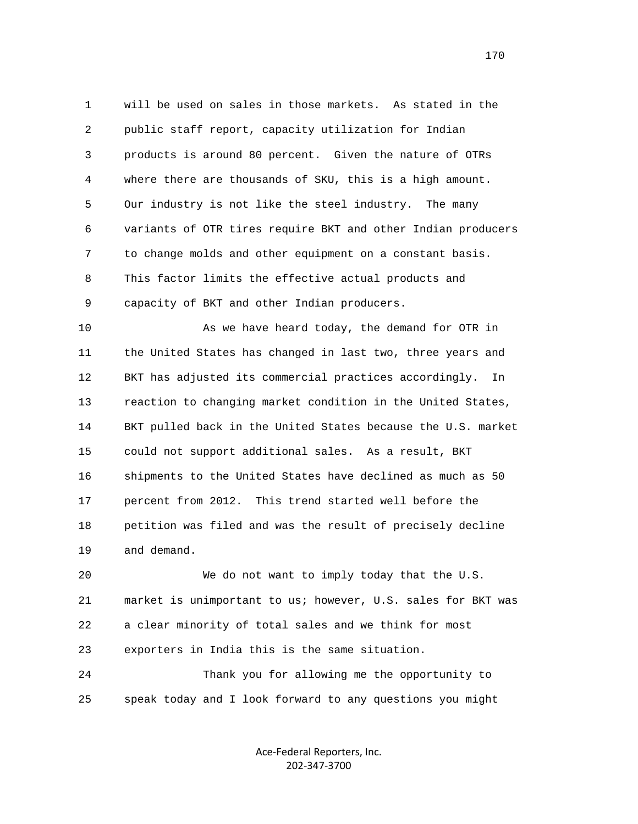1 will be used on sales in those markets. As stated in the 2 public staff report, capacity utilization for Indian 3 products is around 80 percent. Given the nature of OTRs 4 where there are thousands of SKU, this is a high amount. 5 Our industry is not like the steel industry. The many 6 variants of OTR tires require BKT and other Indian producers 7 to change molds and other equipment on a constant basis. 8 This factor limits the effective actual products and 9 capacity of BKT and other Indian producers.

 10 As we have heard today, the demand for OTR in 11 the United States has changed in last two, three years and 12 BKT has adjusted its commercial practices accordingly. In 13 reaction to changing market condition in the United States, 14 BKT pulled back in the United States because the U.S. market 15 could not support additional sales. As a result, BKT 16 shipments to the United States have declined as much as 50 17 percent from 2012. This trend started well before the 18 petition was filed and was the result of precisely decline 19 and demand.

 20 We do not want to imply today that the U.S. 21 market is unimportant to us; however, U.S. sales for BKT was 22 a clear minority of total sales and we think for most 23 exporters in India this is the same situation.

 24 Thank you for allowing me the opportunity to 25 speak today and I look forward to any questions you might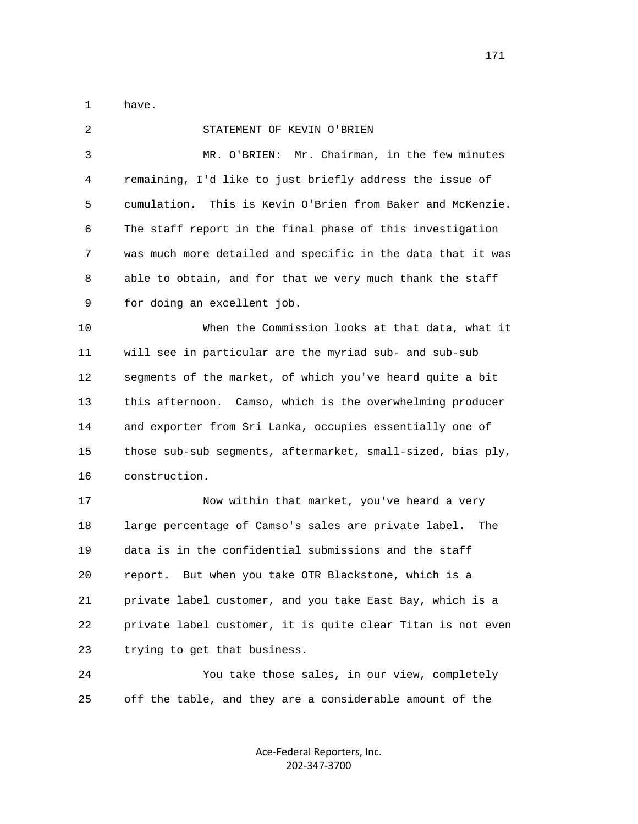1 have.

| 2  | STATEMENT OF KEVIN O'BRIEN                                    |
|----|---------------------------------------------------------------|
| 3  | Mr. Chairman, in the few minutes<br>MR. O'BRIEN:              |
| 4  | remaining, I'd like to just briefly address the issue of      |
| 5  | This is Kevin O'Brien from Baker and McKenzie.<br>cumulation. |
| 6  | The staff report in the final phase of this investigation     |
| 7  | was much more detailed and specific in the data that it was   |
| 8  | able to obtain, and for that we very much thank the staff     |
| 9  | for doing an excellent job.                                   |
| 10 | When the Commission looks at that data, what it               |
| 11 | will see in particular are the myriad sub- and sub-sub        |
| 12 | segments of the market, of which you've heard quite a bit     |
| 13 | this afternoon. Camso, which is the overwhelming producer     |
| 14 | and exporter from Sri Lanka, occupies essentially one of      |
| 15 | those sub-sub segments, aftermarket, small-sized, bias ply,   |
| 16 | construction.                                                 |
| 17 | Now within that market, you've heard a very                   |
| 18 | large percentage of Camso's sales are private label.<br>The   |
| 19 | data is in the confidential submissions and the staff         |
| 20 | report. But when you take OTR Blackstone, which is a          |
| 21 | private label customer, and you take East Bay, which is a     |
| 22 | private label customer, it is quite clear Titan is not even   |
| 23 | trying to get that business.                                  |
| 24 | You take those sales, in our view, completely                 |
| 25 | off the table, and they are a considerable amount of the      |
|    |                                                               |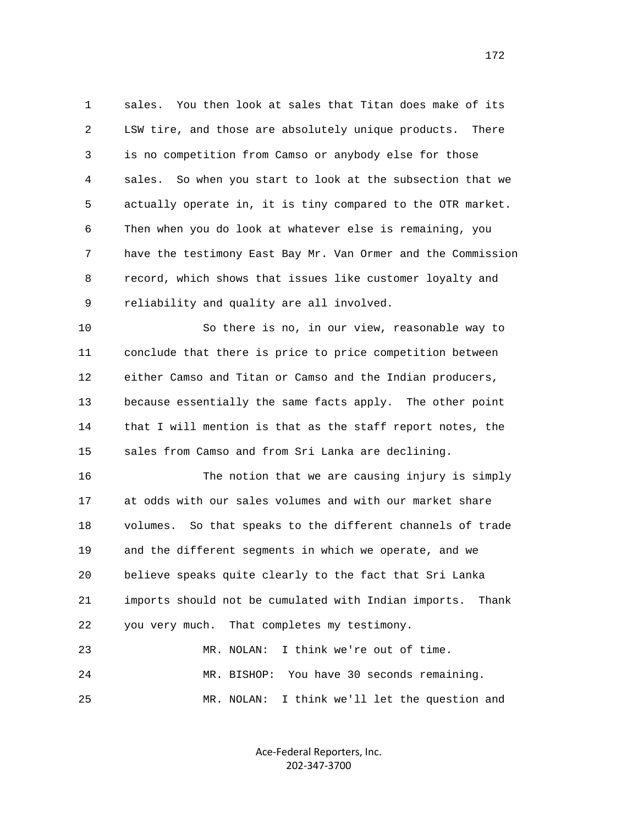1 sales. You then look at sales that Titan does make of its 2 LSW tire, and those are absolutely unique products. There 3 is no competition from Camso or anybody else for those 4 sales. So when you start to look at the subsection that we 5 actually operate in, it is tiny compared to the OTR market. 6 Then when you do look at whatever else is remaining, you 7 have the testimony East Bay Mr. Van Ormer and the Commission 8 record, which shows that issues like customer loyalty and 9 reliability and quality are all involved.

 10 So there is no, in our view, reasonable way to 11 conclude that there is price to price competition between 12 either Camso and Titan or Camso and the Indian producers, 13 because essentially the same facts apply. The other point 14 that I will mention is that as the staff report notes, the 15 sales from Camso and from Sri Lanka are declining.

 16 The notion that we are causing injury is simply 17 at odds with our sales volumes and with our market share 18 volumes. So that speaks to the different channels of trade 19 and the different segments in which we operate, and we 20 believe speaks quite clearly to the fact that Sri Lanka 21 imports should not be cumulated with Indian imports. Thank 22 you very much. That completes my testimony. 23 MR. NOLAN: I think we're out of time.

 24 MR. BISHOP: You have 30 seconds remaining. 25 MR. NOLAN: I think we'll let the question and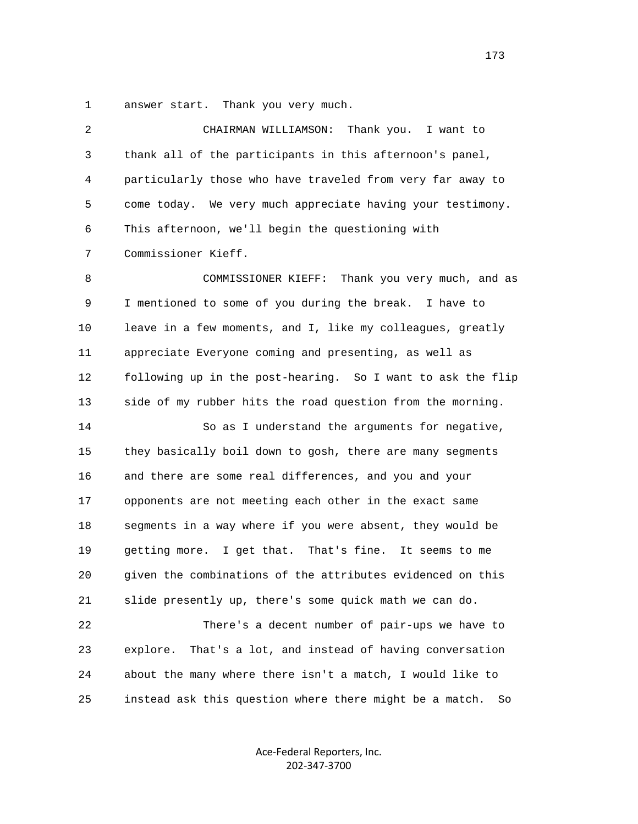1 answer start. Thank you very much.

| 2  | Thank you. I want to<br>CHAIRMAN WILLIAMSON:                  |
|----|---------------------------------------------------------------|
| 3  | thank all of the participants in this afternoon's panel,      |
| 4  | particularly those who have traveled from very far away to    |
| 5  | come today. We very much appreciate having your testimony.    |
| 6  | This afternoon, we'll begin the questioning with              |
| 7  | Commissioner Kieff.                                           |
| 8  | Thank you very much, and as<br>COMMISSIONER KIEFF:            |
| 9  | I mentioned to some of you during the break. I have to        |
| 10 | leave in a few moments, and I, like my colleagues, greatly    |
| 11 | appreciate Everyone coming and presenting, as well as         |
| 12 | following up in the post-hearing. So I want to ask the flip   |
| 13 | side of my rubber hits the road question from the morning.    |
| 14 | So as I understand the arguments for negative,                |
| 15 | they basically boil down to gosh, there are many segments     |
| 16 | and there are some real differences, and you and your         |
| 17 | opponents are not meeting each other in the exact same        |
| 18 | segments in a way where if you were absent, they would be     |
| 19 | getting more. I get that. That's fine. It seems to me         |
| 20 | given the combinations of the attributes evidenced on this    |
| 21 | slide presently up, there's some quick math we can do.        |
| 22 | There's a decent number of pair-ups we have to                |
| 23 | That's a lot, and instead of having conversation<br>explore.  |
| 24 | about the many where there isn't a match, I would like to     |
| 25 | instead ask this question where there might be a match.<br>So |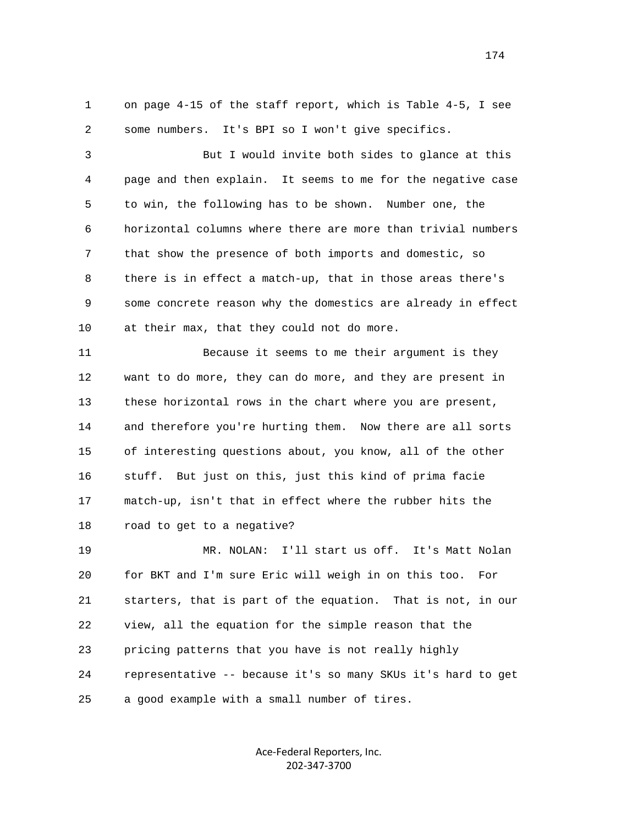1 on page 4-15 of the staff report, which is Table 4-5, I see 2 some numbers. It's BPI so I won't give specifics.

 3 But I would invite both sides to glance at this 4 page and then explain. It seems to me for the negative case 5 to win, the following has to be shown. Number one, the 6 horizontal columns where there are more than trivial numbers 7 that show the presence of both imports and domestic, so 8 there is in effect a match-up, that in those areas there's 9 some concrete reason why the domestics are already in effect 10 at their max, that they could not do more.

 11 Because it seems to me their argument is they 12 want to do more, they can do more, and they are present in 13 these horizontal rows in the chart where you are present, 14 and therefore you're hurting them. Now there are all sorts 15 of interesting questions about, you know, all of the other 16 stuff. But just on this, just this kind of prima facie 17 match-up, isn't that in effect where the rubber hits the 18 road to get to a negative?

 19 MR. NOLAN: I'll start us off. It's Matt Nolan 20 for BKT and I'm sure Eric will weigh in on this too. For 21 starters, that is part of the equation. That is not, in our 22 view, all the equation for the simple reason that the 23 pricing patterns that you have is not really highly 24 representative -- because it's so many SKUs it's hard to get 25 a good example with a small number of tires.

> Ace‐Federal Reporters, Inc. 202‐347‐3700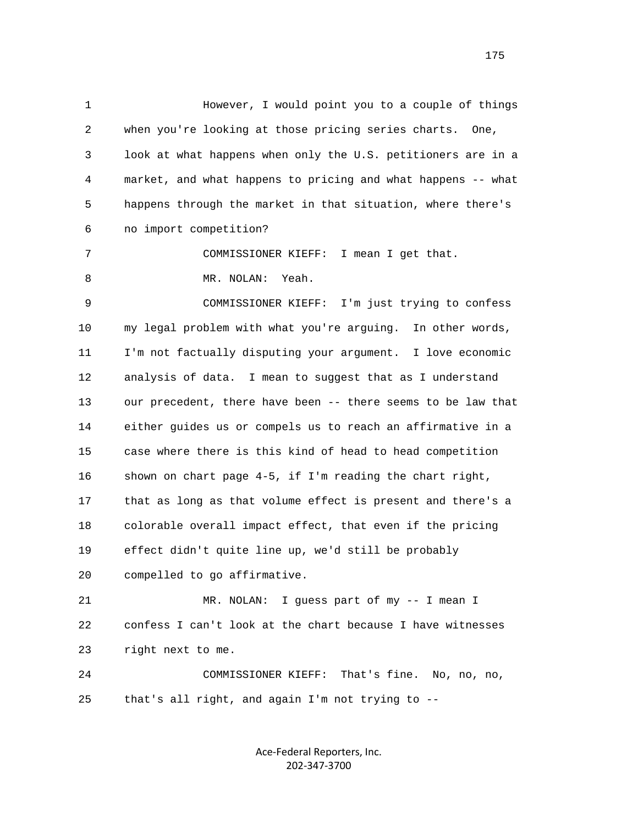1 However, I would point you to a couple of things 2 when you're looking at those pricing series charts. One, 3 look at what happens when only the U.S. petitioners are in a 4 market, and what happens to pricing and what happens -- what 5 happens through the market in that situation, where there's 6 no import competition? 7 COMMISSIONER KIEFF: I mean I get that. 8 MR. NOLAN: Yeah. 9 COMMISSIONER KIEFF: I'm just trying to confess 10 my legal problem with what you're arguing. In other words, 11 I'm not factually disputing your argument. I love economic 12 analysis of data. I mean to suggest that as I understand 13 our precedent, there have been -- there seems to be law that 14 either guides us or compels us to reach an affirmative in a 15 case where there is this kind of head to head competition 16 shown on chart page 4-5, if I'm reading the chart right, 17 that as long as that volume effect is present and there's a 18 colorable overall impact effect, that even if the pricing 19 effect didn't quite line up, we'd still be probably 20 compelled to go affirmative. 21 MR. NOLAN: I guess part of my -- I mean I 22 confess I can't look at the chart because I have witnesses 23 right next to me.

 24 COMMISSIONER KIEFF: That's fine. No, no, no, 25 that's all right, and again I'm not trying to --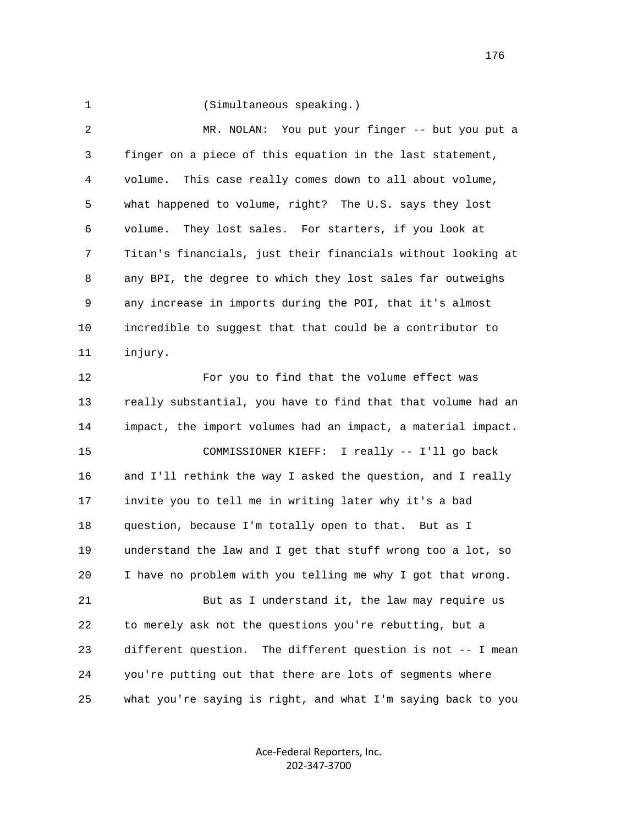1 (Simultaneous speaking.)

 2 MR. NOLAN: You put your finger -- but you put a 3 finger on a piece of this equation in the last statement, 4 volume. This case really comes down to all about volume, 5 what happened to volume, right? The U.S. says they lost 6 volume. They lost sales. For starters, if you look at 7 Titan's financials, just their financials without looking at 8 any BPI, the degree to which they lost sales far outweighs 9 any increase in imports during the POI, that it's almost 10 incredible to suggest that that could be a contributor to 11 injury. 12 For you to find that the volume effect was 13 really substantial, you have to find that that volume had an

 14 impact, the import volumes had an impact, a material impact. 15 COMMISSIONER KIEFF: I really -- I'll go back 16 and I'll rethink the way I asked the question, and I really 17 invite you to tell me in writing later why it's a bad 18 question, because I'm totally open to that. But as I 19 understand the law and I get that stuff wrong too a lot, so 20 I have no problem with you telling me why I got that wrong.

21 But as I understand it, the law may require us 22 to merely ask not the questions you're rebutting, but a 23 different question. The different question is not -- I mean 24 you're putting out that there are lots of segments where 25 what you're saying is right, and what I'm saying back to you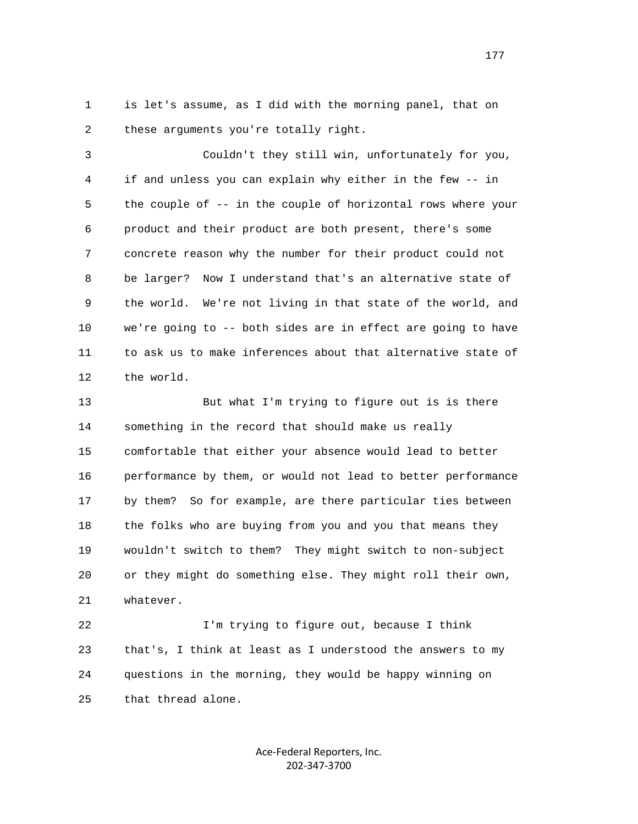1 is let's assume, as I did with the morning panel, that on 2 these arguments you're totally right.

 3 Couldn't they still win, unfortunately for you, 4 if and unless you can explain why either in the few -- in 5 the couple of -- in the couple of horizontal rows where your 6 product and their product are both present, there's some 7 concrete reason why the number for their product could not 8 be larger? Now I understand that's an alternative state of 9 the world. We're not living in that state of the world, and 10 we're going to -- both sides are in effect are going to have 11 to ask us to make inferences about that alternative state of 12 the world.

13 But what I'm trying to figure out is is there 14 something in the record that should make us really 15 comfortable that either your absence would lead to better 16 performance by them, or would not lead to better performance 17 by them? So for example, are there particular ties between 18 the folks who are buying from you and you that means they 19 wouldn't switch to them? They might switch to non-subject 20 or they might do something else. They might roll their own, 21 whatever.

 22 I'm trying to figure out, because I think 23 that's, I think at least as I understood the answers to my 24 questions in the morning, they would be happy winning on 25 that thread alone.

> Ace‐Federal Reporters, Inc. 202‐347‐3700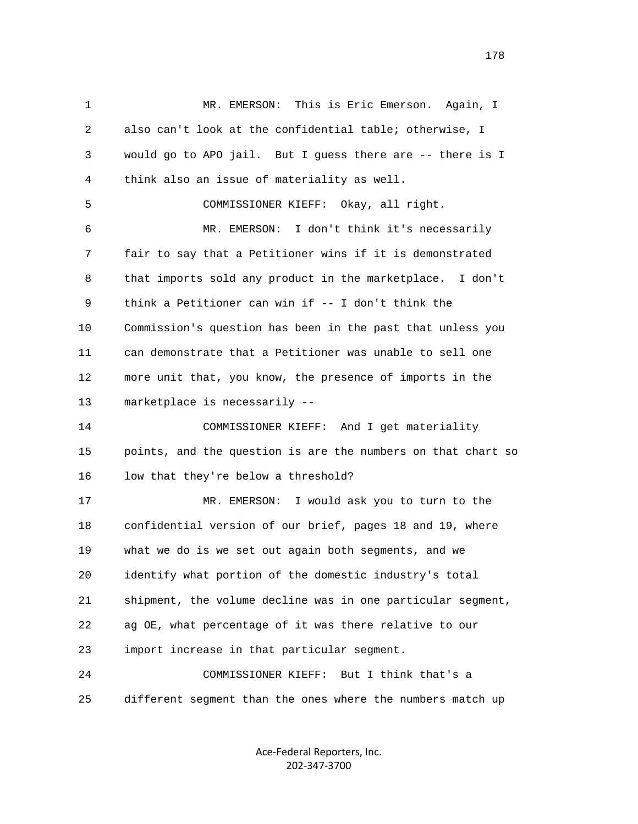1 MR. EMERSON: This is Eric Emerson. Again, I 2 also can't look at the confidential table; otherwise, I 3 would go to APO jail. But I guess there are -- there is I 4 think also an issue of materiality as well. 5 COMMISSIONER KIEFF: Okay, all right. 6 MR. EMERSON: I don't think it's necessarily 7 fair to say that a Petitioner wins if it is demonstrated 8 that imports sold any product in the marketplace. I don't 9 think a Petitioner can win if -- I don't think the 10 Commission's question has been in the past that unless you 11 can demonstrate that a Petitioner was unable to sell one 12 more unit that, you know, the presence of imports in the 13 marketplace is necessarily -- 14 COMMISSIONER KIEFF: And I get materiality 15 points, and the question is are the numbers on that chart so 16 low that they're below a threshold? 17 MR. EMERSON: I would ask you to turn to the 18 confidential version of our brief, pages 18 and 19, where 19 what we do is we set out again both segments, and we 20 identify what portion of the domestic industry's total 21 shipment, the volume decline was in one particular segment, 22 ag OE, what percentage of it was there relative to our 23 import increase in that particular segment. 24 COMMISSIONER KIEFF: But I think that's a 25 different segment than the ones where the numbers match up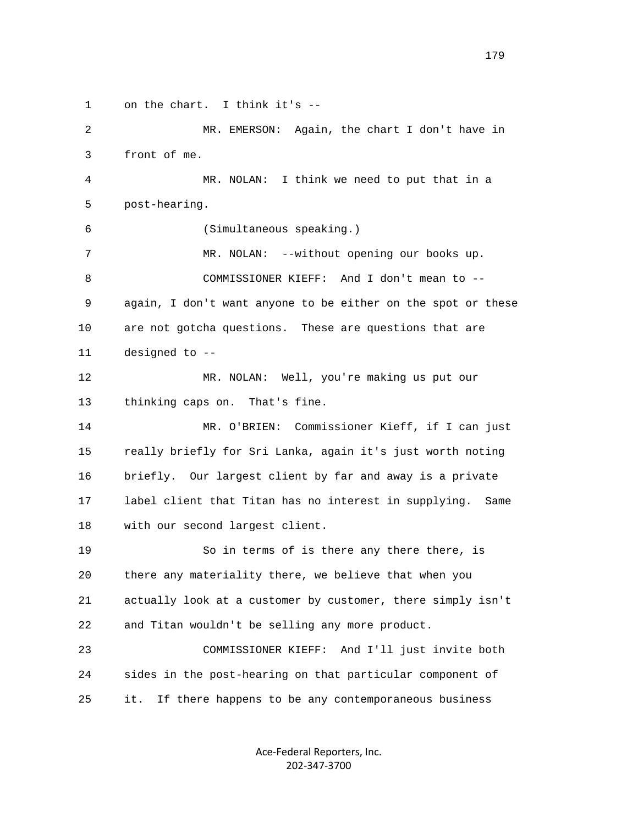1 on the chart. I think it's --

 2 MR. EMERSON: Again, the chart I don't have in 3 front of me. 4 MR. NOLAN: I think we need to put that in a 5 post-hearing. 6 (Simultaneous speaking.) 7 MR. NOLAN: --without opening our books up. 8 COMMISSIONER KIEFF: And I don't mean to -- 9 again, I don't want anyone to be either on the spot or these 10 are not gotcha questions. These are questions that are 11 designed to -- 12 MR. NOLAN: Well, you're making us put our 13 thinking caps on. That's fine. 14 MR. O'BRIEN: Commissioner Kieff, if I can just 15 really briefly for Sri Lanka, again it's just worth noting 16 briefly. Our largest client by far and away is a private 17 label client that Titan has no interest in supplying. Same 18 with our second largest client. 19 So in terms of is there any there there, is 20 there any materiality there, we believe that when you 21 actually look at a customer by customer, there simply isn't 22 and Titan wouldn't be selling any more product. 23 COMMISSIONER KIEFF: And I'll just invite both 24 sides in the post-hearing on that particular component of 25 it. If there happens to be any contemporaneous business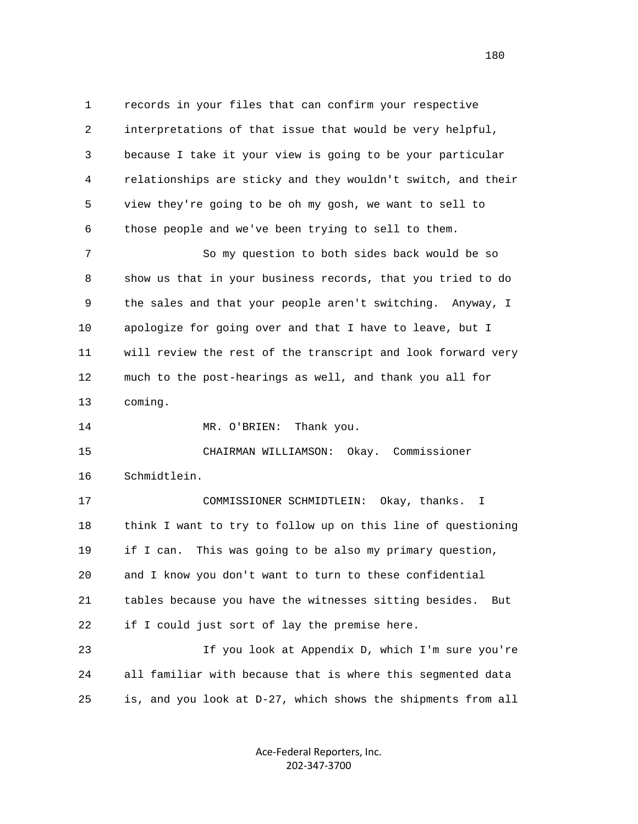1 records in your files that can confirm your respective 2 interpretations of that issue that would be very helpful, 3 because I take it your view is going to be your particular 4 relationships are sticky and they wouldn't switch, and their 5 view they're going to be oh my gosh, we want to sell to 6 those people and we've been trying to sell to them.

 7 So my question to both sides back would be so 8 show us that in your business records, that you tried to do 9 the sales and that your people aren't switching. Anyway, I 10 apologize for going over and that I have to leave, but I 11 will review the rest of the transcript and look forward very 12 much to the post-hearings as well, and thank you all for 13 coming.

14 MR. O'BRIEN: Thank you.

 15 CHAIRMAN WILLIAMSON: Okay. Commissioner 16 Schmidtlein.

 17 COMMISSIONER SCHMIDTLEIN: Okay, thanks. I 18 think I want to try to follow up on this line of questioning 19 if I can. This was going to be also my primary question, 20 and I know you don't want to turn to these confidential 21 tables because you have the witnesses sitting besides. But 22 if I could just sort of lay the premise here.

 23 If you look at Appendix D, which I'm sure you're 24 all familiar with because that is where this segmented data 25 is, and you look at D-27, which shows the shipments from all

> Ace‐Federal Reporters, Inc. 202‐347‐3700

180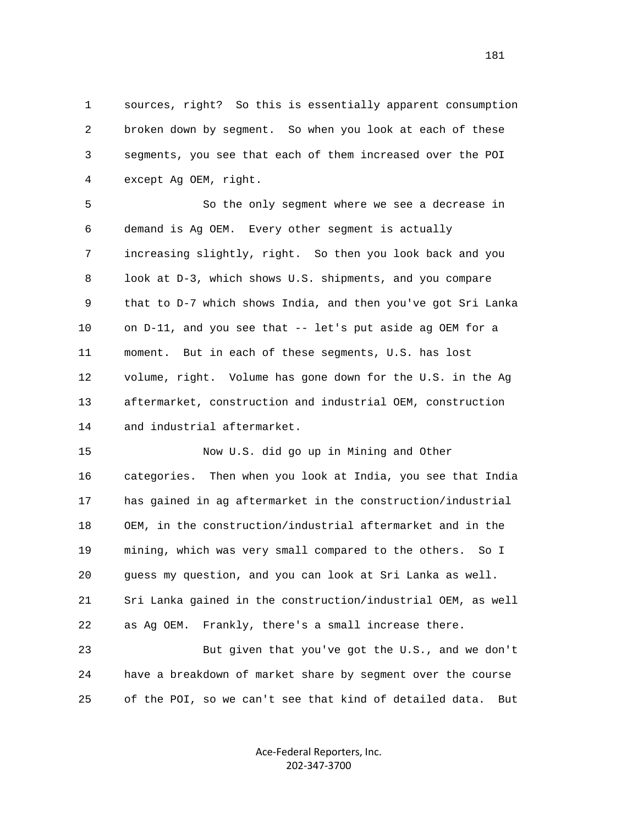1 sources, right? So this is essentially apparent consumption 2 broken down by segment. So when you look at each of these 3 segments, you see that each of them increased over the POI 4 except Ag OEM, right.

 5 So the only segment where we see a decrease in 6 demand is Ag OEM. Every other segment is actually 7 increasing slightly, right. So then you look back and you 8 look at D-3, which shows U.S. shipments, and you compare 9 that to D-7 which shows India, and then you've got Sri Lanka 10 on D-11, and you see that -- let's put aside ag OEM for a 11 moment. But in each of these segments, U.S. has lost 12 volume, right. Volume has gone down for the U.S. in the Ag 13 aftermarket, construction and industrial OEM, construction 14 and industrial aftermarket.

 15 Now U.S. did go up in Mining and Other 16 categories. Then when you look at India, you see that India 17 has gained in ag aftermarket in the construction/industrial 18 OEM, in the construction/industrial aftermarket and in the 19 mining, which was very small compared to the others. So I 20 guess my question, and you can look at Sri Lanka as well. 21 Sri Lanka gained in the construction/industrial OEM, as well 22 as Ag OEM. Frankly, there's a small increase there.

 23 But given that you've got the U.S., and we don't 24 have a breakdown of market share by segment over the course 25 of the POI, so we can't see that kind of detailed data. But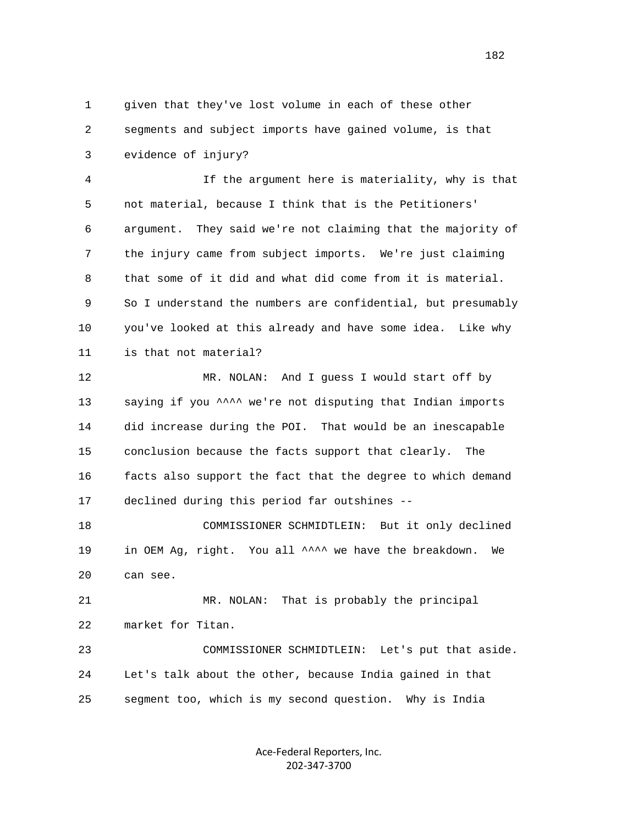1 given that they've lost volume in each of these other 2 segments and subject imports have gained volume, is that 3 evidence of injury?

 4 If the argument here is materiality, why is that 5 not material, because I think that is the Petitioners' 6 argument. They said we're not claiming that the majority of 7 the injury came from subject imports. We're just claiming 8 that some of it did and what did come from it is material. 9 So I understand the numbers are confidential, but presumably 10 you've looked at this already and have some idea. Like why 11 is that not material?

 12 MR. NOLAN: And I guess I would start off by 13 saying if you \*\*\*\* we're not disputing that Indian imports 14 did increase during the POI. That would be an inescapable 15 conclusion because the facts support that clearly. The 16 facts also support the fact that the degree to which demand 17 declined during this period far outshines --

 18 COMMISSIONER SCHMIDTLEIN: But it only declined 19 in OEM Ag, right. You all  $\wedge$   $\wedge$  we have the breakdown. We 20 can see.

 21 MR. NOLAN: That is probably the principal 22 market for Titan.

 23 COMMISSIONER SCHMIDTLEIN: Let's put that aside. 24 Let's talk about the other, because India gained in that 25 segment too, which is my second question. Why is India

> Ace‐Federal Reporters, Inc. 202‐347‐3700

182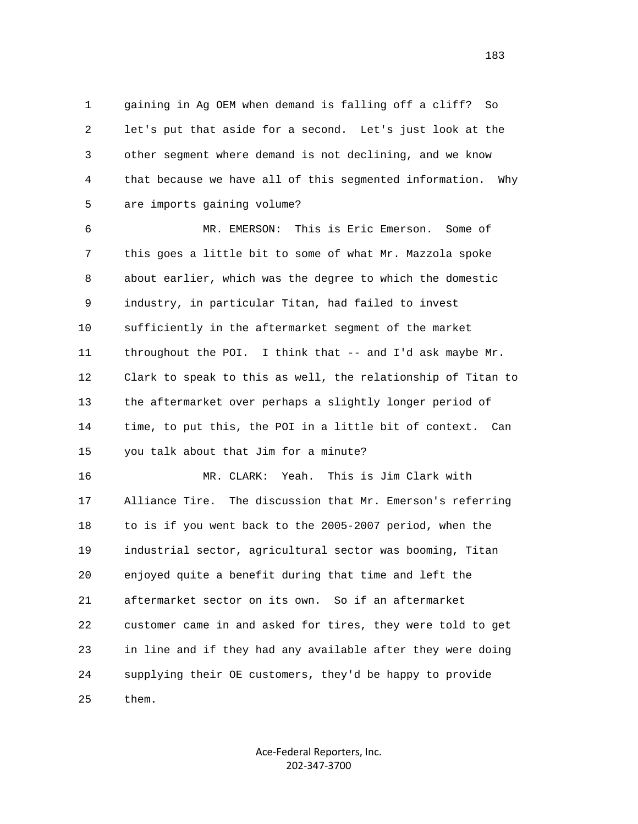1 gaining in Ag OEM when demand is falling off a cliff? So 2 let's put that aside for a second. Let's just look at the 3 other segment where demand is not declining, and we know 4 that because we have all of this segmented information. Why 5 are imports gaining volume?

 6 MR. EMERSON: This is Eric Emerson. Some of 7 this goes a little bit to some of what Mr. Mazzola spoke 8 about earlier, which was the degree to which the domestic 9 industry, in particular Titan, had failed to invest 10 sufficiently in the aftermarket segment of the market 11 throughout the POI. I think that -- and I'd ask maybe Mr. 12 Clark to speak to this as well, the relationship of Titan to 13 the aftermarket over perhaps a slightly longer period of 14 time, to put this, the POI in a little bit of context. Can 15 you talk about that Jim for a minute?

 16 MR. CLARK: Yeah. This is Jim Clark with 17 Alliance Tire. The discussion that Mr. Emerson's referring 18 to is if you went back to the 2005-2007 period, when the 19 industrial sector, agricultural sector was booming, Titan 20 enjoyed quite a benefit during that time and left the 21 aftermarket sector on its own. So if an aftermarket 22 customer came in and asked for tires, they were told to get 23 in line and if they had any available after they were doing 24 supplying their OE customers, they'd be happy to provide 25 them.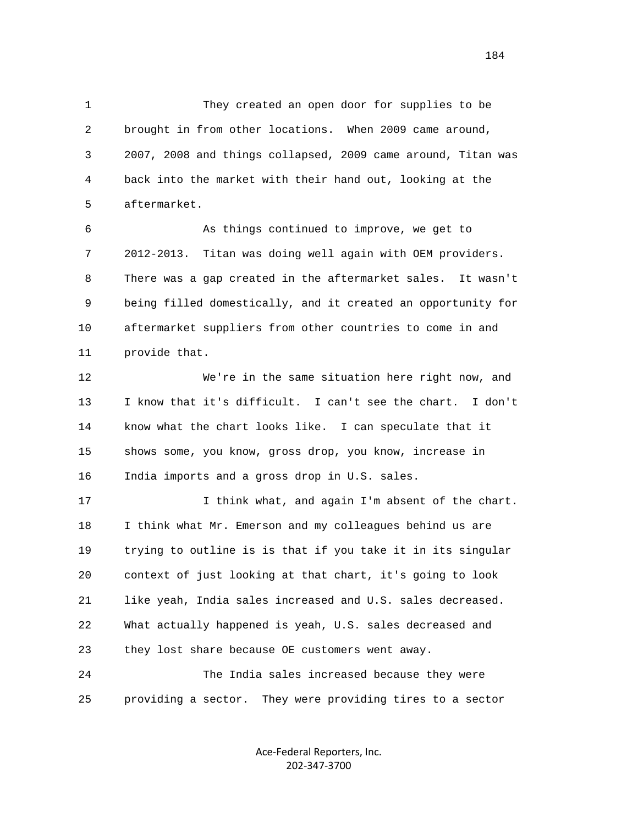1 They created an open door for supplies to be 2 brought in from other locations. When 2009 came around, 3 2007, 2008 and things collapsed, 2009 came around, Titan was 4 back into the market with their hand out, looking at the 5 aftermarket.

 6 As things continued to improve, we get to 7 2012-2013. Titan was doing well again with OEM providers. 8 There was a gap created in the aftermarket sales. It wasn't 9 being filled domestically, and it created an opportunity for 10 aftermarket suppliers from other countries to come in and 11 provide that.

 12 We're in the same situation here right now, and 13 I know that it's difficult. I can't see the chart. I don't 14 know what the chart looks like. I can speculate that it 15 shows some, you know, gross drop, you know, increase in 16 India imports and a gross drop in U.S. sales.

 17 I think what, and again I'm absent of the chart. 18 I think what Mr. Emerson and my colleagues behind us are 19 trying to outline is is that if you take it in its singular 20 context of just looking at that chart, it's going to look 21 like yeah, India sales increased and U.S. sales decreased. 22 What actually happened is yeah, U.S. sales decreased and 23 they lost share because OE customers went away. 24 The India sales increased because they were

25 providing a sector. They were providing tires to a sector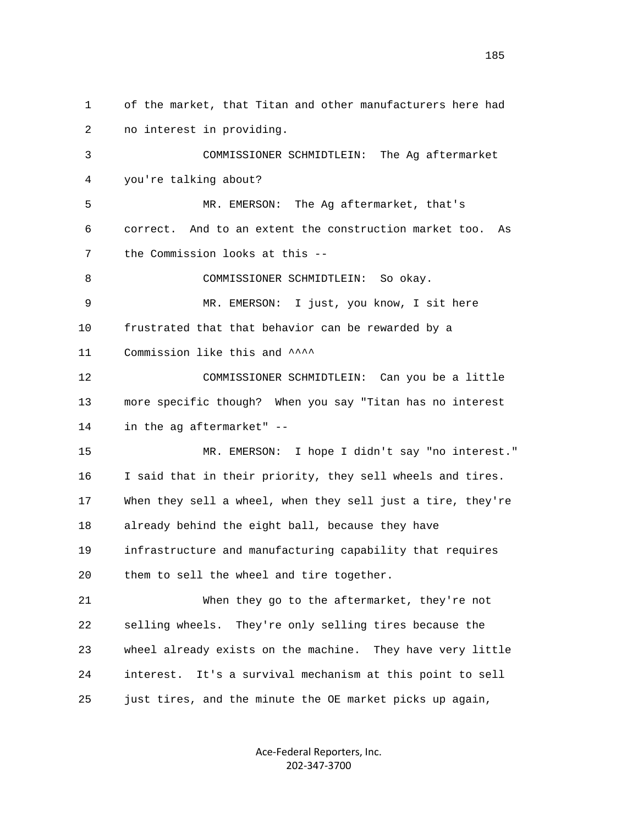1 of the market, that Titan and other manufacturers here had 2 no interest in providing. 3 COMMISSIONER SCHMIDTLEIN: The Ag aftermarket 4 you're talking about? 5 MR. EMERSON: The Ag aftermarket, that's 6 correct. And to an extent the construction market too. As 7 the Commission looks at this -- 8 COMMISSIONER SCHMIDTLEIN: So okay. 9 MR. EMERSON: I just, you know, I sit here 10 frustrated that that behavior can be rewarded by a 11 Commission like this and  $\sim$  12 COMMISSIONER SCHMIDTLEIN: Can you be a little 13 more specific though? When you say "Titan has no interest 14 in the ag aftermarket" -- 15 MR. EMERSON: I hope I didn't say "no interest." 16 I said that in their priority, they sell wheels and tires. 17 When they sell a wheel, when they sell just a tire, they're 18 already behind the eight ball, because they have 19 infrastructure and manufacturing capability that requires 20 them to sell the wheel and tire together. 21 When they go to the aftermarket, they're not 22 selling wheels. They're only selling tires because the 23 wheel already exists on the machine. They have very little 24 interest. It's a survival mechanism at this point to sell 25 just tires, and the minute the OE market picks up again,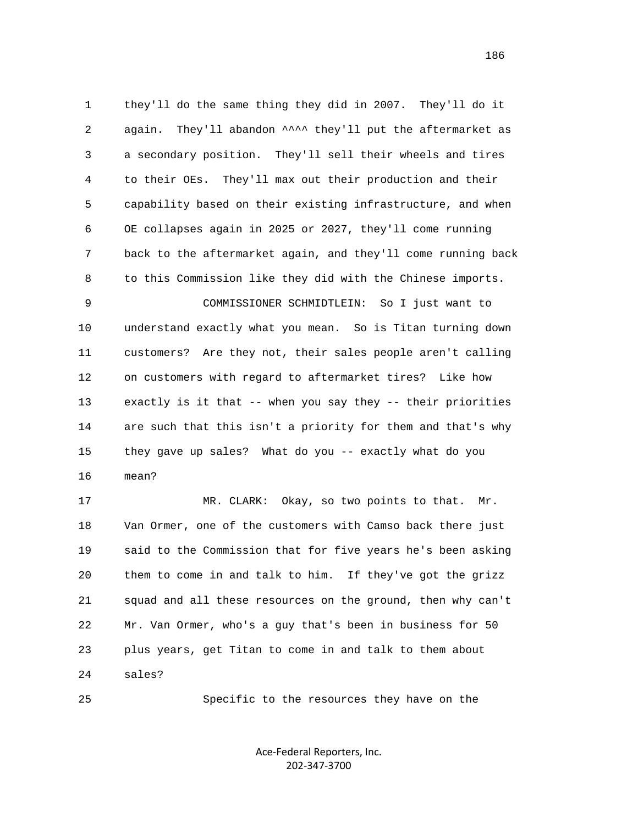1 they'll do the same thing they did in 2007. They'll do it 2 again. They'll abandon ^^^^ they'll put the aftermarket as 3 a secondary position. They'll sell their wheels and tires 4 to their OEs. They'll max out their production and their 5 capability based on their existing infrastructure, and when 6 OE collapses again in 2025 or 2027, they'll come running 7 back to the aftermarket again, and they'll come running back 8 to this Commission like they did with the Chinese imports.

 9 COMMISSIONER SCHMIDTLEIN: So I just want to 10 understand exactly what you mean. So is Titan turning down 11 customers? Are they not, their sales people aren't calling 12 on customers with regard to aftermarket tires? Like how 13 exactly is it that -- when you say they -- their priorities 14 are such that this isn't a priority for them and that's why 15 they gave up sales? What do you -- exactly what do you 16 mean?

 17 MR. CLARK: Okay, so two points to that. Mr. 18 Van Ormer, one of the customers with Camso back there just 19 said to the Commission that for five years he's been asking 20 them to come in and talk to him. If they've got the grizz 21 squad and all these resources on the ground, then why can't 22 Mr. Van Ormer, who's a guy that's been in business for 50 23 plus years, get Titan to come in and talk to them about 24 sales?

25 Specific to the resources they have on the

Ace‐Federal Reporters, Inc. 202‐347‐3700

186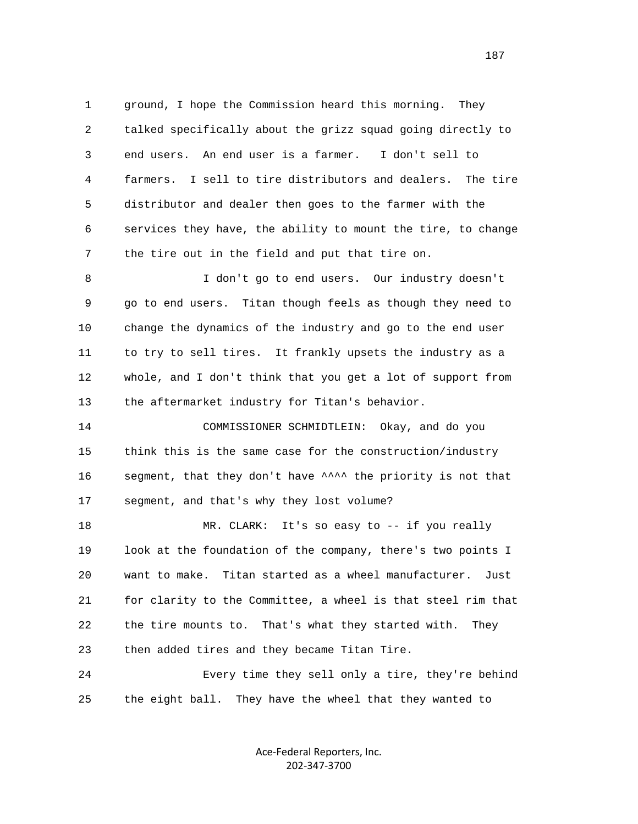1 ground, I hope the Commission heard this morning. They 2 talked specifically about the grizz squad going directly to 3 end users. An end user is a farmer. I don't sell to 4 farmers. I sell to tire distributors and dealers. The tire 5 distributor and dealer then goes to the farmer with the 6 services they have, the ability to mount the tire, to change 7 the tire out in the field and put that tire on.

 8 I don't go to end users. Our industry doesn't 9 go to end users. Titan though feels as though they need to 10 change the dynamics of the industry and go to the end user 11 to try to sell tires. It frankly upsets the industry as a 12 whole, and I don't think that you get a lot of support from 13 the aftermarket industry for Titan's behavior.

 14 COMMISSIONER SCHMIDTLEIN: Okay, and do you 15 think this is the same case for the construction/industry 16 segment, that they don't have ^^^^ the priority is not that 17 segment, and that's why they lost volume?

 18 MR. CLARK: It's so easy to -- if you really 19 look at the foundation of the company, there's two points I 20 want to make. Titan started as a wheel manufacturer. Just 21 for clarity to the Committee, a wheel is that steel rim that 22 the tire mounts to. That's what they started with. They 23 then added tires and they became Titan Tire.

 24 Every time they sell only a tire, they're behind 25 the eight ball. They have the wheel that they wanted to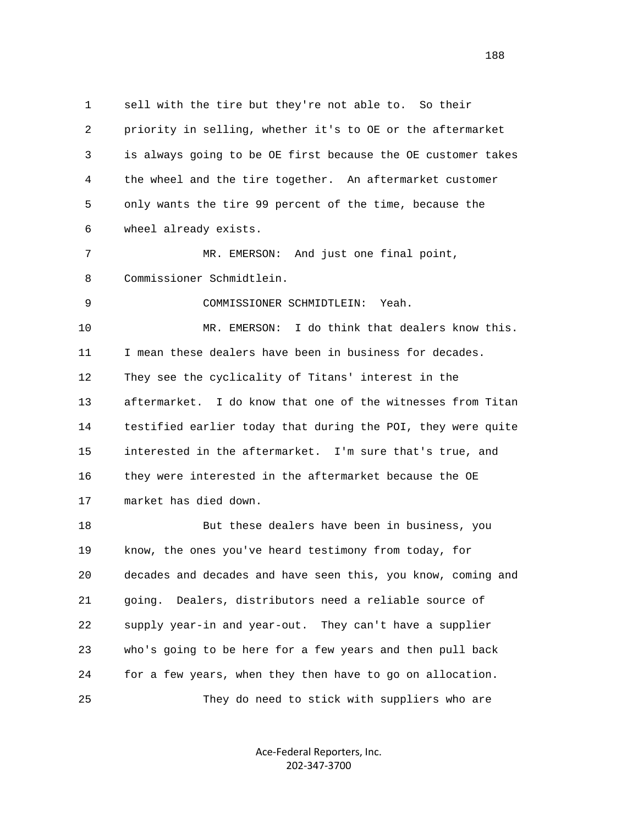1 sell with the tire but they're not able to. So their 2 priority in selling, whether it's to OE or the aftermarket 3 is always going to be OE first because the OE customer takes 4 the wheel and the tire together. An aftermarket customer 5 only wants the tire 99 percent of the time, because the 6 wheel already exists. 7 MR. EMERSON: And just one final point, 8 Commissioner Schmidtlein. 9 COMMISSIONER SCHMIDTLEIN: Yeah. 10 MR. EMERSON: I do think that dealers know this. 11 I mean these dealers have been in business for decades. 12 They see the cyclicality of Titans' interest in the 13 aftermarket. I do know that one of the witnesses from Titan 14 testified earlier today that during the POI, they were quite 15 interested in the aftermarket. I'm sure that's true, and 16 they were interested in the aftermarket because the OE 17 market has died down. 18 But these dealers have been in business, you 19 know, the ones you've heard testimony from today, for 20 decades and decades and have seen this, you know, coming and 21 going. Dealers, distributors need a reliable source of 22 supply year-in and year-out. They can't have a supplier 23 who's going to be here for a few years and then pull back

25 They do need to stick with suppliers who are

24 for a few years, when they then have to go on allocation.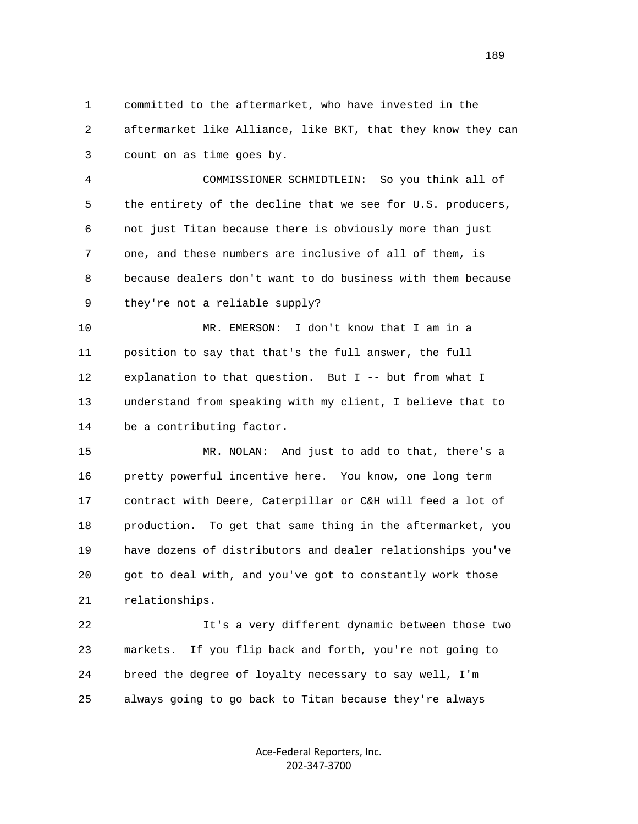1 committed to the aftermarket, who have invested in the 2 aftermarket like Alliance, like BKT, that they know they can 3 count on as time goes by.

 4 COMMISSIONER SCHMIDTLEIN: So you think all of 5 the entirety of the decline that we see for U.S. producers, 6 not just Titan because there is obviously more than just 7 one, and these numbers are inclusive of all of them, is 8 because dealers don't want to do business with them because 9 they're not a reliable supply?

 10 MR. EMERSON: I don't know that I am in a 11 position to say that that's the full answer, the full 12 explanation to that question. But I -- but from what I 13 understand from speaking with my client, I believe that to 14 be a contributing factor.

 15 MR. NOLAN: And just to add to that, there's a 16 pretty powerful incentive here. You know, one long term 17 contract with Deere, Caterpillar or C&H will feed a lot of 18 production. To get that same thing in the aftermarket, you 19 have dozens of distributors and dealer relationships you've 20 got to deal with, and you've got to constantly work those 21 relationships.

 22 It's a very different dynamic between those two 23 markets. If you flip back and forth, you're not going to 24 breed the degree of loyalty necessary to say well, I'm 25 always going to go back to Titan because they're always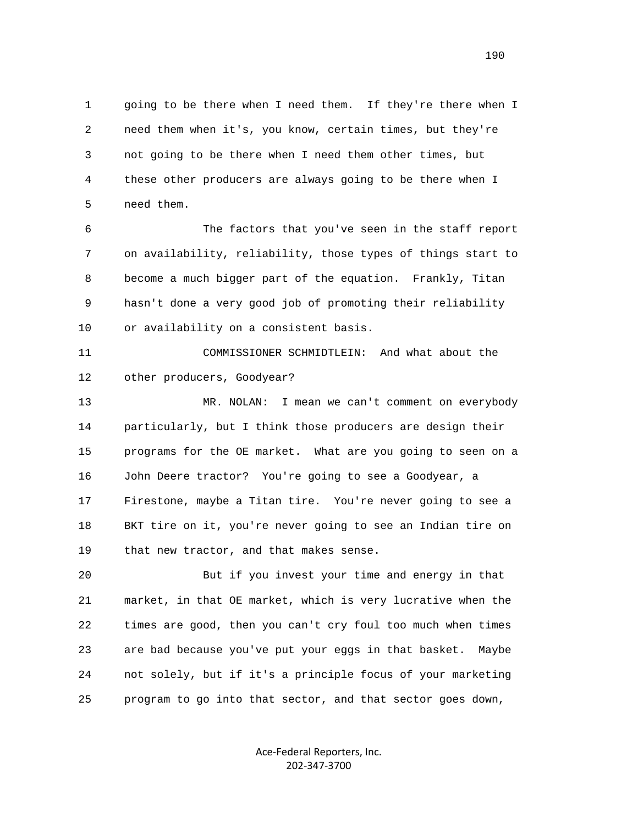1 going to be there when I need them. If they're there when I 2 need them when it's, you know, certain times, but they're 3 not going to be there when I need them other times, but 4 these other producers are always going to be there when I 5 need them.

 6 The factors that you've seen in the staff report 7 on availability, reliability, those types of things start to 8 become a much bigger part of the equation. Frankly, Titan 9 hasn't done a very good job of promoting their reliability 10 or availability on a consistent basis.

 11 COMMISSIONER SCHMIDTLEIN: And what about the 12 other producers, Goodyear?

 13 MR. NOLAN: I mean we can't comment on everybody 14 particularly, but I think those producers are design their 15 programs for the OE market. What are you going to seen on a 16 John Deere tractor? You're going to see a Goodyear, a 17 Firestone, maybe a Titan tire. You're never going to see a 18 BKT tire on it, you're never going to see an Indian tire on 19 that new tractor, and that makes sense.

 20 But if you invest your time and energy in that 21 market, in that OE market, which is very lucrative when the 22 times are good, then you can't cry foul too much when times 23 are bad because you've put your eggs in that basket. Maybe 24 not solely, but if it's a principle focus of your marketing 25 program to go into that sector, and that sector goes down,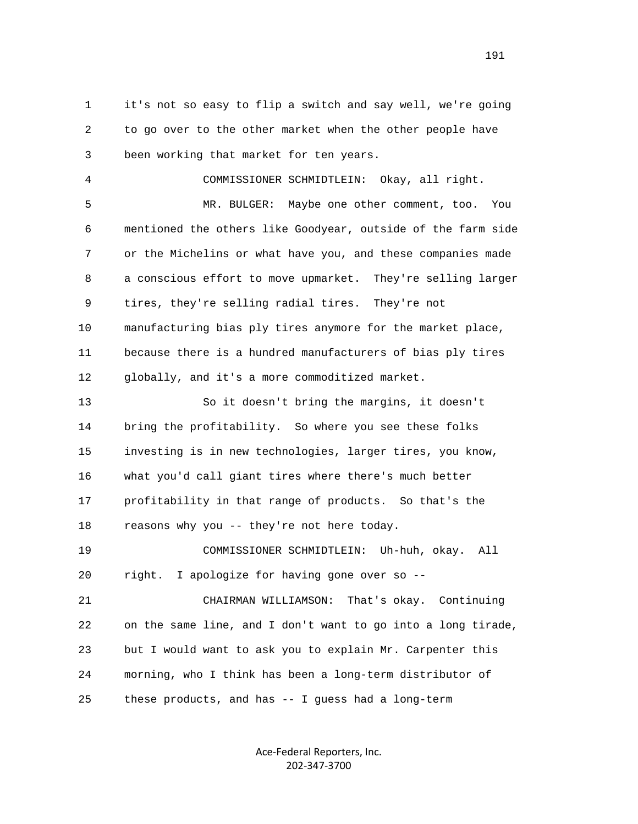1 it's not so easy to flip a switch and say well, we're going 2 to go over to the other market when the other people have 3 been working that market for ten years.

 4 COMMISSIONER SCHMIDTLEIN: Okay, all right. 5 MR. BULGER: Maybe one other comment, too. You 6 mentioned the others like Goodyear, outside of the farm side 7 or the Michelins or what have you, and these companies made 8 a conscious effort to move upmarket. They're selling larger 9 tires, they're selling radial tires. They're not 10 manufacturing bias ply tires anymore for the market place, 11 because there is a hundred manufacturers of bias ply tires 12 globally, and it's a more commoditized market.

 13 So it doesn't bring the margins, it doesn't 14 bring the profitability. So where you see these folks 15 investing is in new technologies, larger tires, you know, 16 what you'd call giant tires where there's much better 17 profitability in that range of products. So that's the 18 reasons why you -- they're not here today.

 19 COMMISSIONER SCHMIDTLEIN: Uh-huh, okay. All 20 right. I apologize for having gone over so --

 21 CHAIRMAN WILLIAMSON: That's okay. Continuing 22 on the same line, and I don't want to go into a long tirade, 23 but I would want to ask you to explain Mr. Carpenter this 24 morning, who I think has been a long-term distributor of 25 these products, and has -- I guess had a long-term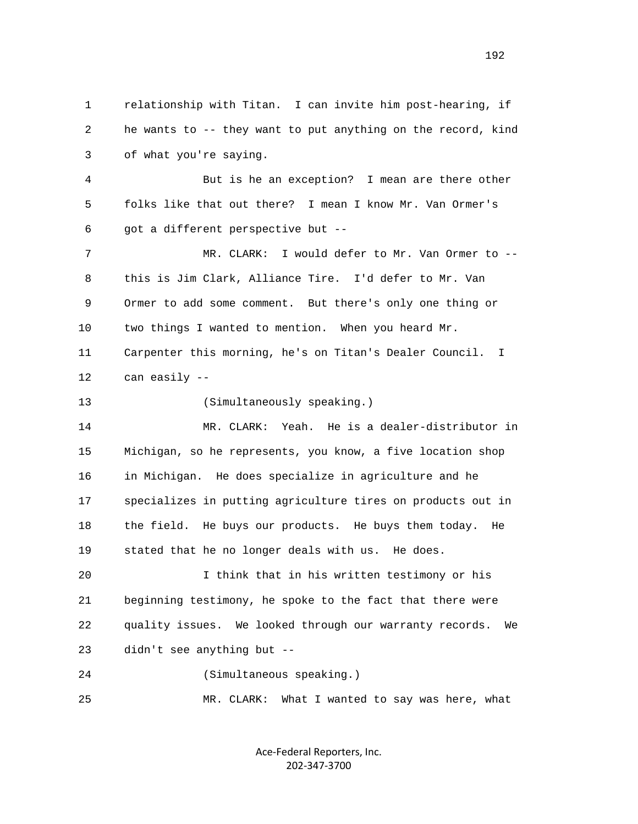1 relationship with Titan. I can invite him post-hearing, if 2 he wants to -- they want to put anything on the record, kind 3 of what you're saying. 4 But is he an exception? I mean are there other 5 folks like that out there? I mean I know Mr. Van Ormer's 6 got a different perspective but -- 7 MR. CLARK: I would defer to Mr. Van Ormer to -- 8 this is Jim Clark, Alliance Tire. I'd defer to Mr. Van 9 Ormer to add some comment. But there's only one thing or 10 two things I wanted to mention. When you heard Mr. 11 Carpenter this morning, he's on Titan's Dealer Council. I 12 can easily -- 13 (Simultaneously speaking.) 14 MR. CLARK: Yeah. He is a dealer-distributor in 15 Michigan, so he represents, you know, a five location shop 16 in Michigan. He does specialize in agriculture and he 17 specializes in putting agriculture tires on products out in 18 the field. He buys our products. He buys them today. He 19 stated that he no longer deals with us. He does. 20 I think that in his written testimony or his 21 beginning testimony, he spoke to the fact that there were 22 quality issues. We looked through our warranty records. We 23 didn't see anything but -- 24 (Simultaneous speaking.) 25 MR. CLARK: What I wanted to say was here, what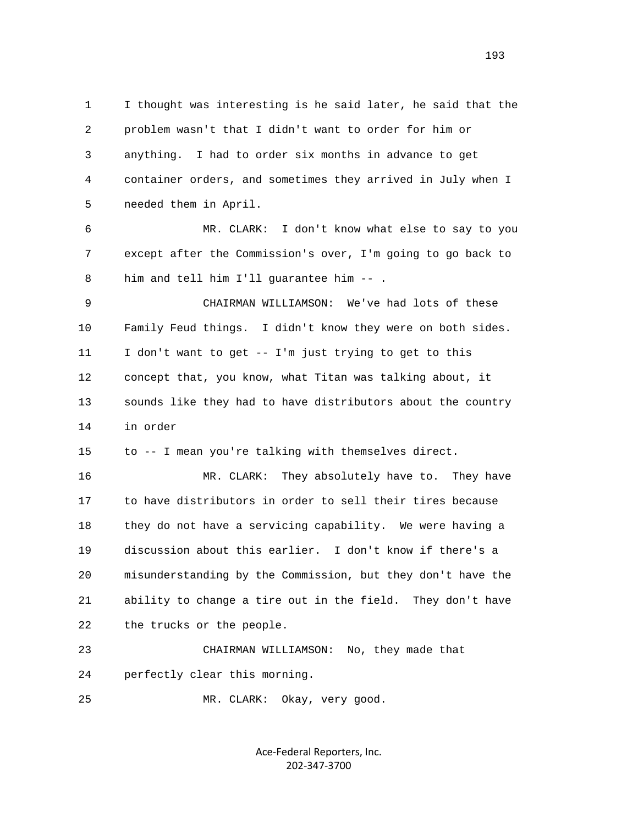1 I thought was interesting is he said later, he said that the 2 problem wasn't that I didn't want to order for him or 3 anything. I had to order six months in advance to get 4 container orders, and sometimes they arrived in July when I 5 needed them in April. 6 MR. CLARK: I don't know what else to say to you 7 except after the Commission's over, I'm going to go back to 8 him and tell him I'll guarantee him -- . 9 CHAIRMAN WILLIAMSON: We've had lots of these 10 Family Feud things. I didn't know they were on both sides. 11 I don't want to get -- I'm just trying to get to this 12 concept that, you know, what Titan was talking about, it 13 sounds like they had to have distributors about the country 14 in order 15 to -- I mean you're talking with themselves direct. 16 MR. CLARK: They absolutely have to. They have 17 to have distributors in order to sell their tires because 18 they do not have a servicing capability. We were having a 19 discussion about this earlier. I don't know if there's a 20 misunderstanding by the Commission, but they don't have the 21 ability to change a tire out in the field. They don't have 22 the trucks or the people. 23 CHAIRMAN WILLIAMSON: No, they made that 24 perfectly clear this morning.

25 MR. CLARK: Okay, very good.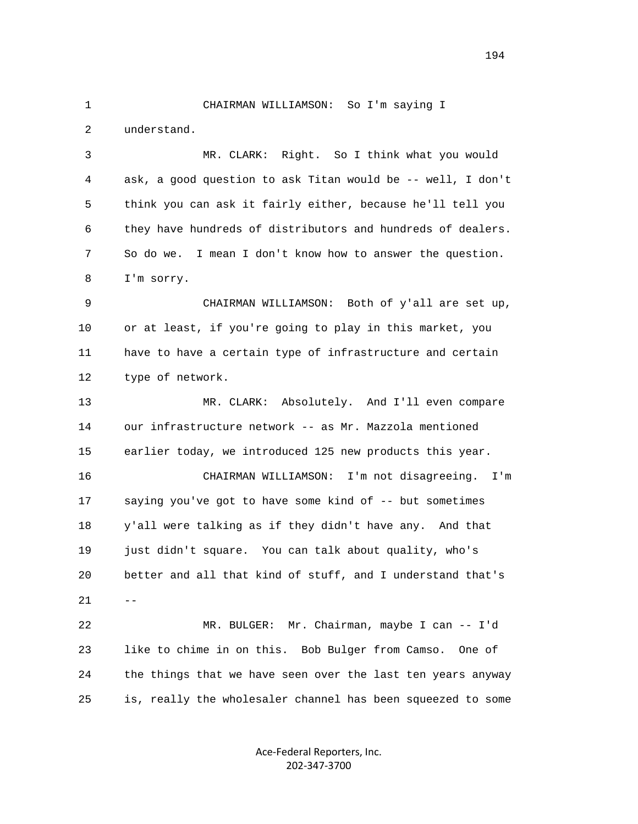1 CHAIRMAN WILLIAMSON: So I'm saying I 2 understand. 3 MR. CLARK: Right. So I think what you would

 4 ask, a good question to ask Titan would be -- well, I don't 5 think you can ask it fairly either, because he'll tell you 6 they have hundreds of distributors and hundreds of dealers. 7 So do we. I mean I don't know how to answer the question. 8 I'm sorry.

 9 CHAIRMAN WILLIAMSON: Both of y'all are set up, 10 or at least, if you're going to play in this market, you 11 have to have a certain type of infrastructure and certain 12 type of network.

 13 MR. CLARK: Absolutely. And I'll even compare 14 our infrastructure network -- as Mr. Mazzola mentioned 15 earlier today, we introduced 125 new products this year. 16 CHAIRMAN WILLIAMSON: I'm not disagreeing. I'm 17 saying you've got to have some kind of -- but sometimes

 18 y'all were talking as if they didn't have any. And that 19 just didn't square. You can talk about quality, who's 20 better and all that kind of stuff, and I understand that's  $21 - -$ 

> 22 MR. BULGER: Mr. Chairman, maybe I can -- I'd 23 like to chime in on this. Bob Bulger from Camso. One of 24 the things that we have seen over the last ten years anyway 25 is, really the wholesaler channel has been squeezed to some

> > Ace‐Federal Reporters, Inc. 202‐347‐3700

194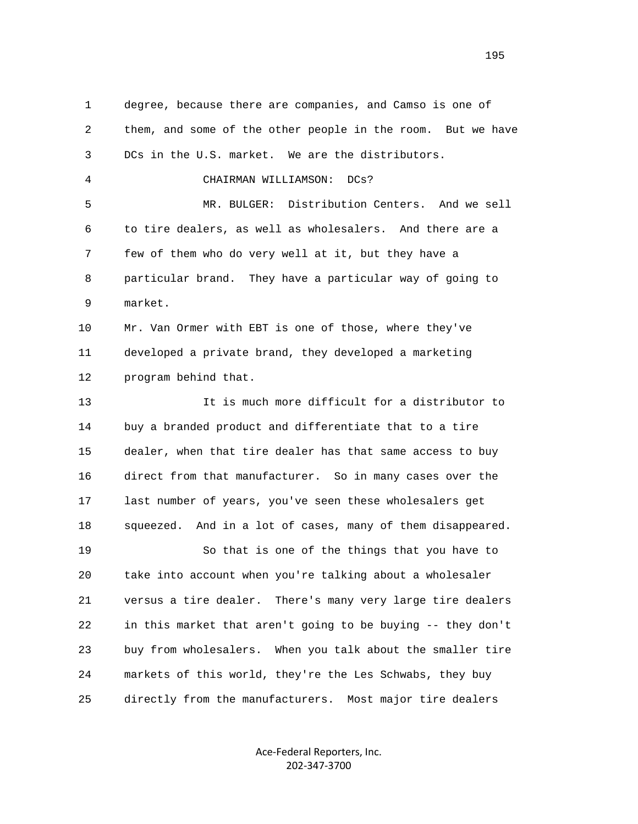1 degree, because there are companies, and Camso is one of 2 them, and some of the other people in the room. But we have 3 DCs in the U.S. market. We are the distributors. 4 CHAIRMAN WILLIAMSON: DCs? 5 MR. BULGER: Distribution Centers. And we sell 6 to tire dealers, as well as wholesalers. And there are a 7 few of them who do very well at it, but they have a 8 particular brand. They have a particular way of going to 9 market. 10 Mr. Van Ormer with EBT is one of those, where they've 11 developed a private brand, they developed a marketing 12 program behind that. 13 It is much more difficult for a distributor to 14 buy a branded product and differentiate that to a tire 15 dealer, when that tire dealer has that same access to buy 16 direct from that manufacturer. So in many cases over the 17 last number of years, you've seen these wholesalers get 18 squeezed. And in a lot of cases, many of them disappeared. 19 So that is one of the things that you have to 20 take into account when you're talking about a wholesaler 21 versus a tire dealer. There's many very large tire dealers 22 in this market that aren't going to be buying -- they don't 23 buy from wholesalers. When you talk about the smaller tire 24 markets of this world, they're the Les Schwabs, they buy 25 directly from the manufacturers. Most major tire dealers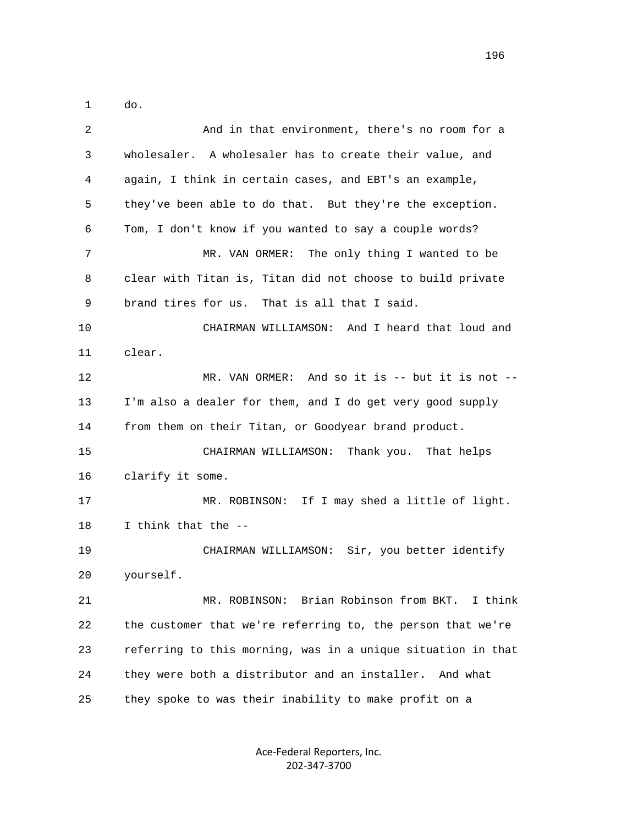1 do.

| $\overline{2}$ | And in that environment, there's no room for a               |
|----------------|--------------------------------------------------------------|
| 3              | wholesaler. A wholesaler has to create their value, and      |
| 4              | again, I think in certain cases, and EBT's an example,       |
| 5              | they've been able to do that. But they're the exception.     |
| 6              | Tom, I don't know if you wanted to say a couple words?       |
| 7              | MR. VAN ORMER:<br>The only thing I wanted to be              |
| 8              | clear with Titan is, Titan did not choose to build private   |
| 9              | brand tires for us. That is all that I said.                 |
| 10             | CHAIRMAN WILLIAMSON: And I heard that loud and               |
| 11             | clear.                                                       |
| 12             | MR. VAN ORMER: And so it is -- but it is not --              |
| 13             | I'm also a dealer for them, and I do get very good supply    |
| 14             | from them on their Titan, or Goodyear brand product.         |
| 15             | CHAIRMAN WILLIAMSON: Thank you. That helps                   |
| 16             | clarify it some.                                             |
| 17             | MR. ROBINSON: If I may shed a little of light.               |
| 18             | I think that the --                                          |
| 19             | CHAIRMAN WILLIAMSON: Sir, you better identify                |
| 20             | yourself.                                                    |
| 21             | MR. ROBINSON: Brian Robinson from BKT. I think               |
| 22             | the customer that we're referring to, the person that we're  |
| 23             | referring to this morning, was in a unique situation in that |
| 24             | they were both a distributor and an installer. And what      |
| 25             | they spoke to was their inability to make profit on a        |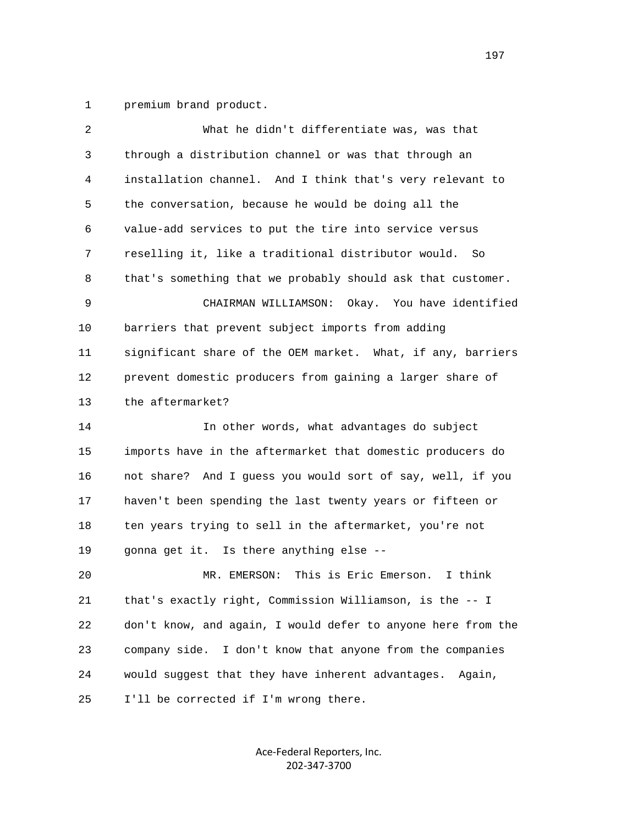1 premium brand product.

| 2  | What he didn't differentiate was, was that                   |
|----|--------------------------------------------------------------|
| 3  | through a distribution channel or was that through an        |
| 4  | installation channel. And I think that's very relevant to    |
| 5  | the conversation, because he would be doing all the          |
| 6  | value-add services to put the tire into service versus       |
| 7  | reselling it, like a traditional distributor would. So       |
| 8  | that's something that we probably should ask that customer.  |
| 9  | CHAIRMAN WILLIAMSON: Okay. You have identified               |
| 10 | barriers that prevent subject imports from adding            |
| 11 | significant share of the OEM market. What, if any, barriers  |
| 12 | prevent domestic producers from gaining a larger share of    |
| 13 | the aftermarket?                                             |
| 14 | In other words, what advantages do subject                   |
| 15 | imports have in the aftermarket that domestic producers do   |
| 16 | not share? And I guess you would sort of say, well, if you   |
| 17 | haven't been spending the last twenty years or fifteen or    |
| 18 | ten years trying to sell in the aftermarket, you're not      |
| 19 | gonna get it. Is there anything else --                      |
| 20 | This is Eric Emerson.<br>I think<br>MR. EMERSON:             |
| 21 | that's exactly right, Commission Williamson, is the -- I     |
| 22 | don't know, and again, I would defer to anyone here from the |
| 23 | I don't know that anyone from the companies<br>company side. |
| 24 | would suggest that they have inherent advantages.<br>Again,  |
| 25 | I'll be corrected if I'm wrong there.                        |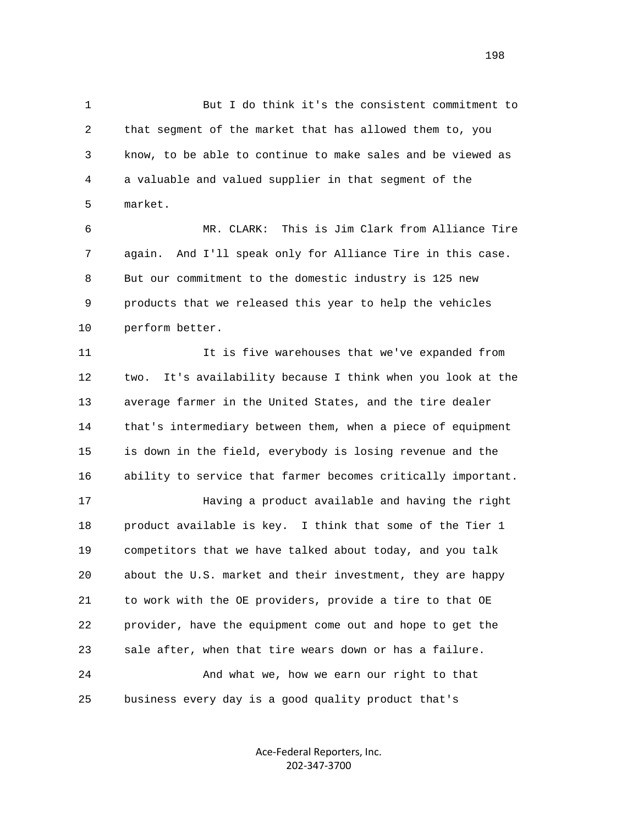1 But I do think it's the consistent commitment to 2 that segment of the market that has allowed them to, you 3 know, to be able to continue to make sales and be viewed as 4 a valuable and valued supplier in that segment of the 5 market.

 6 MR. CLARK: This is Jim Clark from Alliance Tire 7 again. And I'll speak only for Alliance Tire in this case. 8 But our commitment to the domestic industry is 125 new 9 products that we released this year to help the vehicles 10 perform better.

 11 It is five warehouses that we've expanded from 12 two. It's availability because I think when you look at the 13 average farmer in the United States, and the tire dealer 14 that's intermediary between them, when a piece of equipment 15 is down in the field, everybody is losing revenue and the 16 ability to service that farmer becomes critically important.

 17 Having a product available and having the right 18 product available is key. I think that some of the Tier 1 19 competitors that we have talked about today, and you talk 20 about the U.S. market and their investment, they are happy 21 to work with the OE providers, provide a tire to that OE 22 provider, have the equipment come out and hope to get the 23 sale after, when that tire wears down or has a failure. 24 And what we, how we earn our right to that 25 business every day is a good quality product that's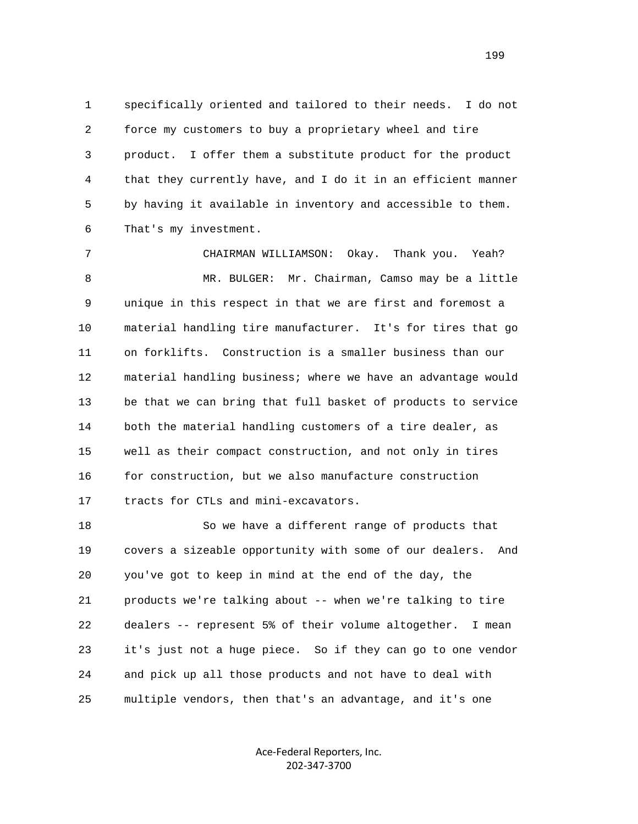1 specifically oriented and tailored to their needs. I do not 2 force my customers to buy a proprietary wheel and tire 3 product. I offer them a substitute product for the product 4 that they currently have, and I do it in an efficient manner 5 by having it available in inventory and accessible to them. 6 That's my investment.

 7 CHAIRMAN WILLIAMSON: Okay. Thank you. Yeah? 8 MR. BULGER: Mr. Chairman, Camso may be a little 9 unique in this respect in that we are first and foremost a 10 material handling tire manufacturer. It's for tires that go 11 on forklifts. Construction is a smaller business than our 12 material handling business; where we have an advantage would 13 be that we can bring that full basket of products to service 14 both the material handling customers of a tire dealer, as 15 well as their compact construction, and not only in tires 16 for construction, but we also manufacture construction 17 tracts for CTLs and mini-excavators.

 18 So we have a different range of products that 19 covers a sizeable opportunity with some of our dealers. And 20 you've got to keep in mind at the end of the day, the 21 products we're talking about -- when we're talking to tire 22 dealers -- represent 5% of their volume altogether. I mean 23 it's just not a huge piece. So if they can go to one vendor 24 and pick up all those products and not have to deal with 25 multiple vendors, then that's an advantage, and it's one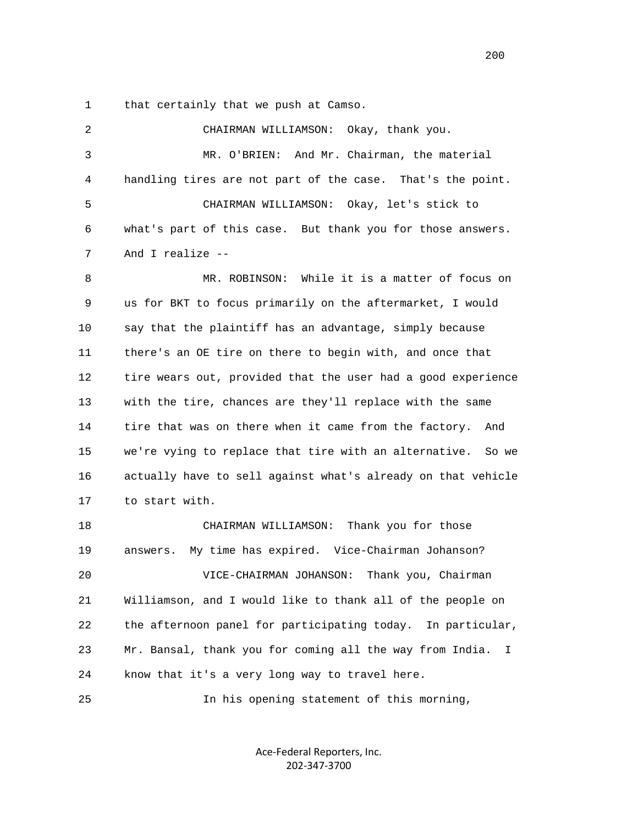1 that certainly that we push at Camso.

 2 CHAIRMAN WILLIAMSON: Okay, thank you. 3 MR. O'BRIEN: And Mr. Chairman, the material 4 handling tires are not part of the case. That's the point. 5 CHAIRMAN WILLIAMSON: Okay, let's stick to 6 what's part of this case. But thank you for those answers. 7 And I realize -- 8 MR. ROBINSON: While it is a matter of focus on 9 us for BKT to focus primarily on the aftermarket, I would 10 say that the plaintiff has an advantage, simply because 11 there's an OE tire on there to begin with, and once that 12 tire wears out, provided that the user had a good experience 13 with the tire, chances are they'll replace with the same 14 tire that was on there when it came from the factory. And 15 we're vying to replace that tire with an alternative. So we 16 actually have to sell against what's already on that vehicle 17 to start with. 18 CHAIRMAN WILLIAMSON: Thank you for those 19 answers. My time has expired. Vice-Chairman Johanson? 20 VICE-CHAIRMAN JOHANSON: Thank you, Chairman 21 Williamson, and I would like to thank all of the people on 22 the afternoon panel for participating today. In particular, 23 Mr. Bansal, thank you for coming all the way from India. I 24 know that it's a very long way to travel here. 25 In his opening statement of this morning,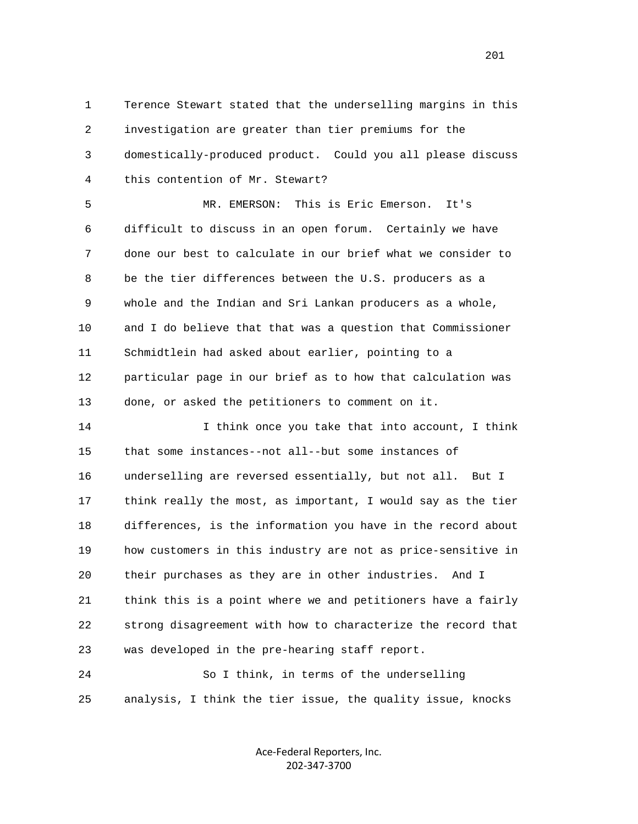1 Terence Stewart stated that the underselling margins in this 2 investigation are greater than tier premiums for the 3 domestically-produced product. Could you all please discuss 4 this contention of Mr. Stewart?

 5 MR. EMERSON: This is Eric Emerson. It's 6 difficult to discuss in an open forum. Certainly we have 7 done our best to calculate in our brief what we consider to 8 be the tier differences between the U.S. producers as a 9 whole and the Indian and Sri Lankan producers as a whole, 10 and I do believe that that was a question that Commissioner 11 Schmidtlein had asked about earlier, pointing to a 12 particular page in our brief as to how that calculation was 13 done, or asked the petitioners to comment on it.

 14 I think once you take that into account, I think 15 that some instances--not all--but some instances of 16 underselling are reversed essentially, but not all. But I 17 think really the most, as important, I would say as the tier 18 differences, is the information you have in the record about 19 how customers in this industry are not as price-sensitive in 20 their purchases as they are in other industries. And I 21 think this is a point where we and petitioners have a fairly 22 strong disagreement with how to characterize the record that 23 was developed in the pre-hearing staff report.

 24 So I think, in terms of the underselling 25 analysis, I think the tier issue, the quality issue, knocks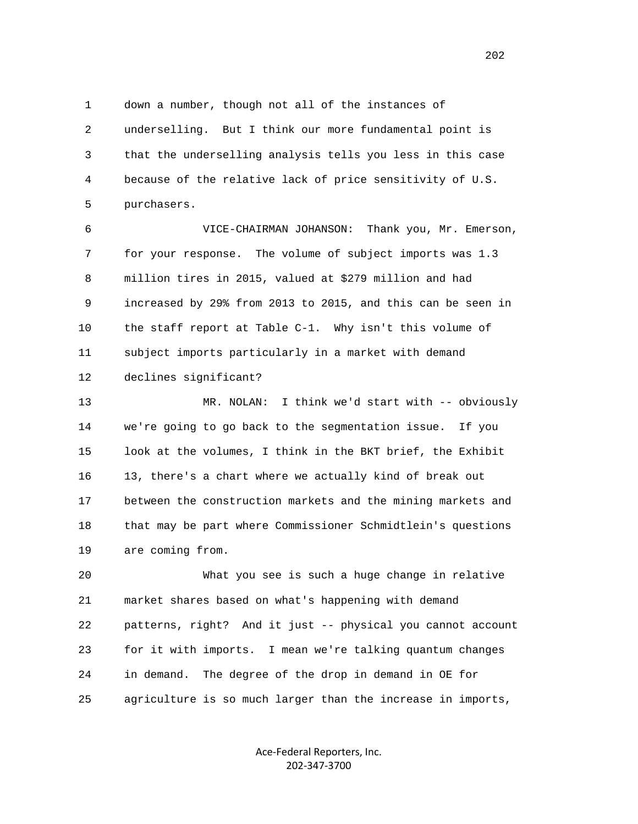1 down a number, though not all of the instances of 2 underselling. But I think our more fundamental point is 3 that the underselling analysis tells you less in this case 4 because of the relative lack of price sensitivity of U.S. 5 purchasers.

 6 VICE-CHAIRMAN JOHANSON: Thank you, Mr. Emerson, 7 for your response. The volume of subject imports was 1.3 8 million tires in 2015, valued at \$279 million and had 9 increased by 29% from 2013 to 2015, and this can be seen in 10 the staff report at Table C-1. Why isn't this volume of 11 subject imports particularly in a market with demand 12 declines significant?

 13 MR. NOLAN: I think we'd start with -- obviously 14 we're going to go back to the segmentation issue. If you 15 look at the volumes, I think in the BKT brief, the Exhibit 16 13, there's a chart where we actually kind of break out 17 between the construction markets and the mining markets and 18 that may be part where Commissioner Schmidtlein's questions 19 are coming from.

 20 What you see is such a huge change in relative 21 market shares based on what's happening with demand 22 patterns, right? And it just -- physical you cannot account 23 for it with imports. I mean we're talking quantum changes 24 in demand. The degree of the drop in demand in OE for 25 agriculture is so much larger than the increase in imports,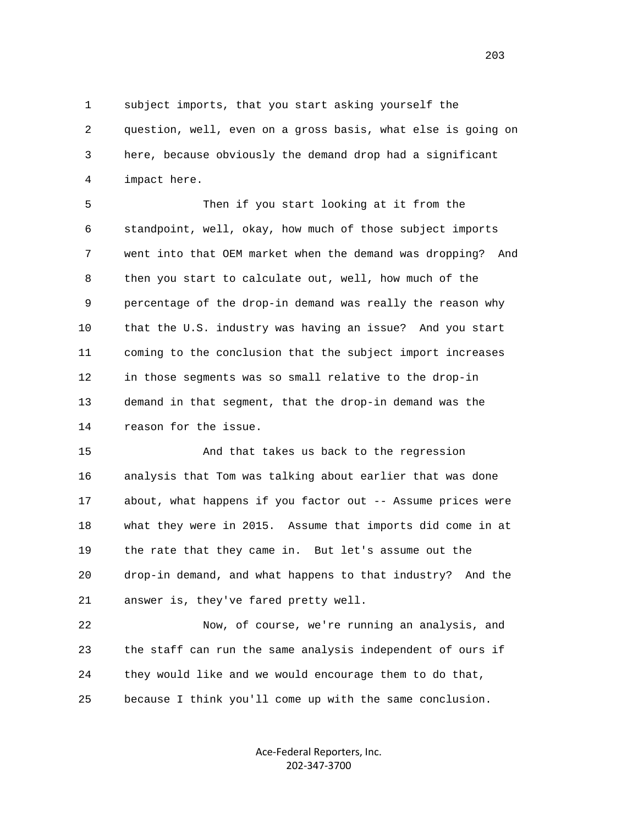1 subject imports, that you start asking yourself the 2 question, well, even on a gross basis, what else is going on 3 here, because obviously the demand drop had a significant 4 impact here.

 5 Then if you start looking at it from the 6 standpoint, well, okay, how much of those subject imports 7 went into that OEM market when the demand was dropping? And 8 then you start to calculate out, well, how much of the 9 percentage of the drop-in demand was really the reason why 10 that the U.S. industry was having an issue? And you start 11 coming to the conclusion that the subject import increases 12 in those segments was so small relative to the drop-in 13 demand in that segment, that the drop-in demand was the 14 reason for the issue.

 15 And that takes us back to the regression 16 analysis that Tom was talking about earlier that was done 17 about, what happens if you factor out -- Assume prices were 18 what they were in 2015. Assume that imports did come in at 19 the rate that they came in. But let's assume out the 20 drop-in demand, and what happens to that industry? And the 21 answer is, they've fared pretty well.

 22 Now, of course, we're running an analysis, and 23 the staff can run the same analysis independent of ours if 24 they would like and we would encourage them to do that, 25 because I think you'll come up with the same conclusion.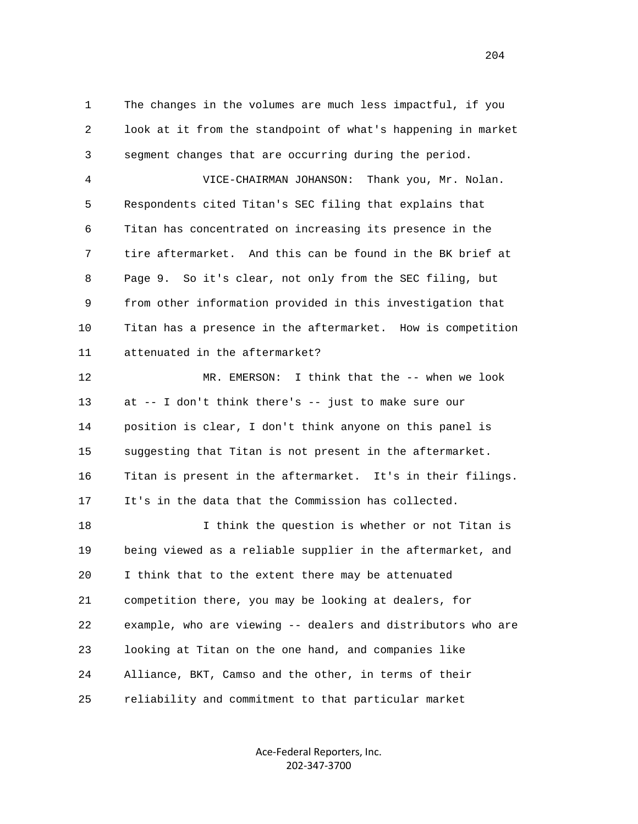1 The changes in the volumes are much less impactful, if you 2 look at it from the standpoint of what's happening in market 3 segment changes that are occurring during the period.

 4 VICE-CHAIRMAN JOHANSON: Thank you, Mr. Nolan. 5 Respondents cited Titan's SEC filing that explains that 6 Titan has concentrated on increasing its presence in the 7 tire aftermarket. And this can be found in the BK brief at 8 Page 9. So it's clear, not only from the SEC filing, but 9 from other information provided in this investigation that 10 Titan has a presence in the aftermarket. How is competition 11 attenuated in the aftermarket?

 12 MR. EMERSON: I think that the -- when we look 13 at -- I don't think there's -- just to make sure our 14 position is clear, I don't think anyone on this panel is 15 suggesting that Titan is not present in the aftermarket. 16 Titan is present in the aftermarket. It's in their filings. 17 It's in the data that the Commission has collected.

 18 I think the question is whether or not Titan is 19 being viewed as a reliable supplier in the aftermarket, and 20 I think that to the extent there may be attenuated 21 competition there, you may be looking at dealers, for 22 example, who are viewing -- dealers and distributors who are 23 looking at Titan on the one hand, and companies like 24 Alliance, BKT, Camso and the other, in terms of their 25 reliability and commitment to that particular market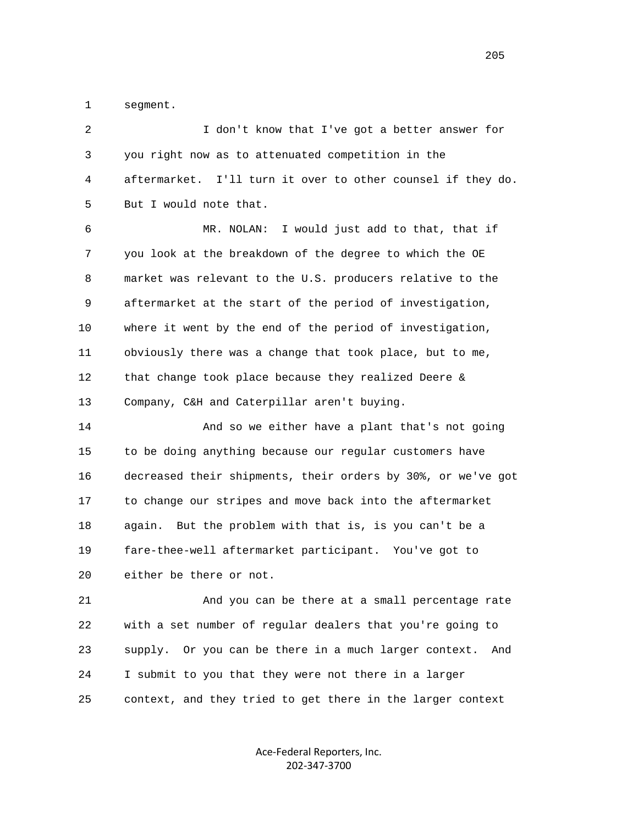1 segment.

| 2  | I don't know that I've got a better answer for                  |
|----|-----------------------------------------------------------------|
| 3  | you right now as to attenuated competition in the               |
| 4  | aftermarket. I'll turn it over to other counsel if they do.     |
| 5  | But I would note that.                                          |
| 6  | I would just add to that, that if<br>MR. NOLAN:                 |
| 7  | you look at the breakdown of the degree to which the OE         |
| 8  | market was relevant to the U.S. producers relative to the       |
| 9  | aftermarket at the start of the period of investigation,        |
| 10 | where it went by the end of the period of investigation,        |
| 11 | obviously there was a change that took place, but to me,        |
| 12 | that change took place because they realized Deere &            |
| 13 | Company, C&H and Caterpillar aren't buying.                     |
| 14 | And so we either have a plant that's not going                  |
| 15 | to be doing anything because our regular customers have         |
| 16 | decreased their shipments, their orders by 30%, or we've got    |
| 17 | to change our stripes and move back into the aftermarket        |
| 18 | again. But the problem with that is, is you can't be a          |
| 19 | fare-thee-well aftermarket participant. You've got to           |
| 20 | either be there or not.                                         |
| 21 | And you can be there at a small percentage rate                 |
| 22 | with a set number of regular dealers that you're going to       |
| 23 | supply.<br>Or you can be there in a much larger context.<br>And |
| 24 | I submit to you that they were not there in a larger            |
| 25 | context, and they tried to get there in the larger context      |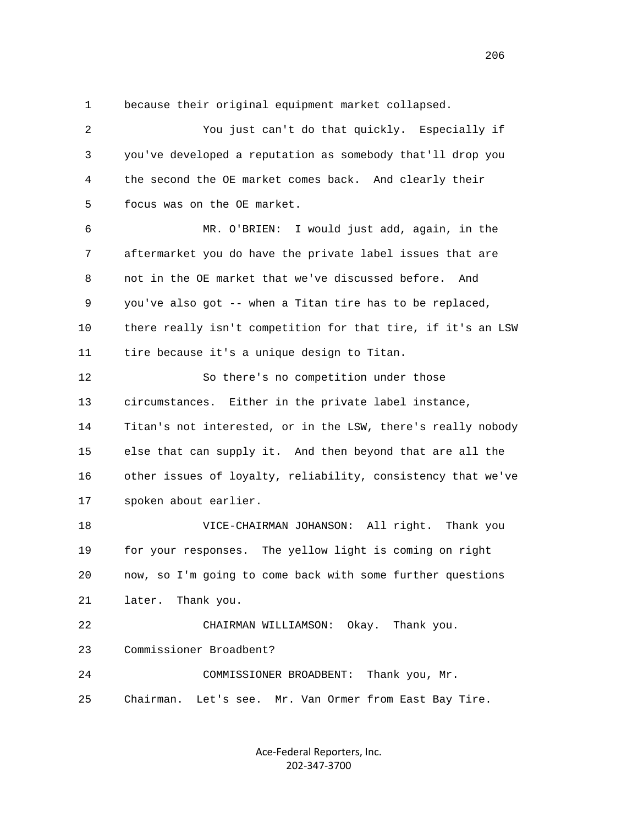1 because their original equipment market collapsed.

 2 You just can't do that quickly. Especially if 3 you've developed a reputation as somebody that'll drop you 4 the second the OE market comes back. And clearly their 5 focus was on the OE market. 6 MR. O'BRIEN: I would just add, again, in the 7 aftermarket you do have the private label issues that are 8 not in the OE market that we've discussed before. And 9 you've also got -- when a Titan tire has to be replaced, 10 there really isn't competition for that tire, if it's an LSW 11 tire because it's a unique design to Titan. 12 So there's no competition under those 13 circumstances. Either in the private label instance, 14 Titan's not interested, or in the LSW, there's really nobody 15 else that can supply it. And then beyond that are all the 16 other issues of loyalty, reliability, consistency that we've 17 spoken about earlier. 18 VICE-CHAIRMAN JOHANSON: All right. Thank you 19 for your responses. The yellow light is coming on right 20 now, so I'm going to come back with some further questions 21 later. Thank you. 22 CHAIRMAN WILLIAMSON: Okay. Thank you. 23 Commissioner Broadbent? 24 COMMISSIONER BROADBENT: Thank you, Mr. 25 Chairman. Let's see. Mr. Van Ormer from East Bay Tire.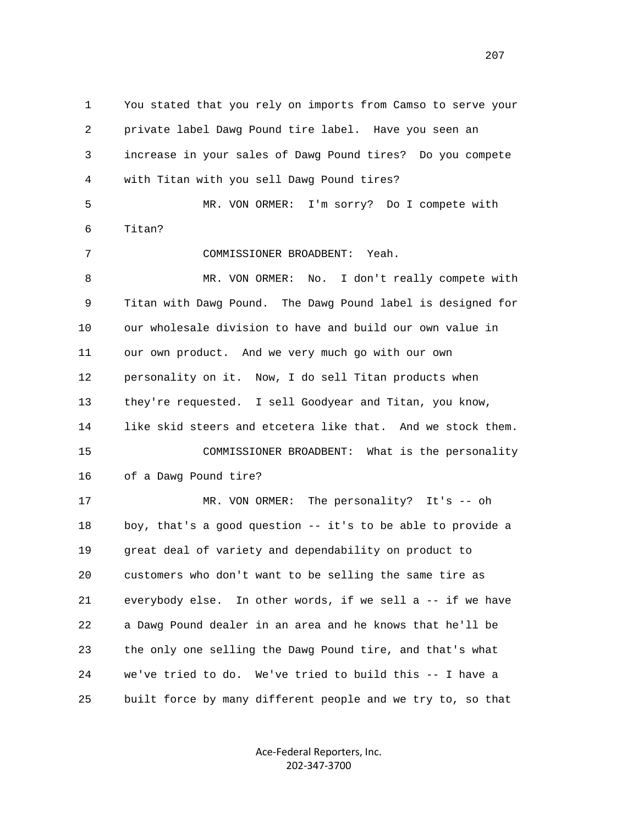1 You stated that you rely on imports from Camso to serve your 2 private label Dawg Pound tire label. Have you seen an 3 increase in your sales of Dawg Pound tires? Do you compete 4 with Titan with you sell Dawg Pound tires? 5 MR. VON ORMER: I'm sorry? Do I compete with 6 Titan? 7 COMMISSIONER BROADBENT: Yeah. 8 MR. VON ORMER: No. I don't really compete with 9 Titan with Dawg Pound. The Dawg Pound label is designed for 10 our wholesale division to have and build our own value in 11 our own product. And we very much go with our own 12 personality on it. Now, I do sell Titan products when 13 they're requested. I sell Goodyear and Titan, you know, 14 like skid steers and etcetera like that. And we stock them. 15 COMMISSIONER BROADBENT: What is the personality 16 of a Dawg Pound tire? 17 MR. VON ORMER: The personality? It's -- oh 18 boy, that's a good question -- it's to be able to provide a 19 great deal of variety and dependability on product to 20 customers who don't want to be selling the same tire as 21 everybody else. In other words, if we sell a -- if we have 22 a Dawg Pound dealer in an area and he knows that he'll be 23 the only one selling the Dawg Pound tire, and that's what 24 we've tried to do. We've tried to build this -- I have a 25 built force by many different people and we try to, so that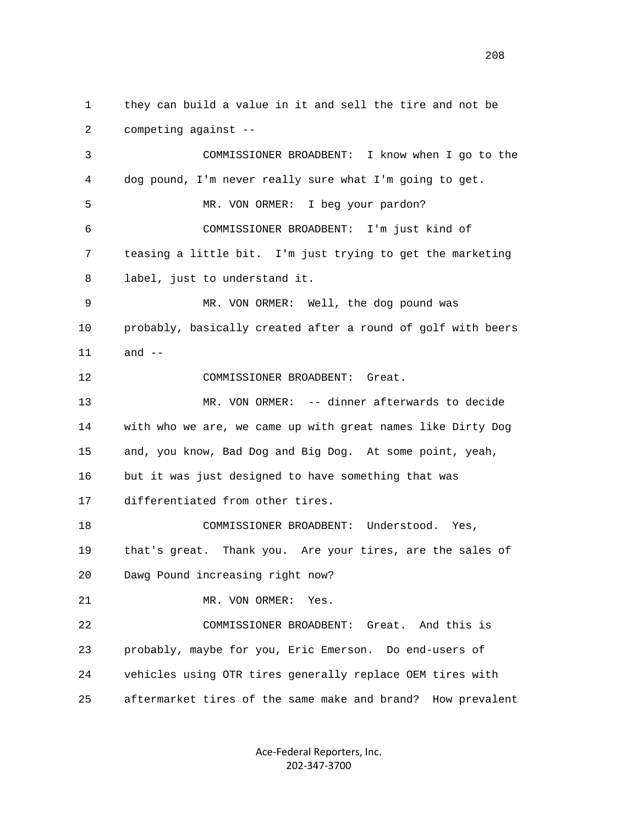1 they can build a value in it and sell the tire and not be 2 competing against -- 3 COMMISSIONER BROADBENT: I know when I go to the 4 dog pound, I'm never really sure what I'm going to get. 5 MR. VON ORMER: I beg your pardon? 6 COMMISSIONER BROADBENT: I'm just kind of 7 teasing a little bit. I'm just trying to get the marketing 8 label, just to understand it. 9 MR. VON ORMER: Well, the dog pound was 10 probably, basically created after a round of golf with beers 11 and -- 12 COMMISSIONER BROADBENT: Great. 13 MR. VON ORMER: -- dinner afterwards to decide 14 with who we are, we came up with great names like Dirty Dog 15 and, you know, Bad Dog and Big Dog. At some point, yeah, 16 but it was just designed to have something that was 17 differentiated from other tires. 18 COMMISSIONER BROADBENT: Understood. Yes, 19 that's great. Thank you. Are your tires, are the sales of 20 Dawg Pound increasing right now? 21 MR. VON ORMER: Yes. 22 COMMISSIONER BROADBENT: Great. And this is 23 probably, maybe for you, Eric Emerson. Do end-users of 24 vehicles using OTR tires generally replace OEM tires with 25 aftermarket tires of the same make and brand? How prevalent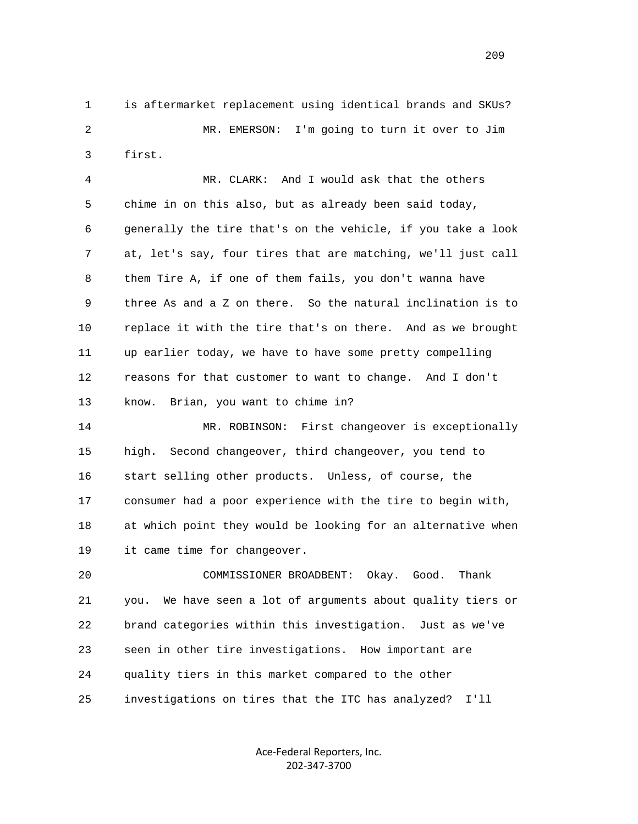1 is aftermarket replacement using identical brands and SKUs? 2 MR. EMERSON: I'm going to turn it over to Jim 3 first.

 4 MR. CLARK: And I would ask that the others 5 chime in on this also, but as already been said today, 6 generally the tire that's on the vehicle, if you take a look 7 at, let's say, four tires that are matching, we'll just call 8 them Tire A, if one of them fails, you don't wanna have 9 three As and a Z on there. So the natural inclination is to 10 replace it with the tire that's on there. And as we brought 11 up earlier today, we have to have some pretty compelling 12 reasons for that customer to want to change. And I don't 13 know. Brian, you want to chime in?

 14 MR. ROBINSON: First changeover is exceptionally 15 high. Second changeover, third changeover, you tend to 16 start selling other products. Unless, of course, the 17 consumer had a poor experience with the tire to begin with, 18 at which point they would be looking for an alternative when 19 it came time for changeover.

 20 COMMISSIONER BROADBENT: Okay. Good. Thank 21 you. We have seen a lot of arguments about quality tiers or 22 brand categories within this investigation. Just as we've 23 seen in other tire investigations. How important are 24 quality tiers in this market compared to the other 25 investigations on tires that the ITC has analyzed? I'll

> Ace‐Federal Reporters, Inc. 202‐347‐3700

209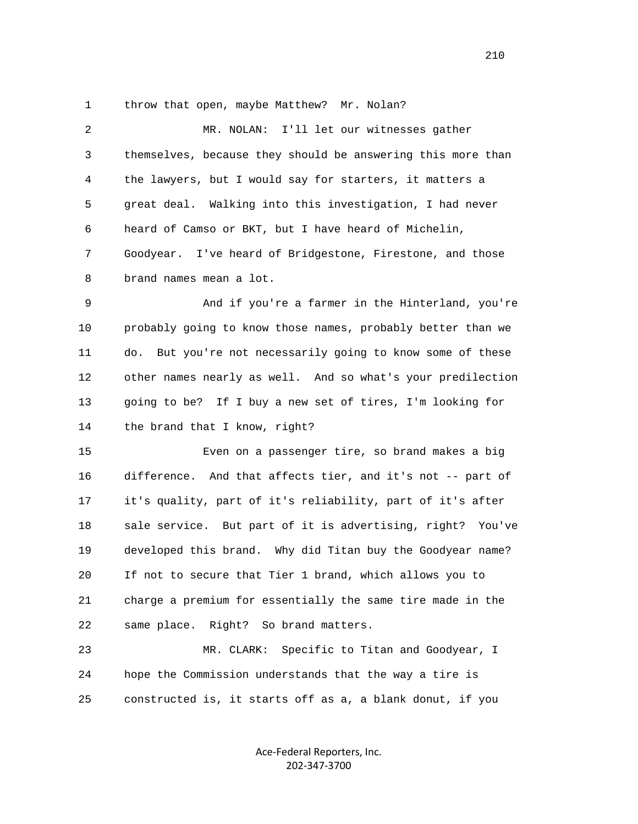1 throw that open, maybe Matthew? Mr. Nolan?

| 2 | MR. NOLAN: I'll let our witnesses gather                    |
|---|-------------------------------------------------------------|
| 3 | themselves, because they should be answering this more than |
| 4 | the lawyers, but I would say for starters, it matters a     |
| 5 | great deal. Walking into this investigation, I had never    |
| 6 | heard of Camso or BKT, but I have heard of Michelin,        |
| 7 | Goodyear. I've heard of Bridgestone, Firestone, and those   |
| 8 | brand names mean a lot.                                     |
| 9 | And if you're a farmer in the Hinterland, you're            |

 10 probably going to know those names, probably better than we 11 do. But you're not necessarily going to know some of these 12 other names nearly as well. And so what's your predilection 13 going to be? If I buy a new set of tires, I'm looking for 14 the brand that I know, right?

 15 Even on a passenger tire, so brand makes a big 16 difference. And that affects tier, and it's not -- part of 17 it's quality, part of it's reliability, part of it's after 18 sale service. But part of it is advertising, right? You've 19 developed this brand. Why did Titan buy the Goodyear name? 20 If not to secure that Tier 1 brand, which allows you to 21 charge a premium for essentially the same tire made in the 22 same place. Right? So brand matters.

 23 MR. CLARK: Specific to Titan and Goodyear, I 24 hope the Commission understands that the way a tire is 25 constructed is, it starts off as a, a blank donut, if you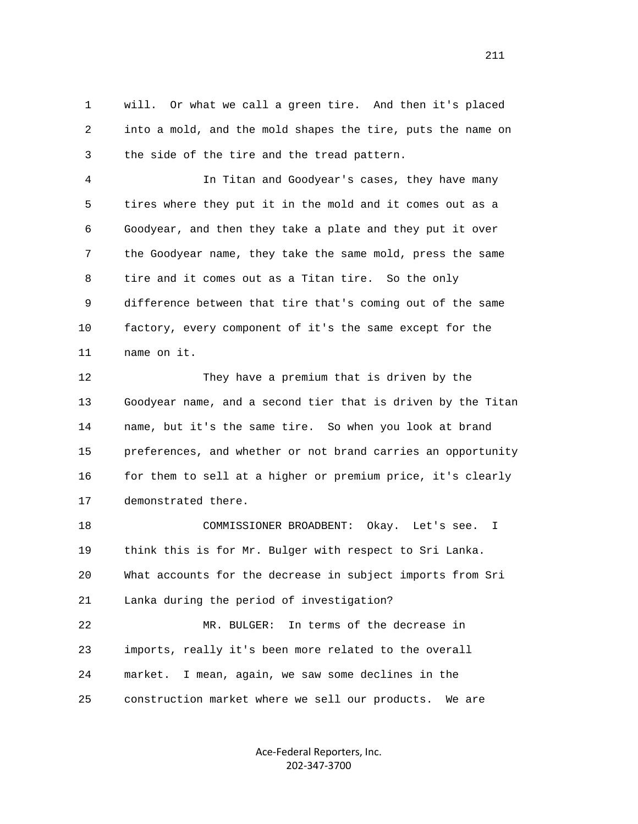1 will. Or what we call a green tire. And then it's placed 2 into a mold, and the mold shapes the tire, puts the name on 3 the side of the tire and the tread pattern.

 4 In Titan and Goodyear's cases, they have many 5 tires where they put it in the mold and it comes out as a 6 Goodyear, and then they take a plate and they put it over 7 the Goodyear name, they take the same mold, press the same 8 tire and it comes out as a Titan tire. So the only 9 difference between that tire that's coming out of the same 10 factory, every component of it's the same except for the 11 name on it.

 12 They have a premium that is driven by the 13 Goodyear name, and a second tier that is driven by the Titan 14 name, but it's the same tire. So when you look at brand 15 preferences, and whether or not brand carries an opportunity 16 for them to sell at a higher or premium price, it's clearly 17 demonstrated there.

 18 COMMISSIONER BROADBENT: Okay. Let's see. I 19 think this is for Mr. Bulger with respect to Sri Lanka. 20 What accounts for the decrease in subject imports from Sri 21 Lanka during the period of investigation? 22 MR. BULGER: In terms of the decrease in 23 imports, really it's been more related to the overall 24 market. I mean, again, we saw some declines in the 25 construction market where we sell our products. We are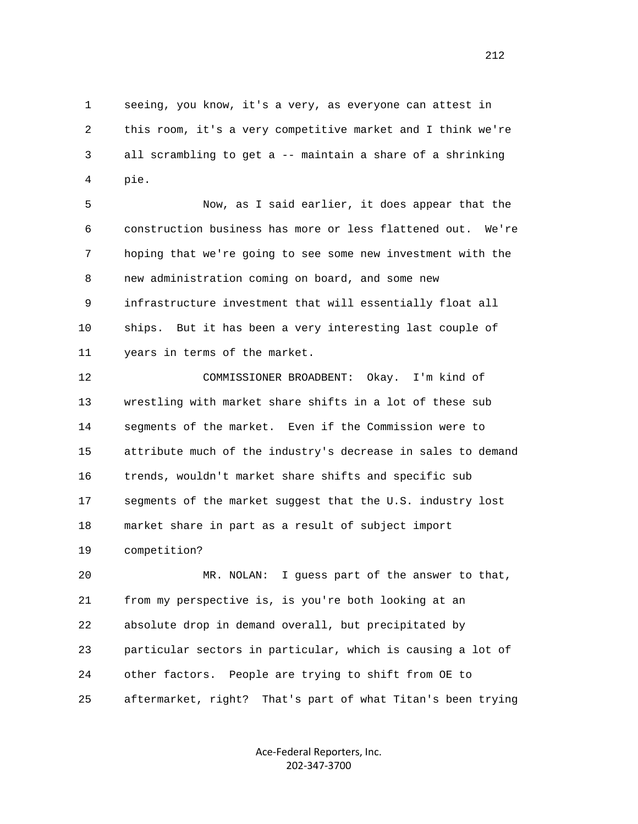1 seeing, you know, it's a very, as everyone can attest in 2 this room, it's a very competitive market and I think we're 3 all scrambling to get a -- maintain a share of a shrinking 4 pie.

 5 Now, as I said earlier, it does appear that the 6 construction business has more or less flattened out. We're 7 hoping that we're going to see some new investment with the 8 new administration coming on board, and some new 9 infrastructure investment that will essentially float all 10 ships. But it has been a very interesting last couple of 11 years in terms of the market.

 12 COMMISSIONER BROADBENT: Okay. I'm kind of 13 wrestling with market share shifts in a lot of these sub 14 segments of the market. Even if the Commission were to 15 attribute much of the industry's decrease in sales to demand 16 trends, wouldn't market share shifts and specific sub 17 segments of the market suggest that the U.S. industry lost 18 market share in part as a result of subject import 19 competition?

 20 MR. NOLAN: I guess part of the answer to that, 21 from my perspective is, is you're both looking at an 22 absolute drop in demand overall, but precipitated by 23 particular sectors in particular, which is causing a lot of 24 other factors. People are trying to shift from OE to 25 aftermarket, right? That's part of what Titan's been trying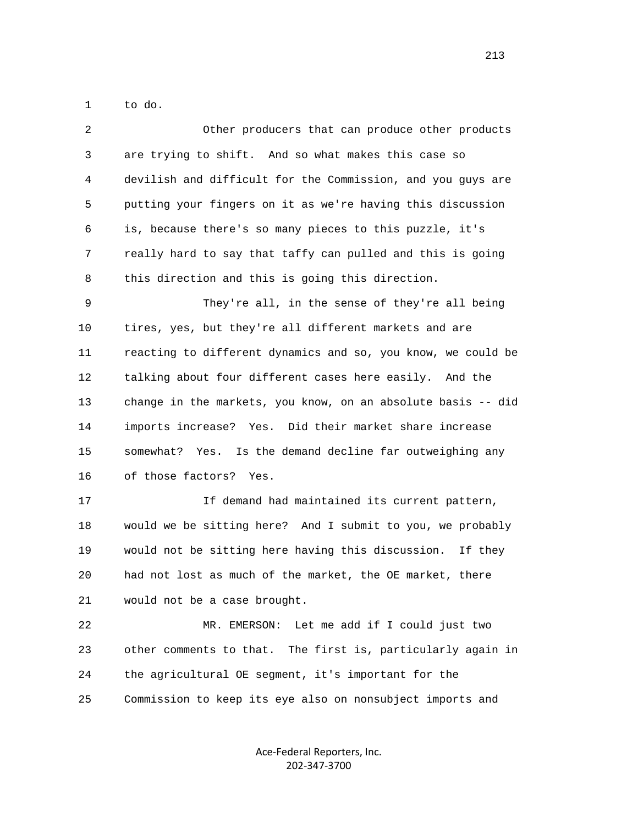1 to do.

| 2  | Other producers that can produce other products                |
|----|----------------------------------------------------------------|
| 3  | are trying to shift. And so what makes this case so            |
| 4  | devilish and difficult for the Commission, and you guys are    |
| 5  | putting your fingers on it as we're having this discussion     |
| 6  | is, because there's so many pieces to this puzzle, it's        |
| 7  | really hard to say that taffy can pulled and this is going     |
| 8  | this direction and this is going this direction.               |
| 9  | They're all, in the sense of they're all being                 |
| 10 | tires, yes, but they're all different markets and are          |
| 11 | reacting to different dynamics and so, you know, we could be   |
| 12 | talking about four different cases here easily. And the        |
| 13 | change in the markets, you know, on an absolute basis -- did   |
| 14 | imports increase? Yes. Did their market share increase         |
| 15 | somewhat? Yes. Is the demand decline far outweighing any       |
| 16 | of those factors? Yes.                                         |
| 17 | If demand had maintained its current pattern,                  |
| 18 | would we be sitting here? And I submit to you, we probably     |
| 19 | would not be sitting here having this discussion. If they      |
| 20 | had not lost as much of the market, the OE market, there       |
| 21 | would not be a case brought.                                   |
| 22 | Let me add if I could just two<br>MR. EMERSON:                 |
| 23 | other comments to that.<br>The first is, particularly again in |
| 24 | the agricultural OE segment, it's important for the            |
| 25 | Commission to keep its eye also on nonsubject imports and      |
|    |                                                                |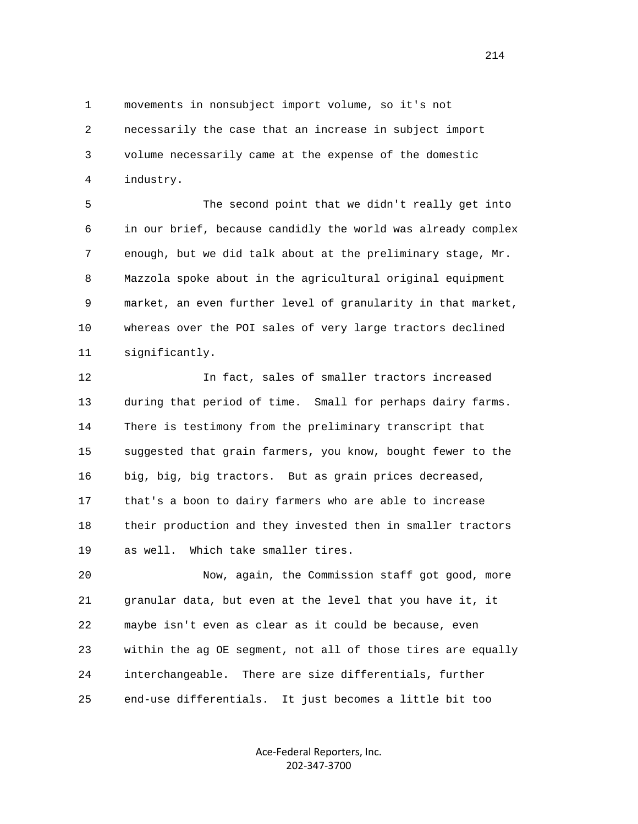1 movements in nonsubject import volume, so it's not 2 necessarily the case that an increase in subject import 3 volume necessarily came at the expense of the domestic 4 industry.

 5 The second point that we didn't really get into 6 in our brief, because candidly the world was already complex 7 enough, but we did talk about at the preliminary stage, Mr. 8 Mazzola spoke about in the agricultural original equipment 9 market, an even further level of granularity in that market, 10 whereas over the POI sales of very large tractors declined 11 significantly.

 12 In fact, sales of smaller tractors increased 13 during that period of time. Small for perhaps dairy farms. 14 There is testimony from the preliminary transcript that 15 suggested that grain farmers, you know, bought fewer to the 16 big, big, big tractors. But as grain prices decreased, 17 that's a boon to dairy farmers who are able to increase 18 their production and they invested then in smaller tractors 19 as well. Which take smaller tires.

 20 Now, again, the Commission staff got good, more 21 granular data, but even at the level that you have it, it 22 maybe isn't even as clear as it could be because, even 23 within the ag OE segment, not all of those tires are equally 24 interchangeable. There are size differentials, further 25 end-use differentials. It just becomes a little bit too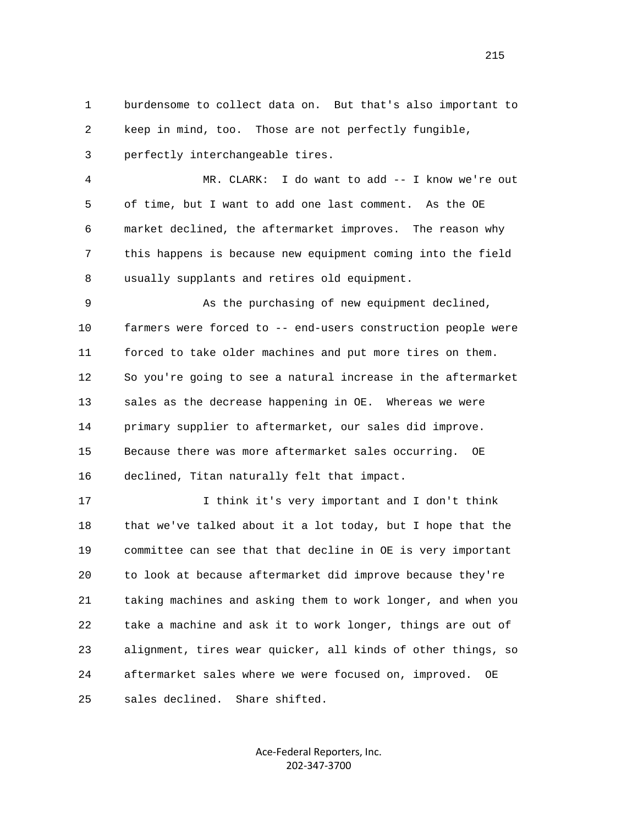1 burdensome to collect data on. But that's also important to 2 keep in mind, too. Those are not perfectly fungible,

3 perfectly interchangeable tires.

 4 MR. CLARK: I do want to add -- I know we're out 5 of time, but I want to add one last comment. As the OE 6 market declined, the aftermarket improves. The reason why 7 this happens is because new equipment coming into the field 8 usually supplants and retires old equipment.

 9 As the purchasing of new equipment declined, 10 farmers were forced to -- end-users construction people were 11 forced to take older machines and put more tires on them. 12 So you're going to see a natural increase in the aftermarket 13 sales as the decrease happening in OE. Whereas we were 14 primary supplier to aftermarket, our sales did improve. 15 Because there was more aftermarket sales occurring. OE 16 declined, Titan naturally felt that impact.

 17 I think it's very important and I don't think 18 that we've talked about it a lot today, but I hope that the 19 committee can see that that decline in OE is very important 20 to look at because aftermarket did improve because they're 21 taking machines and asking them to work longer, and when you 22 take a machine and ask it to work longer, things are out of 23 alignment, tires wear quicker, all kinds of other things, so 24 aftermarket sales where we were focused on, improved. OE 25 sales declined. Share shifted.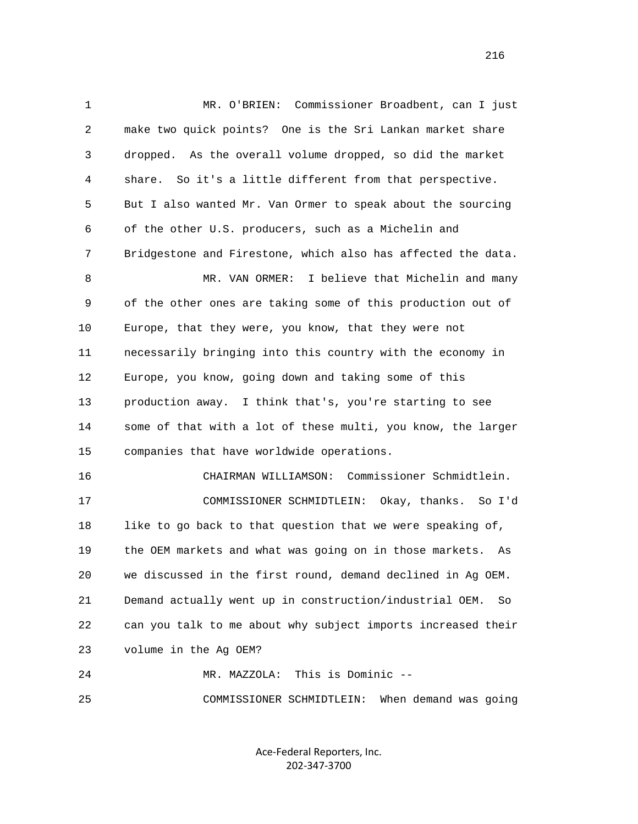1 MR. O'BRIEN: Commissioner Broadbent, can I just 2 make two quick points? One is the Sri Lankan market share 3 dropped. As the overall volume dropped, so did the market 4 share. So it's a little different from that perspective. 5 But I also wanted Mr. Van Ormer to speak about the sourcing 6 of the other U.S. producers, such as a Michelin and 7 Bridgestone and Firestone, which also has affected the data. 8 MR. VAN ORMER: I believe that Michelin and many 9 of the other ones are taking some of this production out of 10 Europe, that they were, you know, that they were not 11 necessarily bringing into this country with the economy in 12 Europe, you know, going down and taking some of this 13 production away. I think that's, you're starting to see 14 some of that with a lot of these multi, you know, the larger 15 companies that have worldwide operations. 16 CHAIRMAN WILLIAMSON: Commissioner Schmidtlein. 17 COMMISSIONER SCHMIDTLEIN: Okay, thanks. So I'd 18 like to go back to that question that we were speaking of, 19 the OEM markets and what was going on in those markets. As 20 we discussed in the first round, demand declined in Ag OEM. 21 Demand actually went up in construction/industrial OEM. So 22 can you talk to me about why subject imports increased their 23 volume in the Ag OEM? 24 MR. MAZZOLA: This is Dominic -- 25 COMMISSIONER SCHMIDTLEIN: When demand was going

> Ace‐Federal Reporters, Inc. 202‐347‐3700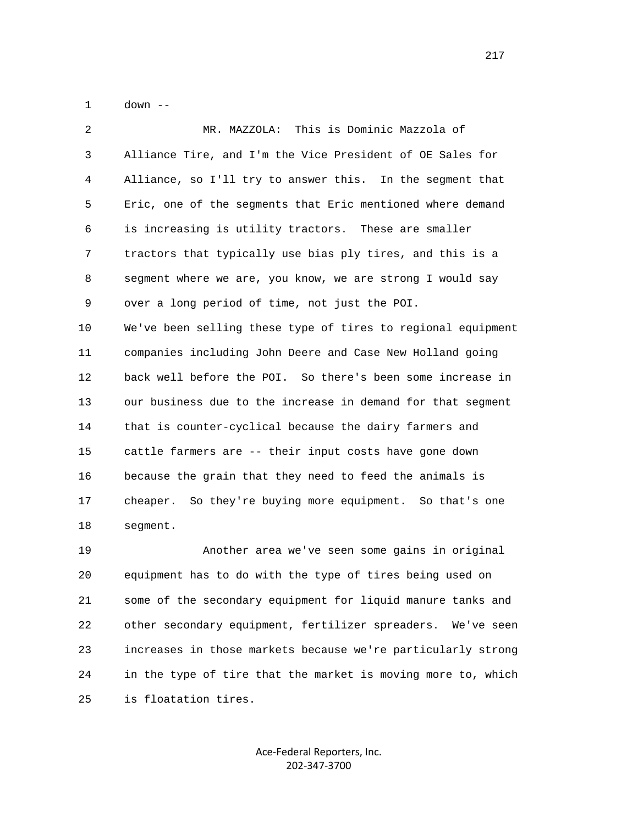1 down --

| 2  | This is Dominic Mazzola of<br>MR. MAZZOLA:                   |
|----|--------------------------------------------------------------|
| 3  | Alliance Tire, and I'm the Vice President of OE Sales for    |
| 4  | Alliance, so I'll try to answer this. In the segment that    |
| 5  | Eric, one of the segments that Eric mentioned where demand   |
| 6  | is increasing is utility tractors. These are smaller         |
| 7  | tractors that typically use bias ply tires, and this is a    |
| 8  | segment where we are, you know, we are strong I would say    |
| 9  | over a long period of time, not just the POI.                |
| 10 | We've been selling these type of tires to regional equipment |
| 11 | companies including John Deere and Case New Holland going    |
| 12 | back well before the POI. So there's been some increase in   |
| 13 | our business due to the increase in demand for that segment  |
| 14 | that is counter-cyclical because the dairy farmers and       |
| 15 | cattle farmers are -- their input costs have gone down       |
| 16 | because the grain that they need to feed the animals is      |
| 17 | cheaper. So they're buying more equipment. So that's one     |
| 18 | segment.                                                     |
| 19 | Another area we've seen some gains in original               |

 20 equipment has to do with the type of tires being used on 21 some of the secondary equipment for liquid manure tanks and 22 other secondary equipment, fertilizer spreaders. We've seen 23 increases in those markets because we're particularly strong 24 in the type of tire that the market is moving more to, which 25 is floatation tires.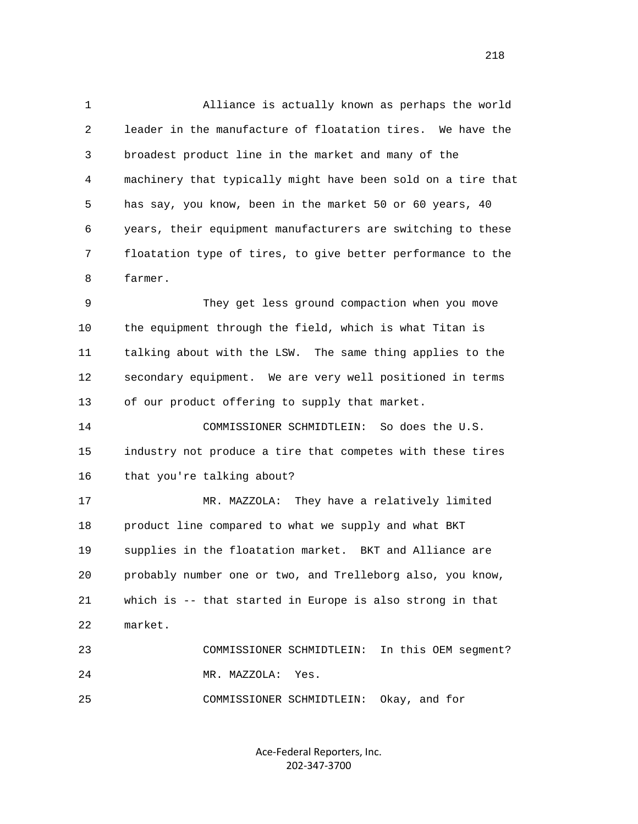1 Alliance is actually known as perhaps the world 2 leader in the manufacture of floatation tires. We have the 3 broadest product line in the market and many of the 4 machinery that typically might have been sold on a tire that 5 has say, you know, been in the market 50 or 60 years, 40 6 years, their equipment manufacturers are switching to these 7 floatation type of tires, to give better performance to the 8 farmer.

 9 They get less ground compaction when you move 10 the equipment through the field, which is what Titan is 11 talking about with the LSW. The same thing applies to the 12 secondary equipment. We are very well positioned in terms 13 of our product offering to supply that market.

 14 COMMISSIONER SCHMIDTLEIN: So does the U.S. 15 industry not produce a tire that competes with these tires 16 that you're talking about?

 17 MR. MAZZOLA: They have a relatively limited 18 product line compared to what we supply and what BKT 19 supplies in the floatation market. BKT and Alliance are 20 probably number one or two, and Trelleborg also, you know, 21 which is -- that started in Europe is also strong in that 22 market.

 23 COMMISSIONER SCHMIDTLEIN: In this OEM segment? 24 MR. MAZZOLA: Yes.

25 COMMISSIONER SCHMIDTLEIN: Okay, and for

Ace‐Federal Reporters, Inc. 202‐347‐3700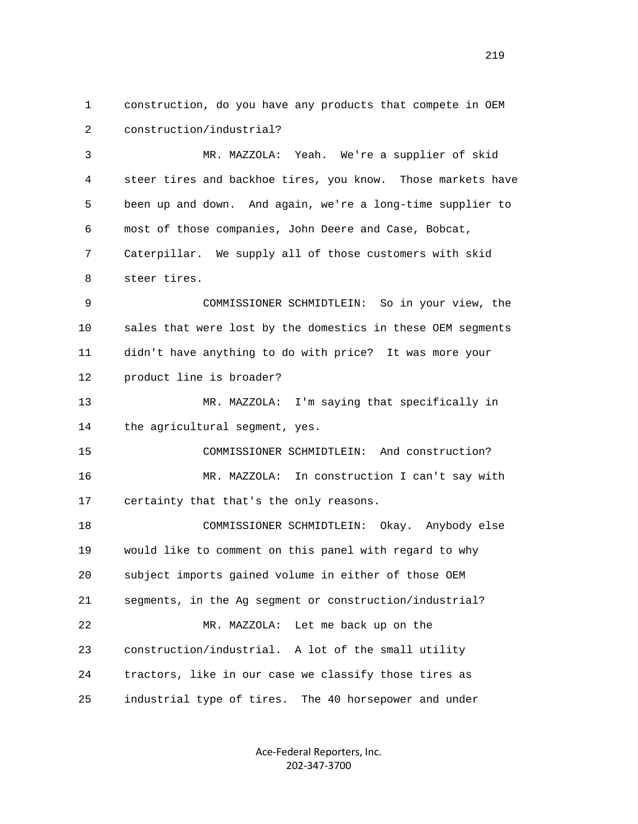1 construction, do you have any products that compete in OEM 2 construction/industrial?

 3 MR. MAZZOLA: Yeah. We're a supplier of skid 4 steer tires and backhoe tires, you know. Those markets have 5 been up and down. And again, we're a long-time supplier to 6 most of those companies, John Deere and Case, Bobcat, 7 Caterpillar. We supply all of those customers with skid 8 steer tires.

 9 COMMISSIONER SCHMIDTLEIN: So in your view, the 10 sales that were lost by the domestics in these OEM segments 11 didn't have anything to do with price? It was more your 12 product line is broader?

 13 MR. MAZZOLA: I'm saying that specifically in 14 the agricultural segment, yes.

 15 COMMISSIONER SCHMIDTLEIN: And construction? 16 MR. MAZZOLA: In construction I can't say with 17 certainty that that's the only reasons.

 18 COMMISSIONER SCHMIDTLEIN: Okay. Anybody else 19 would like to comment on this panel with regard to why 20 subject imports gained volume in either of those OEM 21 segments, in the Ag segment or construction/industrial? 22 MR. MAZZOLA: Let me back up on the 23 construction/industrial. A lot of the small utility 24 tractors, like in our case we classify those tires as 25 industrial type of tires. The 40 horsepower and under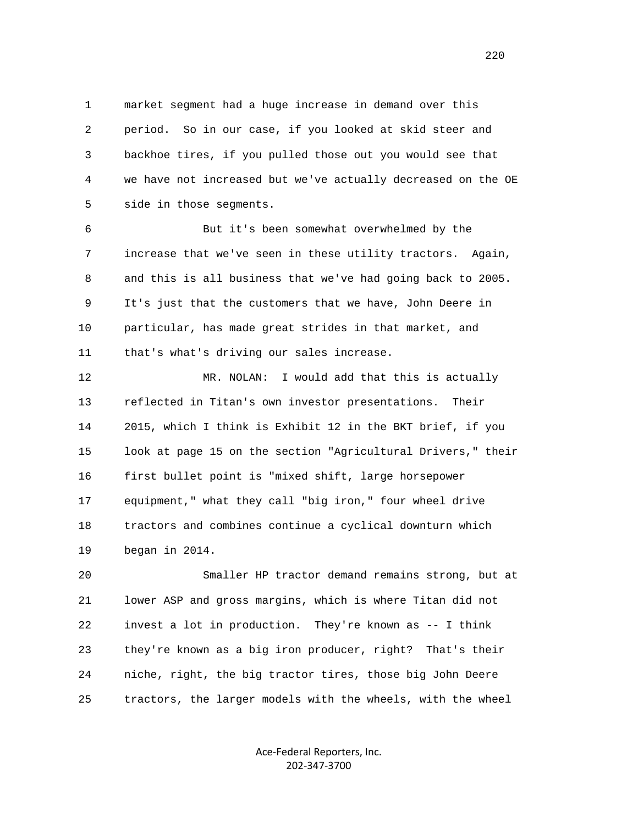1 market segment had a huge increase in demand over this 2 period. So in our case, if you looked at skid steer and 3 backhoe tires, if you pulled those out you would see that 4 we have not increased but we've actually decreased on the OE 5 side in those segments.

 6 But it's been somewhat overwhelmed by the 7 increase that we've seen in these utility tractors. Again, 8 and this is all business that we've had going back to 2005. 9 It's just that the customers that we have, John Deere in 10 particular, has made great strides in that market, and 11 that's what's driving our sales increase.

 12 MR. NOLAN: I would add that this is actually 13 reflected in Titan's own investor presentations. Their 14 2015, which I think is Exhibit 12 in the BKT brief, if you 15 look at page 15 on the section "Agricultural Drivers," their 16 first bullet point is "mixed shift, large horsepower 17 equipment," what they call "big iron," four wheel drive 18 tractors and combines continue a cyclical downturn which 19 began in 2014.

 20 Smaller HP tractor demand remains strong, but at 21 lower ASP and gross margins, which is where Titan did not 22 invest a lot in production. They're known as -- I think 23 they're known as a big iron producer, right? That's their 24 niche, right, the big tractor tires, those big John Deere 25 tractors, the larger models with the wheels, with the wheel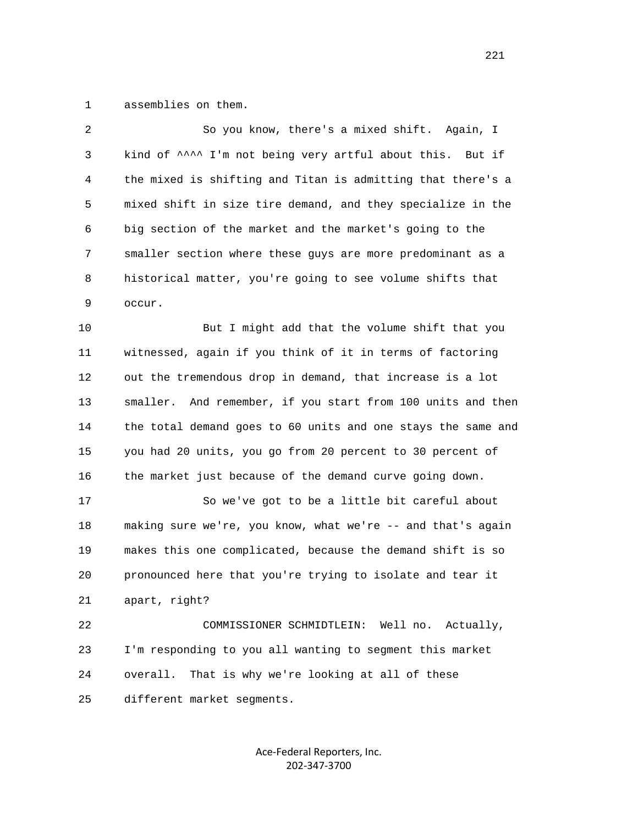1 assemblies on them.

| 2  | So you know, there's a mixed shift. Again, I                   |
|----|----------------------------------------------------------------|
| 3  | kind of ^^^^ I'm not being very artful about this. But if      |
| 4  | the mixed is shifting and Titan is admitting that there's a    |
| 5  | mixed shift in size tire demand, and they specialize in the    |
| 6  | big section of the market and the market's going to the        |
| 7  | smaller section where these guys are more predominant as a     |
| 8  | historical matter, you're going to see volume shifts that      |
| 9  | occur.                                                         |
| 10 | But I might add that the volume shift that you                 |
| 11 | witnessed, again if you think of it in terms of factoring      |
| 12 | out the tremendous drop in demand, that increase is a lot      |
| 13 | And remember, if you start from 100 units and then<br>smaller. |
| 14 | the total demand goes to 60 units and one stays the same and   |
| 15 | you had 20 units, you go from 20 percent to 30 percent of      |
| 16 | the market just because of the demand curve going down.        |
| 17 | So we've got to be a little bit careful about                  |
| 18 | making sure we're, you know, what we're -- and that's again    |
| 19 | makes this one complicated, because the demand shift is so     |
| 20 | pronounced here that you're trying to isolate and tear it      |
| 21 | apart, right?                                                  |
| 22 | COMMISSIONER SCHMIDTLEIN:<br>Well no.<br>Actually,             |
| 23 | I'm responding to you all wanting to segment this market       |
| 24 | That is why we're looking at all of these<br>overall.          |
| 25 | different market segments.                                     |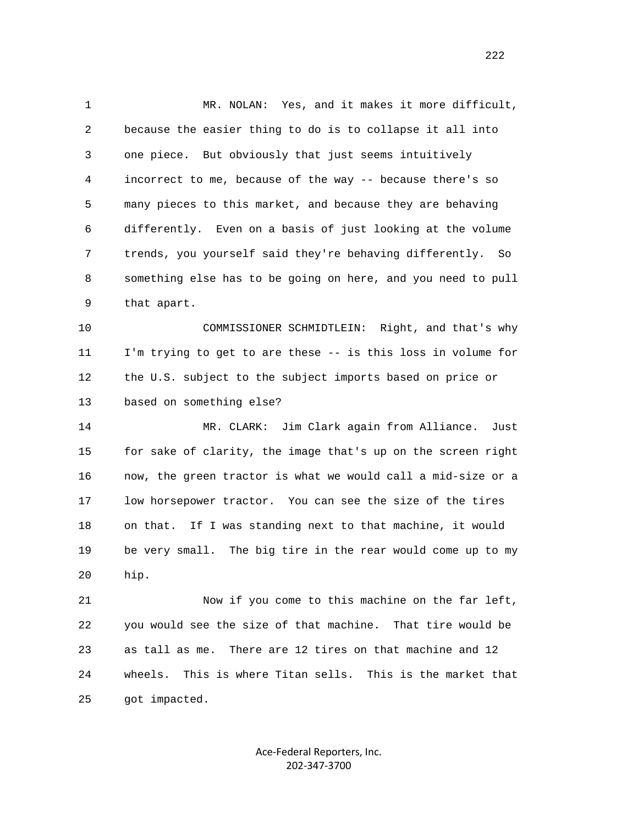1 MR. NOLAN: Yes, and it makes it more difficult, 2 because the easier thing to do is to collapse it all into 3 one piece. But obviously that just seems intuitively 4 incorrect to me, because of the way -- because there's so 5 many pieces to this market, and because they are behaving 6 differently. Even on a basis of just looking at the volume 7 trends, you yourself said they're behaving differently. So 8 something else has to be going on here, and you need to pull 9 that apart.

 10 COMMISSIONER SCHMIDTLEIN: Right, and that's why 11 I'm trying to get to are these -- is this loss in volume for 12 the U.S. subject to the subject imports based on price or 13 based on something else?

 14 MR. CLARK: Jim Clark again from Alliance. Just 15 for sake of clarity, the image that's up on the screen right 16 now, the green tractor is what we would call a mid-size or a 17 low horsepower tractor. You can see the size of the tires 18 on that. If I was standing next to that machine, it would 19 be very small. The big tire in the rear would come up to my 20 hip.

 21 Now if you come to this machine on the far left, 22 you would see the size of that machine. That tire would be 23 as tall as me. There are 12 tires on that machine and 12 24 wheels. This is where Titan sells. This is the market that 25 got impacted.

> Ace‐Federal Reporters, Inc. 202‐347‐3700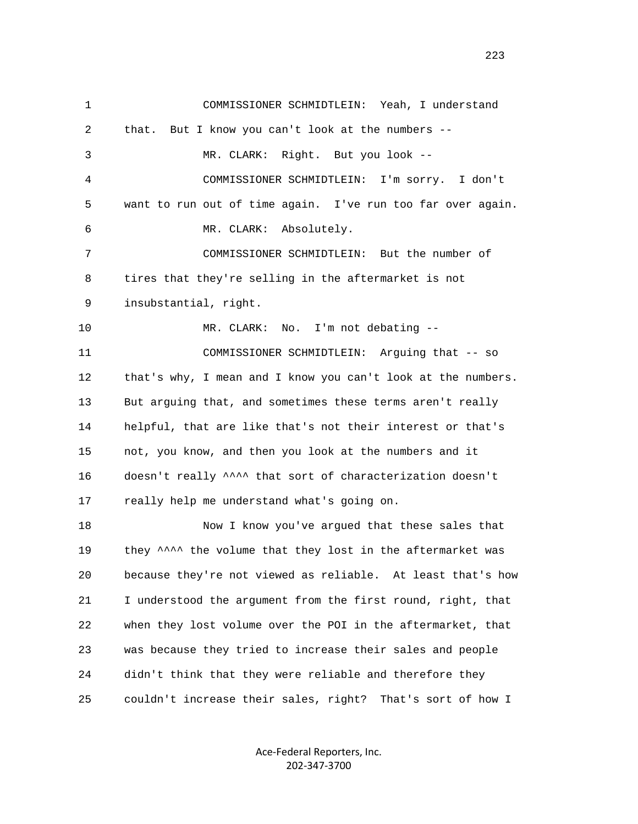1 COMMISSIONER SCHMIDTLEIN: Yeah, I understand 2 that. But I know you can't look at the numbers -- 3 MR. CLARK: Right. But you look -- 4 COMMISSIONER SCHMIDTLEIN: I'm sorry. I don't 5 want to run out of time again. I've run too far over again. 6 MR. CLARK: Absolutely. 7 COMMISSIONER SCHMIDTLEIN: But the number of 8 tires that they're selling in the aftermarket is not 9 insubstantial, right. 10 MR. CLARK: No. I'm not debating -- 11 COMMISSIONER SCHMIDTLEIN: Arguing that -- so 12 that's why, I mean and I know you can't look at the numbers. 13 But arguing that, and sometimes these terms aren't really 14 helpful, that are like that's not their interest or that's 15 not, you know, and then you look at the numbers and it 16 doesn't really ^^^^ that sort of characterization doesn't 17 really help me understand what's going on. 18 Now I know you've argued that these sales that 19 they  $\sim$  the volume that they lost in the aftermarket was 20 because they're not viewed as reliable. At least that's how 21 I understood the argument from the first round, right, that 22 when they lost volume over the POI in the aftermarket, that 23 was because they tried to increase their sales and people 24 didn't think that they were reliable and therefore they 25 couldn't increase their sales, right? That's sort of how I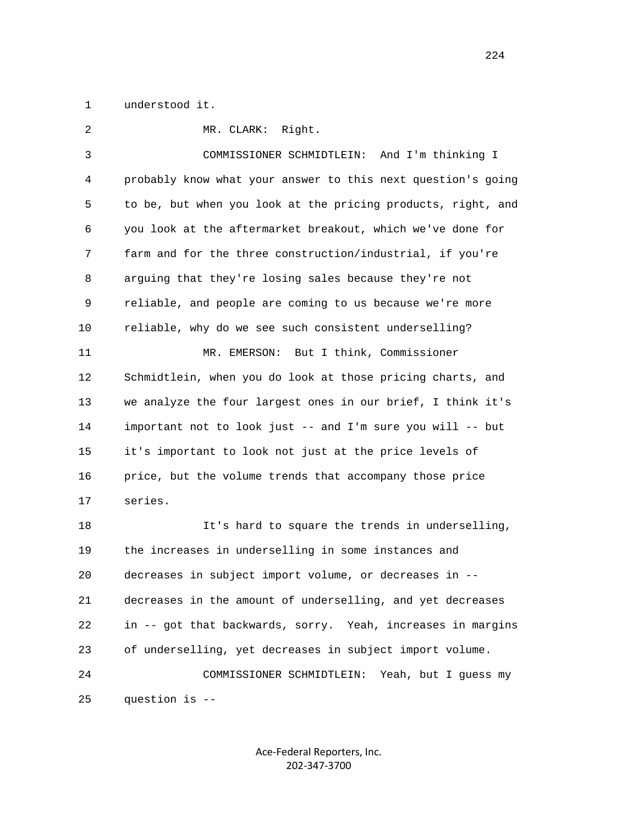1 understood it.

 2 MR. CLARK: Right. 3 COMMISSIONER SCHMIDTLEIN: And I'm thinking I 4 probably know what your answer to this next question's going 5 to be, but when you look at the pricing products, right, and 6 you look at the aftermarket breakout, which we've done for 7 farm and for the three construction/industrial, if you're 8 arguing that they're losing sales because they're not 9 reliable, and people are coming to us because we're more 10 reliable, why do we see such consistent underselling? 11 MR. EMERSON: But I think, Commissioner 12 Schmidtlein, when you do look at those pricing charts, and 13 we analyze the four largest ones in our brief, I think it's 14 important not to look just -- and I'm sure you will -- but 15 it's important to look not just at the price levels of 16 price, but the volume trends that accompany those price 17 series. 18 It's hard to square the trends in underselling, 19 the increases in underselling in some instances and 20 decreases in subject import volume, or decreases in -- 21 decreases in the amount of underselling, and yet decreases 22 in -- got that backwards, sorry. Yeah, increases in margins 23 of underselling, yet decreases in subject import volume. 24 COMMISSIONER SCHMIDTLEIN: Yeah, but I guess my 25 question is --

> Ace‐Federal Reporters, Inc. 202‐347‐3700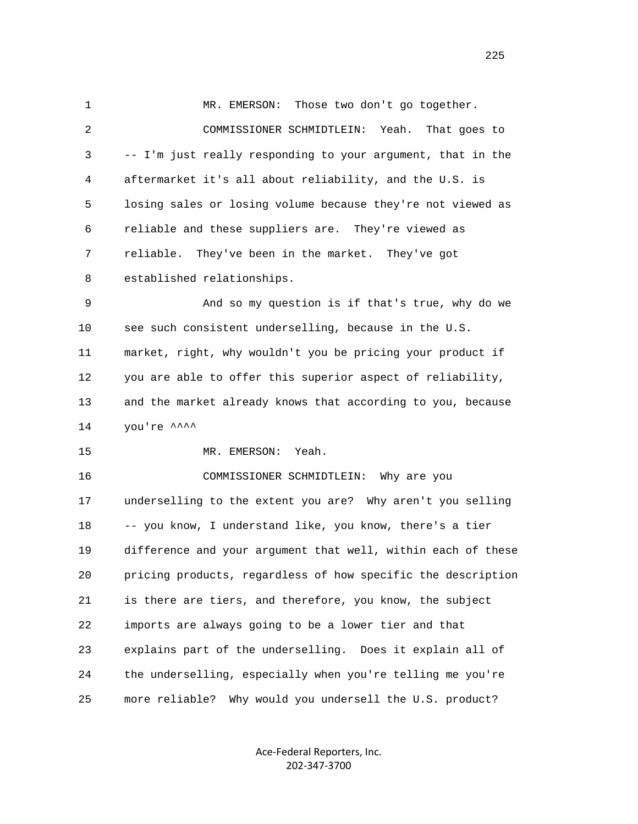1 MR. EMERSON: Those two don't go together. 2 COMMISSIONER SCHMIDTLEIN: Yeah. That goes to 3 -- I'm just really responding to your argument, that in the 4 aftermarket it's all about reliability, and the U.S. is 5 losing sales or losing volume because they're not viewed as 6 reliable and these suppliers are. They're viewed as 7 reliable. They've been in the market. They've got 8 established relationships. 9 And so my question is if that's true, why do we 10 see such consistent underselling, because in the U.S. 11 market, right, why wouldn't you be pricing your product if 12 you are able to offer this superior aspect of reliability, 13 and the market already knows that according to you, because  $14$  you're  $\lambda^{\lambda}$  15 MR. EMERSON: Yeah. 16 COMMISSIONER SCHMIDTLEIN: Why are you 17 underselling to the extent you are? Why aren't you selling 18 -- you know, I understand like, you know, there's a tier 19 difference and your argument that well, within each of these 20 pricing products, regardless of how specific the description 21 is there are tiers, and therefore, you know, the subject 22 imports are always going to be a lower tier and that 23 explains part of the underselling. Does it explain all of 24 the underselling, especially when you're telling me you're 25 more reliable? Why would you undersell the U.S. product?

> Ace‐Federal Reporters, Inc. 202‐347‐3700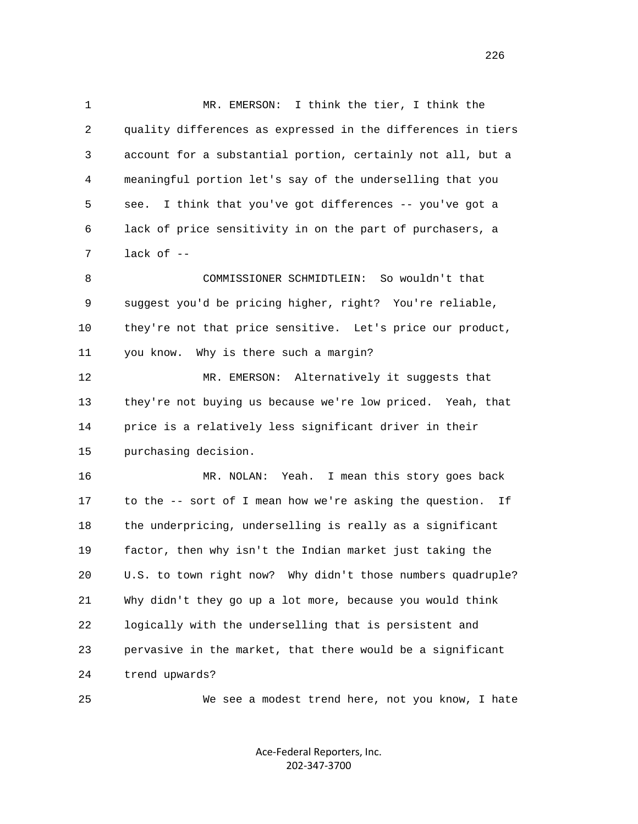1 MR. EMERSON: I think the tier, I think the 2 quality differences as expressed in the differences in tiers 3 account for a substantial portion, certainly not all, but a 4 meaningful portion let's say of the underselling that you 5 see. I think that you've got differences -- you've got a 6 lack of price sensitivity in on the part of purchasers, a 7 lack of -- 8 COMMISSIONER SCHMIDTLEIN: So wouldn't that

 9 suggest you'd be pricing higher, right? You're reliable, 10 they're not that price sensitive. Let's price our product, 11 you know. Why is there such a margin?

 12 MR. EMERSON: Alternatively it suggests that 13 they're not buying us because we're low priced. Yeah, that 14 price is a relatively less significant driver in their 15 purchasing decision.

 16 MR. NOLAN: Yeah. I mean this story goes back 17 to the -- sort of I mean how we're asking the question. If 18 the underpricing, underselling is really as a significant 19 factor, then why isn't the Indian market just taking the 20 U.S. to town right now? Why didn't those numbers quadruple? 21 Why didn't they go up a lot more, because you would think 22 logically with the underselling that is persistent and 23 pervasive in the market, that there would be a significant 24 trend upwards?

25 We see a modest trend here, not you know, I hate

Ace‐Federal Reporters, Inc. 202‐347‐3700

<u>226</u>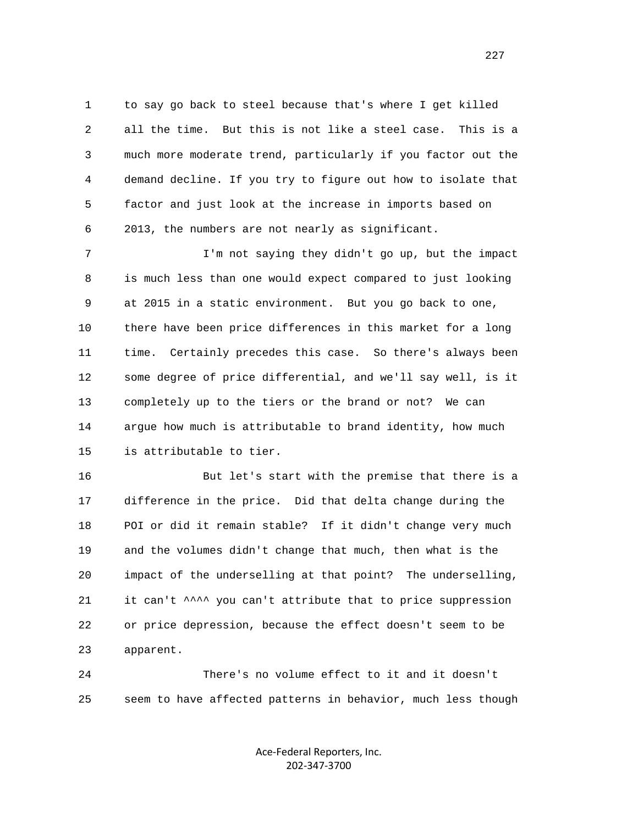1 to say go back to steel because that's where I get killed 2 all the time. But this is not like a steel case. This is a 3 much more moderate trend, particularly if you factor out the 4 demand decline. If you try to figure out how to isolate that 5 factor and just look at the increase in imports based on 6 2013, the numbers are not nearly as significant.

 7 I'm not saying they didn't go up, but the impact 8 is much less than one would expect compared to just looking 9 at 2015 in a static environment. But you go back to one, 10 there have been price differences in this market for a long 11 time. Certainly precedes this case. So there's always been 12 some degree of price differential, and we'll say well, is it 13 completely up to the tiers or the brand or not? We can 14 argue how much is attributable to brand identity, how much 15 is attributable to tier.

 16 But let's start with the premise that there is a 17 difference in the price. Did that delta change during the 18 POI or did it remain stable? If it didn't change very much 19 and the volumes didn't change that much, then what is the 20 impact of the underselling at that point? The underselling, 21 it can't ^^^^ you can't attribute that to price suppression 22 or price depression, because the effect doesn't seem to be 23 apparent.

 24 There's no volume effect to it and it doesn't 25 seem to have affected patterns in behavior, much less though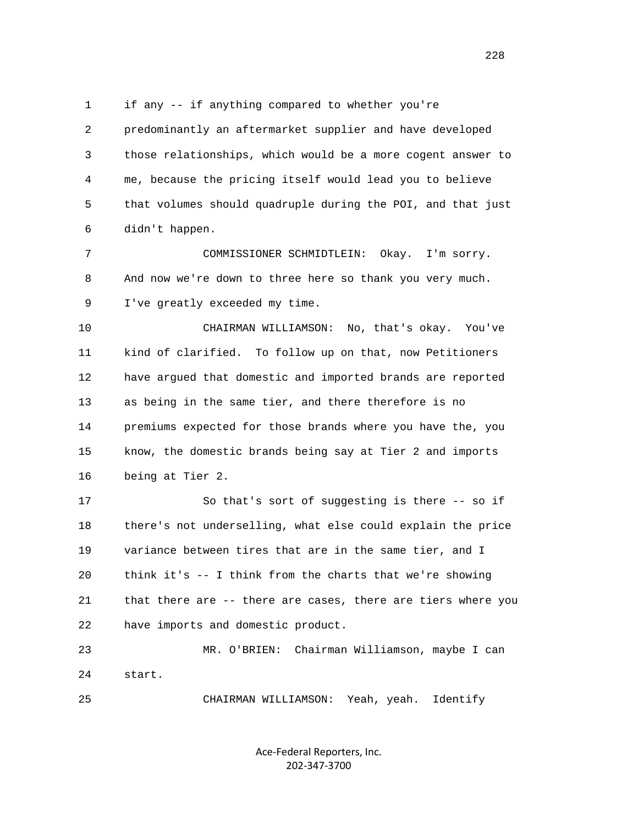1 if any -- if anything compared to whether you're 2 predominantly an aftermarket supplier and have developed 3 those relationships, which would be a more cogent answer to 4 me, because the pricing itself would lead you to believe 5 that volumes should quadruple during the POI, and that just 6 didn't happen. 7 COMMISSIONER SCHMIDTLEIN: Okay. I'm sorry. 8 And now we're down to three here so thank you very much. 9 I've greatly exceeded my time. 10 CHAIRMAN WILLIAMSON: No, that's okay. You've 11 kind of clarified. To follow up on that, now Petitioners 12 have argued that domestic and imported brands are reported 13 as being in the same tier, and there therefore is no 14 premiums expected for those brands where you have the, you 15 know, the domestic brands being say at Tier 2 and imports 16 being at Tier 2. 17 So that's sort of suggesting is there -- so if 18 there's not underselling, what else could explain the price 19 variance between tires that are in the same tier, and I 20 think it's -- I think from the charts that we're showing 21 that there are -- there are cases, there are tiers where you 22 have imports and domestic product. 23 MR. O'BRIEN: Chairman Williamson, maybe I can 24 start. 25 CHAIRMAN WILLIAMSON: Yeah, yeah. Identify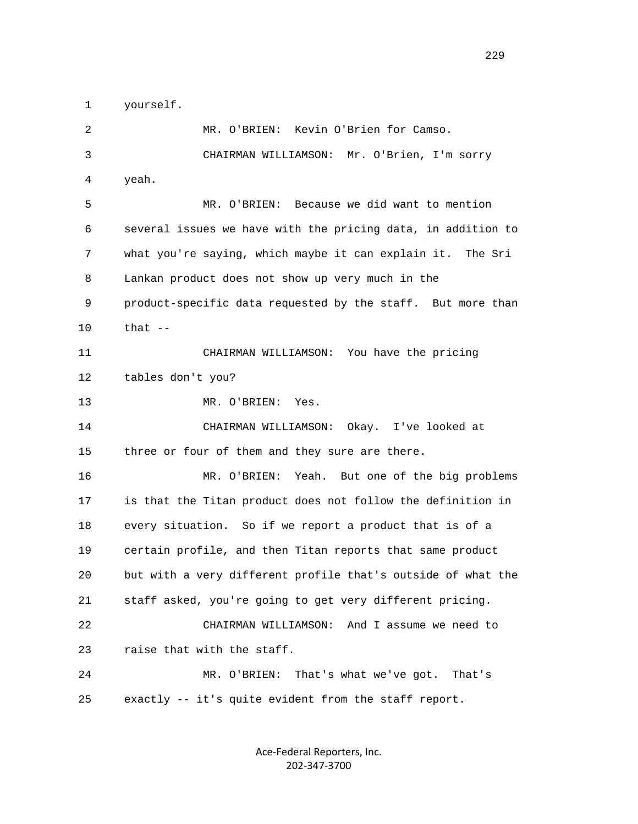1 yourself.

 2 MR. O'BRIEN: Kevin O'Brien for Camso. 3 CHAIRMAN WILLIAMSON: Mr. O'Brien, I'm sorry 4 yeah. 5 MR. O'BRIEN: Because we did want to mention 6 several issues we have with the pricing data, in addition to 7 what you're saying, which maybe it can explain it. The Sri 8 Lankan product does not show up very much in the 9 product-specific data requested by the staff. But more than 10 that -- 11 CHAIRMAN WILLIAMSON: You have the pricing 12 tables don't you? 13 MR. O'BRIEN: Yes. 14 CHAIRMAN WILLIAMSON: Okay. I've looked at 15 three or four of them and they sure are there. 16 MR. O'BRIEN: Yeah. But one of the big problems 17 is that the Titan product does not follow the definition in 18 every situation. So if we report a product that is of a 19 certain profile, and then Titan reports that same product 20 but with a very different profile that's outside of what the 21 staff asked, you're going to get very different pricing. 22 CHAIRMAN WILLIAMSON: And I assume we need to 23 raise that with the staff. 24 MR. O'BRIEN: That's what we've got. That's 25 exactly -- it's quite evident from the staff report.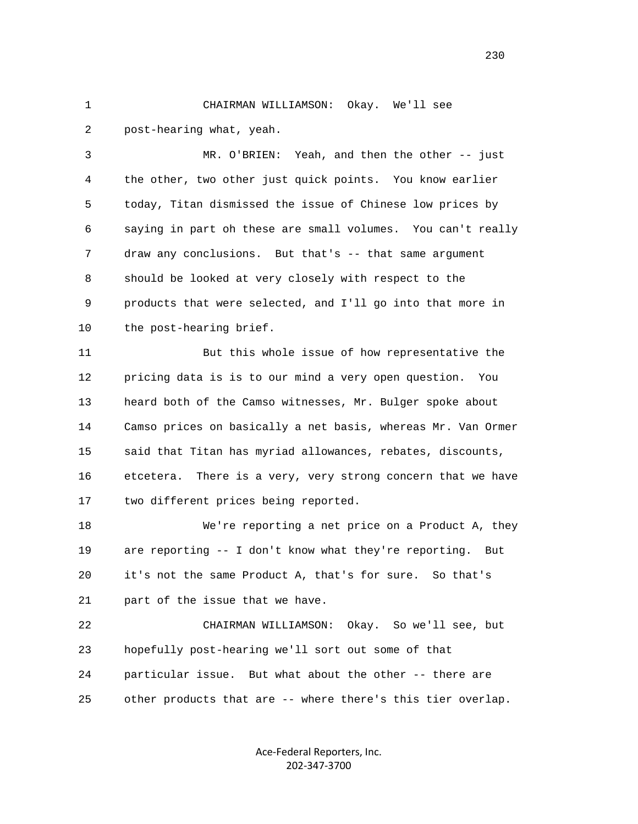1 CHAIRMAN WILLIAMSON: Okay. We'll see 2 post-hearing what, yeah.

 3 MR. O'BRIEN: Yeah, and then the other -- just 4 the other, two other just quick points. You know earlier 5 today, Titan dismissed the issue of Chinese low prices by 6 saying in part oh these are small volumes. You can't really 7 draw any conclusions. But that's -- that same argument 8 should be looked at very closely with respect to the 9 products that were selected, and I'll go into that more in 10 the post-hearing brief.

 11 But this whole issue of how representative the 12 pricing data is is to our mind a very open question. You 13 heard both of the Camso witnesses, Mr. Bulger spoke about 14 Camso prices on basically a net basis, whereas Mr. Van Ormer 15 said that Titan has myriad allowances, rebates, discounts, 16 etcetera. There is a very, very strong concern that we have 17 two different prices being reported.

 18 We're reporting a net price on a Product A, they 19 are reporting -- I don't know what they're reporting. But 20 it's not the same Product A, that's for sure. So that's 21 part of the issue that we have.

 22 CHAIRMAN WILLIAMSON: Okay. So we'll see, but 23 hopefully post-hearing we'll sort out some of that 24 particular issue. But what about the other -- there are 25 other products that are -- where there's this tier overlap.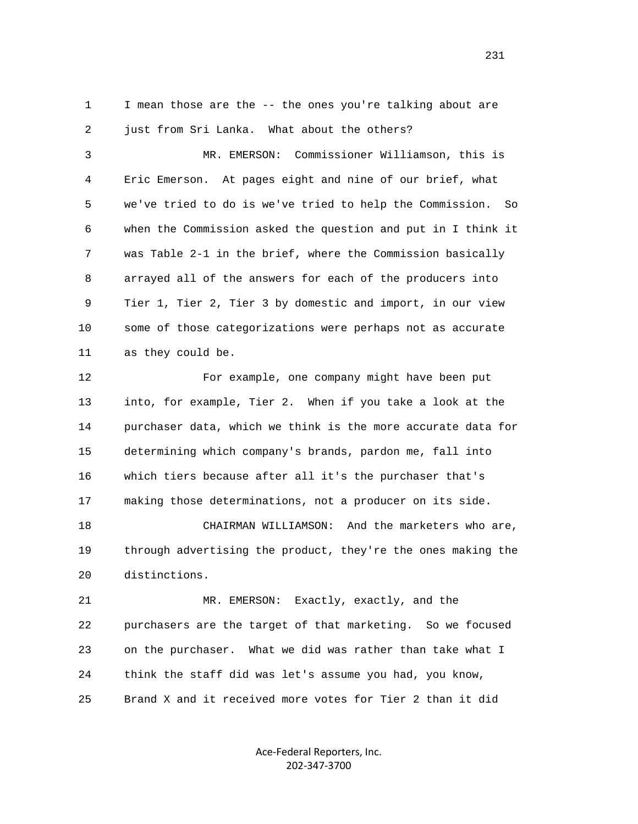1 I mean those are the -- the ones you're talking about are 2 just from Sri Lanka. What about the others?

 3 MR. EMERSON: Commissioner Williamson, this is 4 Eric Emerson. At pages eight and nine of our brief, what 5 we've tried to do is we've tried to help the Commission. So 6 when the Commission asked the question and put in I think it 7 was Table 2-1 in the brief, where the Commission basically 8 arrayed all of the answers for each of the producers into 9 Tier 1, Tier 2, Tier 3 by domestic and import, in our view 10 some of those categorizations were perhaps not as accurate 11 as they could be.

 12 For example, one company might have been put 13 into, for example, Tier 2. When if you take a look at the 14 purchaser data, which we think is the more accurate data for 15 determining which company's brands, pardon me, fall into 16 which tiers because after all it's the purchaser that's 17 making those determinations, not a producer on its side.

 18 CHAIRMAN WILLIAMSON: And the marketers who are, 19 through advertising the product, they're the ones making the 20 distinctions.

 21 MR. EMERSON: Exactly, exactly, and the 22 purchasers are the target of that marketing. So we focused 23 on the purchaser. What we did was rather than take what I 24 think the staff did was let's assume you had, you know, 25 Brand X and it received more votes for Tier 2 than it did

> Ace‐Federal Reporters, Inc. 202‐347‐3700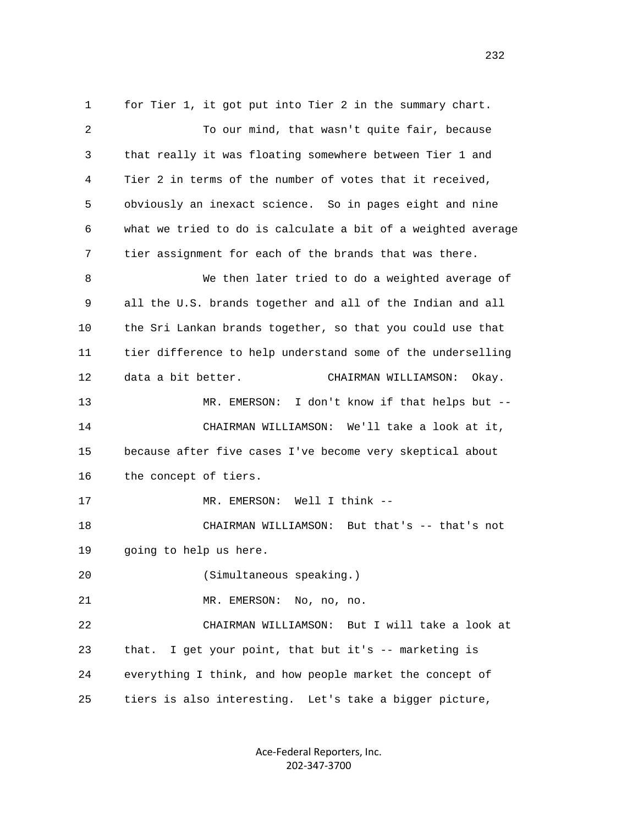1 for Tier 1, it got put into Tier 2 in the summary chart. 2 To our mind, that wasn't quite fair, because 3 that really it was floating somewhere between Tier 1 and 4 Tier 2 in terms of the number of votes that it received, 5 obviously an inexact science. So in pages eight and nine 6 what we tried to do is calculate a bit of a weighted average 7 tier assignment for each of the brands that was there. 8 We then later tried to do a weighted average of 9 all the U.S. brands together and all of the Indian and all 10 the Sri Lankan brands together, so that you could use that 11 tier difference to help understand some of the underselling 12 data a bit better. CHAIRMAN WILLIAMSON: Okay. 13 MR. EMERSON: I don't know if that helps but -- 14 CHAIRMAN WILLIAMSON: We'll take a look at it, 15 because after five cases I've become very skeptical about 16 the concept of tiers. 17 MR. EMERSON: Well I think -- 18 CHAIRMAN WILLIAMSON: But that's -- that's not 19 going to help us here. 20 (Simultaneous speaking.) 21 MR. EMERSON: No, no, no. 22 CHAIRMAN WILLIAMSON: But I will take a look at 23 that. I get your point, that but it's -- marketing is 24 everything I think, and how people market the concept of 25 tiers is also interesting. Let's take a bigger picture,

> Ace‐Federal Reporters, Inc. 202‐347‐3700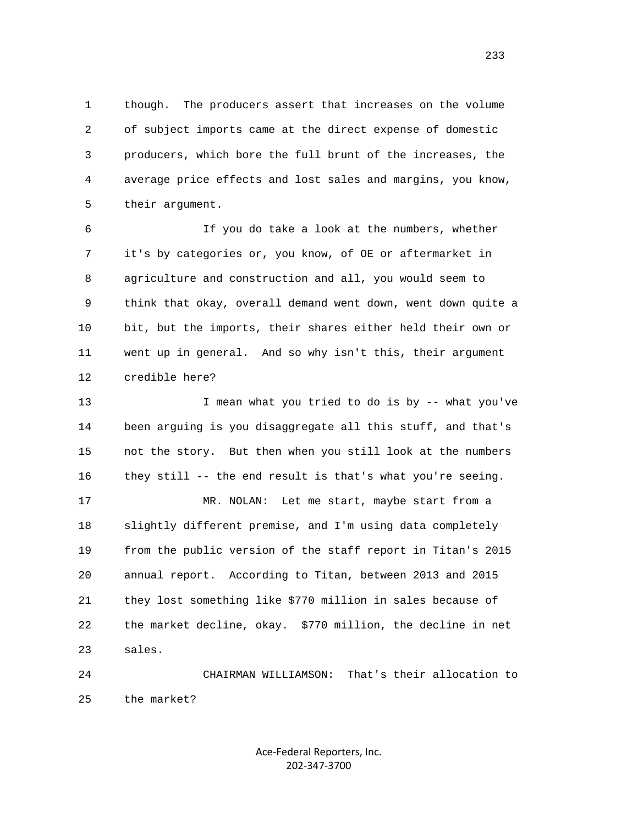1 though. The producers assert that increases on the volume 2 of subject imports came at the direct expense of domestic 3 producers, which bore the full brunt of the increases, the 4 average price effects and lost sales and margins, you know, 5 their argument.

 6 If you do take a look at the numbers, whether 7 it's by categories or, you know, of OE or aftermarket in 8 agriculture and construction and all, you would seem to 9 think that okay, overall demand went down, went down quite a 10 bit, but the imports, their shares either held their own or 11 went up in general. And so why isn't this, their argument 12 credible here?

13 I mean what you tried to do is by -- what you've 14 been arguing is you disaggregate all this stuff, and that's 15 not the story. But then when you still look at the numbers 16 they still -- the end result is that's what you're seeing.

 17 MR. NOLAN: Let me start, maybe start from a 18 slightly different premise, and I'm using data completely 19 from the public version of the staff report in Titan's 2015 20 annual report. According to Titan, between 2013 and 2015 21 they lost something like \$770 million in sales because of 22 the market decline, okay. \$770 million, the decline in net 23 sales.

 24 CHAIRMAN WILLIAMSON: That's their allocation to 25 the market?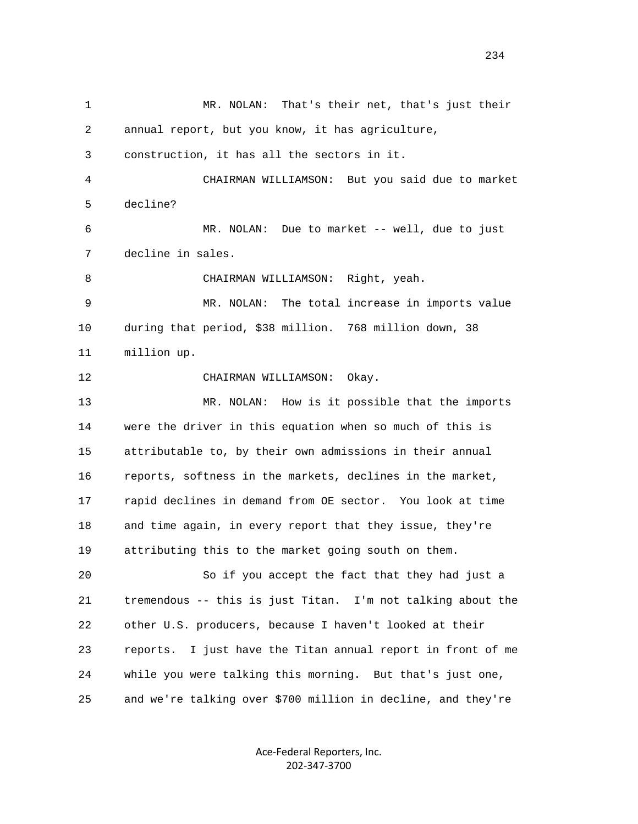1 MR. NOLAN: That's their net, that's just their 2 annual report, but you know, it has agriculture, 3 construction, it has all the sectors in it. 4 CHAIRMAN WILLIAMSON: But you said due to market 5 decline? 6 MR. NOLAN: Due to market -- well, due to just 7 decline in sales. 8 CHAIRMAN WILLIAMSON: Right, yeah. 9 MR. NOLAN: The total increase in imports value 10 during that period, \$38 million. 768 million down, 38 11 million up. 12 CHAIRMAN WILLIAMSON: Okay. 13 MR. NOLAN: How is it possible that the imports 14 were the driver in this equation when so much of this is 15 attributable to, by their own admissions in their annual 16 reports, softness in the markets, declines in the market, 17 rapid declines in demand from OE sector. You look at time 18 and time again, in every report that they issue, they're 19 attributing this to the market going south on them. 20 So if you accept the fact that they had just a 21 tremendous -- this is just Titan. I'm not talking about the 22 other U.S. producers, because I haven't looked at their 23 reports. I just have the Titan annual report in front of me 24 while you were talking this morning. But that's just one, 25 and we're talking over \$700 million in decline, and they're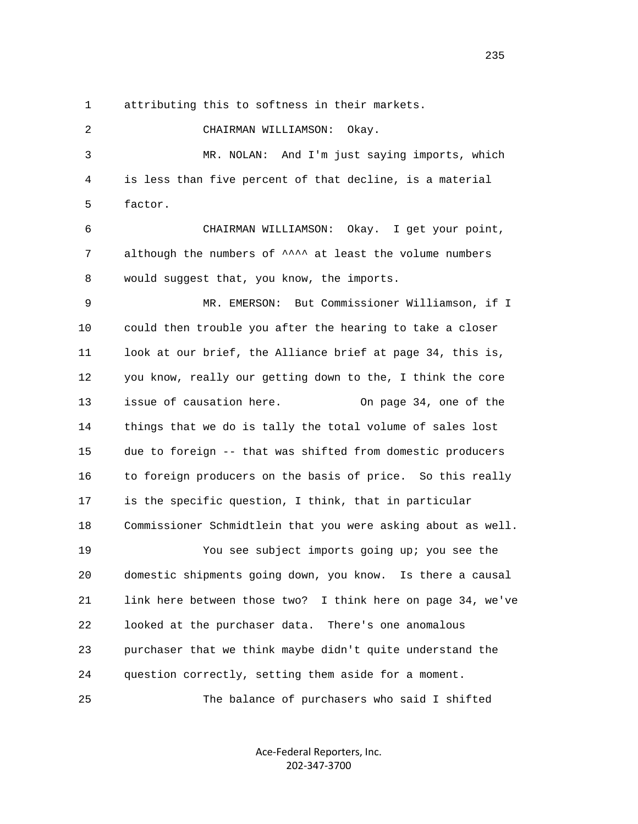1 attributing this to softness in their markets.

 2 CHAIRMAN WILLIAMSON: Okay. 3 MR. NOLAN: And I'm just saying imports, which 4 is less than five percent of that decline, is a material 5 factor. 6 CHAIRMAN WILLIAMSON: Okay. I get your point, 7 although the numbers of  $\wedge$   $\wedge$  at least the volume numbers 8 would suggest that, you know, the imports. 9 MR. EMERSON: But Commissioner Williamson, if I 10 could then trouble you after the hearing to take a closer 11 look at our brief, the Alliance brief at page 34, this is, 12 you know, really our getting down to the, I think the core 13 issue of causation here. On page 34, one of the 14 things that we do is tally the total volume of sales lost 15 due to foreign -- that was shifted from domestic producers 16 to foreign producers on the basis of price. So this really 17 is the specific question, I think, that in particular 18 Commissioner Schmidtlein that you were asking about as well. 19 You see subject imports going up; you see the 20 domestic shipments going down, you know. Is there a causal 21 link here between those two? I think here on page 34, we've 22 looked at the purchaser data. There's one anomalous 23 purchaser that we think maybe didn't quite understand the 24 question correctly, setting them aside for a moment. 25 The balance of purchasers who said I shifted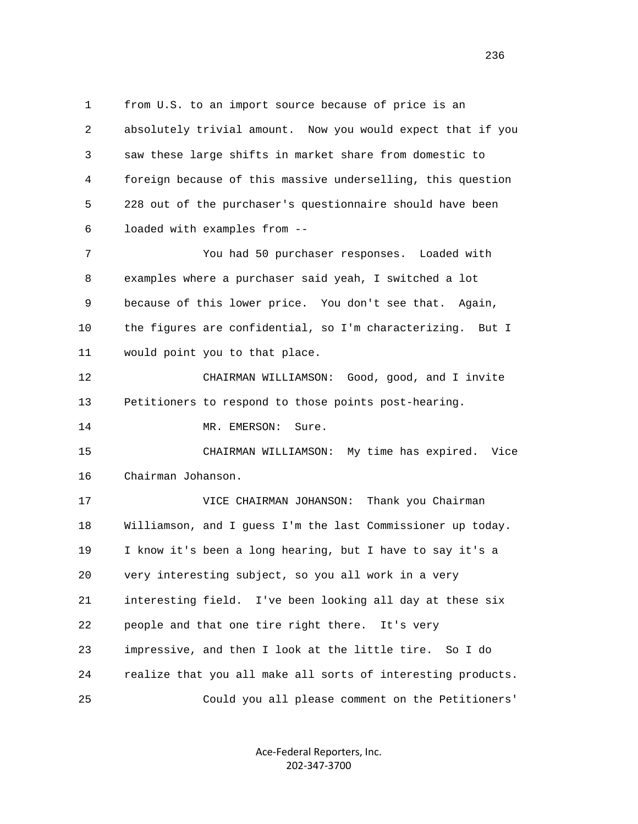1 from U.S. to an import source because of price is an 2 absolutely trivial amount. Now you would expect that if you 3 saw these large shifts in market share from domestic to 4 foreign because of this massive underselling, this question 5 228 out of the purchaser's questionnaire should have been 6 loaded with examples from -- 7 You had 50 purchaser responses. Loaded with 8 examples where a purchaser said yeah, I switched a lot 9 because of this lower price. You don't see that. Again, 10 the figures are confidential, so I'm characterizing. But I 11 would point you to that place. 12 CHAIRMAN WILLIAMSON: Good, good, and I invite 13 Petitioners to respond to those points post-hearing. 14 MR. EMERSON: Sure. 15 CHAIRMAN WILLIAMSON: My time has expired. Vice 16 Chairman Johanson. 17 VICE CHAIRMAN JOHANSON: Thank you Chairman 18 Williamson, and I guess I'm the last Commissioner up today. 19 I know it's been a long hearing, but I have to say it's a 20 very interesting subject, so you all work in a very 21 interesting field. I've been looking all day at these six 22 people and that one tire right there. It's very 23 impressive, and then I look at the little tire. So I do 24 realize that you all make all sorts of interesting products. 25 Could you all please comment on the Petitioners'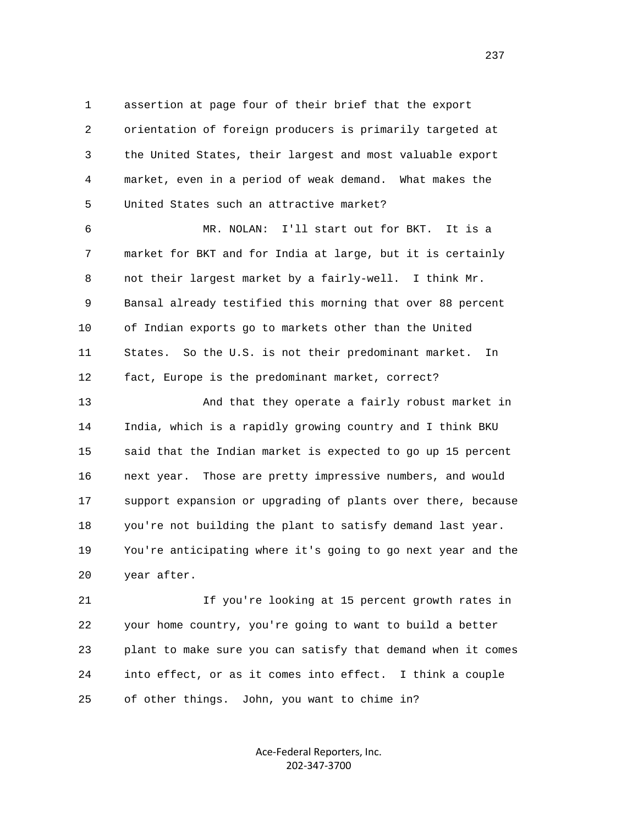1 assertion at page four of their brief that the export 2 orientation of foreign producers is primarily targeted at 3 the United States, their largest and most valuable export 4 market, even in a period of weak demand. What makes the 5 United States such an attractive market?

 6 MR. NOLAN: I'll start out for BKT. It is a 7 market for BKT and for India at large, but it is certainly 8 not their largest market by a fairly-well. I think Mr. 9 Bansal already testified this morning that over 88 percent 10 of Indian exports go to markets other than the United 11 States. So the U.S. is not their predominant market. In 12 fact, Europe is the predominant market, correct?

 13 And that they operate a fairly robust market in 14 India, which is a rapidly growing country and I think BKU 15 said that the Indian market is expected to go up 15 percent 16 next year. Those are pretty impressive numbers, and would 17 support expansion or upgrading of plants over there, because 18 you're not building the plant to satisfy demand last year. 19 You're anticipating where it's going to go next year and the 20 year after.

 21 If you're looking at 15 percent growth rates in 22 your home country, you're going to want to build a better 23 plant to make sure you can satisfy that demand when it comes 24 into effect, or as it comes into effect. I think a couple 25 of other things. John, you want to chime in?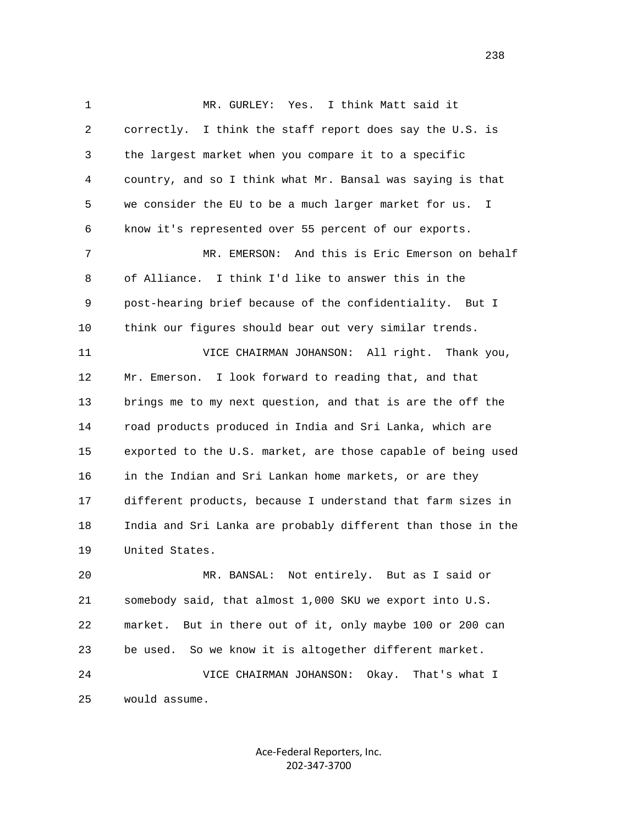1 MR. GURLEY: Yes. I think Matt said it 2 correctly. I think the staff report does say the U.S. is 3 the largest market when you compare it to a specific 4 country, and so I think what Mr. Bansal was saying is that 5 we consider the EU to be a much larger market for us. I 6 know it's represented over 55 percent of our exports. 7 MR. EMERSON: And this is Eric Emerson on behalf 8 of Alliance. I think I'd like to answer this in the 9 post-hearing brief because of the confidentiality. But I 10 think our figures should bear out very similar trends. 11 VICE CHAIRMAN JOHANSON: All right. Thank you, 12 Mr. Emerson. I look forward to reading that, and that 13 brings me to my next question, and that is are the off the 14 road products produced in India and Sri Lanka, which are 15 exported to the U.S. market, are those capable of being used 16 in the Indian and Sri Lankan home markets, or are they 17 different products, because I understand that farm sizes in 18 India and Sri Lanka are probably different than those in the 19 United States. 20 MR. BANSAL: Not entirely. But as I said or

 21 somebody said, that almost 1,000 SKU we export into U.S. 22 market. But in there out of it, only maybe 100 or 200 can 23 be used. So we know it is altogether different market. 24 VICE CHAIRMAN JOHANSON: Okay. That's what I 25 would assume.

> Ace‐Federal Reporters, Inc. 202‐347‐3700

<u>238</u>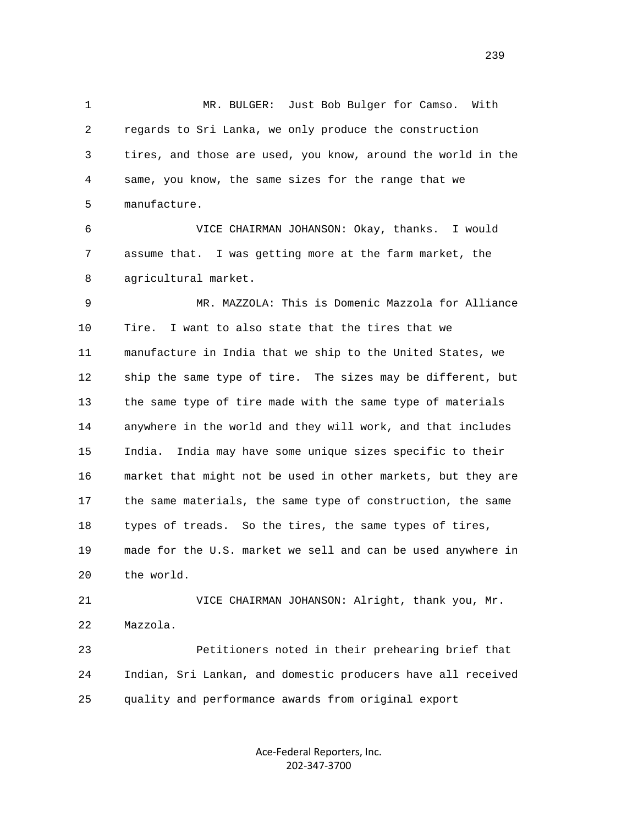1 MR. BULGER: Just Bob Bulger for Camso. With 2 regards to Sri Lanka, we only produce the construction 3 tires, and those are used, you know, around the world in the 4 same, you know, the same sizes for the range that we 5 manufacture.

 6 VICE CHAIRMAN JOHANSON: Okay, thanks. I would 7 assume that. I was getting more at the farm market, the 8 agricultural market.

 9 MR. MAZZOLA: This is Domenic Mazzola for Alliance 10 Tire. I want to also state that the tires that we 11 manufacture in India that we ship to the United States, we 12 ship the same type of tire. The sizes may be different, but 13 the same type of tire made with the same type of materials 14 anywhere in the world and they will work, and that includes 15 India. India may have some unique sizes specific to their 16 market that might not be used in other markets, but they are 17 the same materials, the same type of construction, the same 18 types of treads. So the tires, the same types of tires, 19 made for the U.S. market we sell and can be used anywhere in 20 the world.

 21 VICE CHAIRMAN JOHANSON: Alright, thank you, Mr. 22 Mazzola. 23 Petitioners noted in their prehearing brief that

 24 Indian, Sri Lankan, and domestic producers have all received 25 quality and performance awards from original export

> Ace‐Federal Reporters, Inc. 202‐347‐3700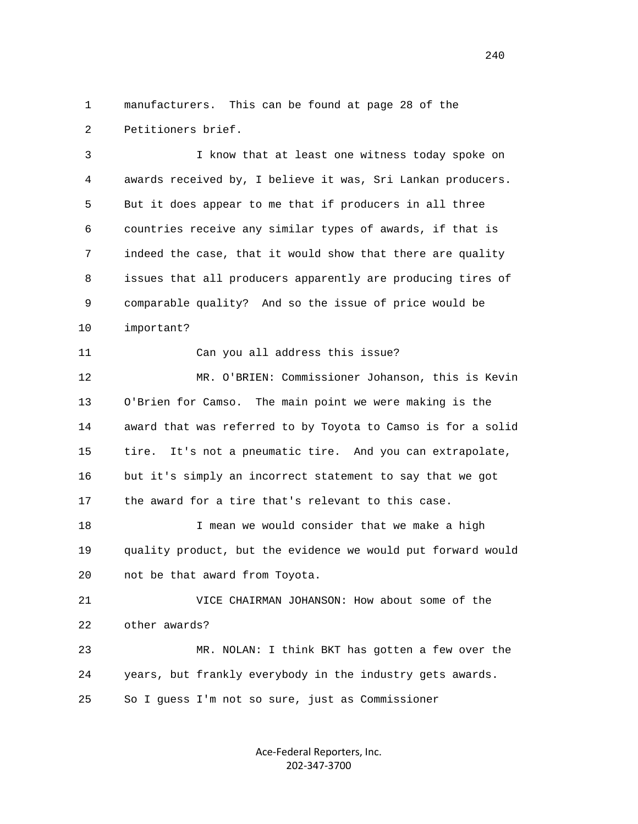1 manufacturers. This can be found at page 28 of the 2 Petitioners brief.

 3 I know that at least one witness today spoke on 4 awards received by, I believe it was, Sri Lankan producers. 5 But it does appear to me that if producers in all three 6 countries receive any similar types of awards, if that is 7 indeed the case, that it would show that there are quality 8 issues that all producers apparently are producing tires of 9 comparable quality? And so the issue of price would be 10 important?

11 Can you all address this issue?

 12 MR. O'BRIEN: Commissioner Johanson, this is Kevin 13 O'Brien for Camso. The main point we were making is the 14 award that was referred to by Toyota to Camso is for a solid 15 tire. It's not a pneumatic tire. And you can extrapolate, 16 but it's simply an incorrect statement to say that we got 17 the award for a tire that's relevant to this case.

 18 I mean we would consider that we make a high 19 quality product, but the evidence we would put forward would 20 not be that award from Toyota.

 21 VICE CHAIRMAN JOHANSON: How about some of the 22 other awards?

 23 MR. NOLAN: I think BKT has gotten a few over the 24 years, but frankly everybody in the industry gets awards. 25 So I guess I'm not so sure, just as Commissioner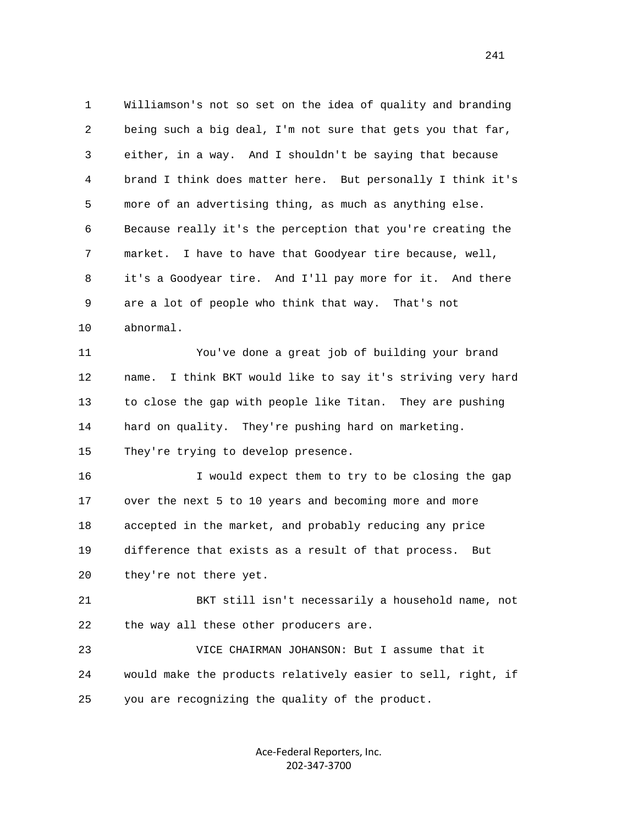1 Williamson's not so set on the idea of quality and branding 2 being such a big deal, I'm not sure that gets you that far, 3 either, in a way. And I shouldn't be saying that because 4 brand I think does matter here. But personally I think it's 5 more of an advertising thing, as much as anything else. 6 Because really it's the perception that you're creating the 7 market. I have to have that Goodyear tire because, well, 8 it's a Goodyear tire. And I'll pay more for it. And there 9 are a lot of people who think that way. That's not 10 abnormal. 11 You've done a great job of building your brand 12 name. I think BKT would like to say it's striving very hard 13 to close the gap with people like Titan. They are pushing 14 hard on quality. They're pushing hard on marketing. 15 They're trying to develop presence. 16 I would expect them to try to be closing the gap

 17 over the next 5 to 10 years and becoming more and more 18 accepted in the market, and probably reducing any price 19 difference that exists as a result of that process. But 20 they're not there yet.

 21 BKT still isn't necessarily a household name, not 22 the way all these other producers are.

 23 VICE CHAIRMAN JOHANSON: But I assume that it 24 would make the products relatively easier to sell, right, if 25 you are recognizing the quality of the product.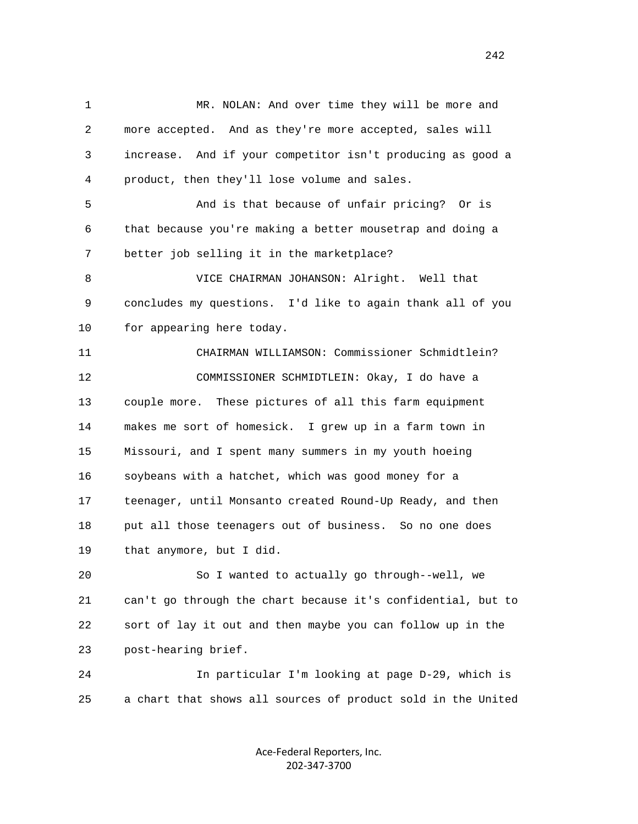1 MR. NOLAN: And over time they will be more and 2 more accepted. And as they're more accepted, sales will 3 increase. And if your competitor isn't producing as good a 4 product, then they'll lose volume and sales. 5 And is that because of unfair pricing? Or is 6 that because you're making a better mousetrap and doing a 7 better job selling it in the marketplace? 8 VICE CHAIRMAN JOHANSON: Alright. Well that 9 concludes my questions. I'd like to again thank all of you 10 for appearing here today. 11 CHAIRMAN WILLIAMSON: Commissioner Schmidtlein? 12 COMMISSIONER SCHMIDTLEIN: Okay, I do have a 13 couple more. These pictures of all this farm equipment 14 makes me sort of homesick. I grew up in a farm town in 15 Missouri, and I spent many summers in my youth hoeing 16 soybeans with a hatchet, which was good money for a 17 teenager, until Monsanto created Round-Up Ready, and then 18 put all those teenagers out of business. So no one does 19 that anymore, but I did. 20 So I wanted to actually go through--well, we 21 can't go through the chart because it's confidential, but to 22 sort of lay it out and then maybe you can follow up in the 23 post-hearing brief. 24 In particular I'm looking at page D-29, which is 25 a chart that shows all sources of product sold in the United

> Ace‐Federal Reporters, Inc. 202‐347‐3700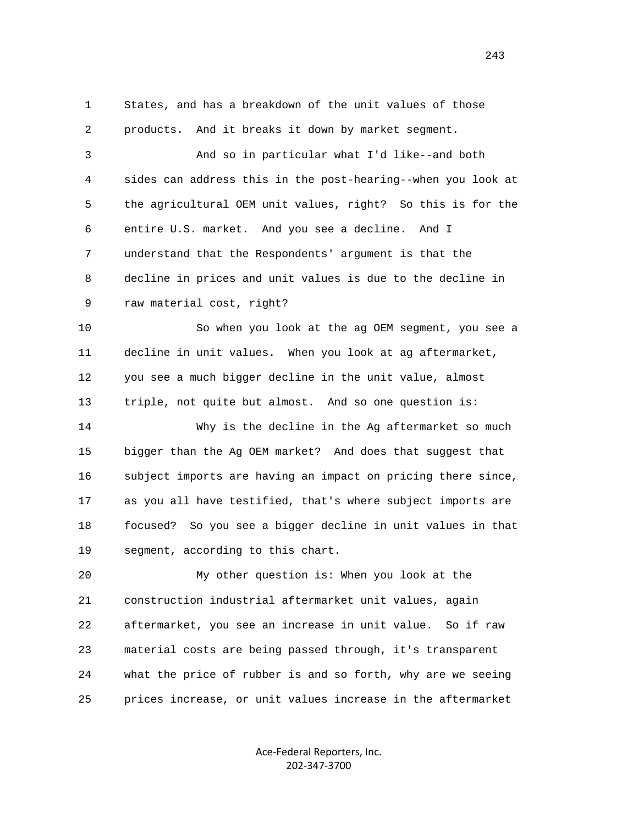1 States, and has a breakdown of the unit values of those 2 products. And it breaks it down by market segment.

 3 And so in particular what I'd like--and both 4 sides can address this in the post-hearing--when you look at 5 the agricultural OEM unit values, right? So this is for the 6 entire U.S. market. And you see a decline. And I 7 understand that the Respondents' argument is that the 8 decline in prices and unit values is due to the decline in 9 raw material cost, right?

 10 So when you look at the ag OEM segment, you see a 11 decline in unit values. When you look at ag aftermarket, 12 you see a much bigger decline in the unit value, almost 13 triple, not quite but almost. And so one question is:

 14 Why is the decline in the Ag aftermarket so much 15 bigger than the Ag OEM market? And does that suggest that 16 subject imports are having an impact on pricing there since, 17 as you all have testified, that's where subject imports are 18 focused? So you see a bigger decline in unit values in that 19 segment, according to this chart.

 20 My other question is: When you look at the 21 construction industrial aftermarket unit values, again 22 aftermarket, you see an increase in unit value. So if raw 23 material costs are being passed through, it's transparent 24 what the price of rubber is and so forth, why are we seeing 25 prices increase, or unit values increase in the aftermarket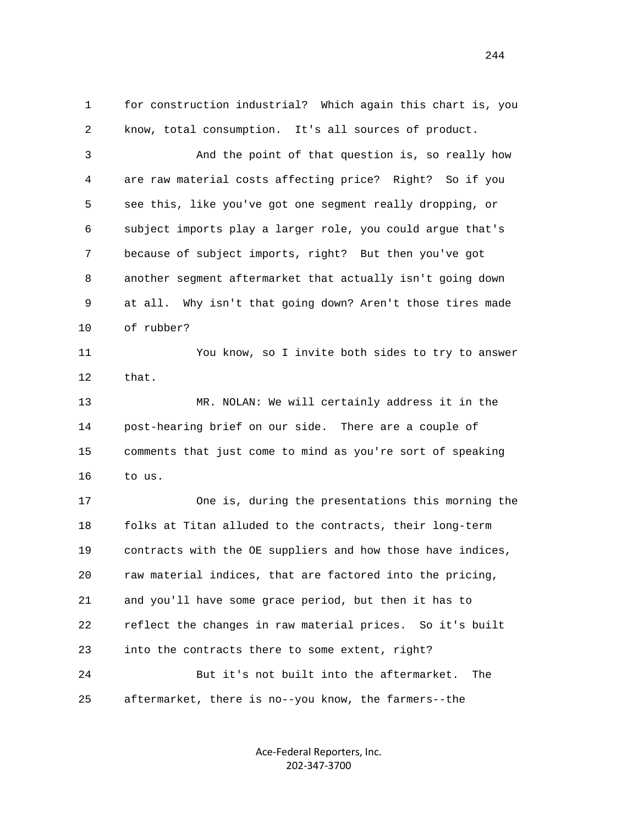1 for construction industrial? Which again this chart is, you 2 know, total consumption. It's all sources of product. 3 And the point of that question is, so really how 4 are raw material costs affecting price? Right? So if you 5 see this, like you've got one segment really dropping, or 6 subject imports play a larger role, you could argue that's 7 because of subject imports, right? But then you've got 8 another segment aftermarket that actually isn't going down 9 at all. Why isn't that going down? Aren't those tires made 10 of rubber? 11 You know, so I invite both sides to try to answer 12 that. 13 MR. NOLAN: We will certainly address it in the 14 post-hearing brief on our side. There are a couple of 15 comments that just come to mind as you're sort of speaking 16 to us. 17 One is, during the presentations this morning the 18 folks at Titan alluded to the contracts, their long-term 19 contracts with the OE suppliers and how those have indices, 20 raw material indices, that are factored into the pricing, 21 and you'll have some grace period, but then it has to 22 reflect the changes in raw material prices. So it's built 23 into the contracts there to some extent, right?

 24 But it's not built into the aftermarket. The 25 aftermarket, there is no--you know, the farmers--the

> Ace‐Federal Reporters, Inc. 202‐347‐3700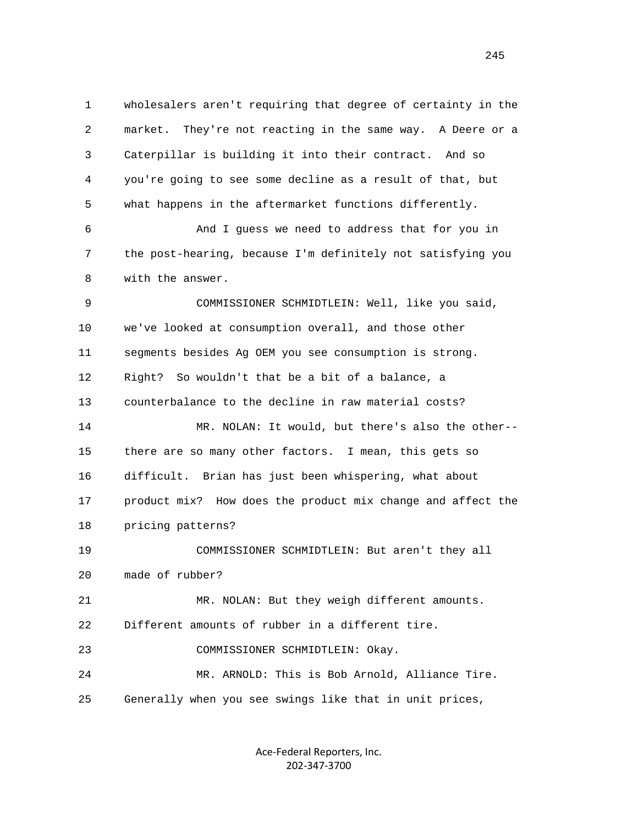1 wholesalers aren't requiring that degree of certainty in the 2 market. They're not reacting in the same way. A Deere or a 3 Caterpillar is building it into their contract. And so 4 you're going to see some decline as a result of that, but 5 what happens in the aftermarket functions differently. 6 And I guess we need to address that for you in 7 the post-hearing, because I'm definitely not satisfying you 8 with the answer. 9 COMMISSIONER SCHMIDTLEIN: Well, like you said, 10 we've looked at consumption overall, and those other 11 segments besides Ag OEM you see consumption is strong. 12 Right? So wouldn't that be a bit of a balance, a 13 counterbalance to the decline in raw material costs? 14 MR. NOLAN: It would, but there's also the other-- 15 there are so many other factors. I mean, this gets so 16 difficult. Brian has just been whispering, what about 17 product mix? How does the product mix change and affect the 18 pricing patterns? 19 COMMISSIONER SCHMIDTLEIN: But aren't they all 20 made of rubber? 21 MR. NOLAN: But they weigh different amounts. 22 Different amounts of rubber in a different tire. 23 COMMISSIONER SCHMIDTLEIN: Okay. 24 MR. ARNOLD: This is Bob Arnold, Alliance Tire. 25 Generally when you see swings like that in unit prices,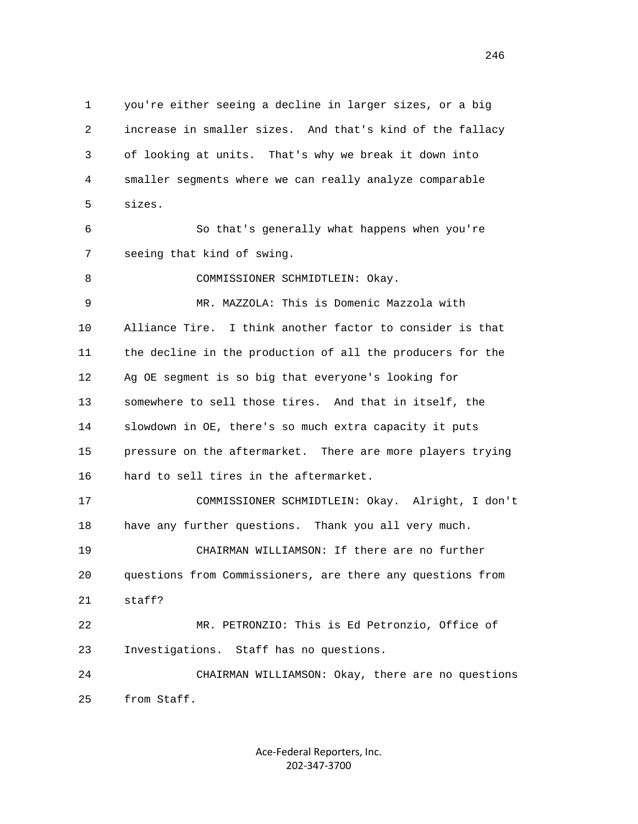1 you're either seeing a decline in larger sizes, or a big 2 increase in smaller sizes. And that's kind of the fallacy 3 of looking at units. That's why we break it down into 4 smaller segments where we can really analyze comparable 5 sizes. 6 So that's generally what happens when you're 7 seeing that kind of swing. 8 COMMISSIONER SCHMIDTLEIN: Okay. 9 MR. MAZZOLA: This is Domenic Mazzola with 10 Alliance Tire. I think another factor to consider is that 11 the decline in the production of all the producers for the 12 Ag OE segment is so big that everyone's looking for 13 somewhere to sell those tires. And that in itself, the 14 slowdown in OE, there's so much extra capacity it puts 15 pressure on the aftermarket. There are more players trying 16 hard to sell tires in the aftermarket. 17 COMMISSIONER SCHMIDTLEIN: Okay. Alright, I don't 18 have any further questions. Thank you all very much. 19 CHAIRMAN WILLIAMSON: If there are no further 20 questions from Commissioners, are there any questions from 21 staff? 22 MR. PETRONZIO: This is Ed Petronzio, Office of 23 Investigations. Staff has no questions. 24 CHAIRMAN WILLIAMSON: Okay, there are no questions 25 from Staff.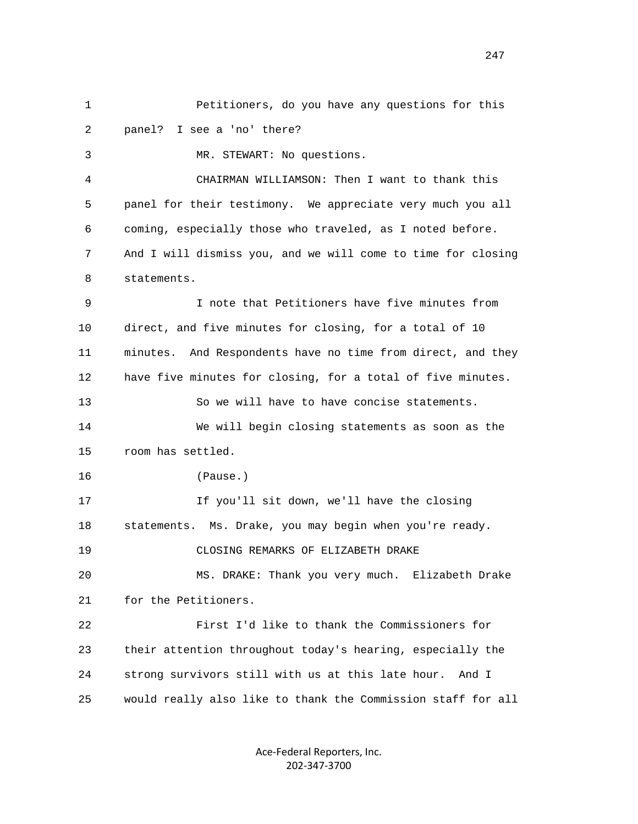1 Petitioners, do you have any questions for this 2 panel? I see a 'no' there? 3 MR. STEWART: No questions. 4 CHAIRMAN WILLIAMSON: Then I want to thank this 5 panel for their testimony. We appreciate very much you all 6 coming, especially those who traveled, as I noted before. 7 And I will dismiss you, and we will come to time for closing 8 statements. 9 I note that Petitioners have five minutes from 10 direct, and five minutes for closing, for a total of 10 11 minutes. And Respondents have no time from direct, and they 12 have five minutes for closing, for a total of five minutes. 13 So we will have to have concise statements. 14 We will begin closing statements as soon as the 15 room has settled. 16 (Pause.) 17 If you'll sit down, we'll have the closing 18 statements. Ms. Drake, you may begin when you're ready. 19 CLOSING REMARKS OF ELIZABETH DRAKE 20 MS. DRAKE: Thank you very much. Elizabeth Drake 21 for the Petitioners. 22 First I'd like to thank the Commissioners for 23 their attention throughout today's hearing, especially the 24 strong survivors still with us at this late hour. And I 25 would really also like to thank the Commission staff for all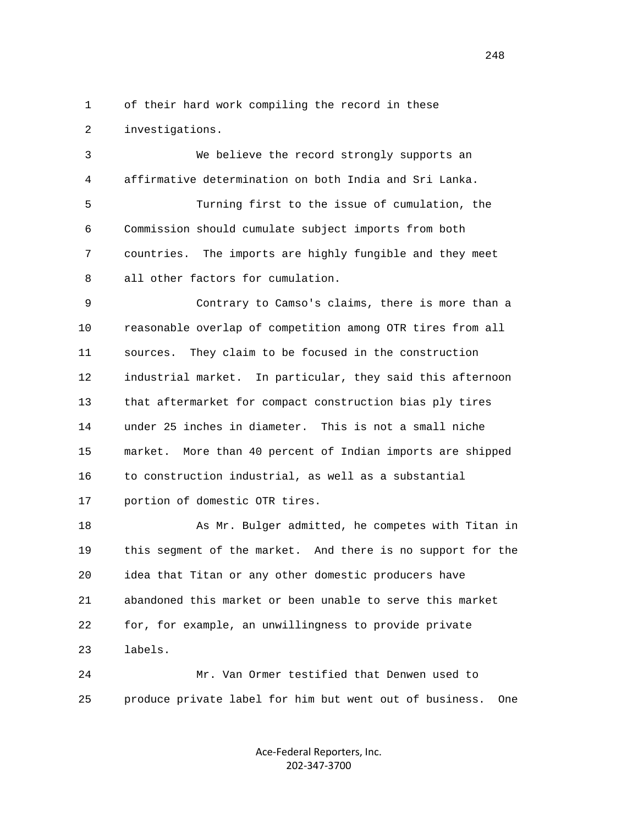1 of their hard work compiling the record in these 2 investigations.

 3 We believe the record strongly supports an 4 affirmative determination on both India and Sri Lanka. 5 Turning first to the issue of cumulation, the 6 Commission should cumulate subject imports from both 7 countries. The imports are highly fungible and they meet 8 all other factors for cumulation. 9 Contrary to Camso's claims, there is more than a

 10 reasonable overlap of competition among OTR tires from all 11 sources. They claim to be focused in the construction 12 industrial market. In particular, they said this afternoon 13 that aftermarket for compact construction bias ply tires 14 under 25 inches in diameter. This is not a small niche 15 market. More than 40 percent of Indian imports are shipped 16 to construction industrial, as well as a substantial 17 portion of domestic OTR tires.

 18 As Mr. Bulger admitted, he competes with Titan in 19 this segment of the market. And there is no support for the 20 idea that Titan or any other domestic producers have 21 abandoned this market or been unable to serve this market 22 for, for example, an unwillingness to provide private 23 labels.

 24 Mr. Van Ormer testified that Denwen used to 25 produce private label for him but went out of business. One

> Ace‐Federal Reporters, Inc. 202‐347‐3700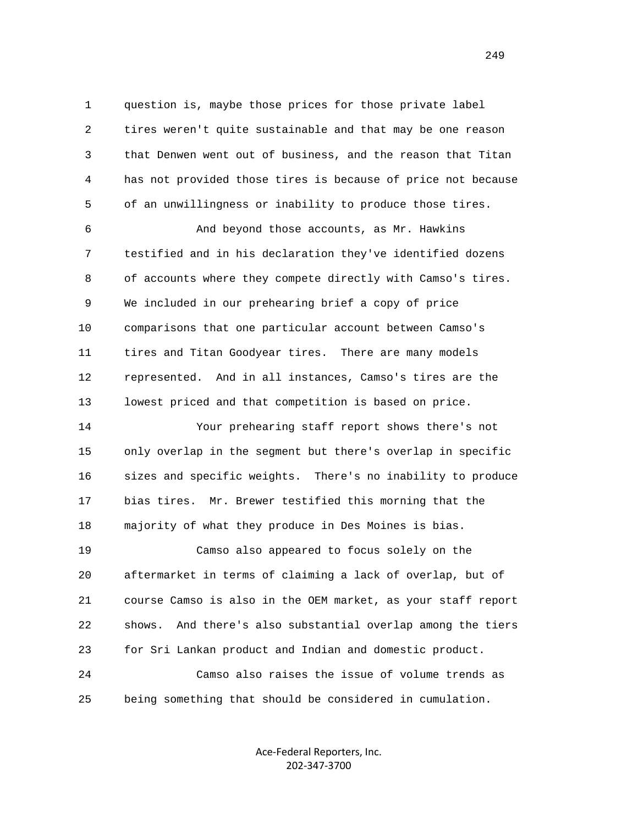1 question is, maybe those prices for those private label 2 tires weren't quite sustainable and that may be one reason 3 that Denwen went out of business, and the reason that Titan 4 has not provided those tires is because of price not because 5 of an unwillingness or inability to produce those tires.

 6 And beyond those accounts, as Mr. Hawkins 7 testified and in his declaration they've identified dozens 8 of accounts where they compete directly with Camso's tires. 9 We included in our prehearing brief a copy of price 10 comparisons that one particular account between Camso's 11 tires and Titan Goodyear tires. There are many models 12 represented. And in all instances, Camso's tires are the 13 lowest priced and that competition is based on price.

 14 Your prehearing staff report shows there's not 15 only overlap in the segment but there's overlap in specific 16 sizes and specific weights. There's no inability to produce 17 bias tires. Mr. Brewer testified this morning that the 18 majority of what they produce in Des Moines is bias. 19 Camso also appeared to focus solely on the 20 aftermarket in terms of claiming a lack of overlap, but of

 21 course Camso is also in the OEM market, as your staff report 22 shows. And there's also substantial overlap among the tiers 23 for Sri Lankan product and Indian and domestic product. 24 Camso also raises the issue of volume trends as

25 being something that should be considered in cumulation.

Ace‐Federal Reporters, Inc. 202‐347‐3700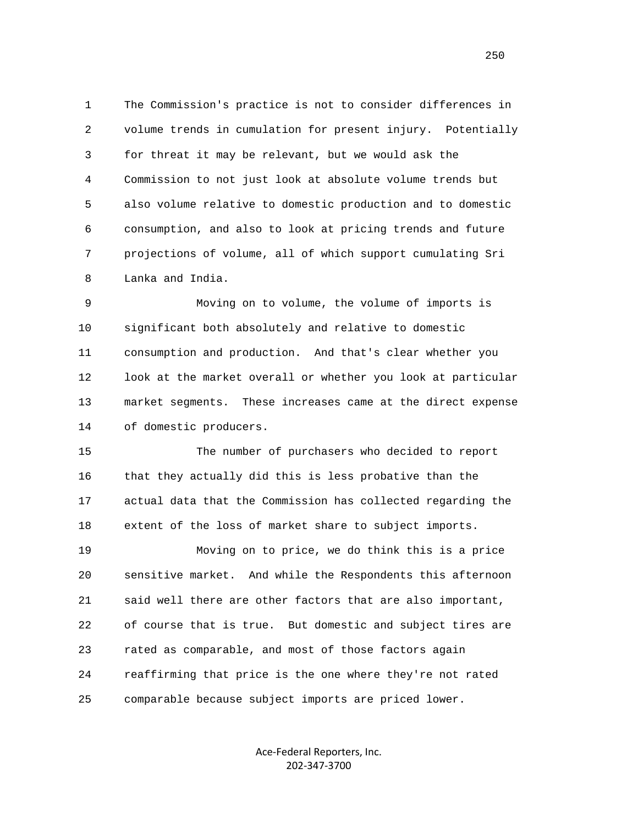1 The Commission's practice is not to consider differences in 2 volume trends in cumulation for present injury. Potentially 3 for threat it may be relevant, but we would ask the 4 Commission to not just look at absolute volume trends but 5 also volume relative to domestic production and to domestic 6 consumption, and also to look at pricing trends and future 7 projections of volume, all of which support cumulating Sri 8 Lanka and India.

 9 Moving on to volume, the volume of imports is 10 significant both absolutely and relative to domestic 11 consumption and production. And that's clear whether you 12 look at the market overall or whether you look at particular 13 market segments. These increases came at the direct expense 14 of domestic producers.

 15 The number of purchasers who decided to report 16 that they actually did this is less probative than the 17 actual data that the Commission has collected regarding the 18 extent of the loss of market share to subject imports.

 19 Moving on to price, we do think this is a price 20 sensitive market. And while the Respondents this afternoon 21 said well there are other factors that are also important, 22 of course that is true. But domestic and subject tires are 23 rated as comparable, and most of those factors again 24 reaffirming that price is the one where they're not rated 25 comparable because subject imports are priced lower.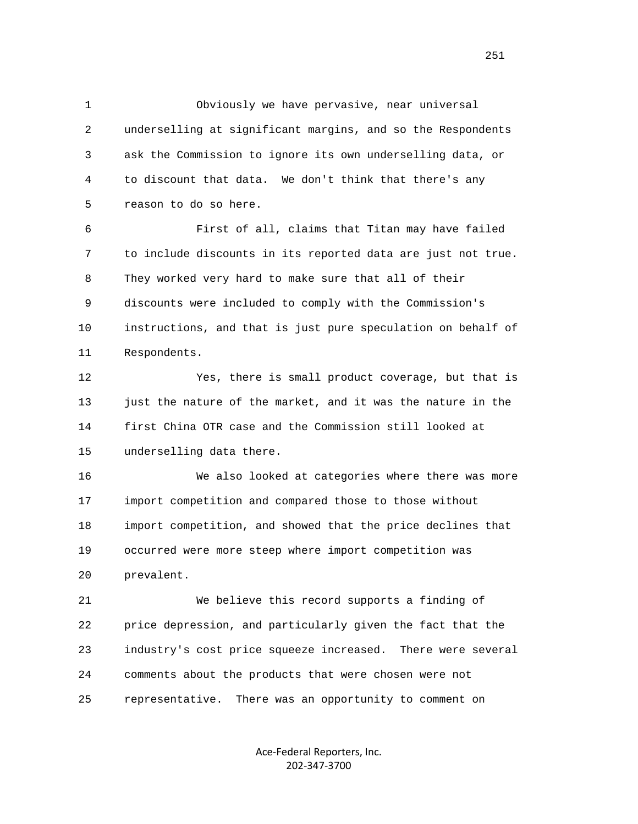1 Obviously we have pervasive, near universal 2 underselling at significant margins, and so the Respondents 3 ask the Commission to ignore its own underselling data, or 4 to discount that data. We don't think that there's any 5 reason to do so here.

 6 First of all, claims that Titan may have failed 7 to include discounts in its reported data are just not true. 8 They worked very hard to make sure that all of their 9 discounts were included to comply with the Commission's 10 instructions, and that is just pure speculation on behalf of 11 Respondents.

 12 Yes, there is small product coverage, but that is 13 just the nature of the market, and it was the nature in the 14 first China OTR case and the Commission still looked at 15 underselling data there.

 16 We also looked at categories where there was more 17 import competition and compared those to those without 18 import competition, and showed that the price declines that 19 occurred were more steep where import competition was 20 prevalent.

 21 We believe this record supports a finding of 22 price depression, and particularly given the fact that the 23 industry's cost price squeeze increased. There were several 24 comments about the products that were chosen were not 25 representative. There was an opportunity to comment on

> Ace‐Federal Reporters, Inc. 202‐347‐3700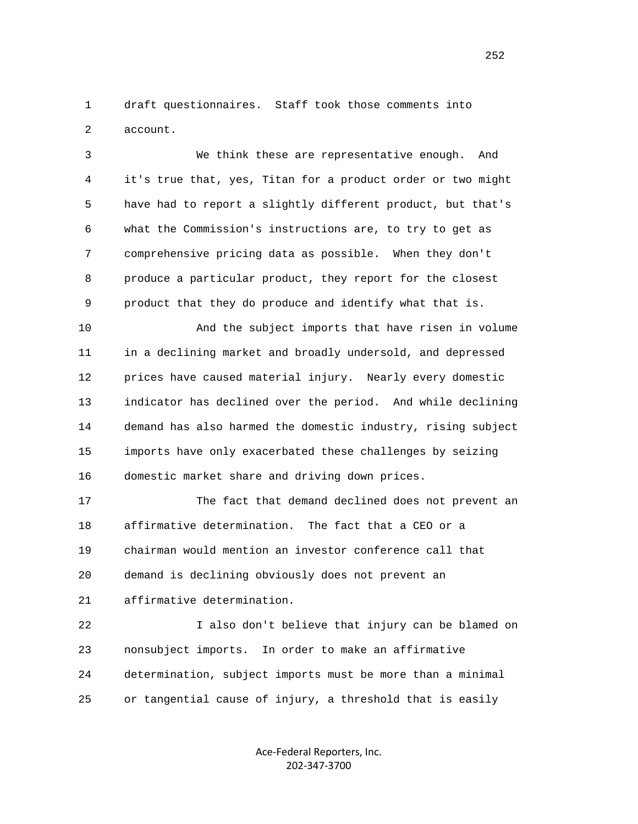1 draft questionnaires. Staff took those comments into 2 account.

 3 We think these are representative enough. And 4 it's true that, yes, Titan for a product order or two might 5 have had to report a slightly different product, but that's 6 what the Commission's instructions are, to try to get as 7 comprehensive pricing data as possible. When they don't 8 produce a particular product, they report for the closest 9 product that they do produce and identify what that is.

 10 And the subject imports that have risen in volume 11 in a declining market and broadly undersold, and depressed 12 prices have caused material injury. Nearly every domestic 13 indicator has declined over the period. And while declining 14 demand has also harmed the domestic industry, rising subject 15 imports have only exacerbated these challenges by seizing 16 domestic market share and driving down prices.

 17 The fact that demand declined does not prevent an 18 affirmative determination. The fact that a CEO or a 19 chairman would mention an investor conference call that 20 demand is declining obviously does not prevent an 21 affirmative determination.

 22 I also don't believe that injury can be blamed on 23 nonsubject imports. In order to make an affirmative 24 determination, subject imports must be more than a minimal 25 or tangential cause of injury, a threshold that is easily

> Ace‐Federal Reporters, Inc. 202‐347‐3700

252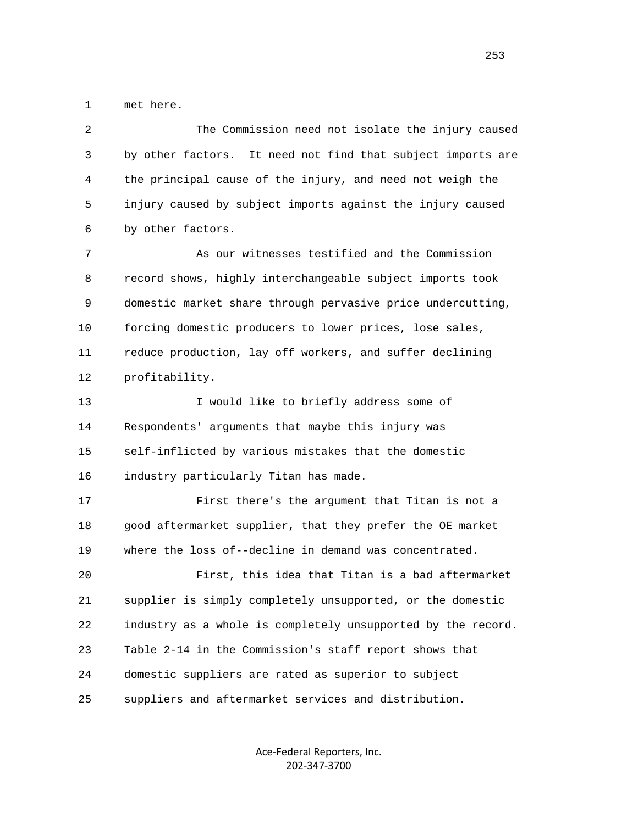1 met here.

| 2            | The Commission need not isolate the injury caused            |
|--------------|--------------------------------------------------------------|
| $\mathsf{3}$ | by other factors. It need not find that subject imports are  |
| 4            | the principal cause of the injury, and need not weigh the    |
| 5            | injury caused by subject imports against the injury caused   |
| 6            | by other factors.                                            |
| 7            | As our witnesses testified and the Commission                |
| 8            | record shows, highly interchangeable subject imports took    |
| 9            | domestic market share through pervasive price undercutting,  |
| 10           | forcing domestic producers to lower prices, lose sales,      |
| 11           | reduce production, lay off workers, and suffer declining     |
| 12           | profitability.                                               |
| 13           | I would like to briefly address some of                      |
| 14           | Respondents' arguments that maybe this injury was            |
| 15           | self-inflicted by various mistakes that the domestic         |
| 16           | industry particularly Titan has made.                        |
| 17           | First there's the argument that Titan is not a               |
| 18           | good aftermarket supplier, that they prefer the OE market    |
| 19           | where the loss of--decline in demand was concentrated.       |
| 20           | First, this idea that Titan is a bad aftermarket             |
| 21           | supplier is simply completely unsupported, or the domestic   |
| 22           | industry as a whole is completely unsupported by the record. |
| 23           | Table 2-14 in the Commission's staff report shows that       |
| 24           | domestic suppliers are rated as superior to subject          |
| 25           | suppliers and aftermarket services and distribution.         |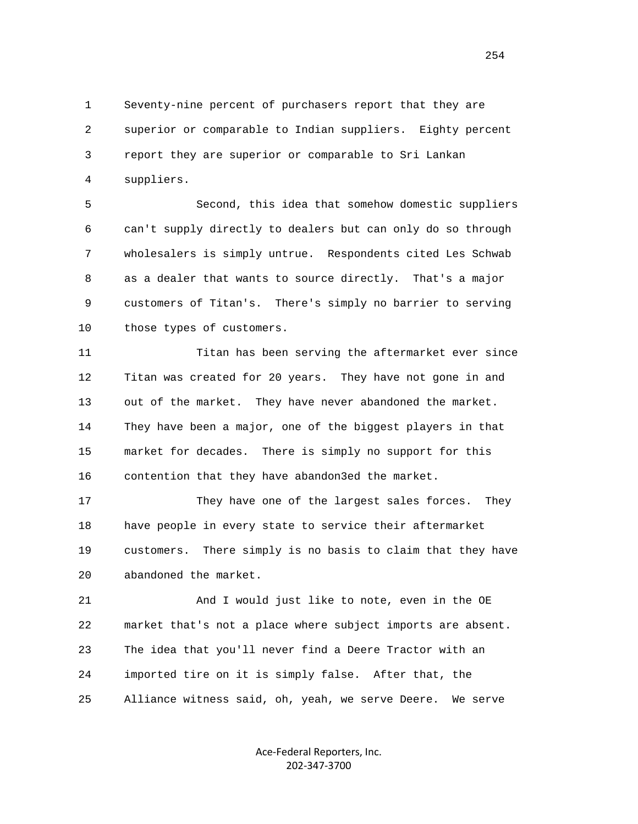1 Seventy-nine percent of purchasers report that they are 2 superior or comparable to Indian suppliers. Eighty percent 3 report they are superior or comparable to Sri Lankan 4 suppliers.

 5 Second, this idea that somehow domestic suppliers 6 can't supply directly to dealers but can only do so through 7 wholesalers is simply untrue. Respondents cited Les Schwab 8 as a dealer that wants to source directly. That's a major 9 customers of Titan's. There's simply no barrier to serving 10 those types of customers.

 11 Titan has been serving the aftermarket ever since 12 Titan was created for 20 years. They have not gone in and 13 out of the market. They have never abandoned the market. 14 They have been a major, one of the biggest players in that 15 market for decades. There is simply no support for this 16 contention that they have abandon3ed the market.

 17 They have one of the largest sales forces. They 18 have people in every state to service their aftermarket 19 customers. There simply is no basis to claim that they have 20 abandoned the market.

 21 And I would just like to note, even in the OE 22 market that's not a place where subject imports are absent. 23 The idea that you'll never find a Deere Tractor with an 24 imported tire on it is simply false. After that, the 25 Alliance witness said, oh, yeah, we serve Deere. We serve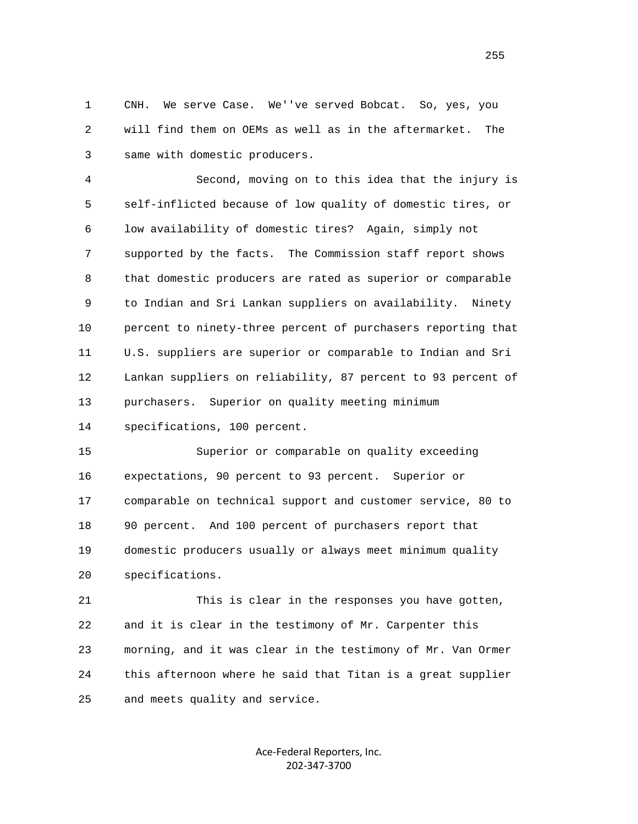1 CNH. We serve Case. We''ve served Bobcat. So, yes, you 2 will find them on OEMs as well as in the aftermarket. The 3 same with domestic producers.

 4 Second, moving on to this idea that the injury is 5 self-inflicted because of low quality of domestic tires, or 6 low availability of domestic tires? Again, simply not 7 supported by the facts. The Commission staff report shows 8 that domestic producers are rated as superior or comparable 9 to Indian and Sri Lankan suppliers on availability. Ninety 10 percent to ninety-three percent of purchasers reporting that 11 U.S. suppliers are superior or comparable to Indian and Sri 12 Lankan suppliers on reliability, 87 percent to 93 percent of 13 purchasers. Superior on quality meeting minimum

14 specifications, 100 percent.

 15 Superior or comparable on quality exceeding 16 expectations, 90 percent to 93 percent. Superior or 17 comparable on technical support and customer service, 80 to 18 90 percent. And 100 percent of purchasers report that 19 domestic producers usually or always meet minimum quality 20 specifications.

 21 This is clear in the responses you have gotten, 22 and it is clear in the testimony of Mr. Carpenter this 23 morning, and it was clear in the testimony of Mr. Van Ormer 24 this afternoon where he said that Titan is a great supplier 25 and meets quality and service.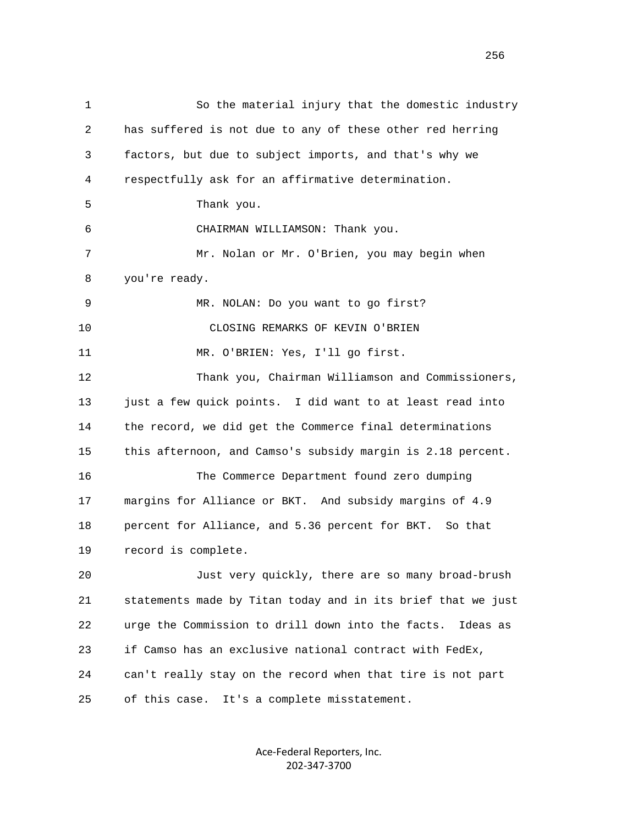1 So the material injury that the domestic industry 2 has suffered is not due to any of these other red herring 3 factors, but due to subject imports, and that's why we 4 respectfully ask for an affirmative determination. 5 Thank you. 6 CHAIRMAN WILLIAMSON: Thank you. 7 Mr. Nolan or Mr. O'Brien, you may begin when 8 you're ready. 9 MR. NOLAN: Do you want to go first? 10 CLOSING REMARKS OF KEVIN O'BRIEN 11 MR. O'BRIEN: Yes, I'll go first. 12 Thank you, Chairman Williamson and Commissioners, 13 just a few quick points. I did want to at least read into 14 the record, we did get the Commerce final determinations 15 this afternoon, and Camso's subsidy margin is 2.18 percent. 16 The Commerce Department found zero dumping 17 margins for Alliance or BKT. And subsidy margins of 4.9 18 percent for Alliance, and 5.36 percent for BKT. So that 19 record is complete. 20 Just very quickly, there are so many broad-brush 21 statements made by Titan today and in its brief that we just 22 urge the Commission to drill down into the facts. Ideas as 23 if Camso has an exclusive national contract with FedEx, 24 can't really stay on the record when that tire is not part 25 of this case. It's a complete misstatement.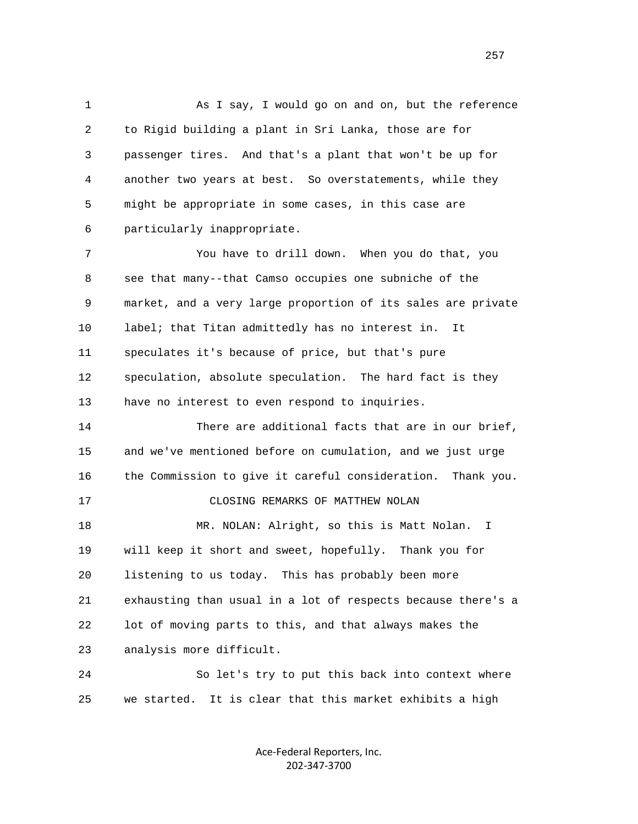1 As I say, I would go on and on, but the reference 2 to Rigid building a plant in Sri Lanka, those are for 3 passenger tires. And that's a plant that won't be up for 4 another two years at best. So overstatements, while they 5 might be appropriate in some cases, in this case are 6 particularly inappropriate.

 7 You have to drill down. When you do that, you 8 see that many--that Camso occupies one subniche of the 9 market, and a very large proportion of its sales are private 10 label; that Titan admittedly has no interest in. It 11 speculates it's because of price, but that's pure 12 speculation, absolute speculation. The hard fact is they 13 have no interest to even respond to inquiries.

 14 There are additional facts that are in our brief, 15 and we've mentioned before on cumulation, and we just urge 16 the Commission to give it careful consideration. Thank you. 17 CLOSING REMARKS OF MATTHEW NOLAN 18 MR. NOLAN: Alright, so this is Matt Nolan. I 19 will keep it short and sweet, hopefully. Thank you for 20 listening to us today. This has probably been more 21 exhausting than usual in a lot of respects because there's a 22 lot of moving parts to this, and that always makes the 23 analysis more difficult.

 24 So let's try to put this back into context where 25 we started. It is clear that this market exhibits a high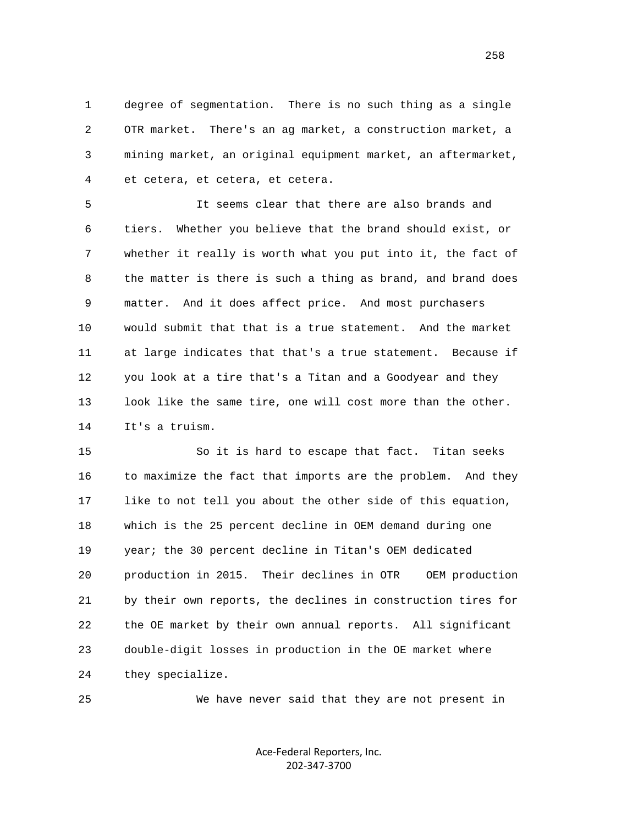1 degree of segmentation. There is no such thing as a single 2 OTR market. There's an ag market, a construction market, a 3 mining market, an original equipment market, an aftermarket, 4 et cetera, et cetera, et cetera.

 5 It seems clear that there are also brands and 6 tiers. Whether you believe that the brand should exist, or 7 whether it really is worth what you put into it, the fact of 8 the matter is there is such a thing as brand, and brand does 9 matter. And it does affect price. And most purchasers 10 would submit that that is a true statement. And the market 11 at large indicates that that's a true statement. Because if 12 you look at a tire that's a Titan and a Goodyear and they 13 look like the same tire, one will cost more than the other. 14 It's a truism.

 15 So it is hard to escape that fact. Titan seeks 16 to maximize the fact that imports are the problem. And they 17 like to not tell you about the other side of this equation, 18 which is the 25 percent decline in OEM demand during one 19 year; the 30 percent decline in Titan's OEM dedicated 20 production in 2015. Their declines in OTR OEM production 21 by their own reports, the declines in construction tires for 22 the OE market by their own annual reports. All significant 23 double-digit losses in production in the OE market where 24 they specialize.

25 We have never said that they are not present in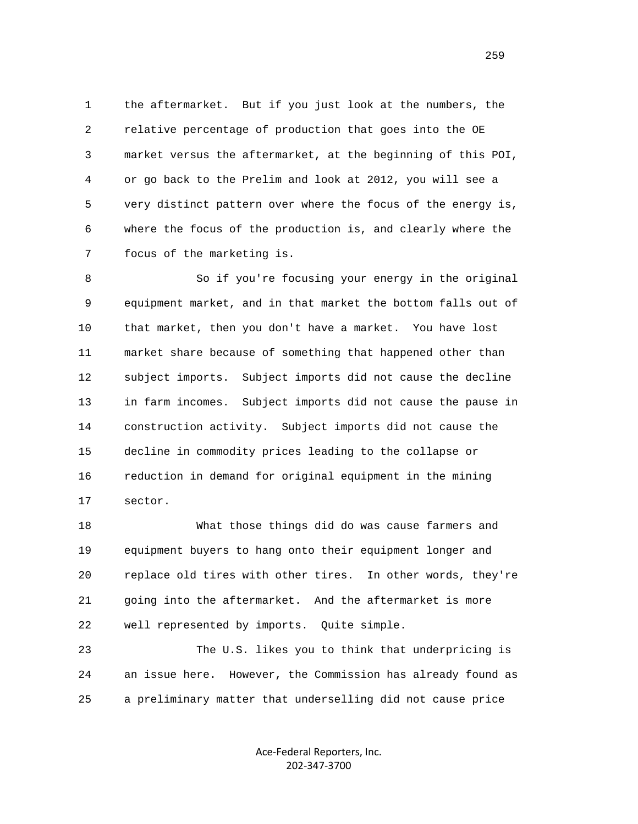1 the aftermarket. But if you just look at the numbers, the 2 relative percentage of production that goes into the OE 3 market versus the aftermarket, at the beginning of this POI, 4 or go back to the Prelim and look at 2012, you will see a 5 very distinct pattern over where the focus of the energy is, 6 where the focus of the production is, and clearly where the 7 focus of the marketing is.

 8 So if you're focusing your energy in the original 9 equipment market, and in that market the bottom falls out of 10 that market, then you don't have a market. You have lost 11 market share because of something that happened other than 12 subject imports. Subject imports did not cause the decline 13 in farm incomes. Subject imports did not cause the pause in 14 construction activity. Subject imports did not cause the 15 decline in commodity prices leading to the collapse or 16 reduction in demand for original equipment in the mining 17 sector.

 18 What those things did do was cause farmers and 19 equipment buyers to hang onto their equipment longer and 20 replace old tires with other tires. In other words, they're 21 going into the aftermarket. And the aftermarket is more 22 well represented by imports. Quite simple.

 23 The U.S. likes you to think that underpricing is 24 an issue here. However, the Commission has already found as 25 a preliminary matter that underselling did not cause price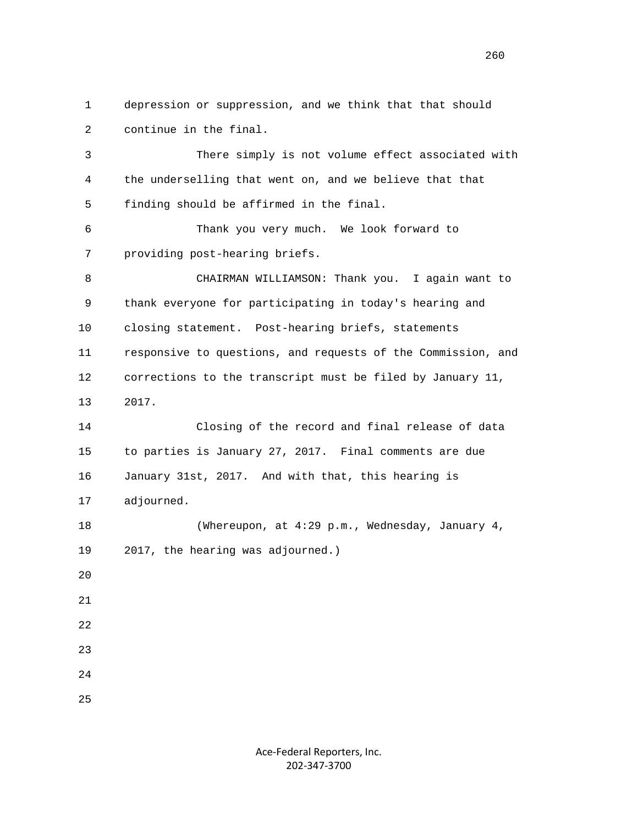1 depression or suppression, and we think that that should 2 continue in the final. 3 There simply is not volume effect associated with 4 the underselling that went on, and we believe that that 5 finding should be affirmed in the final. 6 Thank you very much. We look forward to 7 providing post-hearing briefs. 8 CHAIRMAN WILLIAMSON: Thank you. I again want to 9 thank everyone for participating in today's hearing and 10 closing statement. Post-hearing briefs, statements 11 responsive to questions, and requests of the Commission, and 12 corrections to the transcript must be filed by January 11, 13 2017. 14 Closing of the record and final release of data 15 to parties is January 27, 2017. Final comments are due 16 January 31st, 2017. And with that, this hearing is 17 adjourned. 18 (Whereupon, at 4:29 p.m., Wednesday, January 4, 19 2017, the hearing was adjourned.)  $20^{\circ}$  21 22 23 24 25